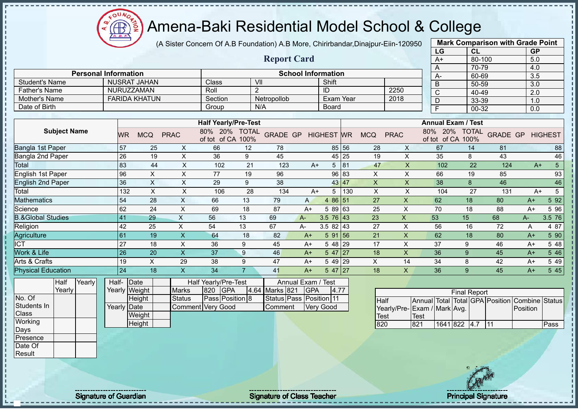

(A Sister Concern Of A.B Foundation) A.B More, Chirirbandar,Dinajpur-Eiin-120950

|                              |                     |        |                             |                      |                           |                           |                                                           |                      |                                    |               |                           |       |                           |                             |              | LG             |                                                                | CL        |                                          | <b>GP</b>        |                 |
|------------------------------|---------------------|--------|-----------------------------|----------------------|---------------------------|---------------------------|-----------------------------------------------------------|----------------------|------------------------------------|---------------|---------------------------|-------|---------------------------|-----------------------------|--------------|----------------|----------------------------------------------------------------|-----------|------------------------------------------|------------------|-----------------|
|                              |                     |        |                             |                      |                           |                           |                                                           |                      | <b>Report Card</b>                 |               |                           |       |                           |                             |              | $A+$           |                                                                | 80-100    |                                          | 5.0              |                 |
|                              |                     |        |                             |                      |                           |                           |                                                           |                      |                                    |               |                           |       |                           |                             |              | A              |                                                                | 70-79     |                                          | 4.0              |                 |
|                              |                     |        | <b>Personal Information</b> |                      |                           |                           |                                                           |                      |                                    |               | <b>School Information</b> |       |                           |                             |              | $A -$          |                                                                | 60-69     |                                          | 3.5              |                 |
| <b>Student's Name</b>        |                     |        |                             | <b>NUSRAT JAHAN</b>  |                           |                           | Class                                                     |                      | VII                                |               | Shift                     |       |                           |                             |              | $\overline{B}$ |                                                                | $50 - 59$ |                                          | $\overline{3.0}$ |                 |
| <b>Father's Name</b>         |                     |        |                             | NURUZZAMAN           |                           |                           | Roll                                                      |                      | $\overline{2}$                     |               | ID                        |       |                           | 2250                        |              | C              |                                                                | $40 - 49$ |                                          | $\overline{2.0}$ |                 |
| Mother's Name                |                     |        |                             | <b>FARIDA KHATUN</b> |                           |                           | Section                                                   |                      | Netropollob                        |               | <b>Exam Year</b>          |       |                           | 2018                        |              | D              |                                                                | 33-39     |                                          | 1.0              |                 |
| Date of Birth                |                     |        |                             |                      |                           |                           | Group                                                     |                      | N/A                                |               | Board                     |       |                           |                             |              | F              |                                                                | 00-32     |                                          | 0.0              |                 |
|                              |                     |        |                             |                      |                           |                           |                                                           |                      |                                    |               |                           |       |                           |                             |              |                |                                                                |           |                                          |                  |                 |
|                              | <b>Subject Name</b> |        | <b>WR</b>                   | <b>MCQ</b>           | <b>PRAC</b>               |                           | <b>Half Yearly/Pre-Test</b><br>20%<br>80%<br>of tot of CA | <b>TOTAL</b><br>100% | <b>GRADE GP</b>                    |               | <b>HIGHEST WR</b>         |       | <b>MCQ</b>                | <b>PRAC</b>                 | 80%          | 20%            | <b>Annual Exam / Test</b><br><b>TOTAL</b><br>of tot of CA 100% |           | <b>GRADE GP</b>                          |                  | <b>HIGHEST</b>  |
| Bangla 1st Paper             |                     |        | 57                          |                      | 25                        | $\boldsymbol{\mathsf{X}}$ | 66                                                        | 12                   | 78                                 |               |                           | 85 56 | 28                        | X                           |              | 67             | 14                                                             |           | 81                                       |                  | 88              |
| Bangla 2nd Paper             |                     |        | 26                          |                      | 19                        | X                         | 36                                                        | 9                    | 45                                 |               |                           | 45 25 | 19                        | $\times$                    |              | 35             | 8                                                              |           | 43                                       |                  | 46              |
| Total                        |                     |        | 83                          |                      | 44                        | X                         | 102                                                       | 21                   | 123                                | $A+$          | 5                         | 81    | 47                        | $\mathsf{X}$                |              | 102            |                                                                | 22        | 124                                      | $A+$             | $\overline{5}$  |
| English 1st Paper            |                     |        | 96                          |                      | $\boldsymbol{\mathsf{X}}$ | $\sf X$                   | 77                                                        | 19                   | 96                                 |               | 96                        | 83    | X                         | $\mathsf X$                 |              | 66             | 19                                                             |           | 85                                       |                  | 93              |
| <b>English 2nd Paper</b>     |                     |        | 36                          |                      | X                         | $\pmb{\times}$            | 29                                                        | 9                    | 38                                 |               |                           | 43 47 | $\pmb{\times}$            | X                           |              | 38             | 8                                                              |           | 46                                       |                  | 46              |
| Total                        |                     |        |                             | 132                  | $\boldsymbol{\mathsf{X}}$ | X                         | 106                                                       | 28                   | 134                                | $A+$          | 5                         | 130   | $\boldsymbol{\mathsf{X}}$ | $\times$                    |              | 104            |                                                                | 27        | 131                                      | $A+$             | $5\phantom{.0}$ |
| Mathematics                  |                     |        | 54                          |                      | 28                        | X                         | 66                                                        | 13                   | 79                                 | A             | 4 86 51                   |       | 27                        | X                           |              | 62             | 18                                                             |           | 80                                       | $A+$             | 592             |
| Science                      |                     |        | 62                          |                      | 24                        | X                         | 69                                                        | 18                   | 87                                 | $A+$          | 5 89 63                   |       | 25                        | X                           |              | 70             | 18                                                             |           | 88                                       | $A+$             | 5 96            |
| <b>B.&amp;Global Studies</b> |                     |        | 41                          |                      | 29                        | $\boldsymbol{\mathsf{X}}$ | 56                                                        | 13                   | 69                                 | $A -$         | $3.5 \ 76 \ 43$           |       | 23                        | $\mathsf{X}$                |              | 53             | 15                                                             |           | 68                                       | A-               | 3.5 76          |
| Religion                     |                     |        | 42                          |                      | 25                        | X                         | 54                                                        | 13                   | 67                                 | А-            | $3.582$ 43                |       | 27                        | $\mathsf{X}$                |              | 56             | 16                                                             |           | 72                                       | Α                | 4 87            |
| Agriculture                  |                     |        | 61                          |                      | 19                        | $\mathsf{x}$              | 64                                                        | 18                   | 82                                 | $A+$          | 5 91                      | 56    | 21                        | $\overline{\mathsf{X}}$     |              | 62             | 18                                                             |           | 80                                       | $A+$             | 5 90            |
| <b>CT</b>                    |                     |        | 27                          |                      | 18                        | X                         | 36                                                        | 9                    | 45                                 | $A+$          | 5 48 29                   |       | 17                        | X                           |              | 37             | 9                                                              |           | 46                                       | $A+$             | 5 48            |
| Work & Life                  |                     |        | 26                          |                      | 20                        | $\mathsf{X}$              | 37                                                        | 9                    | 46                                 | $A+$          | $547$   27                |       | 18                        | $\mathsf{x}$                |              | 36             | 9                                                              |           | 45                                       | $A+$             | 5 4 6           |
| Arts & Crafts                |                     |        | 19                          |                      | $\times$                  | 29                        | 38                                                        | 9                    | 47                                 | $A+$          | 5 49 29                   |       | X                         | 14                          |              | 34             | 8                                                              |           | 42                                       | $A+$             | 549             |
| <b>Physical Education</b>    |                     |        | 24                          |                      | 18                        | X.                        | 34                                                        | $\overline{7}$       | 41                                 | $A+$          | 5 47 27                   |       | 18                        | X                           |              | 36             | 9                                                              |           | 45                                       | $A+$             | 5 4 5           |
|                              | Half                | Yearly | Half-                       | Date                 |                           |                           | Half Yearly/Pre-Test                                      |                      |                                    | Annual Exam / | / Test                    |       |                           |                             |              |                |                                                                |           |                                          |                  |                 |
|                              | Yearly              |        |                             | Yearly Weight        |                           | <b>Marks</b>              | 820<br><b>GPA</b>                                         |                      | 4.64 Marks 821                     | GPA           | 4.77                      |       |                           |                             |              |                | <b>Final Report</b>                                            |           |                                          |                  |                 |
| No. Of<br>Students In        |                     |        | Yearly                      | Height<br>Date       |                           | <b>Status</b>             | Pass Position 8<br><b>Comment Very Good</b>               |                      | Status Pass Position 11<br>Comment |               | Very Good                 |       | <b>Half</b>               | Yearly/Pre-Exam / Mark Avg. | Annual Total |                |                                                                |           | <b>Total GPA Position Combine Status</b> | Position         |                 |
| Class                        |                     |        |                             | Weight               |                           |                           |                                                           |                      |                                    |               |                           |       | Test                      |                             | <b>Test</b>  |                |                                                                |           |                                          |                  |                 |
| Working                      |                     |        |                             | Height               |                           |                           |                                                           |                      |                                    |               |                           |       | 820                       |                             | 821          |                | 1641 822 4.7 11                                                |           |                                          |                  | Pass            |



**Mark Comparison with Grade Point**

Days Presence Date Of **Result** 

Signature of Guardian Signature Signature of Class Teacher New York Constitution of Class Teacher Principal Signature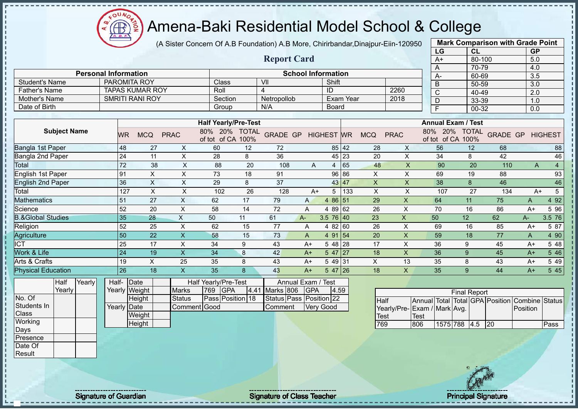$\Omega$ **CB** 

# Amena-Baki Residential Model School & College

(A Sister Concern Of A.B Foundation) A.B More, Chirirbandar,Dinajpur-Eiin-120950

|                              |        |                             |                           |                           |                             |      |                         |                |                           |           |                           |                           | LG                              |                     | CL        |                 | <b>GP</b>        |                 |
|------------------------------|--------|-----------------------------|---------------------------|---------------------------|-----------------------------|------|-------------------------|----------------|---------------------------|-----------|---------------------------|---------------------------|---------------------------------|---------------------|-----------|-----------------|------------------|-----------------|
|                              |        |                             |                           |                           |                             |      | <b>Report Card</b>      |                |                           |           |                           |                           | $A+$                            |                     | 80-100    |                 | 5.0              |                 |
|                              |        |                             |                           |                           |                             |      |                         |                |                           |           |                           |                           | A                               |                     | 70-79     |                 | 4.0              |                 |
|                              |        | <b>Personal Information</b> |                           |                           |                             |      |                         |                | <b>School Information</b> |           |                           |                           | A-                              |                     | 60-69     |                 | $\overline{3.5}$ |                 |
| <b>Student's Name</b>        |        |                             | <b>PAROMITA ROY</b>       |                           | Class                       |      | VII                     |                | Shift                     |           |                           |                           | B                               |                     | 50-59     |                 | $\overline{3.0}$ |                 |
| <b>Father's Name</b>         |        |                             | <b>TAPAS KUMAR ROY</b>    |                           | Roll                        |      | $\overline{4}$          |                | ID                        |           |                           | 2260                      | $\overline{\text{c}}$           |                     | 40-49     |                 | $\overline{2.0}$ |                 |
| Mother's Name                |        |                             | <b>SMRITI RANI ROY</b>    |                           | Section                     |      | Netropollob             |                |                           | Exam Year |                           | 2018                      | D                               |                     | 33-39     |                 | 1.0              |                 |
| Date of Birth                |        |                             |                           |                           | Group                       |      | N/A                     |                | <b>Board</b>              |           |                           |                           | F                               |                     | $00 - 32$ |                 | $\overline{0.0}$ |                 |
|                              |        |                             |                           |                           | <b>Half Yearly/Pre-Test</b> |      |                         |                |                           |           |                           |                           | <b>Annual Exam / Test</b>       |                     |           |                 |                  |                 |
| <b>Subject Name</b>          |        |                             |                           |                           | 80% 20% TOTAL               |      |                         |                |                           |           |                           |                           | 80% 20% TOTAL                   |                     |           |                 |                  |                 |
|                              |        | WR                          | <b>MCQ</b>                | <b>PRAC</b>               | of tot of CA 100%           |      | <b>GRADE GP</b>         |                | <b>HIGHEST</b> WR         |           | <b>MCQ</b>                | <b>PRAC</b>               | of tot of CA 100%               |                     |           | <b>GRADE GP</b> |                  | <b>HIGHEST</b>  |
| Bangla 1st Paper             |        | 48                          | 27                        | X                         | 60                          | 12   | 72                      |                |                           | 85 42     | 28                        | X                         | 56                              |                     | 12        | 68              |                  | 88              |
| Bangla 2nd Paper             |        | 24                          | 11                        | $\boldsymbol{\mathsf{X}}$ | 28                          | 8    | 36                      |                |                           | 45 23     | 20                        | $\pmb{\times}$            | 34                              |                     | 8         | 42              |                  | 46              |
| Total                        |        | 72                          | 38                        | X                         | 88                          | 20   | 108                     | Α              | $\overline{4}$            | 65        | 48                        | X                         | 90                              |                     | 20        | 110             | A                | $\overline{4}$  |
| English 1st Paper            |        | 91                          | $\boldsymbol{\mathsf{X}}$ | $\boldsymbol{\mathsf{X}}$ | 73                          | 18   | 91                      |                |                           | 96 86     | X                         | $\pmb{\times}$            | 69                              |                     | 19        | 88              |                  | 93              |
| <b>English 2nd Paper</b>     |        | 36                          | $\boldsymbol{\mathsf{X}}$ | $\boldsymbol{\mathsf{X}}$ | 29                          | 8    | 37                      |                |                           | 43 47     | $\boldsymbol{\mathsf{X}}$ | $\pmb{\times}$            | 38                              |                     | 8         | 46              |                  | 46              |
| Total                        |        | 127                         | $\boldsymbol{\mathsf{X}}$ | $\mathsf X$               | 102                         | 26   | 128                     | $A+$           | 5                         | 133       | $\boldsymbol{\mathsf{X}}$ | $\mathsf X$               | 107                             |                     | 27        | 134             | $A+$             | $5\overline{)}$ |
| <b>Mathematics</b>           |        | 51                          | 27                        | $\boldsymbol{\mathsf{X}}$ | 62                          | 17   | 79                      | A              | 4 86 51                   |           | 29                        | $\mathsf{X}$              | 64                              |                     | 11        | 75              | A                | 4 9 2           |
| Science                      |        | 52                          | $\overline{20}$           | $\sf X$                   | 58                          | 14   | $\overline{72}$         | $\overline{A}$ | 4 89 62                   |           | 26                        | $\times$                  | $\overline{70}$                 |                     | 16        | 86              | $A+$             | 5 96            |
| <b>B.&amp;Global Studies</b> |        | 35                          | 28                        | $\pmb{\times}$            | 50                          | 11   | 61                      | $A -$          | 3.5 76 40                 |           | 23                        | $\boldsymbol{\mathsf{X}}$ | 50                              | 12                  |           | 62              | $A -$            | 3.5 76          |
| Religion                     |        | 52                          | 25                        | $\sf X$                   | 62                          | 15   | 77                      | A              | 4 82 60                   |           | 26                        | $\times$                  | 69                              |                     | 16        | 85              | $A+$             | 5 87            |
| Agriculture                  |        | 50                          | 22                        | $\sf X$                   | 58                          | 15   | 73                      | $\mathsf{A}$   | 4 91 54                   |           | 20                        | $\boldsymbol{\mathsf{X}}$ | 59                              |                     | 18        | 77              | A                | 4 90            |
| <b>ICT</b>                   |        | 25                          | 17                        | $\mathsf X$               | 34                          | 9    | 43                      | $A+$           | 5 48 28                   |           | 17                        | $\mathsf{X}$              | 36                              | 9                   |           | 45              | $A+$             | 5 48            |
| Work & Life                  |        | 24                          | 19                        | $\overline{\mathsf{X}}$   | 34                          | 8    | 42                      | $A+$           | $547$ 27                  |           | 18                        | $\mathsf{x}$              | 36                              | 9                   |           | 45              | $A+$             | 5 4 6           |
| Arts & Crafts                |        | 19                          | $\mathsf X$               | 25                        | 35                          | 8    | 43                      | $A+$           | 5 49 31                   |           | $\times$                  | 13                        | 35                              | 8                   |           | 43              | $A+$             | 5 4 9           |
| <b>Physical Education</b>    |        | 26                          | 18                        | X                         | 35                          | 8    | 43                      | $A+$           | $547$ 26                  |           | 18                        | X                         | 35                              | 9                   |           | 44              | $A+$             | 5 4 5           |
| Half                         | Yearly |                             | Half-Date                 |                           | Half Yearly/Pre-Test        |      | Annual Exam / Test      |                |                           |           |                           |                           |                                 |                     |           |                 |                  |                 |
| Yearly                       |        |                             | Yearly Weight             | <b>Marks</b>              | GPA<br>769                  | 4.41 | Marks 806               | <b>GPA</b>     | 4.59                      |           |                           |                           |                                 | <b>Final Report</b> |           |                 |                  |                 |
| No. Of                       |        |                             | Height                    | <b>Status</b>             | Pass Position 18            |      | Status Pass Position 22 |                |                           |           | <b>Half</b>               |                           | Annual Total Total GPA Position |                     |           |                 | Combine Status   |                 |
| Students In                  |        |                             | Yearly Date               |                           | Comment Good                |      | Comment                 |                | <b>Very Good</b>          |           |                           | Yearly/Pre-               | Exam / Mark Avg.                |                     |           |                 | Position         |                 |
| Class                        |        |                             | Weight                    |                           |                             |      |                         |                |                           |           | <b>Test</b>               |                           | <b>Test</b>                     |                     |           |                 |                  |                 |
| Working                      |        |                             | Height                    |                           |                             |      |                         |                |                           |           | 769                       |                           | 806                             | 1575 788 4.5        |           | 20              |                  | Pass            |
| Days                         |        |                             |                           |                           |                             |      |                         |                |                           |           |                           |                           |                                 |                     |           |                 |                  |                 |
| Presence                     |        |                             |                           |                           |                             |      |                         |                |                           |           |                           |                           |                                 |                     |           |                 |                  |                 |
| Date Of                      |        |                             |                           |                           |                             |      |                         |                |                           |           |                           |                           |                                 |                     |           |                 |                  |                 |
| Result                       |        |                             |                           |                           |                             |      |                         |                |                           |           |                           |                           |                                 |                     |           |                 |                  |                 |

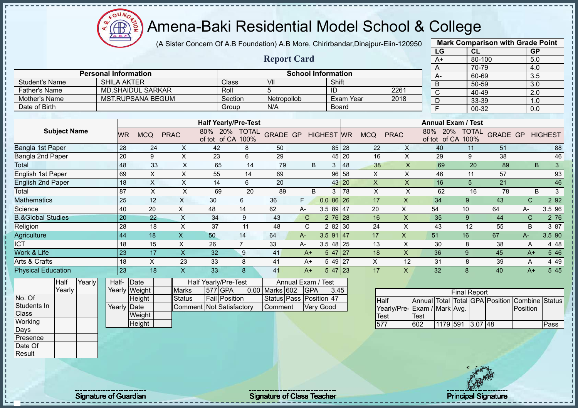$\Omega$ Æ ğ

# Amena-Baki Residential Model School & College

(A Sister Concern Of A.B Foundation) A.B More, Chirirbandar,Dinajpur-Eiin-120950

|                              |                             |                          |                           |                                 |                                    |                |                         |                           |                   |                  |                           |                           | LG                                                  |                                    | CL                  |                                   | <b>GP</b>    |                |
|------------------------------|-----------------------------|--------------------------|---------------------------|---------------------------------|------------------------------------|----------------|-------------------------|---------------------------|-------------------|------------------|---------------------------|---------------------------|-----------------------------------------------------|------------------------------------|---------------------|-----------------------------------|--------------|----------------|
|                              |                             |                          |                           |                                 |                                    |                | <b>Report Card</b>      |                           |                   |                  |                           |                           | $A+$                                                |                                    | 80-100              |                                   | 5.0          |                |
|                              |                             |                          |                           |                                 |                                    |                |                         |                           |                   |                  |                           |                           | A                                                   |                                    | 70-79               |                                   | 4.0          |                |
|                              | <b>Personal Information</b> |                          |                           |                                 |                                    |                |                         | <b>School Information</b> |                   |                  |                           |                           | $A -$                                               |                                    | 60-69               |                                   | 3.5          |                |
| <b>Student's Name</b>        |                             | <b>SHILA AKTER</b>       |                           |                                 | Class                              |                | V <sub>II</sub>         |                           | Shift             |                  |                           |                           | $\overline{B}$                                      |                                    | 50-59               |                                   | 3.0          |                |
| <b>Father's Name</b>         |                             | <b>MD.SHAIDUL SARKAR</b> |                           |                                 | Roll                               |                | 5                       |                           | ID                |                  |                           | 2261                      | $\overline{C}$                                      |                                    | 40-49               |                                   | 2.0          |                |
| Mother's Name                |                             | <b>MST.RUPSANA BEGUM</b> |                           |                                 | Section                            |                | Netropollob             |                           |                   | <b>Exam Year</b> |                           | 2018                      | D                                                   |                                    | 33-39               |                                   | 1.0          |                |
| Date of Birth                |                             |                          |                           |                                 | Group                              |                | N/A                     |                           |                   | Board            |                           |                           | F                                                   |                                    | $00 - 32$           |                                   | 0.0          |                |
|                              |                             |                          |                           |                                 |                                    |                |                         |                           |                   |                  |                           |                           |                                                     |                                    |                     |                                   |              |                |
|                              |                             |                          |                           |                                 | <b>Half Yearly/Pre-Test</b>        |                |                         |                           |                   |                  |                           |                           |                                                     | <b>Annual Exam / Test</b>          |                     |                                   |              |                |
| <b>Subject Name</b>          |                             | <b>WR</b>                | <b>MCQ</b>                | <b>PRAC</b>                     | 80% 20% TOTAL<br>of tot of CA 100% |                | <b>GRADE GP</b>         |                           | <b>HIGHEST WR</b> |                  | <b>MCQ</b>                | <b>PRAC</b>               |                                                     | 80% 20% TOTAL<br>of tot of CA 100% |                     | <b>GRADE GP HIGHEST</b>           |              |                |
| Bangla 1st Paper             |                             | 28                       | 24                        | X                               | 42                                 | 8              | 50                      |                           |                   | 85 28            | 22                        | X                         | 40                                                  |                                    | 11                  | 51                                |              | 88             |
| Bangla 2nd Paper             |                             | 20                       | $9\,$                     | $\boldsymbol{\mathsf{X}}$       | 23                                 | $\,6\,$        | 29                      |                           |                   | 45 20            | 16                        | $\pmb{\times}$            | 29                                                  |                                    | $\boldsymbol{9}$    | 38                                |              | 46             |
| Total                        |                             | 48                       | 33                        | X                               | 65                                 | 14             | 79                      | B                         | 3 <sup>1</sup>    | 48               | 38                        | X                         | 69                                                  |                                    | 20                  | 89                                | B            | $\overline{3}$ |
| English 1st Paper            |                             | 69                       | $\sf X$                   | $\boldsymbol{\mathsf{X}}$       | 55                                 | 14             | 69                      |                           |                   | 96 58            | X                         | $\mathsf X$               | 46                                                  |                                    | 11                  | 57                                |              | 93             |
| <b>English 2nd Paper</b>     |                             | 18                       | $\sf X$                   | $\boldsymbol{\mathsf{X}}$       | 14                                 | 6              | 20                      |                           |                   | 43 20            | $\boldsymbol{\mathsf{X}}$ | $\mathsf X$               | 16                                                  |                                    | 5                   | 21                                |              | $\sqrt{46}$    |
| Total                        |                             | 87                       | $\boldsymbol{\mathsf{X}}$ | $\mathsf X$                     | 69                                 | 20             | 89                      | B                         |                   | $3 \mid 78$      | $\boldsymbol{\mathsf{X}}$ | $\sf X$                   | 62                                                  |                                    | 16                  | 78                                | B            | $\mathbf{3}$   |
| <b>Mathematics</b>           |                             | 25                       | 12                        | $\times$                        | 30                                 | 6              | 36                      | F.                        | $0.086$ 26        |                  | 17                        | X                         | 34                                                  |                                    | 9                   | 43                                | $\mathsf{C}$ | 2 9 2          |
| Science                      |                             | 40                       | 20                        | $\overline{X}$                  | 48                                 | 14             | 62                      | A-                        | 3.5 89 47         |                  | 20                        | X                         | 54                                                  | 10                                 |                     | 64                                | A-           | 3.5 96         |
| <b>B.&amp;Global Studies</b> |                             | 20                       | 22                        | $\mathsf{X}$                    | 34                                 | 9              | 43                      | $\mathsf{C}$              | $276$ 28          |                  | 16                        | $\boldsymbol{\mathsf{X}}$ | 35                                                  |                                    | 9                   | 44                                | $\mathsf{C}$ | 2 76           |
| Religion                     |                             | 28                       | 18                        | $\times$                        | 37                                 | 11             | 48                      | $\mathsf{C}$              | 2 82 30           |                  | 24                        | $\times$                  | 43                                                  |                                    | 12                  | 55                                | B            | 3 87           |
| Agriculture                  |                             | 44                       | 18                        | $\mathsf{X}$                    | 50                                 | 14             | 64                      | $A -$                     | $3.591$ 47        |                  | 17                        | X                         | 51                                                  | 16                                 |                     | 67                                | A-           | 3.5 90         |
| <b>ICT</b>                   |                             | 18                       | 15                        | $\mathsf X$                     | 26                                 | $\overline{7}$ | 33                      | A-                        | $3.548$ 25        |                  | 13                        | $\pmb{\times}$            | 30                                                  |                                    | 8                   | 38                                | A            | 4 4 8          |
| Work & Life                  |                             | 23                       | 17                        | $\overline{\mathsf{X}}$         | 32                                 | 9              | 41                      | $A+$                      | $547$   27        |                  | 18                        | X                         | 36                                                  |                                    | 9                   | 45                                | $A+$         | 5 4 6          |
| Arts & Crafts                |                             | 18                       | $\pmb{\times}$            | 23                              | 33                                 | 8              | 41                      | $A+$                      | 5 49 27           |                  | $\pmb{\times}$            | 12                        | 31                                                  |                                    | 8                   | 39                                | A            | 4 4 9          |
| <b>Physical Education</b>    |                             | 23                       | 18                        | $\pmb{\mathsf{X}}$              | 33                                 | 8              | 41                      | $A+$                      | $547$ 23          |                  | 17                        | $\mathsf{X}$              | 32                                                  |                                    | 8                   | 40                                | $A+$         | 5 4 5          |
| Half<br>Yearly               | Half-                       | Date                     |                           |                                 | Half Yearly/Pre-Test               |                |                         | Annual Exam /             | <b>Test</b>       |                  |                           |                           |                                                     |                                    |                     |                                   |              |                |
| Yearly                       |                             | Yearly Weight            |                           | <b>Marks</b>                    | 577 GPA                            | 0.00           | Marks 602               | <b>GPA</b>                | 3.45              |                  |                           |                           |                                                     |                                    |                     |                                   |              |                |
| No. Of                       |                             | Height                   |                           | <b>Status</b>                   | <b>Fail Position</b>               |                | Status Pass Position 47 |                           |                   |                  |                           |                           |                                                     |                                    | <b>Final Report</b> |                                   |              |                |
| Students In                  |                             | Yearly Date              |                           | <b>Comment Not Satisfactory</b> |                                    |                | Comment                 |                           | <b>Very Good</b>  |                  | Half                      |                           | <b>Annual Total</b><br>Yearly/Pre- Exam / Mark Avg. |                                    |                     | Total GPA Position Combine Status | Position     |                |
| Class                        |                             | Weight                   |                           |                                 |                                    |                |                         |                           |                   |                  | <b>Test</b>               |                           | <b>Test</b>                                         |                                    |                     |                                   |              |                |
| Working                      |                             | Height                   |                           |                                 |                                    |                |                         |                           |                   |                  | 577                       |                           | 602                                                 | 1179 591                           | $3.07$ 48           |                                   |              | Pass           |
| Days                         |                             |                          |                           |                                 |                                    |                |                         |                           |                   |                  |                           |                           |                                                     |                                    |                     |                                   |              |                |
| Presence                     |                             |                          |                           |                                 |                                    |                |                         |                           |                   |                  |                           |                           |                                                     |                                    |                     |                                   |              |                |
| Date Of                      |                             |                          |                           |                                 |                                    |                |                         |                           |                   |                  |                           |                           |                                                     |                                    |                     |                                   |              |                |
| Result                       |                             |                          |                           |                                 |                                    |                |                         |                           |                   |                  |                           |                           |                                                     |                                    |                     |                                   |              |                |



**Mark Comparison with Grade Point**

Signature of Guardian Signature of Class Teacher Principal Signature Principal Signature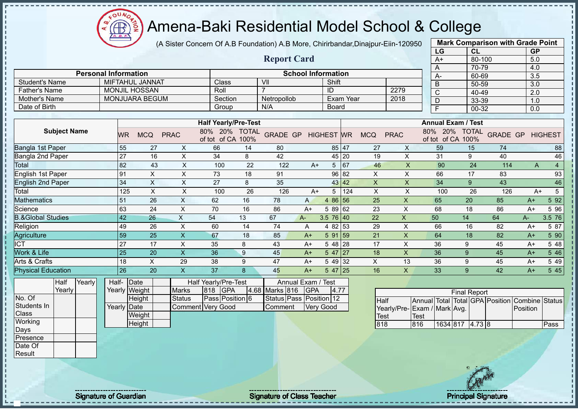(A Sister Concern Of A.B Foundation) A.B More, Chirirbandar,Dinajpur-Eiin-120950

|                                                                                           |                             |                                             |                                                           |                                                                   |    |                                                      |                                               |                 |                  |                           |                                    | LG             | CL                                                                                       |     | <b>GP</b>               |                  |
|-------------------------------------------------------------------------------------------|-----------------------------|---------------------------------------------|-----------------------------------------------------------|-------------------------------------------------------------------|----|------------------------------------------------------|-----------------------------------------------|-----------------|------------------|---------------------------|------------------------------------|----------------|------------------------------------------------------------------------------------------|-----|-------------------------|------------------|
|                                                                                           |                             |                                             |                                                           |                                                                   |    | <b>Report Card</b>                                   |                                               |                 |                  |                           |                                    | $A+$           | 80-100                                                                                   |     | 5.0                     |                  |
|                                                                                           |                             |                                             |                                                           |                                                                   |    |                                                      |                                               |                 |                  |                           |                                    | A              | 70-79                                                                                    |     | 4.0                     |                  |
|                                                                                           | <b>Personal Information</b> |                                             |                                                           |                                                                   |    |                                                      | <b>School Information</b>                     |                 |                  |                           |                                    | A-             | 60-69                                                                                    |     | 3.5                     |                  |
| <b>Student's Name</b>                                                                     |                             | <b>MIFTAHUL JANNAT</b>                      |                                                           | Class                                                             |    | $\overline{\mathsf{V}}$                              |                                               | Shift           |                  |                           |                                    | $\overline{B}$ | $50 - 59$                                                                                |     | $\overline{3.0}$        |                  |
| <b>Father's Name</b>                                                                      |                             | <b>MONJIL HOSSAN</b>                        |                                                           | Roll                                                              |    | $\overline{7}$                                       |                                               | ID              |                  |                           | 2279                               | $\overline{C}$ | 40-49                                                                                    |     | $\overline{2.0}$        |                  |
| Mother's Name                                                                             |                             | <b>MONJUARA BEGUM</b>                       |                                                           | Section                                                           |    | Netropollob                                          |                                               |                 | <b>Exam Year</b> |                           | 2018                               | D              | 33-39                                                                                    |     | 1.0                     |                  |
| Date of Birth                                                                             |                             |                                             |                                                           | Group                                                             |    | N/A                                                  |                                               | <b>Board</b>    |                  |                           |                                    | F              | 00-32                                                                                    |     | 0.0                     |                  |
|                                                                                           |                             |                                             |                                                           |                                                                   |    |                                                      |                                               |                 |                  |                           |                                    |                |                                                                                          |     |                         |                  |
| <b>Subject Name</b>                                                                       | WR.                         | <b>MCQ</b>                                  | <b>PRAC</b>                                               | <b>Half Yearly/Pre-Test</b><br>80% 20% TOTAL<br>of tot of CA 100% |    | <b>GRADE GP HIGHEST WR</b>                           |                                               |                 |                  | <b>MCQ</b>                | <b>PRAC</b>                        |                | <b>Annual Exam / Test</b><br>80% 20% TOTAL<br>of tot of CA 100%                          |     | <b>GRADE GP HIGHEST</b> |                  |
| Bangla 1st Paper                                                                          | 55                          | 27                                          | X                                                         | 66                                                                | 14 | 80                                                   |                                               |                 | 85 47            | 27                        | X                                  | 59             | 15                                                                                       | 74  |                         | 88               |
| <b>Bangla 2nd Paper</b>                                                                   | $\overline{27}$             | 16                                          | X                                                         | 34                                                                | 8  | 42                                                   |                                               |                 | 45 20            | 19                        | $\mathsf{X}$                       | 31             | 9                                                                                        | 40  |                         | 46               |
| <b>Total</b>                                                                              | 82                          | 43                                          | $\boldsymbol{\mathsf{X}}$                                 | 100                                                               | 22 | 122                                                  | $A+$                                          |                 | 5 67             | 46                        | $\times$                           | 90             | 24                                                                                       | 114 | $\overline{A}$          | $\overline{4}$   |
| <b>English 1st Paper</b>                                                                  | 91                          | $\boldsymbol{\mathsf{X}}$                   | X                                                         | 73                                                                | 18 | 91                                                   |                                               |                 | 96 82            | X                         | X                                  | 66             | 17                                                                                       | 83  |                         | 93               |
| <b>English 2nd Paper</b>                                                                  | 34                          | $\times$                                    | $\mathsf{X}$                                              | 27                                                                | 8  | 35                                                   |                                               |                 | 43 42            | $\boldsymbol{\mathsf{X}}$ | $\pmb{\times}$                     | 34             | 9                                                                                        | 43  |                         | 46               |
| Total                                                                                     | 125                         | $\times$                                    | $\boldsymbol{\mathsf{X}}$                                 | 100                                                               | 26 | 126                                                  | $A+$                                          | 5 <sup>1</sup>  | 124              | $\boldsymbol{\mathsf{X}}$ | $\mathsf X$                        | 100            | 26                                                                                       | 126 | $A+$                    | 5                |
| <b>Mathematics</b>                                                                        | 51                          | 26                                          | $\boldsymbol{\mathsf{X}}$                                 | 62                                                                | 16 | 78                                                   | $\mathsf{A}$                                  | 4 86 56         |                  | 25                        | $\mathsf X$                        | 65             | 20                                                                                       | 85  | $A+$                    | 5 9 2            |
| Science                                                                                   | 63                          | 24                                          | $\pmb{\times}$                                            | 70                                                                | 16 | 86                                                   | $A+$                                          | 5 89 62         |                  | 23                        | $\mathsf X$                        | 68             | 18                                                                                       | 86  | $A+$                    | 5 96             |
| <b>B.&amp;Global Studies</b>                                                              | 42                          | 26                                          | $\mathsf{X}% _{0}$                                        | 54                                                                | 13 | 67                                                   | A-                                            | $3.5 \ 76 \ 40$ |                  | 22                        | X                                  | 50             | 14                                                                                       | 64  | $A-$                    | 3.5 76           |
| Religion                                                                                  | 49                          | 26                                          | $\mathsf X$                                               | 60                                                                | 14 | 74                                                   | A                                             | 4 82 53         |                  | 29                        | $\boldsymbol{\mathsf{X}}$          | 66             | 16                                                                                       | 82  | $A+$                    | 5 87             |
| Agriculture                                                                               | 59                          | $\overline{25}$                             | $\mathsf X$                                               | 67                                                                | 18 | 85                                                   | $A+$                                          | $591$ 59        |                  | 21                        | $\mathsf X$                        | 64             | 18                                                                                       | 82  | $A+$                    | 5 90             |
| <b>ICT</b>                                                                                | 27                          | 17                                          | $\pmb{\times}$                                            | 35                                                                | 8  | 43                                                   | $A+$                                          | 5 48 28         |                  | 17                        | X                                  | 36             | 9                                                                                        | 45  | $A+$                    | 5 48             |
| Work & Life                                                                               | 25                          | 20                                          | $\overline{X}$                                            | 36                                                                | 9  | 45                                                   | $A+$                                          | $547$ 27        |                  | 18                        | $\mathsf{X}$                       | 36             | $\boldsymbol{9}$                                                                         | 45  | $A+$                    | $5\overline{46}$ |
| Arts & Crafts                                                                             | 18                          | $\mathsf X$                                 | 29                                                        | 38                                                                | 9  | 47                                                   | $A+$                                          | 5 49 32         |                  | X                         | 13                                 | 36             | $\boldsymbol{9}$                                                                         | 45  | $A+$                    | 5 4 9            |
| <b>Physical Education</b>                                                                 | 26                          | 20                                          | $\mathsf X$                                               | 37                                                                | 8  | 45                                                   | $A+$                                          | $547$ 25        |                  | 16                        | $\mathsf{X}$                       | 33             | 9                                                                                        | 42  | $A+$                    | 5 4 5            |
| Yearly<br>Half<br>Yearly<br>No. Of<br>Students In<br>Class<br>Working<br>Days<br>Presence | Half- Date<br>Yearly Date   | Yearly Weight<br>Height<br>Weight<br>Height | <b>Marks</b><br><b>Status</b><br><b>Comment Very Good</b> | Half Yearly/Pre-Test<br><b>GPA</b><br>818<br>Pass Position 6      |    | 4.68 Marks 816<br>Status Pass Position 12<br>Comment | Annual Exam / Test<br>GPA<br><b>Very Good</b> | 4.77            |                  | Half<br>Test<br>818       | Yearly/Pre-Exam / Mark Avg.<br>816 | <b>Test</b>    | <b>Final Report</b><br>Annual Total Total GPA Position Combine Status<br>1634 817 4.73 8 |     | Position                | Pass             |
| Date Of<br>Result                                                                         |                             |                                             |                                                           |                                                                   |    |                                                      |                                               |                 |                  |                           |                                    |                |                                                                                          |     |                         |                  |

- II ш

J. л

Signature of Guardian Signature Signature of Class Teacher National Signature Principal Signature

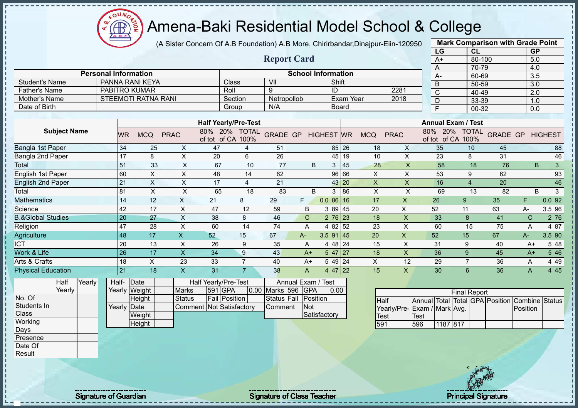$\Omega$ **CB** 

# Amena-Baki Residential Model School & College

(A Sister Concern Of A.B Foundation) A.B More, Chirirbandar,Dinajpur-Eiin-120950

|                              |                             |                            |                           |                          |                                    |                         |              |                           |           |                           |                           | LG                      |                                    | <b>CL</b>                       | <b>GP</b>        |                |
|------------------------------|-----------------------------|----------------------------|---------------------------|--------------------------|------------------------------------|-------------------------|--------------|---------------------------|-----------|---------------------------|---------------------------|-------------------------|------------------------------------|---------------------------------|------------------|----------------|
|                              |                             |                            |                           |                          |                                    | <b>Report Card</b>      |              |                           |           |                           |                           | $A+$                    |                                    | 80-100                          | 5.0              |                |
|                              |                             |                            |                           |                          |                                    |                         |              |                           |           |                           |                           | A                       |                                    | 70-79                           | 4.0              |                |
|                              | <b>Personal Information</b> |                            |                           |                          |                                    |                         |              | <b>School Information</b> |           |                           |                           | A-                      |                                    | 60-69                           | 3.5              |                |
| <b>Student's Name</b>        |                             | PANNA RANI KEYA            |                           |                          | Class                              | $\overline{\mathsf{V}}$ |              | Shift                     |           |                           |                           | $\overline{B}$          |                                    | 50-59                           | $\overline{3.0}$ |                |
| <b>Father's Name</b>         | <b>PABITRO KUMAR</b>        |                            |                           |                          | Roll                               | 9                       |              | ID                        |           |                           | 2281                      | $\overline{\mathsf{C}}$ |                                    | 40-49                           | $\overline{2.0}$ |                |
| <b>Mother's Name</b>         |                             | <b>STEEMOTI RATNA RANI</b> |                           |                          | Section                            | Netropollob             |              |                           | Exam Year |                           | 2018                      | $\overline{D}$          |                                    | 33-39                           | 1.0              |                |
| Date of Birth                |                             |                            |                           |                          | Group                              | N/A                     |              |                           | Board     |                           |                           | $\overline{F}$          |                                    | 00-32                           | 0.0              |                |
|                              |                             |                            |                           |                          |                                    |                         |              |                           |           |                           |                           |                         |                                    |                                 |                  |                |
|                              |                             |                            |                           |                          | <b>Half Yearly/Pre-Test</b>        |                         |              |                           |           |                           |                           |                         | <b>Annual Exam / Test</b>          |                                 |                  |                |
| <b>Subject Name</b>          | <b>WR</b>                   | <b>MCQ</b>                 | <b>PRAC</b>               |                          | 80% 20% TOTAL<br>of tot of CA 100% | <b>GRADE GP</b>         |              | <b>HIGHEST WR</b>         |           | <b>MCQ</b>                | <b>PRAC</b>               |                         | 80% 20% TOTAL<br>of tot of CA 100% | <b>GRADE GP</b>                 |                  | <b>HIGHEST</b> |
| Bangla 1st Paper             | 34                          | 25                         | X                         | 47                       | 4                                  | 51                      |              |                           | 85 26     | 18                        | X                         | 35                      | 10                                 | 45                              |                  | 88             |
| Bangla 2nd Paper             | 17                          | 8                          | $\mathsf X$               | 20                       | 6                                  | 26                      |              |                           | 45 19     | 10                        | $\pmb{\times}$            | 23                      | 8                                  | 31                              |                  | 46             |
| Total                        | 51                          | 33                         | $\pmb{\times}$            | 67                       | 10                                 | 77                      | B            | 3 <sup>1</sup>            | 45        | 28                        | $\overline{\mathsf{X}}$   | 58                      |                                    | 18<br>76                        | B                | $\mathbf{3}$   |
| <b>English 1st Paper</b>     | 60                          | $\boldsymbol{\mathsf{X}}$  | X                         | 48                       | 14                                 | 62                      |              |                           | 96 66     | X                         | $\pmb{\times}$            | 53                      | 9                                  | 62                              |                  | 93             |
| <b>English 2nd Paper</b>     | 21                          | $\times$                   | $\pmb{\times}$            | 17                       | $\overline{4}$                     | 21                      |              |                           | 43 20     | $\boldsymbol{\mathsf{X}}$ | $\boldsymbol{\mathsf{X}}$ | 16                      | $\overline{A}$                     | 20                              |                  | 46             |
| Total                        | 81                          | $\mathsf{X}$               | $\pmb{\times}$            | 65                       | 18                                 | 83                      | $\sf B$      | 3                         | 86        | $\pmb{\times}$            | $\sf X$                   | 69                      |                                    | 82<br>13                        | B                | $\mathfrak{S}$ |
| <b>Mathematics</b>           | 14                          | 12                         | $\boldsymbol{\mathsf{X}}$ | 21                       | 8                                  | 29                      | F.           | $0.086$ 16                |           | 17                        | $\mathsf{X}$              | 26                      | 9                                  | 35                              | F.               | 0.092          |
| Science                      | 42                          | 17                         | $\pmb{\times}$            | 47                       | 12                                 | 59                      | B            | 3 89 45                   |           | 20                        | $\pmb{\times}$            | 52                      | 11                                 | 63                              | А-               | 3.5 96         |
| <b>B.&amp;Global Studies</b> | $\overline{20}$             | 27                         | $\mathsf X$               | 38                       | 8                                  | 46                      | $\mathsf{C}$ | $276$ 23                  |           | 18                        | $\mathsf X$               | 33                      | $\bf 8$                            | 41                              | $\mathsf{C}$     | 2 76           |
| Religion                     | $\overline{47}$             | 28                         | $\boldsymbol{\mathsf{X}}$ | 60                       | 14                                 | 74                      | A            | 4 82 52                   |           | 23                        | X                         | 60                      | 15                                 | 75                              | A                | 4 87           |
| Agriculture                  | 48                          | 17                         | $\mathsf{X}$              | 52                       | 15                                 | 67                      | A-           | $3.5$ 91 45               |           | 20                        | X                         | 52                      | 15                                 | 67                              | A-               | 3.5 90         |
| <b>ICT</b>                   | 20                          | 13                         | $\boldsymbol{\mathsf{X}}$ | 26                       | 9                                  | 35                      | Α            | 4 4 8                     | 24        | 15                        | $\mathsf{X}$              | 31                      | 9                                  | 40                              | $A+$             | 5 48           |
| Work & Life                  | 26                          | 17                         | $\mathsf X$               | 34                       | 9                                  | 43                      | $A+$         | $547$   27                |           | 18                        | $\pmb{\times}$            | 36                      | 9                                  | 45                              | $A+$             | 5 4 6          |
| Arts & Crafts                | 18                          | X                          | 23                        | 33                       | $\overline{7}$                     | 40                      | $A+$         | 5 49 24                   |           | X                         | 12                        | 29                      | $\overline{7}$                     | 36                              | A                | 4 4 9          |
| <b>Physical Education</b>    | 21                          | 18                         | $\mathsf X$               | 31                       | $\overline{7}$                     | 38                      | A            | $\overline{4}$ 47 22      |           | 15                        | $\mathsf{X}$              | 30                      | 6                                  | 36                              | A                | 4 4 5          |
| Yearly<br>Half               | Half-                       | Date                       |                           | Half Yearly/Pre-Test     |                                    | Annual Exam /           |              | Test                      |           |                           |                           |                         |                                    |                                 |                  |                |
| Yearly                       |                             | Yearly Weight              | Marks                     | 591 GPA                  |                                    | 0.00 Marks 596 GPA      |              | 0.00                      |           |                           |                           |                         | <b>Final Report</b>                |                                 |                  |                |
| No. Of                       |                             | Height                     | <b>Status</b>             |                          | Fail Position                      | Status Fail             | Position     |                           |           | Half                      |                           |                         |                                    | Annual Total Total GPA Position | Combine Status   |                |
| Students In                  | Yearly Date                 |                            |                           | Comment Not Satisfactory |                                    | Comment                 | <b>Not</b>   |                           |           |                           | Yearly/Pre-               | Exam / Mark Avg.        |                                    |                                 | Position         |                |
| Class                        |                             | Weight                     |                           |                          |                                    |                         |              | Satisfactory              |           | <b>Test</b>               |                           | Test                    |                                    |                                 |                  |                |
| Working                      |                             | Height                     |                           |                          |                                    |                         |              |                           |           | 591                       |                           | 596                     | 1187 817                           |                                 |                  |                |
| Days                         |                             |                            |                           |                          |                                    |                         |              |                           |           |                           |                           |                         |                                    |                                 |                  |                |
| Presence                     |                             |                            |                           |                          |                                    |                         |              |                           |           |                           |                           |                         |                                    |                                 |                  |                |
| Date Of                      |                             |                            |                           |                          |                                    |                         |              |                           |           |                           |                           |                         |                                    |                                 |                  |                |
| Result                       |                             |                            |                           |                          |                                    |                         |              |                           |           |                           |                           |                         |                                    |                                 |                  |                |
|                              |                             |                            |                           |                          |                                    |                         |              |                           |           |                           |                           |                         |                                    |                                 |                  |                |

Signature of Guardian Signature Signature of Class Teacher New York Network Principal Signature

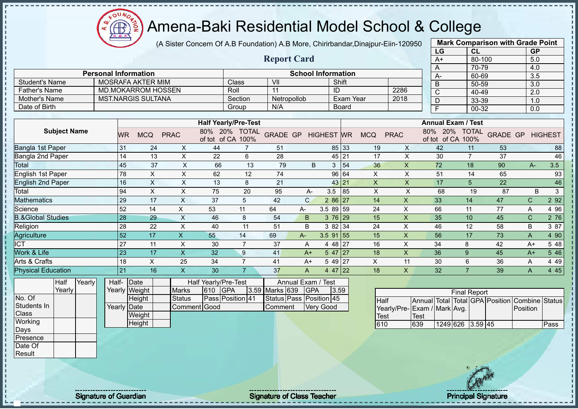(A Sister Concern Of A.B Foundation) A.B More, Chirirbandar,Dinajpur-Eiin-120950

|                              |                             |               |                           |                           |                                    |                |                         |                           |                   |              |                           |                           | LG                                             | CL                  |                 | <b>GP</b>        |                |
|------------------------------|-----------------------------|---------------|---------------------------|---------------------------|------------------------------------|----------------|-------------------------|---------------------------|-------------------|--------------|---------------------------|---------------------------|------------------------------------------------|---------------------|-----------------|------------------|----------------|
|                              |                             |               |                           |                           |                                    |                | <b>Report Card</b>      |                           |                   |              |                           |                           | $A+$                                           | 80-100              |                 | 5.0              |                |
|                              |                             |               |                           |                           |                                    |                |                         |                           |                   |              |                           |                           | A                                              | 70-79               |                 | 4.0              |                |
|                              | <b>Personal Information</b> |               |                           |                           |                                    |                |                         | <b>School Information</b> |                   |              |                           |                           | $A -$                                          | 60-69               |                 | 3.5              |                |
| <b>Student's Name</b>        |                             |               | <b>MOSRAFA AKTER MIM</b>  |                           |                                    | Class          | VII                     |                           |                   | Shift        |                           |                           | $\overline{B}$                                 | 50-59               |                 | $\overline{3.0}$ |                |
| <b>Father's Name</b>         |                             |               | <b>MD.MOKARROM HOSSEN</b> |                           |                                    | Roll           | 11                      |                           | ID                |              |                           | 2286                      | $\overline{C}$                                 | 40-49               |                 | $\overline{2.0}$ |                |
| Mother's Name                |                             |               | <b>MST.NARGIS SULTANA</b> |                           |                                    | Section        | Netropollob             |                           |                   |              | Exam Year                 | 2018                      | D                                              | 33-39               |                 | 1.0              |                |
| Date of Birth                |                             |               |                           |                           |                                    | Group          | N/A                     |                           |                   | <b>Board</b> |                           |                           | F                                              | $00 - 32$           |                 | 0.0              |                |
|                              |                             |               |                           |                           | <b>Half Yearly/Pre-Test</b>        |                |                         |                           |                   |              |                           |                           | <b>Annual Exam / Test</b>                      |                     |                 |                  |                |
|                              |                             |               |                           |                           |                                    |                |                         |                           |                   |              |                           |                           |                                                |                     |                 |                  |                |
| <b>Subject Name</b>          |                             | WR.           | <b>MCQ</b>                | <b>PRAC</b>               | 80% 20% TOTAL<br>of tot of CA 100% |                | <b>GRADE GP</b>         |                           | <b>HIGHEST WR</b> |              | <b>MCQ</b>                | <b>PRAC</b>               | 80% 20% TOTAL<br>of tot of CA 100%             |                     | <b>GRADE GP</b> |                  | <b>HIGHEST</b> |
| <b>Bangla 1st Paper</b>      |                             | 31            | 24                        | X                         | 44                                 | $\overline{7}$ | 51                      |                           |                   | 85 33        | 19                        | X                         | 42                                             | 11                  | 53              |                  | 88             |
| Bangla 2nd Paper             |                             | 14            | 13                        | X                         | 22                                 | 6              | 28                      |                           |                   | 45 21        | 17                        | X                         | 30                                             | $\overline{7}$      | 37              |                  | 46             |
| Total                        |                             | 45            | 37                        | $\mathsf{X}$              | 66                                 | 13             | 79                      | B                         |                   | 3 54         | 36                        | $\mathsf X$               | 72                                             | 18                  | 90              | A-               | 3.5            |
| English 1st Paper            |                             | 78            | $\boldsymbol{\mathsf{X}}$ | $\boldsymbol{\mathsf{X}}$ | 62                                 | 12             | 74                      |                           |                   | 96 64        | $\mathsf X$               | $\times$                  | 51                                             | 14                  | 65              |                  | 93             |
| <b>English 2nd Paper</b>     |                             | 16            | $\boldsymbol{\mathsf{X}}$ | $\boldsymbol{\mathsf{X}}$ | 13                                 | 8              | 21                      |                           |                   | 43 21        | $\pmb{\times}$            | X                         | 17                                             | $5\phantom{.0}$     | 22              |                  | 46             |
| Total                        |                             | 94            | $\boldsymbol{\mathsf{X}}$ | $\boldsymbol{\mathsf{X}}$ | 75                                 | 20             | 95                      | A-                        | 3.5               | 85           | $\boldsymbol{\mathsf{X}}$ | $\mathsf X$               | 68                                             | 19                  | 87              | B                | $\mathbf{3}$   |
| <b>Mathematics</b>           |                             | 29            | 17                        | X                         | 37                                 | 5              | 42                      | $\mathsf{C}$              | 2 86 27           |              | 14                        | X                         | 33                                             | 14                  | 47              | C.               | 2 9 2          |
| Science                      |                             | 52            | 14                        | X                         | 53                                 | 11             | 64                      | A-                        | 3.5 89 59         |              | 24                        | X                         | 66                                             | 11                  | 77              | A                | 4 9 6          |
| <b>B.&amp;Global Studies</b> |                             | 28            | 29                        | $\mathsf{X}$              | 46                                 | 8              | 54                      | B                         | 3 76 29           |              | 15                        | $\boldsymbol{\mathsf{X}}$ | 35                                             | 10                  | 45              | $\mathsf{C}$     | 2 76           |
| Religion                     |                             | 28            | 22                        | $\times$                  | 40                                 | 11             | 51                      | B                         | 3 82 34           |              | 24                        | X                         | 46                                             | 12                  | 58              | B                | 3 87           |
| Agriculture                  |                             | 52            | 17                        | $\mathsf{X}$              | 55                                 | 14             | 69                      | $A-$                      | $3.5$ 91 55       |              | 15                        | $\overline{\mathsf{X}}$   | 56                                             | 17                  | 73              | A                | 4 90           |
| <b>ICT</b>                   |                             | 27            | 11                        | X                         | 30                                 | 7              | 37                      | A                         | 4 48 27           |              | 16                        | X                         | 34                                             | 8                   | 42              | $A+$             | 5 48           |
| Work & Life                  |                             | 23            | 17                        | $\overline{\mathsf{X}}$   | 32                                 | 9              | 41                      | $A+$                      | 547 27            |              | 18                        | $\overline{\mathsf{x}}$   | 36                                             | $\overline{9}$      | 45              | $A+$             | 5 4 6          |
| Arts & Crafts                |                             | 18            | $\times$                  | 25                        | 34                                 | $\overline{7}$ | 41                      | $A+$                      | $549$   27        |              | X                         | 11                        | 30                                             | 6                   | 36              | A                | 4 4 9          |
| <b>Physical Education</b>    |                             | 21            | 16                        | $\boldsymbol{\mathsf{X}}$ | 30                                 | $\overline{7}$ | 37                      | A                         | 4 47 22           |              | 18                        | $\mathsf{X}$              | 32                                             | $\overline{7}$      | 39              | A                | 4 4 5          |
| Yearly<br>Half               |                             | Half- Date    |                           |                           | Half Yearly/Pre-Test               |                |                         | Annual Exam /             | Test              |              |                           |                           |                                                |                     |                 |                  |                |
| Yearly                       |                             | Yearly Weight |                           | <b>Marks</b>              | <b>GPA</b><br>610                  |                | 3.59 Marks 639          | <b>GPA</b>                | 3.59              |              |                           |                           |                                                | <b>Final Report</b> |                 |                  |                |
| No. Of                       |                             | Height        |                           | <b>Status</b>             | Pass Position 41                   |                | Status Pass Position 45 |                           |                   |              | Half                      |                           | Annual Total Total GPA Position Combine Status |                     |                 |                  |                |
| Students In                  |                             | Yearly Date   |                           |                           | Comment Good                       |                | Comment                 |                           | <b>Very Good</b>  |              |                           | Yearly/Pre-               | Exam / Mark Avg.                               |                     |                 | Position         |                |
| Class                        |                             |               | Weight                    |                           |                                    |                |                         |                           |                   |              | <b>Test</b>               |                           | <b>Test</b>                                    |                     |                 |                  |                |
| Working                      |                             | Height        |                           |                           |                                    |                |                         |                           |                   |              | 610                       |                           | 639                                            | 1249 626 3.59 45    |                 |                  | Pass           |
| Days                         |                             |               |                           |                           |                                    |                |                         |                           |                   |              |                           |                           |                                                |                     |                 |                  |                |
| Presence                     |                             |               |                           |                           |                                    |                |                         |                           |                   |              |                           |                           |                                                |                     |                 |                  |                |
| Date Of                      |                             |               |                           |                           |                                    |                |                         |                           |                   |              |                           |                           |                                                |                     |                 |                  |                |
| Result                       |                             |               |                           |                           |                                    |                |                         |                           |                   |              |                           |                           |                                                |                     |                 |                  |                |

ΩU

**CB** 

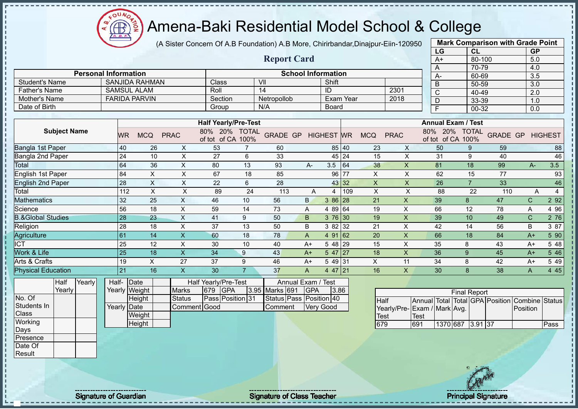$\Omega$ **AB** 

# Amena-Baki Residential Model School & College

(A Sister Concern Of A.B Foundation) A.B More, Chirirbandar,Dinajpur-Eiin-120950

|                                    |                             |                        |                           |                               |                                           |                |                                           |                |                   |     |                     |                    |                                    | LG                                 | <b>CL</b>           |                    | <b>GP</b>    |                     |
|------------------------------------|-----------------------------|------------------------|---------------------------|-------------------------------|-------------------------------------------|----------------|-------------------------------------------|----------------|-------------------|-----|---------------------|--------------------|------------------------------------|------------------------------------|---------------------|--------------------|--------------|---------------------|
|                                    |                             |                        |                           |                               |                                           |                | <b>Report Card</b>                        |                |                   |     |                     |                    |                                    | $A+$                               | 80-100              |                    | 5.0          |                     |
|                                    |                             |                        |                           |                               |                                           |                |                                           |                |                   |     |                     |                    |                                    | $\overline{A}$                     | 70-79               |                    | 4.0          |                     |
|                                    | <b>Personal Information</b> |                        |                           |                               |                                           |                | <b>School Information</b>                 |                |                   |     |                     |                    |                                    | A-                                 | 60-69               |                    | 3.5          |                     |
| <b>Student's Name</b>              |                             |                        | <b>SANJIDA RAHMAN</b>     |                               | Class                                     |                | V <sub>II</sub>                           |                | Shift             |     |                     |                    |                                    | B                                  | 50-59               |                    | 3.0          |                     |
| <b>Father's Name</b>               |                             |                        | <b>SAMSUL ALAM</b>        |                               | Roll                                      |                | $\overline{14}$                           |                | ID                |     |                     | 2301               |                                    | $\overline{\mathsf{C}}$            | 40-49               |                    | 2.0          |                     |
| Mother's Name<br>Date of Birth     |                             |                        | <b>FARIDA PARVIN</b>      |                               | Section                                   |                | Netropollob                               |                | <b>Exam Year</b>  |     |                     | 2018               |                                    | D                                  | 33-39               |                    | 1.0          |                     |
|                                    |                             |                        |                           |                               | Group                                     |                | N/A                                       |                | <b>Board</b>      |     |                     |                    |                                    | $\overline{F}$                     | 00-32               |                    | 0.0          |                     |
|                                    |                             |                        |                           |                               | <b>Half Yearly/Pre-Test</b>               |                |                                           |                |                   |     |                     |                    |                                    | <b>Annual Exam / Test</b>          |                     |                    |              |                     |
| <b>Subject Name</b>                |                             | <b>WR</b>              | <b>MCQ</b>                | <b>PRAC</b>                   | 80% 20% TOTAL<br>of tot of CA 100%        |                | <b>GRADE GP</b>                           |                | <b>HIGHEST WR</b> |     | <b>MCQ</b>          | <b>PRAC</b>        |                                    | 80% 20% TOTAL<br>of tot of CA 100% |                     | <b>GRADE GP</b>    |              | <b>HIGHEST</b>      |
| <b>Bangla 1st Paper</b>            |                             | 40                     | 26                        | X                             | 53                                        | $\overline{7}$ | 60                                        |                | 85 40             |     | 23                  | X                  |                                    | 50                                 | 9                   | 59                 |              | 88                  |
| Bangla 2nd Paper                   |                             | 24                     | 10                        | X                             | 27                                        | 6              | 33                                        |                | 45                | 24  | 15                  | X                  |                                    | 31                                 | 9                   | 40                 |              | 46                  |
| Total                              |                             | 64                     | 36                        | $\times$                      | 80                                        | 13             | 93                                        | A-             | 3.5               | 64  | 38                  | $\pmb{\mathsf{X}}$ |                                    | 81                                 | 18                  | 99                 | A-           | 3.5                 |
| <b>English 1st Paper</b>           |                             | 84                     | $\mathsf X$               | X                             | 67                                        | 18             | 85                                        |                | 96                | 77  | X                   | X                  |                                    | 62                                 | 15                  | 77                 |              | 93                  |
| <b>English 2nd Paper</b>           |                             | $\overline{28}$        | $\mathsf{X}$              | $\pmb{\times}$                | 22                                        | 6              | 28                                        |                | 43                | 32  | X                   | $\mathsf{x}$       |                                    | 26                                 | $\overline{7}$      | 33                 |              | 46                  |
| Total                              |                             | 112                    | $\sf X$                   | X                             | 89                                        | 24             | 113                                       | $\overline{A}$ | 4                 | 109 | $\pmb{\times}$      | X                  |                                    | 88                                 | 22                  | 110                |              | $\overline{4}$<br>A |
| Mathematics                        |                             | 32                     | 25                        | X                             | 46                                        | 10             | 56                                        | B              | 3 86              | 28  | 21                  | X                  |                                    | 39                                 | 8                   | 47                 | $\mathsf{C}$ | 2 9 2               |
| Science                            |                             | 56                     | 18                        | $\pmb{\times}$                | 59                                        | 14             | 73                                        | Α              | 4 89 64           |     | 19                  | X                  |                                    | 66                                 | 12                  | 78                 | A            | 4 9 6               |
| <b>B.&amp;Global Studies</b>       |                             | 28                     | 23                        | $\mathsf X$                   | 41                                        | 9              | 50                                        | B              | 3 76              | 30  | 19                  | $\mathsf{x}$       |                                    | 39                                 | 10                  | 49                 | $\mathsf{C}$ | 2 76                |
| Religion                           |                             | 28                     | 18                        | X                             | 37                                        | 13             | 50                                        | B              | 3 82 32           |     | 21                  | X                  |                                    | 42                                 | 14                  | 56                 | B            | 3 87                |
| Agriculture                        |                             | 61                     | 14                        | $\pmb{\times}$                | 60                                        | 18             | 78                                        | A              | 4 91              | 62  | 20                  | X                  |                                    | 66                                 | 18                  | 84                 | $A+$         | 5 90                |
| <b>ICT</b>                         |                             | 25                     | 12                        | X                             | 30                                        | 10             | 40                                        | $A+$           | 5 48              | 29  | 15                  | X                  |                                    | 35                                 | 8                   | 43                 | $A+$         | 5 48                |
| Work & Life                        |                             | 25                     | 18                        | $\mathsf{x}$                  | 34                                        | 9              | 43                                        | $A+$           | 5 47              | 27  | 18                  | X                  |                                    | 36                                 | 9                   | 45                 | $A+$         | 546                 |
| Arts & Crafts                      |                             | 19                     | $\boldsymbol{\mathsf{X}}$ | 27                            | 37                                        | 9              | 46                                        | $A+$           | 549 31            |     | $\times$            | 11                 |                                    | 34                                 | 8                   | 42                 | $A+$         | 5 4 9               |
| <b>Physical Education</b>          |                             | 21                     | 16                        | $\mathsf{x}$                  | 30                                        | $\overline{7}$ | 37                                        | Α              | 4 47              | 21  | 16                  | X                  |                                    | 30                                 | $\mathbf{8}$        | 38                 | A            | 4 4 5               |
| Half<br>Yearly<br>Yearly<br>No. Of |                             | Half-<br>Yearly Weight | Date                      | <b>Marks</b>                  | Half Yearly/Pre-Test<br>679<br><b>GPA</b> | 3.95           | Annual Exam / Test<br><b>Marks</b><br>691 | GPA            | 3.86              |     |                     |                    |                                    |                                    | <b>Final Report</b> |                    |              |                     |
| Students In<br>Class               |                             | Yearly Date            | Height<br>Weight          | <b>Status</b><br>Comment Good | Pass Position 31                          |                | Status Pass Position 40<br>Comment        |                | Very Good         |     | <b>Half</b><br>Test | Yearly/Pre-        | <b>Annual</b> Total<br><b>Test</b> | Exam / Mark Avg.                   |                     | Total GPA Position | Position     | Combine Status      |
| Working<br>Days                    |                             |                        | Height                    |                               |                                           |                |                                           |                |                   |     | 679                 | 691                |                                    |                                    | 1370 687 3.91 37    |                    |              | Pass                |



**Mark Comparison with Grade Point**

Presence Date Of Result

Signature of Guardian Signature of Class Teacher Number of Class Teacher Principal Signature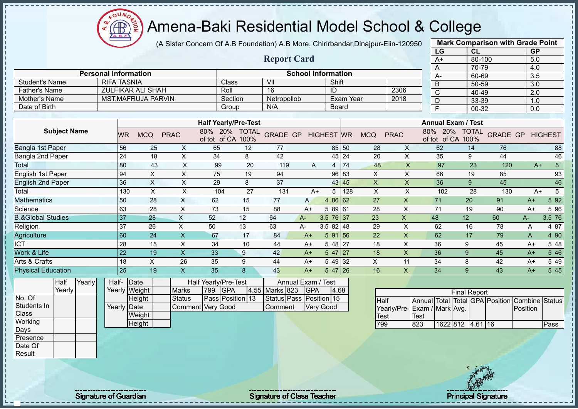ğ Æ

#### Amena-Baki Residential Model School & College

(A Sister Concern Of A.B Foundation) A.B More, Chirirbandar,Dinajpur-Eiin-120950

|                              |                             |                    |                           |                           |                                    |              |                         |                           |                  |                  |                           |                           | LG                                 |                     | CL                              | <b>GP</b>        |                  |
|------------------------------|-----------------------------|--------------------|---------------------------|---------------------------|------------------------------------|--------------|-------------------------|---------------------------|------------------|------------------|---------------------------|---------------------------|------------------------------------|---------------------|---------------------------------|------------------|------------------|
|                              |                             |                    |                           |                           |                                    |              | <b>Report Card</b>      |                           |                  |                  |                           |                           | $A+$                               |                     | 80-100                          | 5.0              |                  |
|                              |                             |                    |                           |                           |                                    |              |                         |                           |                  |                  |                           |                           | A                                  |                     | 70-79                           | 4.0              |                  |
|                              | <b>Personal Information</b> |                    |                           |                           |                                    |              |                         | <b>School Information</b> |                  |                  |                           |                           | А-                                 |                     | 60-69                           | 3.5              |                  |
| <b>Student's Name</b>        | <b>RIFA TASNIA</b>          |                    |                           |                           | Class                              |              | VII                     |                           | Shift            |                  |                           |                           | B                                  |                     | 50-59                           | 3.0              |                  |
| <b>Father's Name</b>         |                             |                    | <b>ZULFIKAR ALI SHAH</b>  |                           | Roll                               |              | 16                      |                           | ID               |                  |                           | 2306                      | $\overline{C}$                     |                     | 40-49                           | $\overline{2.0}$ |                  |
| Mother's Name                |                             |                    | <b>MST.MAFRUJA PARVIN</b> |                           | Section                            |              | Netropollob             |                           |                  | <b>Exam Year</b> |                           | 2018                      | D                                  |                     | 33-39                           | 1.0              |                  |
| Date of Birth                |                             |                    |                           |                           | Group                              |              | N/A                     |                           |                  | Board            |                           |                           | F                                  |                     | 00-32                           | 0.0              |                  |
|                              |                             |                    |                           |                           |                                    |              |                         |                           |                  |                  |                           |                           |                                    |                     |                                 |                  |                  |
|                              |                             |                    |                           |                           | <b>Half Yearly/Pre-Test</b>        |              |                         |                           |                  |                  |                           |                           | <b>Annual Exam / Test</b>          |                     |                                 |                  |                  |
| <b>Subject Name</b>          |                             | <b>WR</b>          | <b>MCQ</b>                | <b>PRAC</b>               | 80% 20% TOTAL<br>of tot of CA 100% |              | GRADE GP HIGHEST WR     |                           |                  |                  | <b>MCQ</b>                | <b>PRAC</b>               | 80% 20% TOTAL<br>of tot of CA 100% |                     | <b>GRADE GP</b>                 |                  | <b>HIGHEST</b>   |
| Bangla 1st Paper             |                             | 56                 | 25                        | X                         | 65                                 | 12           | 77                      |                           |                  | 85 50            | 28                        | X                         | 62                                 | 14                  | 76                              |                  | 88               |
| Bangla 2nd Paper             |                             | 24                 | 18                        | $\pmb{\times}$            | 34                                 | 8            | 42                      |                           |                  | 45 24            | 20                        | X                         | 35                                 | 9                   | 44                              |                  | 46               |
| Total                        |                             | 80                 | 43                        | $\boldsymbol{\mathsf{X}}$ | 99                                 | 20           | 119                     | A                         | $\overline{4}$   | 74               | 48                        | $\boldsymbol{\mathsf{X}}$ | 97                                 | 23                  | 120                             | $A+$             | $\overline{5}$   |
| <b>English 1st Paper</b>     |                             | 94                 | $\pmb{\times}$            | X                         | 75                                 | 19           | 94                      |                           |                  | 96 83            | X                         | X                         | 66                                 | 19                  | 85                              |                  | 93               |
| <b>English 2nd Paper</b>     |                             | 36                 | $\times$                  | $\boldsymbol{\mathsf{X}}$ | 29                                 | 8            | $\overline{37}$         |                           |                  | 43 45            | $\boldsymbol{\mathsf{X}}$ | $\mathsf{x}$              | 36                                 | 9                   | 45                              |                  | 46               |
| Total                        |                             | 130                | $\boldsymbol{\mathsf{X}}$ | $\times$                  | 104                                | 27           | 131                     | $A+$                      | 5                | 128              | $\times$                  | $\mathsf X$               | 102                                | 28                  | 130                             | $A+$             | $5\overline{)}$  |
| <b>Mathematics</b>           |                             | 50                 | 28                        | $\sf X$                   | 62                                 | 15           | 77                      | $\mathsf{A}$              | 4 86 62          |                  | 27                        | $\pmb{\times}$            | $\overline{71}$                    | 20                  | 91                              | $A+$             | 5 9 2            |
| Science                      |                             | 63                 | 28                        | X                         | 73                                 | 15           | 88                      | $A+$                      | 5 89 61          |                  | 28                        | X                         | 71                                 | 19                  | 90                              | $A+$             | 5 9 6            |
| <b>B.&amp;Global Studies</b> |                             | 37                 | 28                        | $\mathsf{X}$              | 52                                 | 12           | 64                      | A-                        | 3.5 76 37        |                  | 23                        | $\boldsymbol{\mathsf{X}}$ | 48                                 | 12                  | 60                              | $A-$             | 3.5 76           |
| Religion                     |                             | 37                 | 26                        | $\pmb{\times}$            | 50                                 | 13           | 63                      | A-                        | 3.5 82 48        |                  | 29                        | X                         | 62                                 | 16                  | 78                              | A                | 4 87             |
| Agriculture                  |                             | 60                 | 24                        | $\boldsymbol{\mathsf{X}}$ | 67                                 | 17           | 84                      | $A+$                      | 591 56           |                  | 22                        | $\boldsymbol{\mathsf{X}}$ | 62                                 | 17                  | 79                              | Α                | 4 90             |
| <b>ICT</b>                   |                             | 28                 | 15                        | X                         | 34                                 | 10           | 44                      | $A+$                      | $548$ 27         |                  | 18                        | X                         | 36                                 | 9                   | 45                              | $A+$             | 5 48             |
| Work & Life                  |                             | $\overline{22}$    | 19                        | $\overline{\mathsf{X}}$   | 33                                 | 9            | 42                      | $A+$                      | $547$ 27         |                  | 18                        | $\boldsymbol{\mathsf{X}}$ | 36                                 | 9                   | 45                              | $A+$             | 546              |
| Arts & Crafts                |                             | 18                 | X                         | 26                        | 35                                 | 9            | 44                      | $A+$                      | 5 49 32          |                  | $\pmb{\times}$            | 11                        | 34                                 | 8                   | 42                              | $A+$             | 5 4 9            |
| <b>Physical Education</b>    |                             | 25                 | 19                        | $\overline{\mathsf{X}}$   | 35                                 | $\mathbf{8}$ | 43                      | $A+$                      | 5 47 26          |                  | 16                        | $\mathsf{X}$              | 34                                 | 9                   | 43                              | $A+$             | $5\overline{45}$ |
| Yearly<br>Half               |                             | Half-Date          |                           |                           | Half Yearly/Pre-Test               |              | Annual Exam / Test      |                           |                  |                  |                           |                           |                                    |                     |                                 |                  |                  |
| Yearly                       |                             | Yearly Weight      |                           | <b>Marks</b>              | 799<br>GPA                         |              | 4.55 Marks 823          | <b>GPA</b>                |                  | 4.68             |                           |                           |                                    | <b>Final Report</b> |                                 |                  |                  |
| No. Of                       |                             |                    | Height                    | <b>Status</b>             | Pass Position 13                   |              | Status Pass Position 15 |                           |                  |                  | <b>Half</b>               |                           |                                    |                     | Annual Total Total GPA Position | Combine          | Status           |
| Students In                  |                             | <b>Yearly Date</b> |                           |                           | <b>Comment Very Good</b>           |              | Comment                 |                           | <b>Very Good</b> |                  |                           | Yearly/Pre-               | Exam / Mark Avg.                   |                     |                                 | Position         |                  |
| Class                        |                             |                    | Weight                    |                           |                                    |              |                         |                           |                  |                  | <b>Test</b>               |                           | <b>Test</b>                        |                     |                                 |                  |                  |
| Working                      |                             |                    | Height                    |                           |                                    |              |                         |                           |                  |                  | 799                       |                           | 823                                | 1622 812 4.61 16    |                                 |                  | Pass             |
| Days                         |                             |                    |                           |                           |                                    |              |                         |                           |                  |                  |                           |                           |                                    |                     |                                 |                  |                  |
| Presence                     |                             |                    |                           |                           |                                    |              |                         |                           |                  |                  |                           |                           |                                    |                     |                                 |                  |                  |
| Date Of                      |                             |                    |                           |                           |                                    |              |                         |                           |                  |                  |                           |                           |                                    |                     |                                 |                  |                  |
| Result                       |                             |                    |                           |                           |                                    |              |                         |                           |                  |                  |                           |                           |                                    |                     |                                 |                  |                  |

Signature of Guardian Signature Signature of Class Teacher New York Network Principal Signature

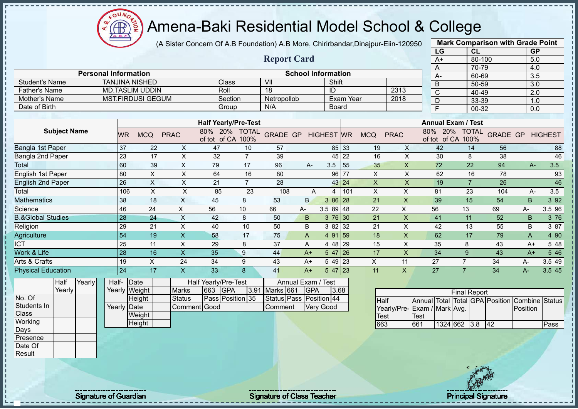$\Omega$ Æ ğ

# Amena-Baki Residential Model School & College

(A Sister Concern Of A.B Foundation) A.B More, Chirirbandar,Dinajpur-Eiin-120950

|                              |                             |                          |                         |                                    |                         |                           |                |            |                           |                           | LG                                 |                     | CL                              | <b>GP</b>      |                |
|------------------------------|-----------------------------|--------------------------|-------------------------|------------------------------------|-------------------------|---------------------------|----------------|------------|---------------------------|---------------------------|------------------------------------|---------------------|---------------------------------|----------------|----------------|
|                              |                             |                          |                         |                                    | <b>Report Card</b>      |                           |                |            |                           |                           | $A+$                               |                     | 80-100                          | 5.0            |                |
|                              |                             |                          |                         |                                    |                         |                           |                |            |                           |                           | A                                  |                     | 70-79                           | 4.0            |                |
|                              | <b>Personal Information</b> |                          |                         |                                    |                         | <b>School Information</b> |                |            |                           |                           | A-                                 |                     | 60-69                           | 3.5            |                |
| <b>Student's Name</b>        |                             | <b>TANJINA NISHED</b>    |                         | Class                              | V <sub>II</sub>         |                           | Shift          |            |                           |                           | B                                  |                     | 50-59                           | 3.0            |                |
| <b>Father's Name</b>         |                             | <b>MD.TASLIM UDDIN</b>   |                         | Roll                               | 18                      |                           | $\overline{1}$ |            |                           | 2313                      | $\mathbf C$                        |                     | 40-49                           | 2.0            |                |
| Mother's Name                |                             | <b>MST.FIRDUSI GEGUM</b> |                         | Section                            | Netropollob             |                           |                | Exam Year  |                           | 2018                      | D                                  |                     | 33-39                           | 1.0            |                |
| Date of Birth                |                             |                          |                         | Group                              | N/A                     |                           | <b>Board</b>   |            |                           |                           | F                                  |                     | 00-32                           | 0.0            |                |
|                              |                             |                          |                         |                                    |                         |                           |                |            |                           |                           | <b>Annual Exam / Test</b>          |                     |                                 |                |                |
|                              |                             |                          |                         | <b>Half Yearly/Pre-Test</b>        |                         |                           |                |            |                           |                           |                                    |                     |                                 |                |                |
| <b>Subject Name</b>          | WR                          | <b>MCQ</b>               | <b>PRAC</b>             | 80% 20% TOTAL<br>of tot of CA 100% | <b>GRADE GP</b>         | <b>HIGHEST WR</b>         |                | <b>MCQ</b> |                           | <b>PRAC</b>               | 80% 20% TOTAL<br>of tot of CA 100% |                     | <b>GRADE GP</b>                 |                | <b>HIGHEST</b> |
| Bangla 1st Paper             | 37                          | 22                       | X                       | 47<br>10                           | 57                      |                           | 85 33          |            | 19                        | X                         | 42                                 | 14                  | 56                              |                | 88             |
| Bangla 2nd Paper             | 23                          | 17                       | X                       | $\overline{7}$<br>32               | 39                      |                           | 45 22          |            | 16                        | X                         | 30                                 | 8                   | 38                              |                | 46             |
| Total                        | 60                          | 39                       | X                       | 79<br>17                           | 96                      | A-                        | 3.5            | 55         | 35                        | $\pmb{\times}$            | 72                                 | 22                  | 94                              | $A-$           | 3.5            |
| English 1st Paper            | 80                          | $\mathsf X$              | $\times$                | 64<br>16                           | 80                      |                           | 96 77          |            | $\boldsymbol{\mathsf{X}}$ | $\mathsf X$               | 62                                 | 16                  | 78                              |                | 93             |
| <b>English 2nd Paper</b>     | 26                          | $\mathsf X$              | $\times$                | $\overline{7}$<br>21               | 28                      |                           | 43 24          |            | $\boldsymbol{\mathsf{X}}$ | $\pmb{\times}$            | 19                                 | $\overline{7}$      | 26                              |                | 46             |
| Total                        | 106                         | $\sf X$                  | $\mathsf{X}$            | 85<br>23                           | 108                     | A                         | $\overline{4}$ | 101        | $\times$                  | X                         | 81                                 | 23                  | 104                             | A-             | 3.5            |
| <b>Mathematics</b>           | 38                          | 18                       | $\mathsf{X}$            | 45<br>8                            | 53                      | <sub>B</sub>              | 3 86 28        |            | 21                        | $\mathsf{X}$              | 39                                 | 15                  | 54                              | <sub>B</sub>   | 3 9 2          |
| Science                      | 46                          | 24                       | $\pmb{\times}$<br>56    | 10                                 | 66                      | A-                        | $3.589$ 48     |            | 22                        | X                         | 56                                 | 13                  | 69                              | A-             | 3.5 96         |
| <b>B.&amp;Global Studies</b> | 28                          | 24                       | $\sf X$                 | 42<br>8                            | 50                      | B                         | 3 76 30        |            | 21                        | $\boldsymbol{\mathsf{X}}$ | 41                                 | 11                  | 52                              | B              | 3 76           |
| Religion                     | 29                          | 21                       | X                       | 40<br>10                           | 50                      | B                         | 3 82 32        |            | 21                        | $\mathsf X$               | 42                                 | 13                  | 55                              | B              | 3 87           |
| Agriculture                  | 54                          | 19                       | $\mathsf{X}$            | 58<br>17                           | 75                      | A                         | 4 91 59        |            | 18                        | X                         | 62                                 | 17                  | 79                              | A              | 4 90           |
| <b>ICT</b>                   | 25                          | 11                       | X                       | 29<br>8                            | 37                      | A                         | 4 48 29        |            | 15                        | X                         | 35                                 | 8                   | 43                              | $A+$           | 5 48           |
| Work & Life                  | 28                          | 16                       | $\sf X$                 | 35<br>9                            | 44                      | $A+$                      | $547$  26      |            | 17                        | $\mathsf{X}$              | 34                                 | 9                   | 43                              | $A+$           | 5 4 6          |
| Arts & Crafts                | 19                          | X                        | 24                      | 34<br>9                            | 43                      | $A+$                      | 5 49 23        |            | X                         | 11                        | 27                                 | $\overline{7}$      | 34                              | A-             | 3.5 49         |
| <b>Physical Education</b>    | 24                          | 17                       | $\overline{\mathsf{X}}$ | 33<br>8                            | 41                      | $A+$                      | $547$ 23       |            | 11                        | $\mathsf{x}$              | 27                                 | $\overline{7}$      | 34                              | $A-$           | 3.5 45         |
| Yearly<br>Half               | Half-                       | Date                     |                         | Half Yearly/Pre-Test               |                         | Annual Exam / Test        |                |            |                           |                           |                                    |                     |                                 |                |                |
| Yearly                       |                             | Yearly Weight            | 663<br><b>Marks</b>     | <b>GPA</b><br>3.91                 | Marks 661               | <b>GPA</b>                | 3.68           |            |                           |                           |                                    | <b>Final Report</b> |                                 |                |                |
| No. Of                       |                             | Height                   | <b>Status</b>           | Pass Position 35                   | Status Pass Position 44 |                           |                |            | <b>Half</b>               |                           |                                    |                     | Annual Total Total GPA Position | Combine Status |                |
| Students In                  | Yearly Date                 |                          | Comment Good            |                                    | Comment                 | <b>Very Good</b>          |                |            |                           | Yearly/Pre-               | Exam / Mark Avg.                   |                     |                                 | Position       |                |
| Class                        |                             | Weight                   |                         |                                    |                         |                           |                |            | <b>Test</b>               |                           | <b>Test</b>                        |                     |                                 |                |                |
| Working                      |                             | Height                   |                         |                                    |                         |                           |                |            | 663                       |                           | 661                                | 1324 662 3.8        | 42                              |                | Pass           |
| Days                         |                             |                          |                         |                                    |                         |                           |                |            |                           |                           |                                    |                     |                                 |                |                |
| Presence                     |                             |                          |                         |                                    |                         |                           |                |            |                           |                           |                                    |                     |                                 |                |                |



**Mark Comparison with Grade Point**

Date Of **Result** 

Signature of Guardian Signature of Class Teacher Principal Signature Principal Signature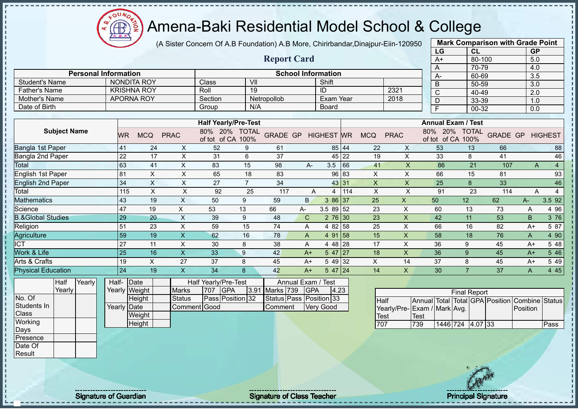

(A Sister Concern Of A.B Foundation) A.B More, Chirirbandar,Dinajpur-Eiin-120950

|                              |        |                         |               |                      |                             |                 |                           |                   |       |                |              | LG                                             | <b>CL</b>           |                 | <b>GP</b>        |                |
|------------------------------|--------|-------------------------|---------------|----------------------|-----------------------------|-----------------|---------------------------|-------------------|-------|----------------|--------------|------------------------------------------------|---------------------|-----------------|------------------|----------------|
|                              |        |                         |               |                      |                             |                 | <b>Report Card</b>        |                   |       |                |              | $A+$                                           | 80-100              |                 | 5.0              |                |
|                              |        |                         |               |                      |                             |                 |                           |                   |       |                |              | A                                              | 70-79               |                 | 4.0              |                |
| <b>Personal Information</b>  |        |                         |               |                      |                             |                 | <b>School Information</b> |                   |       |                |              | A-                                             | 60-69               |                 | 3.5              |                |
| <b>Student's Name</b>        |        | <b>NONDITA ROY</b>      |               | Class                | $\overline{\mathsf{V}}$     |                 |                           | Shift             |       |                |              | B                                              | 50-59               |                 | $\overline{3.0}$ |                |
| <b>Father's Name</b>         |        | <b>KRISHNA ROY</b>      |               | Roll                 | 19                          |                 |                           | ID                |       |                | 2321         | $\overline{C}$                                 | $40 - 49$           |                 | $\overline{2.0}$ |                |
| <b>Mother's Name</b>         |        | <b>APORNA ROY</b>       |               | Section              |                             | Netropollob     |                           | Exam Year         |       |                | 2018         | D                                              | 33-39               |                 | 1.0              |                |
| Date of Birth                |        |                         |               | Group                | N/A                         |                 |                           | <b>Board</b>      |       |                |              | F                                              | $00 - 32$           |                 | 0.0              |                |
|                              |        |                         |               |                      |                             |                 |                           |                   |       |                |              |                                                |                     |                 |                  |                |
|                              |        |                         |               |                      | <b>Half Yearly/Pre-Test</b> |                 |                           |                   |       |                |              | <b>Annual Exam / Test</b>                      |                     |                 |                  |                |
| <b>Subject Name</b>          |        | <b>WR</b><br><b>MCQ</b> | <b>PRAC</b>   | 80%<br>of tot of CA  | 20%<br><b>TOTAL</b><br>100% | <b>GRADE GP</b> |                           | <b>HIGHEST WR</b> |       | <b>MCQ</b>     | <b>PRAC</b>  | 20%<br>80%<br>of tot of CA 100%                | <b>TOTAL</b>        | <b>GRADE GP</b> |                  | <b>HIGHEST</b> |
| <b>Bangla 1st Paper</b>      |        | 41                      | 24<br>X       | 52                   | 9                           | 61              |                           |                   | 85 44 | 22             | X            | 53                                             | 13                  | 66              |                  | 88             |
| Bangla 2nd Paper             |        | 22                      | X<br>17       | 31                   | 6                           | 37              |                           |                   | 45 22 | 19             | $\sf X$      | 33                                             | 8                   | 41              |                  | 46             |
| Total                        |        | 63                      | X<br>41       | 83                   | 15                          | 98              | $A -$                     | 3.5               | 66    | 41             | X            | 86                                             | 21                  | 107             | A                | $\overline{4}$ |
| English 1st Paper            | 81     | X                       | Χ             | 65                   | 18                          | 83              |                           | 96                | 83    | $\pmb{\times}$ | $\mathsf X$  | 66                                             | 15                  | 81              |                  | 93             |
| <b>English 2nd Paper</b>     |        | 34<br>X                 | X             | 27                   | $\overline{7}$              | 34              |                           |                   | 43 31 | X              | $\times$     | 25                                             | 8                   | 33              |                  | 46             |
| Total                        |        | $\pmb{\times}$<br>115   | X             | 92                   | 25                          | 117             | A                         | 4                 | 114   | X              | X            | 91                                             | 23                  | 114             | A                | 4              |
| <b>Mathematics</b>           |        | 43                      | X<br>19       | 50                   | 9                           | 59              | B.                        | 3 86 37           |       | 25             | $\mathsf{x}$ | 50                                             | 12                  | 62              | A-               | 3.5 92         |
| Science                      |        | 47<br>19                | X             | 53                   | 13                          | 66              | $A-$                      | 3.5 89 52         |       | 23             | X            | 60                                             | 13                  | 73              | A                | 4 9 6          |
| <b>B.&amp;Global Studies</b> |        | 29                      | X<br>20       | 39                   | 9                           | 48              | $\mathsf{C}$              | $276$ 30          |       | 23             | X            | 42                                             | 11                  | 53              | B                | 3 76           |
| Religion                     |        | 51                      | 23<br>X       | 59                   | 15                          | 74              | Α                         | 4 82              | 58    | 25             | X            | 66                                             | 16                  | 82              | $A+$             | 5 87           |
| Agriculture                  |        | 59                      | X<br>19       | 62                   | 16                          | 78              | A                         | 4 91 58           |       | 15             | X            | 58                                             | 18                  | 76              | A                | 4 90           |
| $\overline{ICT}$             |        | 27<br>11                | Χ             | 30                   | 8                           | 38              | Α                         | 4 48 28           |       | 17             | Χ            | 36                                             | 9                   | 45              | $A+$             | 5 48           |
| Work & Life                  |        | 25                      | 16<br>X       | 33                   | $\boldsymbol{9}$            | 42              | $A+$                      | $547$ 27          |       | 18             | X            | 36                                             | 9                   | 45              | $A+$             | 5 4 6          |
| Arts & Crafts                |        | 19<br>X                 | 27            | 37                   | 8                           | 45              | A+                        | 5 49 32           |       | X              | 14           | 37                                             | 8                   | 45              | $A+$             | 5 4 9          |
| <b>Physical Education</b>    |        | 24                      | 19<br>X       | 34                   | 8                           | 42              | $A+$                      | $547$ 24          |       | 14             | X            | 30                                             | $\overline{7}$      | 37              | $\mathsf{A}$     | 4 4 5          |
| Yearly<br>Half               | Half-  | Date                    |               | Half Yearly/Pre-Test |                             |                 | Annual Exam / Test        |                   |       |                |              |                                                |                     |                 |                  |                |
| Yearly                       | Yearly | Weight                  | <b>Marks</b>  | 707                  | <b>IGPA</b>                 | 3.91 Marks 739  | <b>GPA</b>                | 4.23              |       |                |              |                                                | <b>Final Report</b> |                 |                  |                |
| No. Of                       |        | Height                  | <b>Status</b> |                      | Pass Position 32            |                 | Status Pass Position 33   |                   |       | <b>Half</b>    |              | Annual Total Total GPA Position Combine Status |                     |                 |                  |                |

No. Of Students In **Class Working** Days Presence

Date Of **Result** 

Height Yearly Date **Weight Height** Status | Pass | Position 32 Comment Good Status Pass Position 33 Comment Very Good

|                              |             |                  | <b>Final Report</b> |  |                                                |      |
|------------------------------|-------------|------------------|---------------------|--|------------------------------------------------|------|
| <b>Half</b>                  |             |                  |                     |  | Annual Total Total GPA Position Combine Status |      |
| Yearly/Pre- Exam / Mark Avg. |             |                  |                     |  | <b>IPosition</b>                               |      |
| <b>ITest</b>                 | <b>Test</b> |                  |                     |  |                                                |      |
| 707                          | 739         | 1446 724 4.07 33 |                     |  |                                                | Pass |

**Mark Comparison with Grade Point**

Signature of Guardian Signature Signature of Class Teacher New York Network Principal Signature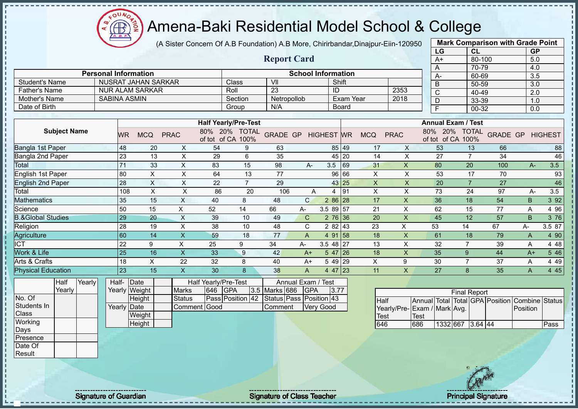(A Sister Concern Of A.B Foundation) A.B More, Chirirbandar,Dinajpur-Eiin-120950

|                              |                             |       |                           |                           |                      |                             |                         |                           |                   |           |                           |                           | LG                                             |                                    | <b>CL</b>      |                 | <b>GP</b> |                |
|------------------------------|-----------------------------|-------|---------------------------|---------------------------|----------------------|-----------------------------|-------------------------|---------------------------|-------------------|-----------|---------------------------|---------------------------|------------------------------------------------|------------------------------------|----------------|-----------------|-----------|----------------|
|                              |                             |       |                           |                           |                      |                             | <b>Report Card</b>      |                           |                   |           |                           |                           | $A+$                                           |                                    | 80-100         |                 | 5.0       |                |
|                              |                             |       |                           |                           |                      |                             |                         |                           |                   |           |                           |                           | Α                                              |                                    | 70-79          |                 | 4.0       |                |
|                              | <b>Personal Information</b> |       |                           |                           |                      |                             |                         | <b>School Information</b> |                   |           |                           |                           | A-                                             |                                    | 60-69          |                 | 3.5       |                |
| <b>Student's Name</b>        |                             |       | NUSRAT JAHAN SARKAR       |                           |                      | Class                       | VII                     |                           |                   | Shift     |                           |                           | B                                              |                                    | 50-59          |                 | 3.0       |                |
| <b>Father's Name</b>         |                             |       | <b>NUR ALAM SARKAR</b>    |                           |                      | Roll                        | 23                      |                           | ID                |           |                           | 2353                      | C                                              |                                    | 40-49          |                 | 2.0       |                |
| Mother's Name                | <b>SABINA ASMIN</b>         |       |                           |                           |                      | Section                     | Netropollob             |                           |                   | Exam Year |                           | 2018                      | D                                              |                                    | 33-39          |                 | 1.0       |                |
| Date of Birth                |                             |       |                           |                           |                      | Group                       | N/A                     |                           |                   | Board     |                           |                           | F                                              |                                    | 00-32          |                 | 0.0       |                |
|                              |                             |       |                           |                           |                      | <b>Half Yearly/Pre-Test</b> |                         |                           |                   |           |                           |                           |                                                | <b>Annual Exam / Test</b>          |                |                 |           |                |
| <b>Subject Name</b>          |                             |       |                           |                           |                      | 80% 20% TOTAL               |                         |                           |                   |           |                           |                           |                                                |                                    |                |                 |           |                |
|                              |                             | WR    | <b>MCQ</b>                | <b>PRAC</b>               | of tot of CA 100%    |                             | <b>GRADE GP</b>         |                           | <b>HIGHEST WR</b> |           | <b>MCQ</b>                | <b>PRAC</b>               |                                                | 80% 20% TOTAL<br>of tot of CA 100% |                | <b>GRADE GP</b> |           | <b>HIGHEST</b> |
| Bangla 1st Paper             |                             | 48    | 20                        | X                         | 54                   | 9                           | 63                      |                           |                   | 85 49     | 17                        | X                         | 53                                             |                                    | 13             | 66              |           | 88             |
| Bangla 2nd Paper             |                             | 23    | 13                        | $\times$                  | 29                   | 6                           | 35                      |                           |                   | 45 20     | 14                        | X                         | 27                                             |                                    | $\overline{7}$ | 34              |           | 46             |
| Total                        |                             | 71    | 33                        | $\boldsymbol{\mathsf{X}}$ | 83                   | 15                          | 98                      | A-                        | 3.5               | 69        | 31                        | $\mathsf{X}$              | 80                                             |                                    | 20             | 100             | $A-$      | 3.5            |
| <b>English 1st Paper</b>     |                             | 80    | X                         | $\pmb{\times}$            | 64                   | 13                          | 77                      |                           |                   | 96 66     | X                         | X                         | 53                                             |                                    | 17             | 70              |           | 93             |
| <b>English 2nd Paper</b>     |                             | 28    | $\boldsymbol{\mathsf{X}}$ | $\pmb{\times}$            | 22                   | $\overline{7}$              | 29                      |                           |                   | 43 25     | $\boldsymbol{\mathsf{X}}$ | $\boldsymbol{\mathsf{X}}$ | 20                                             |                                    | $\overline{7}$ | 27              |           | 46             |
| Total                        |                             | 108   | $\boldsymbol{\mathsf{X}}$ | $\pmb{\times}$            | 86                   | 20                          | 106                     | A                         | $\overline{4}$    | 91        | $\times$                  | $\pmb{\times}$            | 73                                             |                                    | 24             | 97              | A-        | 3.5            |
| <b>Mathematics</b>           |                             | 35    | 15                        | $\pmb{\mathsf{X}}$        | 40                   | 8                           | 48                      | $\mathsf{C}$              | 2 86 28           |           | 17                        | $\mathsf X$               | 36                                             |                                    | 18             | 54              | B         | 3 9 2          |
| Science                      |                             | 50    | 15                        | X                         | 52                   | 14                          | 66                      | A-                        | 3.5 89 57         |           | 21                        | X                         | 62                                             |                                    | 15             | 77              | Α         | 4 9 6          |
| <b>B.&amp;Global Studies</b> |                             | 29    | 20                        | $\boldsymbol{\mathsf{X}}$ | 39                   | 10                          | 49                      | $\mathsf{C}$              |                   | $276$ 36  | 20                        | $\mathsf{x}$              | 45                                             |                                    | 12             | 57              | B         | 3 76           |
| Religion                     |                             | 28    | 19                        | $\boldsymbol{\mathsf{X}}$ | 38                   | 10                          | 48                      | C                         |                   | 2 82 43   | 23                        | X                         | 53                                             | 14                                 |                | 67              | A-        | 3.5 87         |
| Agriculture                  |                             | 60    | 14                        | $\mathsf X$               | 59                   | 18                          | 77                      | $\overline{A}$            |                   | 4 91 58   | 18                        | $\mathsf X$               | 61                                             |                                    | 18             | 79              | A         | 4 90           |
| <b>ICT</b>                   |                             | 22    | 9                         | X                         | 25                   | 9                           | 34                      | A-                        | $3.548$ 27        |           | 13                        | X                         | 32                                             | $\overline{7}$                     |                | 39              | A         | 4 4 8          |
| Work & Life                  |                             | 25    | 16                        | $\overline{\mathsf{X}}$   | 33                   | 9                           | 42                      | $A+$                      |                   | $547$ 26  | 18                        | $\mathsf{x}$              | 35                                             | 9                                  |                | 44              | $A+$      | 5 4 6          |
| Arts & Crafts                |                             | 18    | $\pmb{\times}$            | 22                        | 32                   | 8                           | 40                      | $A+$                      |                   | 5 49 29   | X                         | 9                         | 30                                             | $\overline{7}$                     |                | 37              | A         | 4 4 9          |
| <b>Physical Education</b>    |                             | 23    | 15                        | $\overline{\mathsf{X}}$   | 30                   | 8                           | 38                      | $\overline{A}$            |                   | $447$ 23  | 11                        | $\mathsf{x}$              | 27                                             | 8                                  |                | 35              | A         | 4 4 5          |
| Half<br>Yearly               |                             | Half- | Date                      |                           | Half Yearly/Pre-Test |                             | Annual Exam /           |                           | <b>Test</b>       |           |                           |                           |                                                |                                    |                |                 |           |                |
| Yearly                       |                             |       | Yearly Weight             | <b>Marks</b>              | 646<br><b>GPA</b>    |                             | 3.5 Marks 686           | <b>GPA</b>                |                   | 3.77      |                           |                           |                                                |                                    |                |                 |           |                |
| No. Of                       |                             |       | Height                    | Status                    |                      | Pass Position 42            | Status Pass Position 43 |                           |                   |           | Half                      |                           | Annual Total Total GPA Position Combine Status | <b>Final Report</b>                |                |                 |           |                |
| Students In                  |                             |       | <b>Yearly Date</b>        | Comment                   | Good                 |                             | Comment                 |                           | <b>Very Good</b>  |           |                           |                           | Yearly/Pre-Exam / Mark Avg.                    |                                    |                |                 | Position  |                |
| <b>Class</b>                 |                             |       | Weight                    |                           |                      |                             |                         |                           |                   |           | <b>Test</b>               |                           | <b>Test</b>                                    |                                    |                |                 |           |                |
| Working                      |                             |       | Height                    |                           |                      |                             |                         |                           |                   |           | 646                       |                           | 686                                            | 1332 667 3.64 44                   |                |                 |           | Pass           |
| Days                         |                             |       |                           |                           |                      |                             |                         |                           |                   |           |                           |                           |                                                |                                    |                |                 |           |                |
| Presence                     |                             |       |                           |                           |                      |                             |                         |                           |                   |           |                           |                           |                                                |                                    |                |                 |           |                |
| Date Of                      |                             |       |                           |                           |                      |                             |                         |                           |                   |           |                           |                           |                                                |                                    |                |                 |           |                |
| Result                       |                             |       |                           |                           |                      |                             |                         |                           |                   |           |                           |                           |                                                |                                    |                |                 |           |                |



**Mark Comparison with Grade Point**

Æ

Signature of Guardian Signature of Class Teacher Principal Signature Principal Signature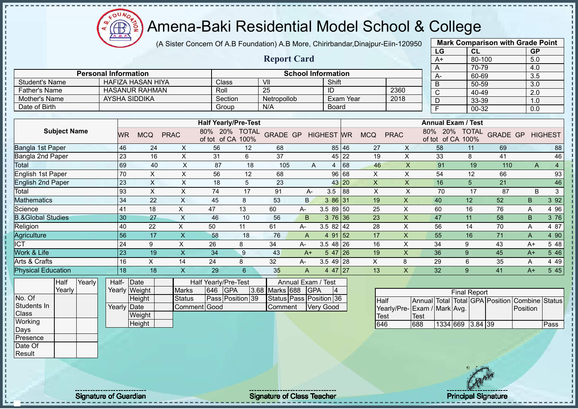(A Sister Concern Of A.B Foundation) A.B More, Chirirbandar,Dinajpur-Eiin-120950

|                              |        |                 |                             |                           |                             |    |                            |                    |                           |           |              |                           | LG             |                                         | CL     |                         | <b>GP</b> |                |
|------------------------------|--------|-----------------|-----------------------------|---------------------------|-----------------------------|----|----------------------------|--------------------|---------------------------|-----------|--------------|---------------------------|----------------|-----------------------------------------|--------|-------------------------|-----------|----------------|
|                              |        |                 |                             |                           |                             |    | <b>Report Card</b>         |                    |                           |           |              |                           | $A+$           |                                         | 80-100 |                         | 5.0       |                |
|                              |        |                 |                             |                           |                             |    |                            |                    |                           |           |              |                           | A              |                                         | 70-79  |                         | 4.0       |                |
|                              |        |                 | <b>Personal Information</b> |                           |                             |    |                            |                    | <b>School Information</b> |           |              |                           | A-             |                                         | 60-69  |                         | 3.5       |                |
| <b>Student's Name</b>        |        |                 | <b>HAFIZA HASAN HIYA</b>    |                           | Class                       |    | VII                        |                    | Shift                     |           |              |                           | B              |                                         | 50-59  |                         | 3.0       |                |
| <b>Father's Name</b>         |        |                 | <b>HASANUR RAHMAN</b>       |                           | Roll                        |    | 25                         |                    | ID                        |           |              | 2360                      | $\mathsf{C}$   |                                         | 40-49  |                         | 2.0       |                |
| Mother's Name                |        |                 | <b>AYSHA SIDDIKA</b>        |                           | Section                     |    | Netropollob                |                    |                           | Exam Year |              | 2018                      | D              |                                         | 33-39  |                         | 1.0       |                |
| Date of Birth                |        |                 |                             |                           | Group                       |    | N/A                        |                    | Board                     |           |              |                           | $\overline{F}$ |                                         | 00-32  |                         | 0.0       |                |
|                              |        |                 |                             |                           | <b>Half Yearly/Pre-Test</b> |    |                            |                    |                           |           |              |                           |                | <b>Annual Exam / Test</b>               |        |                         |           |                |
| <b>Subject Name</b>          |        |                 |                             |                           | 80% 20% TOTAL               |    |                            |                    |                           |           |              |                           |                | 80% 20% TOTAL                           |        |                         |           |                |
|                              |        | WR              | <b>MCQ</b>                  | <b>PRAC</b>               | of tot of CA 100%           |    | <b>GRADE GP HIGHEST WR</b> |                    |                           |           | <b>MCQ</b>   | <b>PRAC</b>               |                | of tot of CA 100%                       |        | <b>GRADE GP HIGHEST</b> |           |                |
| Bangla 1st Paper             |        | 46              | 24                          | X                         | 56                          | 12 | 68                         |                    |                           | 85 46     | 27           | X                         | 58             |                                         | 11     | 69                      |           | 88             |
| Bangla 2nd Paper             |        | 23              | 16                          | $\pmb{\times}$            | 31                          | 6  | 37                         |                    | 45                        | 22        | 19           | X                         |                | 33                                      | 8      | 41                      |           | 46             |
| Total                        |        | 69              | 40                          | $\boldsymbol{\mathsf{X}}$ | 87                          | 18 | 105                        | A                  | 4                         | 68        | 46           | $\boldsymbol{\mathsf{X}}$ |                | 91                                      | 19     | 110                     | A         | $\overline{4}$ |
| <b>English 1st Paper</b>     |        | 70              | $\pmb{\times}$              | X                         | 56                          | 12 | 68                         |                    | 96                        | 68        | X            | X                         | 54             |                                         | 12     | 66                      |           | 93             |
| <b>English 2nd Paper</b>     |        | 23              | $\boldsymbol{\mathsf{X}}$   | $\boldsymbol{\mathsf{X}}$ | 18                          | 5  | 23                         |                    |                           | 43 20     | $\mathsf{X}$ | $\mathsf X$               | 16             |                                         | 5      | 21                      |           | 46             |
| Total                        |        | 93              | $\boldsymbol{\mathsf{X}}$   | $\boldsymbol{\mathsf{X}}$ | 74                          | 17 | 91                         | A-                 | 3.5                       | 88        | X            | $\times$                  |                | 70                                      | 17     | 87                      | B         | $\mathbf{3}$   |
| <b>Mathematics</b>           |        | 34              | 22                          | $\pmb{\times}$            | 45                          | 8  | 53                         | B.                 | 3 86 31                   |           | 19           | $\mathsf X$               | 40             | 12                                      |        | 52                      | B.        | 3 9 2          |
| Science                      |        | 41              | 18                          | X                         | 47                          | 13 | 60                         | A-                 | 3.5 89 50                 |           | 25           | $\times$                  | 60             | 16                                      |        | 76                      | Α         | 4 9 6          |
| <b>B.&amp;Global Studies</b> |        | 30              | 27                          | $\boldsymbol{\mathsf{X}}$ | 46                          | 10 | 56                         | B                  | $376$ 36                  |           | 23           | $\mathsf{x}$              | 47             | 11                                      |        | 58                      | B         | 3 76           |
| Religion                     |        | 40              | 22                          | $\boldsymbol{\mathsf{X}}$ | 50                          | 11 | 61                         | A-                 | $3.582$ 42                |           | 28           | X                         | 56             | 14                                      |        | 70                      | A         | 4 87           |
| Agriculture                  |        | $\overline{56}$ | 17                          | $\mathsf X$               | 58                          | 18 | 76                         | $\overline{A}$     | 4 91                      | 52        | 17           | $\mathsf{X}$              | 55             | 16                                      |        | 71                      | A         | 4 90           |
| <b>ICT</b>                   |        | 24              | 9                           | $\pmb{\times}$            | 26                          | 8  | 34                         | A-                 | $3.548$ 26                |           | 16           | X                         | 34             | 9                                       |        | 43                      | $A+$      | 5 48           |
| Work & Life                  |        | 23              | 19                          | $\mathsf X$               | 34                          | 9  | 43                         | $A+$               | $547$ 26                  |           | 19           | $\mathsf{x}$              | 36             | 9                                       |        | 45                      | $A+$      | 5 4 6          |
| Arts & Crafts                |        | 16              | X                           | 14                        | 24                          | 8  | 32                         | А-                 | $3.549$ 28                |           | X            | 8                         | 29             | 6                                       |        | 35                      | Α         | 4 4 9          |
| <b>Physical Education</b>    |        | $\overline{18}$ | 18                          | $\mathsf X$               | 29                          | 6  | 35                         | A                  | 4 47 27                   |           | 13           | $\mathsf{x}$              | 32             | 9                                       |        | 41                      | $A+$      | 5 4 5          |
| Half                         | Yearly | Half-           | Date                        |                           | Half Yearly/Pre-Test        |    |                            | Annual Exam / Test |                           |           |              |                           |                |                                         |        |                         |           |                |
| Yearly                       |        |                 | Yearly Weight               | <b>Marks</b>              | 646<br><b>GPA</b>           |    | 3.68 Marks 688             | <b>GPA</b>         | 4                         |           |              |                           |                | <b>Final Report</b>                     |        |                         |           |                |
| No. Of                       |        |                 | Height                      | <b>Status</b>             | Pass Position 39            |    | Status Pass Position 36    |                    |                           |           | <b>Half</b>  |                           |                | Annual Total Total GPA Position Combine |        |                         |           | <b>Status</b>  |
| Students In                  |        |                 | <b>Yearly Date</b>          |                           | Comment Good                |    | Comment                    |                    | <b>Very Good</b>          |           |              | Yearly/Pre-               |                | Exam / Mark Avg.                        |        |                         | Position  |                |
| Class                        |        |                 | Weight                      |                           |                             |    |                            |                    |                           |           | <b>Test</b>  |                           | <b>Test</b>    |                                         |        |                         |           |                |
| Working                      |        |                 | Height                      |                           |                             |    |                            |                    |                           |           | 646          |                           | 688            | 1334 669 3.84 39                        |        |                         |           | Pass           |
| Days                         |        |                 |                             |                           |                             |    |                            |                    |                           |           |              |                           |                |                                         |        |                         |           |                |
| Presence                     |        |                 |                             |                           |                             |    |                            |                    |                           |           |              |                           |                |                                         |        |                         |           |                |
| Date Of                      |        |                 |                             |                           |                             |    |                            |                    |                           |           |              |                           |                |                                         |        |                         |           |                |
| Result                       |        |                 |                             |                           |                             |    |                            |                    |                           |           |              |                           |                |                                         |        |                         |           |                |

**Mark Comparison with Grade Point**

Signature of Guardian Signature Signature of Class Teacher National Signature Principal Signature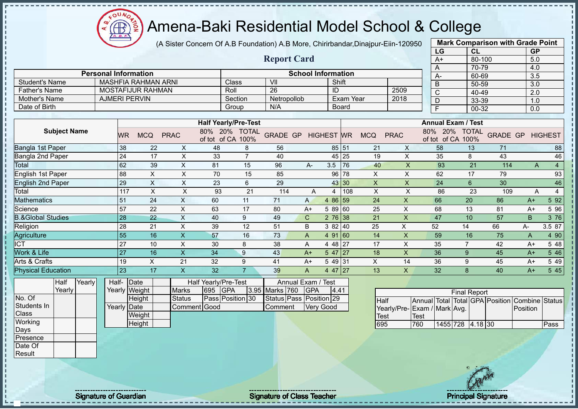**CB** 

# Amena-Baki Residential Model School & College

(A Sister Concern Of A.B Foundation) A.B More, Chirirbandar,Dinajpur-Eiin-120950

|                              |                             |                    |                            |                           |                                    |                |                         |                           |                   |                  |                           |                           | LG                                             | CL                  |        | <b>GP</b>               |                |
|------------------------------|-----------------------------|--------------------|----------------------------|---------------------------|------------------------------------|----------------|-------------------------|---------------------------|-------------------|------------------|---------------------------|---------------------------|------------------------------------------------|---------------------|--------|-------------------------|----------------|
|                              |                             |                    |                            |                           |                                    |                | <b>Report Card</b>      |                           |                   |                  |                           |                           | A+                                             |                     | 80-100 | 5.0                     |                |
|                              |                             |                    |                            |                           |                                    |                |                         |                           |                   |                  |                           |                           | A                                              |                     | 70-79  | 4.0                     |                |
|                              | <b>Personal Information</b> |                    |                            |                           |                                    |                |                         | <b>School Information</b> |                   |                  |                           |                           | А-                                             |                     | 60-69  | 3.5                     |                |
| <b>Student's Name</b>        |                             |                    | <b>MASHFIA RAHMAN ARNI</b> |                           |                                    | Class          | V <sub>II</sub>         |                           | Shift             |                  |                           |                           | B                                              |                     | 50-59  | 3.0                     |                |
| <b>Father's Name</b>         |                             |                    | MOSTAFIJUR RAHMAN          |                           | Roll                               |                | $\overline{26}$         |                           | ID                |                  |                           | 2509                      | C                                              |                     | 40-49  | 2.0                     |                |
| Mother's Name                |                             |                    | <b>AJMERI PERVIN</b>       |                           |                                    | Section        | Netropollob             |                           |                   | <b>Exam Year</b> |                           | 2018                      | D                                              |                     | 33-39  | 1.0                     |                |
| Date of Birth                |                             |                    |                            |                           |                                    | Group          | N/A                     |                           |                   | <b>Board</b>     |                           |                           | $\overline{F}$                                 |                     | 00-32  | 0.0                     |                |
|                              |                             |                    |                            |                           |                                    |                |                         |                           |                   |                  |                           |                           |                                                |                     |        |                         |                |
|                              |                             |                    |                            |                           | <b>Half Yearly/Pre-Test</b>        |                |                         |                           |                   |                  |                           |                           | <b>Annual Exam / Test</b>                      |                     |        |                         |                |
| <b>Subject Name</b>          |                             | WR                 | <b>MCQ</b>                 | <b>PRAC</b>               | 80% 20% TOTAL<br>of tot of CA 100% |                | <b>GRADE GP</b>         |                           | <b>HIGHEST WR</b> |                  | <b>MCQ</b>                | <b>PRAC</b>               | 80% 20% TOTAL<br>of tot of CA 100%             |                     |        | <b>GRADE GP HIGHEST</b> |                |
| Bangla 1st Paper             |                             | 38                 | 22                         | X                         | 48                                 | 8              | 56                      |                           |                   | 85 51            | 21                        | X                         | 58                                             | 13                  | 71     |                         | 88             |
| Bangla 2nd Paper             |                             | 24                 | 17                         | $\pmb{\times}$            | 33                                 | $\overline{7}$ | 40                      |                           |                   | 45 25            | 19                        | X                         | 35                                             | 8                   | 43     |                         | 46             |
| Total                        |                             | 62                 | 39                         | $\mathsf X$               | 81                                 | 15             | 96                      | $A -$                     | 3.5               | 76               | 40                        | $\boldsymbol{\mathsf{X}}$ | 93                                             | 21                  | 114    | A                       | $\overline{4}$ |
| <b>English 1st Paper</b>     |                             | 88                 | X                          | $\pmb{\times}$            | 70                                 | 15             | 85                      |                           |                   | 96 78            | X                         | X                         | 62                                             | 17                  | 79     |                         | 93             |
| <b>English 2nd Paper</b>     |                             | 29                 | $\boldsymbol{\mathsf{X}}$  | $\boldsymbol{\mathsf{X}}$ | 23                                 | 6              | 29                      |                           |                   | 43 30            | $\boldsymbol{\mathsf{X}}$ | $\pmb{\times}$            | 24                                             | $6\phantom{1}$      | 30     |                         | 46             |
| Total                        |                             | 117                | $\boldsymbol{\mathsf{X}}$  | $\mathsf X$               | 93                                 | 21             | 114                     | A                         |                   | $4 \mid 108$     | X                         | $\mathsf X$               | 86                                             | 23                  | 109    | $\overline{A}$          | $\overline{4}$ |
| <b>Mathematics</b>           |                             | 51                 | 24                         | $\boldsymbol{\mathsf{X}}$ | 60                                 | 11             | 71                      | $\mathsf{A}$              | 4 86 59           |                  | 24                        | $\boldsymbol{\mathsf{X}}$ | 66                                             | 20                  | 86     | $A+$                    | 5 92           |
| Science                      |                             | 57                 | 22                         | X                         | 63                                 | 17             | 80                      | $A+$                      | 5 89 60           |                  | 25                        | $\pmb{\times}$            | 68                                             | 13                  | 81     | $A+$                    | 5 9 6          |
| <b>B.&amp;Global Studies</b> |                             | 28                 | 22                         | $\boldsymbol{\mathsf{X}}$ | 40                                 | 9              | 49                      | $\mathsf{C}$              | $276$ 38          |                  | 21                        | $\boldsymbol{\mathsf{X}}$ | 47                                             | 10                  | 57     | B                       | 3 76           |
| Religion                     |                             | 28                 | 21                         | $\pmb{\times}$            | 39                                 | 12             | 51                      | B                         | 382   40          |                  | 25                        | X                         | 52                                             | 14                  | 66     | A-                      | 3.5 87         |
| Agriculture                  |                             | 55                 | 16                         | $\boldsymbol{\mathsf{X}}$ | 57                                 | 16             | 73                      | A                         | 491 60            |                  | 14                        | $\boldsymbol{\mathsf{X}}$ | 59                                             | 16                  | 75     | A                       | 4 90           |
| <b>ICT</b>                   |                             | $\overline{27}$    | 10                         | $\pmb{\times}$            | 30                                 | 8              | 38                      | A                         | 4 48 27           |                  | 17                        | X                         | 35                                             | $\overline{7}$      | 42     | $A+$                    | 5 48           |
| Work & Life                  |                             | <b>27</b>          | 16                         | $\boldsymbol{\mathsf{X}}$ | 34                                 | 9              | 43                      | $A+$                      | 547 27            |                  | 18                        | $\boldsymbol{\mathsf{X}}$ | 36                                             | 9                   | 45     | $A+$                    | 5 4 6          |
| Arts & Crafts                |                             | 19                 | X                          | 21                        | 32                                 | 9              | 41                      | $A+$                      | 549 31            |                  | X                         | 14                        | 36                                             | 9                   | 45     | $A+$                    | 5 4 9          |
| <b>Physical Education</b>    |                             | 23                 | 17                         | $\boldsymbol{\mathsf{X}}$ | 32                                 | $\overline{7}$ | 39                      | $\overline{A}$            | 4 47 27           |                  | 13                        | $\boldsymbol{\mathsf{X}}$ | 32                                             | 8                   | 40     | $A+$                    | 5 45           |
| Yearly<br>Half               |                             | Half- Date         |                            |                           | Half Yearly/Pre-Test               |                | Annual Exam /           |                           | <b>Test</b>       |                  |                           |                           |                                                |                     |        |                         |                |
| Yearly                       |                             |                    | Yearly Weight              | <b>Marks</b>              | <b>GPA</b><br>695                  |                | 3.95 Marks 760          | <b>GPA</b>                | 4.41              |                  |                           |                           |                                                |                     |        |                         |                |
| No. Of                       |                             |                    | Height                     | <b>Status</b>             | Pass Position 30                   |                | Status Pass Position 29 |                           |                   |                  | Half                      |                           | Annual Total Total GPA Position Combine Status | <b>Final Report</b> |        |                         |                |
| Students In                  |                             | <b>Yearly Date</b> |                            | Comment Good              |                                    |                | Comment                 |                           | <b>Very Good</b>  |                  |                           |                           | Yearly/Pre-Exam / Mark Avg.                    |                     |        | Position                |                |
| Class                        |                             |                    | Weight                     |                           |                                    |                |                         |                           |                   |                  | <b>Test</b>               |                           | <b>Test</b>                                    |                     |        |                         |                |
| Working                      |                             |                    | Height                     |                           |                                    |                |                         |                           |                   |                  | 695                       |                           | 760                                            | 1455 728 4.18 30    |        |                         | Pass           |
| Days                         |                             |                    |                            |                           |                                    |                |                         |                           |                   |                  |                           |                           |                                                |                     |        |                         |                |
| Presence                     |                             |                    |                            |                           |                                    |                |                         |                           |                   |                  |                           |                           |                                                |                     |        |                         |                |
| Date Of                      |                             |                    |                            |                           |                                    |                |                         |                           |                   |                  |                           |                           |                                                |                     |        |                         |                |
| Result                       |                             |                    |                            |                           |                                    |                |                         |                           |                   |                  |                           |                           |                                                |                     |        |                         |                |

Signature of Guardian Signature of Class Teacher Principal Signature Principal Signature

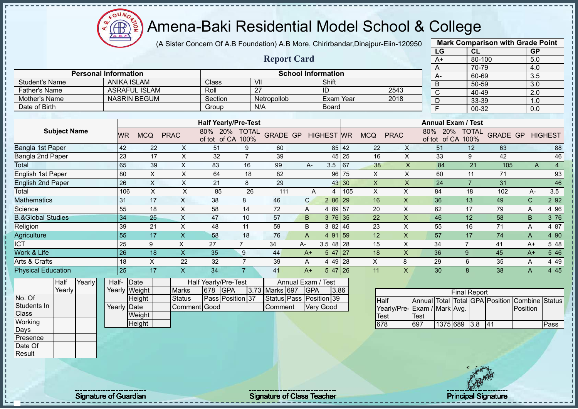

(A Sister Concern Of A.B Foundation) A.B More, Chirirbandar,Dinajpur-Eiin-120950

|                                        |                             |                           |                               |                                 |                 |                                           |                           |                  |           |                           |                | LG                         | <b>CL</b>            |                                                | <b>GP</b>        |                |
|----------------------------------------|-----------------------------|---------------------------|-------------------------------|---------------------------------|-----------------|-------------------------------------------|---------------------------|------------------|-----------|---------------------------|----------------|----------------------------|----------------------|------------------------------------------------|------------------|----------------|
|                                        |                             |                           |                               |                                 |                 | <b>Report Card</b>                        |                           |                  |           |                           |                | $A+$                       | 80-100               |                                                | 5.0              |                |
|                                        |                             |                           |                               |                                 |                 |                                           |                           |                  |           |                           |                | A                          | 70-79                |                                                | 4.0              |                |
|                                        | <b>Personal Information</b> |                           |                               |                                 |                 |                                           | <b>School Information</b> |                  |           |                           |                | А-                         | 60-69                |                                                | 3.5              |                |
| Student's Name                         | <b>ANIKA ISLAM</b>          |                           |                               | Class                           | VII             |                                           |                           | Shift            |           |                           |                | B                          | $50 - 59$            |                                                | $\overline{3.0}$ |                |
| <b>Father's Name</b>                   |                             | <b>ASRAFUL ISLAM</b>      |                               | Roll                            | $\overline{27}$ |                                           |                           | ID               |           |                           | 2543           | $\mathsf{C}$               | 40-49                |                                                | 2.0              |                |
| <b>Mother's Name</b>                   |                             | <b>NASRIN BEGUM</b>       |                               | Section                         |                 | Netropollob                               |                           | <b>Exam Year</b> |           |                           | 2018           | D                          | 33-39                |                                                | 1.0              |                |
| Date of Birth                          |                             |                           |                               | Group                           |                 | N/A                                       |                           | Board            |           |                           |                | F                          | 00-32                |                                                | 0.0              |                |
|                                        |                             |                           |                               |                                 |                 |                                           |                           |                  |           |                           |                |                            |                      |                                                |                  |                |
|                                        |                             |                           |                               | <b>Half Yearly/Pre-Test</b>     |                 |                                           |                           |                  |           |                           |                | <b>Annual Exam / Test</b>  |                      |                                                |                  |                |
| <b>Subject Name</b>                    | <b>WR</b>                   | <b>MCQ</b>                | <b>PRAC</b>                   | 80%<br>20%<br>of tot of CA 100% | <b>TOTAL</b>    | <b>GRADE GP</b>                           |                           | <b>HIGHEST</b>   | <b>WR</b> | <b>MCQ</b>                | <b>PRAC</b>    | 80%<br>20%<br>of tot of CA | <b>TOTAL</b><br>100% | <b>GRADE GP</b>                                |                  | <b>HIGHEST</b> |
| Bangla 1st Paper                       | 42                          | 22                        | X                             | 51                              | 9               | 60                                        |                           |                  | 85 42     | 22                        | $\times$       | 51                         | 12                   | 63                                             |                  | 88             |
| Bangla 2nd Paper                       | 23                          | 17                        | X                             | 32                              | $\overline{7}$  | 39                                        |                           |                  | 45 25     | 16                        | X              | 33                         | 9                    | 42                                             |                  | 46             |
| Total                                  | 65                          | 39                        | X                             | 83                              | 16              | 99                                        | A-                        | 3.5              | 67        | 38                        | X              | 84                         | 21                   | 105                                            | A                | $\overline{4}$ |
| English 1st Paper                      | 80                          | X                         | $\pmb{\times}$                | 64                              | 18              | 82                                        |                           | 96               | 75        | X                         | $\pmb{\times}$ | 60                         | 11                   | 71                                             |                  | 93             |
| <b>English 2nd Paper</b>               | 26                          | $\boldsymbol{\mathsf{X}}$ | $\pmb{\times}$                | 21                              | 8               | 29                                        |                           |                  | 43 30     | $\boldsymbol{\mathsf{X}}$ | X              | 24                         | $\overline{7}$       | 31                                             |                  | 46             |
| Total                                  | 106                         | X                         | X                             | 85                              | 26              | 111                                       | A                         | 4                | 105       | $\times$                  | X              | 84                         | 18                   | 102                                            | A-               | 3.5            |
| <b>Mathematics</b>                     | 31                          | 17                        | X                             | 38                              | 8               | 46                                        | $\mathsf{C}$              | 2 86 29          |           | 16                        | $\times$       | 36                         | 13                   | 49                                             | $\mathsf{C}$     | 2 9 2          |
| Science                                | 55                          | 18                        | Χ                             | 58                              | 14              | 72                                        | Α                         | 4 89 57          |           | 20                        | Χ              | 62                         | 17                   | 79                                             | A                | 4 9 6          |
| <b>B.&amp;Global Studies</b>           | 34                          | 25                        | Χ                             | 47                              | 10              | 57                                        | B                         | 376 35           |           | 22                        | Χ              | 46                         | 12                   | 58                                             | B                | 3 76           |
| Religion                               | 39                          | 21                        | X                             | 48                              | 11              | 59                                        | B                         | 382   46         |           | 23                        | X              | 55                         | 16                   | 71                                             | A                | 4 87           |
| Agriculture                            | 55                          | 17                        | X                             | 58                              | 18              | 76                                        | A                         | 4 91 59          |           | 12                        | $\times$       | 57                         | 17                   | 74                                             | A                | 4 90           |
| <b>ICT</b>                             | 25                          | 9                         | X                             | 27                              | $\overline{7}$  | 34                                        | A-                        | $3.548$ 28       |           | 15                        | X              | 34                         | $\overline{7}$       | 41                                             | $A+$             | 5 48           |
| Work & Life                            | 26                          | 18                        | X                             | 35                              | 9               | 44                                        | $A+$                      | 5 47 27          |           | 18                        | X              | 36                         | 9                    | 45                                             | $A+$             | 5 4 6          |
| Arts & Crafts                          | 18                          | X                         | 22                            | 32                              | $\overline{7}$  | 39                                        | A                         | 4 4 9            | 28        | X                         | 8              | 29                         | 6                    | 35                                             | Α                | 4 4 9          |
| <b>Physical Education</b>              | 25                          | 17                        | $\mathsf{X}$                  | 34                              | $\overline{7}$  | 41                                        | $A+$                      | 5 47 26          |           | 11                        | X              | 30                         | 8                    | 38                                             | $\mathsf{A}$     | 4 4 5          |
| $\overline{Y}$ early<br>Half<br>Yearly | Half-                       | Date                      |                               | Half Yearly/Pre-Test            |                 |                                           | Annual Exam / Test        |                  |           |                           |                |                            |                      |                                                |                  |                |
| No. Of                                 |                             | Yearly Weight             | <b>Marks</b><br><b>Status</b> | 678<br><b>GPA</b>               |                 | 3.73 Marks 697<br>Status Pass Position 39 | <b>GPA</b>                | 3.86             |           |                           |                |                            | <b>Final Report</b>  |                                                |                  |                |
| $Q$ tudente la                         |                             | Height                    |                               | Pass Position 37                |                 |                                           |                           |                  |           | Half                      |                |                            |                      | Annual Total Total GPA Position Combine Status |                  |                |

No. C Students In **Class Working** Days Presence Date Of

Result

Yearly Date **Weight Height** Comment Good Comment Very Good

|                             |      |              | <b>Final Report</b> |    |                                                |      |
|-----------------------------|------|--------------|---------------------|----|------------------------------------------------|------|
| <b>I</b> Half               |      |              |                     |    | Annual Total Total GPA Position Combine Status |      |
| Yearly/Pre-Exam / Mark Avg. |      |              |                     |    | Position                                       |      |
| Test                        | Test |              |                     |    |                                                |      |
| 678                         | 697  | 1375 689 3.8 |                     | 41 |                                                | Pass |

**Mark Comparison with Grade Point**

Signature of Guardian Signature of Class Teacher Number of Class Teacher Principal Signature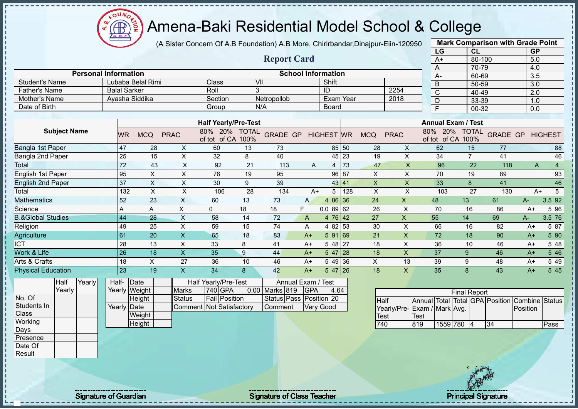oυ **AB** 

# Amena-Baki Residential Model School & College

(A Sister Concern Of A.B Foundation) A.B More, Chirirbandar,Dinajpur-Eiin-120950

|                                       |                       |                             |                 |                     |                           |                               |                                                         |    |                                                            |                |                           |           |                           |                         |                             | LG                      | <b>CL</b>                 |                           | <b>GP</b>           |                                |
|---------------------------------------|-----------------------|-----------------------------|-----------------|---------------------|---------------------------|-------------------------------|---------------------------------------------------------|----|------------------------------------------------------------|----------------|---------------------------|-----------|---------------------------|-------------------------|-----------------------------|-------------------------|---------------------------|---------------------------|---------------------|--------------------------------|
|                                       |                       |                             |                 |                     |                           |                               |                                                         |    | <b>Report Card</b>                                         |                |                           |           |                           |                         |                             | $A+$                    | 80-100                    |                           | 5.0                 |                                |
|                                       |                       |                             |                 |                     |                           |                               |                                                         |    |                                                            |                |                           |           |                           |                         |                             | $\overline{A}$          | 70-79                     |                           | 4.0                 |                                |
|                                       |                       | <b>Personal Information</b> |                 |                     |                           |                               |                                                         |    |                                                            |                | <b>School Information</b> |           |                           |                         |                             | A-                      | 60-69                     |                           | 3.5                 |                                |
| <b>Student's Name</b>                 |                       |                             |                 | <b>Balal Sarker</b> | Lubaba Belal Rimi         |                               | Class<br>Roll                                           |    | $\overline{\mathsf{V}}$<br>3                               |                | Shift<br>ID               |           |                           | 2254                    |                             | $\overline{B}$          | 50-59                     |                           | 3.0                 |                                |
| <b>Father's Name</b><br>Mother's Name |                       |                             |                 |                     | Ayasha Siddika            |                               |                                                         |    |                                                            |                | <b>Exam Year</b>          |           |                           | 2018                    |                             | $\overline{\mathsf{c}}$ | 40-49                     |                           | 2.0                 |                                |
| Date of Birth                         |                       |                             |                 |                     |                           |                               | Section                                                 |    | Netropollob<br>N/A                                         |                |                           |           |                           |                         |                             | D                       | 33-39                     |                           | 1.0                 |                                |
|                                       |                       |                             |                 |                     |                           |                               | Group                                                   |    |                                                            |                | <b>Board</b>              |           |                           |                         |                             | E                       | 00-32                     |                           | 0.0                 |                                |
|                                       |                       |                             |                 |                     |                           |                               | <b>Half Yearly/Pre-Test</b>                             |    |                                                            |                |                           |           |                           |                         |                             |                         | <b>Annual Exam / Test</b> |                           |                     |                                |
|                                       | <b>Subject Name</b>   |                             |                 | <b>WR</b>           | <b>MCQ</b>                | <b>PRAC</b>                   | 80% 20% TOTAL<br>of tot of CA 100%                      |    | <b>GRADE GP</b>                                            |                | <b>HIGHEST WR</b>         |           | <b>MCQ</b>                | <b>PRAC</b>             |                             | of tot of CA 100%       | 80% 20% TOTAL             | <b>GRADE GP</b>           |                     | <b>HIGHEST</b>                 |
| Bangla 1st Paper                      |                       |                             |                 | 47                  | 28                        | X                             | 60                                                      | 13 | 73                                                         |                | 85                        | 50        | 28                        | X                       |                             | 62                      | 15                        | 77                        |                     | 88                             |
| Bangla 2nd Paper                      |                       |                             |                 | 25                  | 15                        | X                             | 32                                                      | 8  | 40                                                         |                | 45                        | 23        | 19                        | X                       |                             | 34                      | $\overline{7}$            | 41                        |                     | 46                             |
| Total                                 |                       |                             |                 | $\overline{72}$     | 43                        | $\mathsf{x}$                  | 92                                                      | 21 | 113                                                        | A              | 4                         | 73        | 47                        | $\overline{\mathsf{X}}$ |                             | 96                      | 22                        | 118                       |                     | $\overline{4}$<br>$\mathsf{A}$ |
| English 1st Paper                     |                       |                             |                 | 95                  | $\boldsymbol{\mathsf{X}}$ | X                             | 76                                                      | 19 | 95                                                         |                | 96                        | 87        | X                         | X                       |                             | 70                      | 19                        | 89                        |                     | 93                             |
| <b>English 2nd Paper</b>              |                       |                             |                 | 37                  | $\pmb{\times}$            | $\boldsymbol{\mathsf{X}}$     | 30                                                      | 9  | 39                                                         |                | 43 41                     |           | $\boldsymbol{\mathsf{X}}$ | $\mathsf X$             |                             | 33                      | 8                         | 41                        |                     | 46                             |
| Total                                 |                       |                             |                 | 132                 | $\sf X$                   | X                             | 106                                                     | 28 | 134                                                        | $A+$           | 5                         | 128       | $\mathsf X$               | X                       |                             | 103                     | 27                        | 130                       |                     | $5\phantom{.0}$<br>$A+$        |
| Mathematics                           |                       |                             |                 | 52                  | 23                        | X                             | 60                                                      | 13 | 73                                                         | A              | 4 8 6                     | 36        | 24                        | X                       | 48                          |                         | 13                        | 61                        | $A-$                | 3.5 92                         |
| Science                               |                       |                             |                 | A                   | A                         | $\boldsymbol{\mathsf{X}}$     | 0                                                       | 18 | 18                                                         | F.             | 0.08962                   |           | 26                        | X                       |                             | 70                      | 16                        | 86                        | $A+$                | 5 96                           |
| <b>B.&amp;Global Studies</b>          |                       |                             |                 | 44                  | 28                        | $\pmb{\times}$                | 58                                                      | 14 | 72                                                         | $\overline{A}$ | 4 76                      | 42        | 27                        | X                       | 55                          |                         | 14                        | 69                        | $A -$               | 3.5 76                         |
| Religion                              |                       |                             |                 | 49                  | 25                        | $\mathsf{X}$                  | 59                                                      | 15 | 74                                                         | Α              | 4 82 53                   |           | 30                        | $\mathsf{X}$            |                             | 66                      | 16                        | 82                        | $A+$                | 5 87                           |
| Agriculture                           |                       |                             |                 | 61                  | 20                        | $\mathsf X$                   | 65                                                      | 18 | 83                                                         | $A+$           | 591 69                    |           | 21                        | $\mathsf{X}$            |                             | 72                      | 18                        | 90                        | $A+$                | 5 90                           |
| <b>ICT</b>                            |                       |                             |                 | 28                  | 13                        | X                             | 33                                                      | 8  | 41                                                         | $A+$           | 5 48 27                   |           | 18                        | X                       |                             | 36                      | 10                        | 46                        | $A+$                | 5 48                           |
| Work & Life                           |                       |                             |                 | 26                  | 18                        | $\mathsf X$                   | 35                                                      | 9  | 44                                                         | $A+$           | 5 47                      | 28        | 18                        | X                       |                             | 37                      | 9                         | 46                        | $A+$                | 5 4 6                          |
| Arts & Crafts                         |                       |                             |                 | 18                  | $\boldsymbol{\mathsf{X}}$ | 27                            | 36                                                      | 10 | 46                                                         | $A+$           | 5 4 9                     | 36        | $\pmb{\times}$            | 13                      |                             | 39                      | 9                         | 48                        | $A+$                | 5 4 9                          |
| <b>Physical Education</b>             |                       |                             |                 | 23                  | 19                        | $\boldsymbol{\mathsf{X}}$     | 34                                                      | 8  | 42                                                         | $A+$           | 5 47                      | <b>26</b> | 18                        | $\mathsf{X}$            |                             | 35                      | 8                         | 43                        | $A+$                | 5 4 5                          |
| No. Of                                | <b>Half</b><br>Yearly | Yearly                      | Half-<br>Yearly |                     | Date<br>Weight            | <b>Marks</b><br><b>Status</b> | Half Yearly/Pre-Test<br>740 GPA<br><b>Fail Position</b> |    | Annual Exam /<br>0.00 Marks 819<br>Status Pass Position 20 | GPA            | Test<br>4.64              |           |                           |                         |                             |                         | <b>Final Report</b>       |                           |                     |                                |
| Students In<br>Class                  |                       |                             |                 | Yearly Date         | <b>Height</b><br>Weight   | Comment                       | <b>Not Satisfactory</b>                                 |    | Comment                                                    |                | <b>Very Good</b>          |           | Half<br><b>Test</b>       | Yearly/Pre-             | <b>Annual</b> Total<br>Test | Exam / Mark Avg.        |                           | <b>Total GPA Position</b> | Combine<br>Position | Status                         |
| Working<br>Days                       |                       |                             |                 |                     | Height                    |                               |                                                         |    |                                                            |                |                           |           | 740                       |                         | 819                         | 1559 780 4              |                           | 34                        |                     | Pass                           |

**Mark Comparison with Grade Point**

Presence Date Of Result

Signature of Guardian Signature of Class Teacher Principal Signature Principal Signature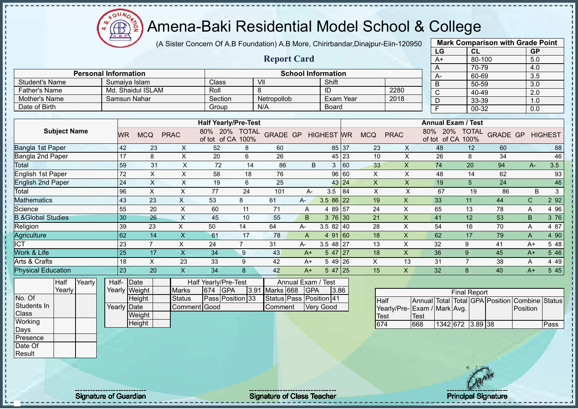$\mathbf{a}$ **AB** 

# Amena-Baki Residential Model School & College

(A Sister Concern Of A.B Foundation) A.B More, Chirirbandar,Dinajpur-Eiin-120950

|                                               |                     |                             |       |                 |                                    |                           |                                    |                  |                         |                           |                      |       |                           |                           |                  | LG                    |                                   | CL        |                                 | <b>GP</b>        |                |
|-----------------------------------------------|---------------------|-----------------------------|-------|-----------------|------------------------------------|---------------------------|------------------------------------|------------------|-------------------------|---------------------------|----------------------|-------|---------------------------|---------------------------|------------------|-----------------------|-----------------------------------|-----------|---------------------------------|------------------|----------------|
|                                               |                     |                             |       |                 |                                    |                           |                                    |                  | <b>Report Card</b>      |                           |                      |       |                           |                           |                  | $A+$                  |                                   | 80-100    |                                 | 5.0              |                |
|                                               |                     |                             |       |                 |                                    |                           |                                    |                  |                         |                           |                      |       |                           |                           |                  | A                     |                                   | 70-79     |                                 | 4.0              |                |
|                                               |                     | <b>Personal Information</b> |       |                 |                                    |                           |                                    |                  |                         | <b>School Information</b> |                      |       |                           |                           |                  | А-                    |                                   | 60-69     |                                 | $\overline{3.5}$ |                |
| <b>Student's Name</b><br><b>Father's Name</b> |                     |                             |       |                 | Sumaiya Islam<br>Md. Shaidul ISLAM |                           | Class<br>Roll                      |                  | VII<br>8                |                           | Shift<br>ID          |       |                           | 2280                      |                  | B                     |                                   | 50-59     |                                 | $\overline{3.0}$ |                |
| Mother's Name                                 |                     |                             |       |                 | <b>Samsun Nahar</b>                |                           |                                    |                  | Netropollob             |                           | <b>Exam Year</b>     |       |                           | 2018                      |                  | $\overline{\text{c}}$ |                                   | 40-49     |                                 | 2.0              |                |
| Date of Birth                                 |                     |                             |       |                 |                                    |                           | Section                            |                  | N/A                     |                           |                      |       |                           |                           |                  | D                     |                                   | 33-39     |                                 | 1.0              |                |
|                                               |                     |                             |       |                 |                                    |                           | Group                              |                  |                         |                           | <b>Board</b>         |       |                           |                           |                  | F                     |                                   | $00 - 32$ |                                 | 0.0              |                |
|                                               |                     |                             |       |                 |                                    |                           | <b>Half Yearly/Pre-Test</b>        |                  |                         |                           |                      |       |                           |                           |                  |                       | <b>Annual Exam / Test</b>         |           |                                 |                  |                |
|                                               | <b>Subject Name</b> |                             |       | <b>WR</b>       | <b>MCQ</b>                         | <b>PRAC</b>               | 80% 20% TOTAL<br>of tot of CA 100% |                  | <b>GRADE GP</b>         |                           | <b>HIGHEST WR</b>    |       | <b>MCQ</b>                | <b>PRAC</b>               | 80%              | 20%                   | <b>TOTAL</b><br>of tot of CA 100% |           | <b>GRADE GP</b>                 |                  | <b>HIGHEST</b> |
| Bangla 1st Paper                              |                     |                             |       | 42              | 23                                 | X                         | 52                                 | 8                | 60                      |                           | 85                   | 37    | 23                        | X                         |                  | 48                    | 12                                |           | 60                              |                  | 88             |
| Bangla 2nd Paper                              |                     |                             |       | 17              | 8                                  | X                         | 20                                 | 6                | 26                      |                           | 45                   | 23    | 10                        | $\mathsf{X}$              |                  | 26                    | 8                                 |           | 34                              |                  | 46             |
| Total                                         |                     |                             |       | 59              | 31                                 | $\pmb{\times}$            | 72                                 | 14               | 86                      | B                         | 3                    | 60    | 33                        | $\pmb{\times}$            |                  | 74                    | 20                                |           | 94                              | $A -$            | 3.5            |
| English 1st Paper                             |                     |                             |       | 72              | $\mathsf X$                        | X                         | 58                                 | 18               | 76                      |                           | 96                   | 60    | X                         | $\pmb{\times}$            |                  | 48                    | 14                                |           | 62                              |                  | 93             |
| <b>English 2nd Paper</b>                      |                     |                             |       | 24              | X                                  | X                         | 19                                 | $6\phantom{1}6$  | 25                      |                           |                      | 43 24 | X                         | X                         |                  | 19                    | 5                                 |           | 24                              |                  | 46             |
| Total                                         |                     |                             |       | 96              | $\boldsymbol{\mathsf{X}}$          | X                         | 77                                 | 24               | 101                     | A-                        | 3.5                  | 84    | $\boldsymbol{\mathsf{X}}$ | $\mathsf{X}$              |                  | 67                    | 19                                |           | 86                              | B                | $\mathfrak{S}$ |
| <b>Mathematics</b>                            |                     |                             |       | 43              | 23                                 | $\times$                  | 53                                 | 8                | 61                      | A-                        | 3.5 86               | 22    | 19                        | $\mathsf{x}$              |                  | 33                    | 11                                |           | 44                              | $\mathsf{C}$     | 2 9 2          |
| Science                                       |                     |                             |       | 55              | 20                                 | $\pmb{\times}$            | 60                                 | 11               | 71                      | A                         | 4 8 9                | 57    | 24                        | X                         |                  | 65                    | 13                                |           | 78                              | A                | 4 9 6          |
| <b>B.&amp;Global Studies</b>                  |                     |                             |       | 30              | 26                                 | $\boldsymbol{\mathsf{X}}$ | 45                                 | 10               | 55                      | $\overline{B}$            | 3 76                 | 30    | 21                        | $\mathsf{x}$              |                  | 41                    | 12                                |           | 53                              | B.               | 3 76           |
| Religion                                      |                     |                             |       | 39              | 23                                 | $\mathsf X$               | 50                                 | 14               | 64                      | A-                        | 3.5 82               | 40    | 28                        | $\sf X$                   |                  | 54                    | 16                                |           | 70                              | A                | 4 87           |
| Agriculture                                   |                     |                             |       | 62              | 14                                 | $\mathsf{X}$              | 61                                 | 17               | 78                      | $\overline{A}$            | 91<br>$\overline{4}$ | 160   | 18                        | $\mathsf X$               |                  | 62                    | 17                                |           | 79                              | A                | 4 90           |
| $\overline{\text{ICT}}$                       |                     |                             |       | 23              | $\overline{7}$                     | X                         | 24                                 | $\overline{7}$   | 31                      | A-                        | $3.548$ 27           |       | 13                        | $\boldsymbol{\mathsf{X}}$ |                  | 32                    | 9                                 |           | 41                              | $A+$             | 5 48           |
| Work & Life                                   |                     |                             |       | $\overline{25}$ | 17                                 | $\mathsf{X}$              | 34                                 | 9                | 43                      | $A+$                      | 547 27               |       | 18                        | $\mathsf{x}$              |                  | 36                    | 9                                 |           | 45                              | $A+$             | 5 4 6          |
| Arts & Crafts                                 |                     |                             |       | 18              | $\times$                           | 23                        | 33                                 | 9                | 42                      | $A+$                      | 5 49 26              |       | X                         | 13                        |                  | 31                    | $\overline{7}$                    |           | 38                              | A                | 4 4 9          |
| <b>Physical Education</b>                     |                     |                             |       | $\overline{23}$ | 20                                 | $\boldsymbol{\mathsf{X}}$ | 34                                 | 8                | 42                      | $A+$                      | $547$ 25             |       | 15                        | X                         |                  | 32                    | 8                                 |           | 40                              | $A+$             | 5 4 5          |
|                                               | Half                | Yearly                      | Half- |                 | Date                               |                           | Half Yearly/Pre-Test               |                  |                         | Annual Exam / Test        |                      |       |                           |                           |                  |                       |                                   |           |                                 |                  |                |
|                                               | Yearly              |                             |       |                 | Yearly Weight                      | <b>Marks</b>              | <b>GPA</b><br>674                  | 3.9 <sup>′</sup> | Marks 668               | <b>GPA</b>                | 3.86                 |       |                           |                           |                  |                       | <b>Final Report</b>               |           |                                 |                  |                |
| No. Of                                        |                     |                             |       |                 | Height                             | <b>Status</b>             | Pass Position 33                   |                  | Status Pass Position 41 |                           |                      |       | <b>Half</b>               |                           |                  |                       |                                   |           | Annual Total Total GPA Position | Combine Status   |                |
| Students In                                   |                     |                             |       | Yearly Date     |                                    |                           | Comment Good                       |                  | Comment                 |                           | <b>Very Good</b>     |       |                           | Yearly/Pre-               | Exam / Mark Avg. |                       |                                   |           |                                 | Position         |                |
| Class                                         |                     |                             |       |                 | Weight                             |                           |                                    |                  |                         |                           |                      |       | Test                      |                           | <b>Test</b>      |                       |                                   |           |                                 |                  |                |
| Working                                       |                     |                             |       |                 | Height                             |                           |                                    |                  |                         |                           |                      |       | 674                       |                           | 668              |                       | 1342 672 3.89 38                  |           |                                 |                  | Pass           |

**Mark Comparison with Grade Point**

Days Presence Date Of Result

Signature of Guardian Signature Signature of Class Teacher New York Constitution of Class Teacher Principal Signature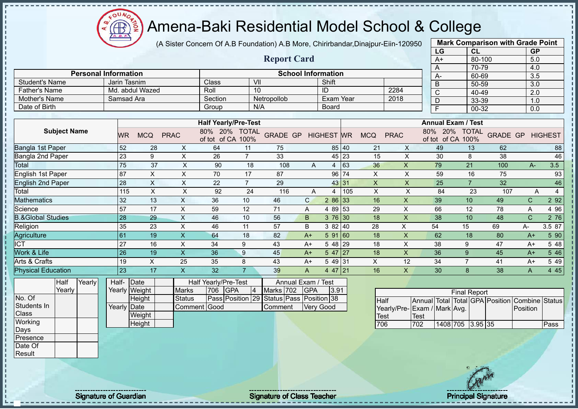$\Omega$ **AB** 

# Amena-Baki Residential Model School & College

(A Sister Concern Of A.B Foundation) A.B More, Chirirbandar,Dinajpur-Eiin-120950

|                                |                 |                                 |                           |                               |                                           |                               |                                    |              |                        |     |                     |                           |      | LG                                                  | <b>CL</b>           |                 | <b>GP</b>                         |                |
|--------------------------------|-----------------|---------------------------------|---------------------------|-------------------------------|-------------------------------------------|-------------------------------|------------------------------------|--------------|------------------------|-----|---------------------|---------------------------|------|-----------------------------------------------------|---------------------|-----------------|-----------------------------------|----------------|
|                                |                 |                                 |                           |                               |                                           |                               | <b>Report Card</b>                 |              |                        |     |                     |                           |      | $A+$                                                | $80 - 100$          |                 | 5.0                               |                |
|                                |                 |                                 |                           |                               |                                           |                               |                                    |              |                        |     |                     |                           |      | A                                                   | 70-79               |                 | 4.0                               |                |
| <b>Personal Information</b>    |                 |                                 |                           |                               |                                           |                               | <b>School Information</b>          |              |                        |     |                     |                           |      | A-                                                  | 60-69               |                 | $\overline{3.5}$                  |                |
| <b>Student's Name</b>          |                 | Jarin Tasnim<br>Md. abdul Wazed |                           |                               | Class<br>Roll                             | $\overline{\mathsf{V}}$<br>10 |                                    |              | Shift                  |     |                     | 2284                      |      | B                                                   | 50-59               |                 | 3.0                               |                |
| <b>Father's Name</b>           |                 |                                 |                           |                               |                                           |                               |                                    |              | ID<br><b>Exam Year</b> |     |                     |                           |      | $\overline{\mathsf{C}}$                             | 40-49               |                 | $\overline{2.0}$                  |                |
| Mother's Name<br>Date of Birth |                 | Samsad Ara                      |                           |                               | Section                                   |                               | Netropollob<br>N/A                 |              | <b>Board</b>           |     |                     | 2018                      |      | D                                                   | 33-39               |                 | 1.0                               |                |
|                                |                 |                                 |                           |                               | Group                                     |                               |                                    |              |                        |     |                     |                           |      | $\overline{F}$                                      | 00-32               |                 | 0.0                               |                |
|                                |                 |                                 |                           |                               | <b>Half Yearly/Pre-Test</b>               |                               |                                    |              |                        |     |                     |                           |      | <b>Annual Exam / Test</b>                           |                     |                 |                                   |                |
| <b>Subject Name</b>            |                 | <b>WR</b>                       | <b>MCQ</b>                | <b>PRAC</b>                   | 80% 20% TOTAL<br>of tot of CA 100%        |                               | <b>GRADE GP</b>                    |              | <b>HIGHEST WR</b>      |     | <b>MCQ</b>          | <b>PRAC</b>               |      | 80% 20% TOTAL<br>of tot of CA                       | 100%                | <b>GRADE GP</b> |                                   | <b>HIGHEST</b> |
| Bangla 1st Paper               |                 | 52                              | 28                        | X                             | 64                                        | 11                            | 75                                 |              | 85 40                  |     | 21                  | X                         |      | 49                                                  | 13                  | 62              |                                   | 88             |
| Bangla 2nd Paper               |                 | 23                              | 9                         | X                             | 26                                        | $\overline{7}$                | 33                                 |              | 45                     | 23  | 15                  | X                         |      | 30                                                  | 8                   | 38              |                                   | 46             |
| Total                          |                 | $\overline{75}$                 | 37                        | $\times$                      | 90                                        | 18                            | 108                                | $\mathsf{A}$ | $\overline{4}$         | 63  | 36                  | X                         |      | 79                                                  | 21                  | 100             | $A -$                             | 3.5            |
| English 1st Paper              |                 | 87                              | $\boldsymbol{\mathsf{X}}$ | X                             | 70                                        | 17                            | 87                                 |              | 96                     | 74  | $\pmb{\times}$      | Χ                         |      | 59                                                  | 16                  | 75              |                                   | 93             |
| <b>English 2nd Paper</b>       |                 | 28                              | $\mathsf{X}$              | X                             | 22                                        | $\overline{7}$                | 29                                 |              | 43 31                  |     | $\pmb{\times}$      | $\mathsf{X}$              |      | 25                                                  | $\overline{7}$      | 32              |                                   | 46             |
| Total                          |                 | 115                             | $\sf X$                   | X                             | 92                                        | 24                            | 116                                | A            | 4                      | 105 | X                   | X                         |      | 84                                                  | 23                  | 107             | A                                 | $\overline{4}$ |
| Mathematics                    |                 | 32                              | 13                        | X                             | 36                                        | 10                            | 46                                 | $\mathsf{C}$ | 2 86                   | 33  | 16                  | $\mathsf{X}$              |      | 39                                                  | 10                  | 49              | $\mathsf{C}$                      | 2 9 2          |
| Science                        |                 | 57                              | 17                        | $\pmb{\times}$                | 59                                        | 12                            | 71                                 | A            | 4 8 9                  | 53  | 29                  | X                         |      | 66                                                  | 12                  | 78              | A                                 | 4 9 6          |
| <b>B.&amp;Global Studies</b>   |                 | 28                              | 29                        | X                             | 46                                        | 10                            | 56                                 | B            | 3 76                   | 30  | 18                  | $\boldsymbol{\mathsf{X}}$ |      | 38                                                  | 10                  | 48              | $\mathsf{C}$                      | 2 76           |
| Religion                       |                 | 35                              | 23                        | $\mathsf{X}$                  | 46                                        | 11                            | 57                                 | B            | 382   40               |     | 28                  | X                         |      | 54                                                  | 15                  | 69              | $A -$                             | 3.5 87         |
| Agriculture                    |                 | 61                              | 19                        | $\mathsf{X}$                  | 64                                        | 18                            | 82                                 | $A+$         | 591 60                 |     | 18                  | $\pmb{\times}$            |      | 62                                                  | 18                  | 80              | $A+$                              | 5 90           |
| <b>ICT</b>                     |                 | 27                              | 16                        | $\pmb{\times}$                | 34                                        | 9                             | 43                                 | $A+$         | 5 48                   | 29  | 18                  | X                         |      | 38                                                  | 9                   | 47              | $A+$                              | 5 48           |
| Work & Life                    |                 | 26                              | 19                        | $\mathsf X$                   | 36                                        | 9                             | 45                                 | $A+$         | $547$   27             |     | 18                  | $\boldsymbol{\mathsf{X}}$ |      | 36                                                  | 9                   | 45              | $A+$                              | 5 4 6          |
| Arts & Crafts                  |                 | 19                              | $\boldsymbol{\mathsf{X}}$ | 25                            | 35                                        | 8                             | 43                                 | $A+$         | 5 4 9                  | 31  | X                   | 12                        |      | 34                                                  | $\overline{7}$      | 41              | $A+$                              | 5 4 9          |
| <b>Physical Education</b>      |                 | 23                              | 17                        | $\boldsymbol{\mathsf{X}}$     | 32                                        | $\overline{7}$                | 39                                 | A            | 4 47 21                |     | 16                  | $\mathsf{X}$              |      | 30                                                  | 8                   | 38              | A                                 | 4 4 5          |
| Yearly<br>Half<br>Yearly       | Half-<br>Yearly | Date<br>Weight                  |                           | <b>Marks</b>                  | Half Yearly/Pre-Test<br>706<br><b>GPA</b> | $\overline{4}$                | Annual Exam /<br>Marks 702         | <b>GPA</b>   | <b>Test</b><br>3.91    |     |                     |                           |      |                                                     | <b>Final Report</b> |                 |                                   |                |
| No. Of<br>Students In<br>Class |                 | Height<br>Yearly Date<br>Weight |                           | <b>Status</b><br>Comment Good | Pass Position 29                          |                               | Status Pass Position 38<br>Comment |              | <b>Very Good</b>       |     | <b>Half</b><br>Test | Yearly/Pre-               | Test | Annual Total Total GPA Position<br>Exam / Mark Avg. |                     |                 | <b>Combine Status</b><br>Position |                |
| Working<br>Days                |                 | Height                          |                           |                               |                                           |                               |                                    |              |                        |     | 706                 |                           | 702  | 1408 705 3.95 35                                    |                     |                 |                                   | Pass           |



**Mark Comparison with Grade Point**

Presence Date Of Result

Signature of Guardian Signature of Class Teacher Principal Signature Principal Signature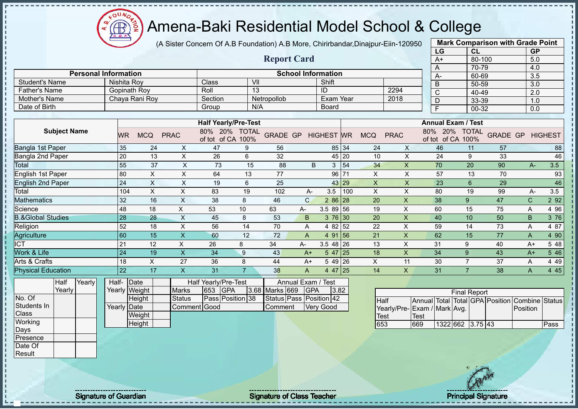

(A Sister Concern Of A.B Foundation) A.B More, Chirirbandar,Dinajpur-Eiin-120950 **Mark Comparison with Grade Point**

|                              |                               |                |             |                                   |                      |                    |                           |                  |           |              |             | LG                         | CL                   |                 |              | GP               |                |
|------------------------------|-------------------------------|----------------|-------------|-----------------------------------|----------------------|--------------------|---------------------------|------------------|-----------|--------------|-------------|----------------------------|----------------------|-----------------|--------------|------------------|----------------|
|                              |                               |                |             |                                   |                      | <b>Report Card</b> |                           |                  |           |              |             | $A+$                       | 80-100               |                 |              | 5.0              |                |
|                              |                               |                |             |                                   |                      |                    |                           |                  |           |              |             | A                          | 70-79                |                 |              | 4.0              |                |
|                              | <b>Personal Information</b>   |                |             |                                   |                      |                    | <b>School Information</b> |                  |           |              |             | A-                         | 60-69                |                 |              | 3.5              |                |
| <b>Student's Name</b>        | Nishita Roy                   |                |             | Class                             | VII                  |                    |                           | Shift            |           |              |             | B                          | 50-59                |                 |              | 3.0              |                |
| <b>Father's Name</b>         | <b>Gopinath Roy</b>           |                |             | Roll                              | 13                   |                    |                           | ID               |           |              | 2294        | $\mathsf{C}$               | 40-49                |                 |              | $\overline{2.0}$ |                |
| Mother's Name                |                               | Chaya Rani Roy |             | Section                           |                      | Netropollob        |                           | <b>Exam Year</b> |           |              | 2018        | D                          | 33-39                |                 |              | 1.0              |                |
| Date of Birth                |                               |                |             | Group                             | N/A                  |                    |                           | <b>Board</b>     |           |              |             | F                          | $00 - 32$            |                 |              | 0.0              |                |
|                              |                               |                |             |                                   |                      |                    |                           |                  |           |              |             |                            |                      |                 |              |                  |                |
|                              |                               |                |             | <b>Half Yearly/Pre-Test</b>       |                      |                    |                           |                  |           |              |             | <b>Annual Exam / Test</b>  |                      |                 |              |                  |                |
| <b>Subject Name</b>          | <b>WR</b>                     | <b>MCQ</b>     | <b>PRAC</b> | 80% 20%<br>of tot of CA           | <b>TOTAL</b><br>100% | <b>GRADE GP</b>    |                           | <b>HIGHEST</b>   | <b>WR</b> | <b>MCQ</b>   | <b>PRAC</b> | 80%<br>20%<br>of tot of CA | <b>TOTAL</b><br>100% | <b>GRADE GP</b> |              |                  | <b>HIGHEST</b> |
| Bangla 1st Paper             | 35                            | 24             | X           | 47                                | 9                    | 56                 |                           |                  | 85 34     | 24           | X           | 46                         | 11                   | 57              |              |                  | 88             |
| Bangla 2nd Paper             | 20                            | 13             | X           | 26                                | 6                    | 32                 |                           |                  | 45 20     | 10           | X           | 24                         | 9                    | 33              |              |                  | 46             |
| Total                        | 55                            | 37             | X           | 73                                | 15                   | 88                 | B                         | 3                | 54        | 34           | X           | 70                         | 20                   | 90              |              | $A -$            | 3.5            |
| English 1st Paper            | 80                            | X              | Χ           | 64                                | 13                   | 77                 |                           |                  | 96 71     | X            | $\mathsf X$ | 57                         | 13                   | 70              |              |                  | 93             |
| <b>English 2nd Paper</b>     | 24                            | X              | X           | 19                                | 6                    | 25                 |                           |                  | 43 29     | $\mathsf{X}$ | $\times$    | 23                         | 6                    | 29              |              |                  | 46             |
| Total                        | 104                           | $\pmb{\times}$ | X           | 83                                | 19                   | 102                | А-                        | 3.5              | 100       | X            | X           | 80                         | 19                   | 99              |              | A-               | 3.5            |
| Mathematics                  | 32                            | 16             | X           | 38                                | 8                    | 46                 | $\mathsf{C}$              | 2 86 28          |           | 20           | X           | 38                         | 9                    | 47              | $\mathsf C$  |                  | 2 9 2          |
| Science                      | 48                            | 18             | X           | 53                                | 10                   | 63                 | A-                        | 3.58956          |           | 19           | X           | 60                         | 15                   | 75              | A            |                  | 4 9 6          |
| <b>B.&amp;Global Studies</b> | 28                            | 28             | X           | 45                                | 8                    | 53                 | B                         | $376$ 30         |           | 20           | X           | 40                         | 10                   | 50              | $\mathsf B$  |                  | 3 76           |
| Religion                     | 52                            | 18             | X           | 56                                | 14                   | 70                 | Α                         | 4 82 52          |           | 22           | X           | 59                         | 14                   | 73              | Α            |                  | 4 87           |
| Agriculture                  | 60                            | 15             | X           | 60                                | 12                   | 72                 | A                         | 4 91 56          |           | 21           | X           | 62                         | 15                   | 77              | Α            |                  | 4 90           |
| <b>ICT</b>                   | 21                            | 12             | X           | 26                                | 8                    | 34                 | А-                        | $3.548$ 26       |           | 13           | X           | 31                         | 9                    | 40              | $A+$         |                  | 5 48           |
| Work & Life                  | 24                            | 19             | X.          | 34                                | 9                    | 43                 | $A+$                      | $547$  25        |           | 18           | X           | 34                         | 9                    | 43              | $A+$         |                  | 5 4 6          |
| Arts & Crafts                | 18                            | X              | 27          | 36                                | 8                    | 44                 | $A+$                      | 5 4 9            | 26        | X            | 11          | 30                         | $\overline{7}$       | 37              | A            |                  | 4 4 9          |
| <b>Physical Education</b>    | 22                            | 17             | X.          | 31                                | $\overline{7}$       | 38                 | A                         | 4 47 25          |           | 14           | X           | 31                         | $\overline{7}$       | 38              | $\mathsf{A}$ |                  | 4 4 5          |
| Yearly<br>Half<br>Vearly     | Half-<br>Vearly <i>Weight</i> | Date           | $M$ orko    | Half Yearly/Pre-Test<br>$653$ CDA |                      | 3 68 Marke 660 CDA | Annual Exam / Test        | າ ຂາ             |           |              |             |                            |                      |                 |              |                  |                |

Yearly No. Of Students In **Class Working** Days Presence Date Of

**Result** 

| Half- Date  |               |               |         | Half Yearly/Pre-Test |                    | Annual Exam / Test      |      |
|-------------|---------------|---------------|---------|----------------------|--------------------|-------------------------|------|
|             | Yearly Weight | <b>Marks</b>  | 653 GPA |                      | 3.68 Marks 669 GPA |                         | 3.82 |
|             | Height        | <b>Status</b> |         | Pass Position 38     |                    | Status Pass Position 42 |      |
| Yearly Date |               | Comment Good  |         |                      | <b>Comment</b>     | <b>Very Good</b>        |      |
|             | Weight        |               |         |                      |                    |                         |      |
|             | Height        |               |         |                      |                    |                         |      |

|                             |      |                  | <b>Final Report</b> |  |                                                |      |
|-----------------------------|------|------------------|---------------------|--|------------------------------------------------|------|
| <b>Half</b>                 |      |                  |                     |  | Annual Total Total GPA Position Combine Status |      |
| Yearly/Pre-Exam / Mark Avg. |      |                  |                     |  | <b>Position</b>                                |      |
| Test                        | Test |                  |                     |  |                                                |      |
| 653                         | 669  | 1322 662 3.75 43 |                     |  |                                                | Pass |

Signature of Guardian Signature Signature of Class Teacher New York Network Principal Signature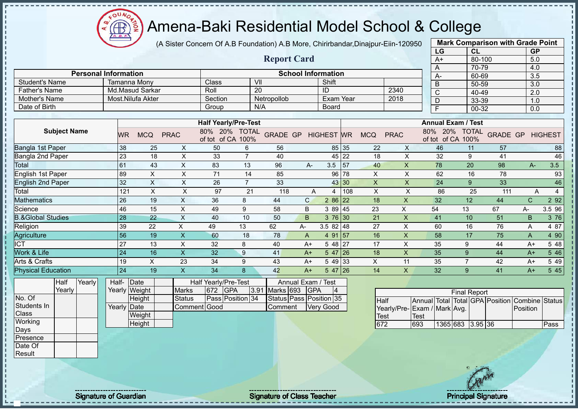$\mathbf{a}$ **CB** ğ

# Amena-Baki Residential Model School & College

(A Sister Concern Of A.B Foundation) A.B More, Chirirbandar,Dinajpur-Eiin-120950

|                              |                     |        |                             |                       |                   |                           |                             |                                    |                    |                             |                   |     |             |                             |                     | LG                           | CL                  |                    | <b>GP</b>        |                |
|------------------------------|---------------------|--------|-----------------------------|-----------------------|-------------------|---------------------------|-----------------------------|------------------------------------|--------------------|-----------------------------|-------------------|-----|-------------|-----------------------------|---------------------|------------------------------|---------------------|--------------------|------------------|----------------|
|                              |                     |        |                             |                       |                   |                           |                             |                                    | <b>Report Card</b> |                             |                   |     |             |                             |                     | $A+$                         | 80-100              |                    | 5.0              |                |
|                              |                     |        |                             |                       |                   |                           |                             |                                    |                    |                             |                   |     |             |                             |                     | A                            | 70-79               |                    | 4.0              |                |
|                              |                     |        | <b>Personal Information</b> |                       |                   |                           |                             |                                    |                    | <b>School Information</b>   |                   |     |             |                             |                     | А-                           | 60-69               |                    | 3.5              |                |
| <b>Student's Name</b>        |                     |        |                             | Tamanna Mony          |                   |                           | Class                       | $\overline{\mathsf{V}}$            |                    |                             | Shift             |     |             |                             |                     | $\overline{B}$               | 50-59               |                    | $\overline{3.0}$ |                |
| <b>Father's Name</b>         |                     |        |                             |                       | Md.Masud Sarkar   |                           | Roll                        |                                    | $\overline{20}$    |                             | ID                |     |             | 2340                        |                     | $\overline{C}$               | 40-49               |                    | 2.0              |                |
| Mother's Name                |                     |        |                             |                       | Most.Nilufa Akter |                           | Section                     |                                    | Netropollob        |                             | Exam Year         |     |             | 2018                        |                     | D                            | 33-39               |                    | 1.0              |                |
| Date of Birth                |                     |        |                             |                       |                   |                           | Group                       |                                    | N/A                |                             | Board             |     |             |                             |                     | F                            | $00 - 32$           |                    | 0.0              |                |
|                              |                     |        |                             |                       |                   |                           |                             | <b>Half Yearly/Pre-Test</b>        |                    |                             |                   |     |             |                             |                     | <b>Annual Exam / Test</b>    |                     |                    |                  |                |
|                              | <b>Subject Name</b> |        |                             | <b>WR</b>             | <b>MCQ</b>        | <b>PRAC</b>               |                             | 80% 20% TOTAL<br>of tot of CA 100% | <b>GRADE GP</b>    |                             | <b>HIGHEST</b> WR |     | <b>MCQ</b>  | <b>PRAC</b>                 |                     | 80% 20%<br>of tot of CA 100% | <b>TOTAL</b>        | <b>GRADE GP</b>    |                  | <b>HIGHEST</b> |
| Bangla 1st Paper             |                     |        |                             | 38                    | 25                | X                         | 50                          | 6                                  | 56                 |                             | 85 35             |     | 22          | X                           |                     | 46                           | 11                  | 57                 |                  | 88             |
| Bangla 2nd Paper             |                     |        |                             | 23                    | 18                | X                         | 33                          | $\overline{7}$                     | 40                 |                             | 45 22             |     | 18          | X                           |                     | 32                           | 9                   | 41                 |                  | 46             |
| Total                        |                     |        |                             | 61                    | 43                | $\times$                  | 83                          | 13                                 | 96                 | $A -$                       | 3.5               | 57  | 40          | $\mathsf{x}$                |                     | 78                           | $\overline{20}$     | 98                 | $A-$             | 3.5            |
| English 1st Paper            |                     |        |                             | 89                    | $\mathsf X$       | X                         | 71                          | 14                                 | 85                 |                             | 96 78             |     | X           | X                           |                     | 62                           | 16                  | 78                 |                  | 93             |
| <b>English 2nd Paper</b>     |                     |        |                             | 32                    | $\mathsf X$       | $\boldsymbol{\mathsf{X}}$ | 26                          | $\overline{7}$                     | 33                 |                             | 43 30             |     | X           | $\times$                    |                     | 24                           | 9                   | 33                 |                  | 46             |
| Total                        |                     |        |                             | 121                   | $\mathsf{X}$      | $\pmb{\times}$            | 97                          | 21                                 | 118                | $\overline{A}$              | 4                 | 108 | X           | X                           |                     | 86                           | 25                  | 111                | A                | $\overline{4}$ |
| Mathematics                  |                     |        |                             | 26                    | 19                | $\boldsymbol{\mathsf{X}}$ | 36                          | 8                                  | 44                 | $\mathsf{C}$                | 2 86 22           |     | 18          | X                           |                     | 32                           | 12                  | 44                 | $\mathsf{C}$     | 2 9 2          |
| Science                      |                     |        |                             | 46                    | 15                | $\sf X$                   | 49                          | 9                                  | 58                 | B                           | 3 89 45           |     | 23          | X                           |                     | 54                           | 13                  | 67                 | A-               | 3.5 96         |
| <b>B.&amp;Global Studies</b> |                     |        |                             | 28                    | 22                | $\mathsf{X}$              | 40                          | 10                                 | 50                 | B                           | $376$ 30          |     | 21          | $\overline{\mathsf{X}}$     |                     | 41                           | 10                  | 51                 | B                | 3 76           |
| Religion                     |                     |        |                             | 39                    | 22                | X                         | 49                          | 13                                 | 62                 | A-                          | $3.582$ 48        |     | 27          | X                           |                     | 60                           | 16                  | 76                 | A                | 4 87           |
| Agriculture                  |                     |        |                             | 56                    | 19                | $\mathsf{X}$              | 60                          | 18                                 | 78                 | $\overline{A}$              | 4 91 57           |     | 16          | X                           |                     | 58                           | 17                  | 75                 | A                | 4 90           |
| <b>ICT</b>                   |                     |        |                             | 27                    | 13                | X                         | 32                          | 8                                  | 40                 | $A+$                        | $548$ 27          |     | 17          | $\times$                    |                     | 35                           | 9                   | 44                 | $A+$             | 5 48           |
| Work & Life                  |                     |        |                             | 24                    | 16                | X                         | 32                          | 9                                  | 41                 | $A+$                        | $547$ 26          |     | 18          | X                           |                     | 35                           | 9                   | 44                 | $A+$             | 5 4 6          |
| Arts & Crafts                |                     |        |                             | 19                    | $\mathsf X$       | 23                        | 34                          | 9                                  | 43                 | $A+$                        | 5 49 33           |     | X           | 11                          |                     | 35                           | $\overline{7}$      | 42                 | $A+$             | 5 4 9          |
| <b>Physical Education</b>    |                     |        |                             | 24                    | 19                | X                         | 34                          | 8                                  | 42                 | $A+$                        | $547$ 26          |     | 14          | X                           |                     | 32                           | 9                   | 41                 | $A+$             | 5 4 5          |
|                              | Half<br>Yearly      | Yearly | Half-                       | Date<br>Yearly Weight |                   | <b>Marks</b>              | Half Yearly/Pre-Test<br>672 | <b>GPA</b><br>3.91                 | Marks 693          | Annual Exam /<br><b>GPA</b> | Test<br>4         |     |             |                             |                     |                              |                     |                    |                  |                |
| No. Of                       |                     |        |                             |                       | Height            | <b>Status</b>             |                             | Pass Position 34                   |                    | Status Pass Position 35     |                   |     | <b>Half</b> |                             | <b>Annual</b> Total |                              | <b>Final Report</b> | Total GPA Position | Combine          | <b>Status</b>  |
| Students In                  |                     |        | Yearly                      | Date                  |                   |                           | Comment Good                |                                    | Comment            |                             | <b>Very Good</b>  |     |             | Yearly/Pre-Exam / Mark Avg. |                     |                              |                     |                    | Position         |                |
| Class                        |                     |        |                             |                       | Weight            |                           |                             |                                    |                    |                             |                   |     | <b>Test</b> |                             | <b>Test</b>         |                              |                     |                    |                  |                |
| Working<br>Days              |                     |        |                             |                       | Height            |                           |                             |                                    |                    |                             |                   |     | 672         | 693                         |                     | 1365 683                     | $3.95$ 36           |                    |                  | Pass           |



**Mark Comparison with Grade Point**

Presence Date Of Result

Signature of Guardian Signature of Class Teacher Principal Signature Principal Signature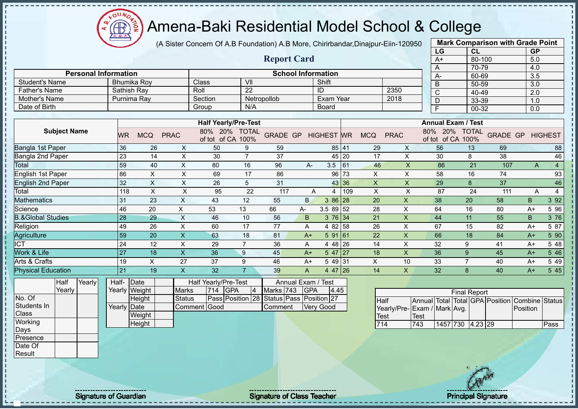Æ

# Amena-Baki Residential Model School & College

(A Sister Concern Of A.B Foundation) A.B More, Chirirbandar,Dinajpur-Eiin-120950

|                              |                 |                           |                                 |                                          |                           |                |                  |       |                |                           | LG                              | CL                  |     | <b>GP</b>               |                |
|------------------------------|-----------------|---------------------------|---------------------------------|------------------------------------------|---------------------------|----------------|------------------|-------|----------------|---------------------------|---------------------------------|---------------------|-----|-------------------------|----------------|
|                              |                 |                           |                                 |                                          | <b>Report Card</b>        |                |                  |       |                |                           | $A+$                            | 80-100              |     | 5.0                     |                |
|                              |                 |                           |                                 |                                          |                           |                |                  |       |                |                           | Α                               | 70-79               |     | 4.0                     |                |
| <b>Personal Information</b>  |                 |                           |                                 |                                          | <b>School Information</b> |                |                  |       |                |                           | А-                              | 60-69               |     | 3.5                     |                |
| <b>Student's Name</b>        |                 | <b>Bhumika Roy</b>        | Class                           | $\overline{\mathsf{v}}$                  |                           |                | Shift            |       |                |                           | B                               | 50-59               |     | 3.0                     |                |
| <b>Father's Name</b>         | Sathish Ray     |                           | Roll                            | $\overline{22}$                          |                           |                | ID               |       |                | 2350                      | $\overline{\text{c}}$           | 40-49               |     | $\overline{2.0}$        |                |
| Mother's Name                | Purnima Ray     |                           | Section                         |                                          | Netropollob               |                | Exam Year        |       |                | 2018                      | $\overline{\mathsf{D}}$         | 33-39               |     | 1.0                     |                |
| Date of Birth                |                 |                           | Group                           | N/A                                      |                           |                | <b>Board</b>     |       |                |                           | F                               | $00 - 32$           |     | 0.0                     |                |
|                              |                 |                           |                                 |                                          |                           |                |                  |       |                |                           |                                 |                     |     |                         |                |
|                              |                 |                           |                                 | <b>Half Yearly/Pre-Test</b>              |                           |                |                  |       |                |                           | <b>Annual Exam / Test</b>       |                     |     |                         |                |
| <b>Subject Name</b>          | <b>WR</b>       | <b>MCQ</b><br><b>PRAC</b> | of tot of CA 100%               | 80% 20% TOTAL                            | GRADE GP HIGHEST WR       |                |                  |       | <b>MCQ</b>     | <b>PRAC</b>               | 80% 20%<br>of tot of CA 100%    | <b>TOTAL</b>        |     | <b>GRADE GP HIGHEST</b> |                |
| Bangla 1st Paper             | 36              | 26                        | X<br>50                         | 9                                        | 59                        |                | 85 41            |       | 29             | $\mathsf X$               | 56                              | 13                  | 69  |                         | 88             |
| Bangla 2nd Paper             | $\overline{23}$ | 14                        | $\pmb{\times}$<br>30            | $\overline{7}$                           | 37                        |                |                  | 45 20 | 17             | $\pmb{\times}$            | 30                              | 8                   | 38  |                         | 46             |
| Total                        | 59              | 40                        | $\boldsymbol{\mathsf{X}}$<br>80 | 16                                       | 96                        | A-             | 3.5              | 61    | 46             | $\mathsf X$               | 86                              | 21                  | 107 | A                       | $\overline{4}$ |
| English 1st Paper            | 86              | $\mathsf X$               | $\boldsymbol{\mathsf{X}}$<br>69 | 17                                       | 86                        |                |                  | 96 73 | $\mathsf X$    | $\pmb{\times}$            | 58                              | 16                  | 74  |                         | 93             |
| <b>English 2nd Paper</b>     | 32              | $\boldsymbol{\mathsf{X}}$ | $\pmb{\times}$<br>26            | 5                                        | 31                        |                | 43               | 36    | $\pmb{\times}$ | $\pmb{\times}$            | 29                              | 8                   | 37  |                         | 46             |
| Total                        | 118             | $\mathsf X$               | $\pmb{\times}$<br>95            | 22                                       | 117                       | A              | $\overline{4}$   | 109   | $\pmb{\times}$ | X                         | 87                              | 24                  | 111 | A                       | $\overline{4}$ |
| Mathematics                  | 31              | 23                        | $\boldsymbol{\mathsf{X}}$<br>43 | 12                                       | 55                        | <sub>B</sub>   | 3 86 28          |       | 20             | $\pmb{\mathsf{X}}$        | 38                              | 20                  | 58  | B                       | 3 9 2          |
| Science                      | 46              | 20                        | $\mathsf X$<br>53               | 13                                       | 66                        | A-             | $3.589$ 52       |       | 28             | $\times$                  | 64                              | 16                  | 80  | $A+$                    | 5 9 6          |
| <b>B.&amp;Global Studies</b> | 28              | 29                        | $\boldsymbol{\mathsf{X}}$<br>46 | 10                                       | 56                        | B              | $3\;76$ 34       |       | 21             | $\boldsymbol{\mathsf{X}}$ | 44                              | 11                  | 55  | B                       | 3 76           |
| Religion                     | 49              | 26                        | X<br>60                         | 17                                       | 77                        | A              | 4 82 58          |       | 26             | X                         | 67                              | 15                  | 82  | $A+$                    | 5 87           |
| Agriculture                  | 59              | 20                        | $\mathsf X$<br>63               | 18                                       | 81                        | $A+$           | 59161            |       | 22             | $\boldsymbol{\mathsf{X}}$ | 66                              | 18                  | 84  | $A+$                    | 5 90           |
| $\overline{\text{ICT}}$      | $\overline{24}$ | 12                        | $\pmb{\times}$<br>29            | $\overline{7}$                           | 36                        | A              | 4 48 26          |       | 14             | $\mathsf{X}$              | 32                              | 9                   | 41  | $A+$                    | 5 48           |
| Work & Life                  | $\overline{27}$ | 18                        | $\mathsf{X}$<br>36              | 9                                        | 45                        | $A+$           | $547$ 27         |       | 18             | X                         | 36                              | 9                   | 45  | $A+$                    | 5 4 6          |
| Arts & Crafts                | 19              | $\boldsymbol{\mathsf{X}}$ | 27<br>37                        | 9                                        | 46                        | $A+$           | 549 31           |       | X              | 10                        | 33                              | $\overline{7}$      | 40  | $A+$                    | 5 4 9          |
| <b>Physical Education</b>    | $\overline{21}$ | 19                        | $\boldsymbol{\mathsf{X}}$<br>32 | $\overline{7}$                           | 39                        | $\overline{A}$ | 4 47 26          |       | 14             | $\mathsf{X}$              | 32                              | 8                   | 40  | $A+$                    | 545            |
| Yearly<br><b>Half</b>        | Half-           | Date                      | Half Yearly/Pre-Test            |                                          |                           | Annual Exam /  | Test             |       |                |                           |                                 |                     |     |                         |                |
| Yearly                       | Yearly Weight   |                           | <b>Marks</b><br>714             | <b>GPA</b><br>$\vert 4 \vert$            | Marks 743                 | <b>GPA</b>     | 4.45             |       |                |                           |                                 | <b>Final Report</b> |     |                         |                |
| No. Of                       |                 | Height                    | <b>Status</b>                   | Pass Position 28 Status Pass Position 27 |                           |                |                  |       | <b>Half</b>    |                           | Annual Total Total GPA Position |                     |     | Combine                 | <b>Status</b>  |
| Students In                  | Yearly Date     |                           | Comment Good                    |                                          | Comment                   |                | <b>Very Good</b> |       |                |                           | Yearly/Pre-Exam / Mark Avg.     |                     |     | Position                |                |
| Class                        |                 | Weight                    |                                 |                                          |                           |                |                  |       | Test           |                           | <b>Test</b>                     |                     |     |                         |                |
| Working                      |                 | Height                    |                                 |                                          |                           |                |                  |       | 714            |                           | 743<br>1457 730                 | $4.23$ 29           |     |                         | Pass           |
| Days                         |                 |                           |                                 |                                          |                           |                |                  |       |                |                           |                                 |                     |     |                         |                |
| Presence                     |                 |                           |                                 |                                          |                           |                |                  |       |                |                           |                                 |                     |     |                         |                |
| Date Of                      |                 |                           |                                 |                                          |                           |                |                  |       |                |                           |                                 |                     |     |                         |                |

**Mark Comparison with Grade Point**

Result

Signature of Guardian Signature Signature of Class Teacher New York Network Principal Signature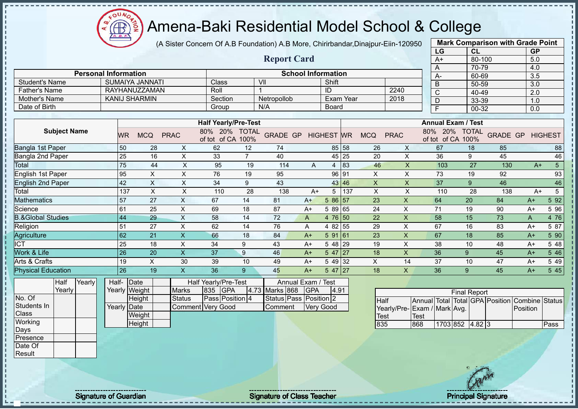$\Omega$ Æ

# Amena-Baki Residential Model School & College

(A Sister Concern Of A.B Foundation) A.B More, Chirirbandar,Dinajpur-Eiin-120950

|                                       |                                   |                             |       |                 |                        |                           |                             |                      |                        |            |                           |                  |                |                           |                  | LG                        | CL                  |                                 | <b>GP</b>        |                |
|---------------------------------------|-----------------------------------|-----------------------------|-------|-----------------|------------------------|---------------------------|-----------------------------|----------------------|------------------------|------------|---------------------------|------------------|----------------|---------------------------|------------------|---------------------------|---------------------|---------------------------------|------------------|----------------|
|                                       |                                   |                             |       |                 |                        |                           |                             |                      | <b>Report Card</b>     |            |                           |                  |                |                           |                  | $A+$                      |                     | 80-100                          | 5.0              |                |
|                                       |                                   |                             |       |                 |                        |                           |                             |                      |                        |            |                           |                  |                |                           |                  | A                         | 70-79               |                                 | 4.0              |                |
|                                       |                                   | <b>Personal Information</b> |       |                 | <b>SUMAIYA JANNATI</b> |                           |                             |                      |                        |            | <b>School Information</b> |                  |                |                           |                  | А-                        | 60-69               |                                 | $\overline{3.5}$ |                |
| <b>Student's Name</b>                 |                                   |                             |       |                 | <b>RAYHANUZZAMAN</b>   |                           | Class                       |                      | VII                    |            | Shift                     |                  |                |                           |                  | B                         | 50-59               |                                 | 3.0              |                |
| <b>Father's Name</b><br>Mother's Name |                                   |                             |       |                 | <b>KANIJ SHARMIN</b>   |                           | Roll<br>Section             |                      |                        |            | ID                        | <b>Exam Year</b> |                | 2240<br>2018              |                  | $\overline{\text{c}}$     | 40-49               |                                 | 2.0              |                |
| Date of Birth                         |                                   |                             |       |                 |                        |                           |                             |                      | Netropollob<br>N/A     |            |                           |                  |                |                           |                  | D                         | 33-39               |                                 | 1.0              |                |
|                                       |                                   |                             |       |                 |                        |                           | Group                       |                      |                        |            | Board                     |                  |                |                           |                  | F                         | $00 - 32$           |                                 | 0.0              |                |
|                                       |                                   |                             |       |                 |                        |                           | <b>Half Yearly/Pre-Test</b> |                      |                        |            |                           |                  |                |                           |                  | <b>Annual Exam / Test</b> |                     |                                 |                  |                |
|                                       | <b>Subject Name</b>               |                             |       | <b>WR</b>       | <b>MCQ</b>             | <b>PRAC</b>               | 20%<br>80%<br>of tot of CA  | <b>TOTAL</b><br>100% | <b>GRADE GP</b>        |            | <b>HIGHEST</b> WR         |                  | <b>MCQ</b>     | <b>PRAC</b>               | 80%              | 20%<br>of tot of CA 100%  | <b>TOTAL</b>        | <b>GRADE GP</b>                 |                  | <b>HIGHEST</b> |
| Bangla 1st Paper                      |                                   |                             |       | 50              | 28                     | X                         | 62                          | 12                   | 74                     |            | 85                        | 58               | 26             | X                         |                  | 67                        | 18                  | 85                              |                  | 88             |
| <b>Bangla 2nd Paper</b>               |                                   |                             |       | 25              | 16                     | X                         | 33                          | $\overline{7}$       | 40                     |            | 45                        | 25               | 20             | $\pmb{\times}$            |                  | 36                        | 9                   | 45                              |                  | 46             |
| Total                                 |                                   |                             |       | 75              | 44                     | $\pmb{\times}$            | 95                          | 19                   | 114                    | A          | 4                         | 83               | 46             | $\sf X$                   |                  | 103                       | 27                  | 130                             | $A+$             | $\overline{5}$ |
|                                       | English 1st Paper<br>95<br>X<br>X |                             |       |                 |                        |                           | 76                          | 19                   | 95                     |            | 96                        | 91               | $\pmb{\times}$ | $\pmb{\times}$            |                  | 73                        | 19                  | 92                              |                  | 93             |
| <b>English 2nd Paper</b>              |                                   |                             |       | 42              | X                      | X                         | 34                          | 9                    | 43                     |            | 43                        | 46               | X              | X                         |                  | 37                        | 9                   | 46                              |                  | 46             |
| Total                                 |                                   |                             |       | 137             | $\mathsf X$            | X                         | 110                         | 28                   | 138                    | $A+$       | 5                         | 137              | $\times$       | $\times$                  |                  | 110                       | 28                  | 138                             | $A+$             | $\sqrt{5}$     |
| <b>Mathematics</b>                    |                                   |                             |       | 57              | 27                     | $\times$                  | 67                          | 14                   | 81                     | $A+$       | 5 86                      | 57               | 23             | X                         |                  | 64                        | 20                  | 84                              | $A+$             | 5 9 2          |
| Science                               |                                   |                             |       | 61              | 25                     | $\pmb{\times}$            | 69                          | 18                   | 87                     | $A+$       | 5 89                      | 65               | 24             | $\boldsymbol{\mathsf{X}}$ |                  | 71                        | 19                  | 90                              | $A+$             | 5 9 6          |
| <b>B.&amp;Global Studies</b>          |                                   |                             |       | 44              | 29                     | $\pmb{\times}$            | 58                          | 14                   | 72                     | A          | 4 76                      | 50               | 22             | $\mathsf{x}$              |                  | 58                        | 15                  | 73                              | A                | 4 76           |
| Religion                              |                                   |                             |       | 51              | 27                     | $\pmb{\times}$            | 62                          | 14                   | 76                     | Α          | 4 8 2                     | 55               | 29             | $\sf X$                   |                  | 67                        | 16                  | 83                              | $A+$             | 5 87           |
| Agriculture                           |                                   |                             |       | 62              | 21                     | $\boldsymbol{\mathsf{X}}$ | 66                          | 18                   | 84                     | $A+$       | 5 91                      | 161              | 23             | $\mathsf X$               |                  | 67                        | 18                  | 85                              | $A+$             | 5 90           |
| <b>ICT</b>                            |                                   |                             |       | 25              | 18                     | X                         | 34                          | 9                    | 43                     | $A+$       | 5 48                      | 29               | 19             | X                         |                  | 38                        | 10                  | 48                              | $A+$             | 5 48           |
| Work & Life                           |                                   |                             |       | $\overline{26}$ | 20                     | $\overline{\mathsf{X}}$   | 37                          | 9                    | 46                     | $A+$       | 5 47                      | 127              | 18             | $\overline{\mathsf{X}}$   |                  | 36                        | 9                   | 45                              | $A+$             | 5 4 6          |
| Arts & Crafts                         |                                   |                             |       | 19              | $\times$               | 30                        | 39                          | 10                   | 49                     | $A+$       | 5 49                      | 32               | X              | 14                        |                  | 37                        | 10                  | 47                              | $A+$             | 5 4 9          |
| <b>Physical Education</b>             |                                   |                             |       | $\overline{26}$ | 19                     | X                         | 36                          | 9                    | 45                     | $A+$       | $547$ 27                  |                  | 18             | $\mathsf{X}$              |                  | 36                        | 9                   | 45                              | $A+$             | 5 4 5          |
|                                       | Half                              | Yearly                      | Half- |                 | Date                   |                           | Half Yearly/Pre-Test        |                      | Annual Exam / Test     |            |                           |                  |                |                           |                  |                           |                     |                                 |                  |                |
|                                       | Yearly                            |                             |       |                 | Yearly Weight          | <b>Marks</b>              | 835<br><b>GPA</b>           |                      | 4.73 Marks 868         | <b>GPA</b> | 4.91                      |                  |                |                           |                  |                           | <b>Final Report</b> |                                 |                  |                |
| No. Of                                |                                   |                             |       |                 | Height                 | <b>Status</b>             | Pass Position 4             |                      | Status Pass Position 2 |            |                           |                  | <b>Half</b>    |                           |                  |                           |                     | Annual Total Total GPA Position | Combine Status   |                |
| Students In                           |                                   |                             |       | Yearly Date     |                        |                           | <b>Comment Very Good</b>    |                      | Comment                |            | <b>Very Good</b>          |                  |                | Yearly/Pre-               | Exam / Mark Avg. |                           |                     |                                 | Position         |                |
| <b>Class</b>                          |                                   |                             |       |                 | Weight                 |                           |                             |                      |                        |            |                           |                  | Test           |                           | Test             |                           |                     |                                 |                  |                |
| Working                               |                                   |                             |       |                 | Height                 |                           |                             |                      |                        |            |                           |                  | 835            |                           | 868              | 1703 852 4.82 3           |                     |                                 |                  | Pass           |

**Mark Comparison with Grade Point**

Days Presence Date Of Result

Signature of Guardian Signature of Class Teacher Number of Class Teacher Principal Signature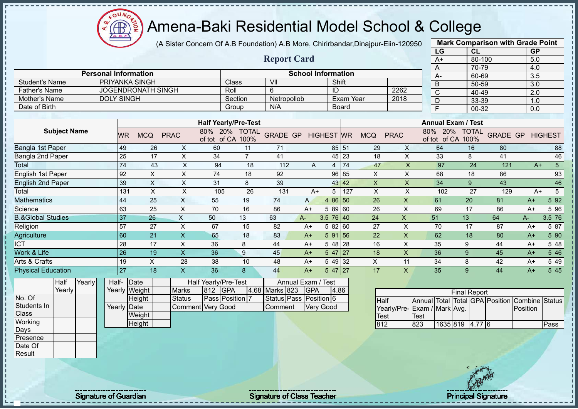$\mathbf{a}$ Amena-Baki Residential Model School & College **CB** 

(A Sister Concern Of A.B Foundation) A.B More, Chirirbandar,Dinajpur-Eiin-120950

|                                    |                             |                       |                           |                               |                                                                   |                |                                          |                                  |                   |                  |                     |                           |             | LG                                                              | CL                  |                                 | <b>GP</b>                  |                 |
|------------------------------------|-----------------------------|-----------------------|---------------------------|-------------------------------|-------------------------------------------------------------------|----------------|------------------------------------------|----------------------------------|-------------------|------------------|---------------------|---------------------------|-------------|-----------------------------------------------------------------|---------------------|---------------------------------|----------------------------|-----------------|
|                                    |                             |                       |                           |                               |                                                                   |                | <b>Report Card</b>                       |                                  |                   |                  |                     |                           |             | $A+$                                                            | 80-100              |                                 | 5.0                        |                 |
|                                    |                             |                       |                           |                               |                                                                   |                |                                          |                                  |                   |                  |                     |                           |             | Α                                                               | 70-79               |                                 | 4.0                        |                 |
|                                    | <b>Personal Information</b> |                       |                           |                               |                                                                   |                |                                          | <b>School Information</b>        |                   |                  |                     |                           |             | А.                                                              | 60-69               |                                 | 3.5                        |                 |
| <b>Student's Name</b>              |                             |                       | <b>PRIYANKA SINGH</b>     |                               |                                                                   | <b>Class</b>   | V <sub>II</sub>                          |                                  | Shift             |                  |                     |                           |             | B                                                               | 50-59               |                                 | $\overline{3.0}$           |                 |
| <b>Father's Name</b>               |                             |                       | <b>JOGENDRONATH SINGH</b> |                               |                                                                   | Roll           | 6                                        |                                  | ID                |                  |                     | 2262                      |             | $\overline{\text{c}}$                                           | 40-49               |                                 | $\overline{2.0}$           |                 |
| Mother's Name                      | <b>DOLY SINGH</b>           |                       |                           |                               |                                                                   | Section        | Netropollob                              |                                  |                   | <b>Exam Year</b> |                     | 2018                      |             | $\overline{D}$                                                  | 33-39               |                                 | 1.0                        |                 |
| Date of Birth                      |                             |                       |                           |                               |                                                                   | Group          | N/A                                      |                                  |                   | Board            |                     |                           |             | $\overline{F}$                                                  | 00-32               |                                 | 0.0                        |                 |
|                                    |                             |                       |                           |                               |                                                                   |                |                                          |                                  |                   |                  |                     |                           |             |                                                                 |                     |                                 |                            |                 |
| <b>Subject Name</b>                |                             | <b>WR</b>             | <b>MCQ</b>                | <b>PRAC</b>                   | <b>Half Yearly/Pre-Test</b><br>80% 20% TOTAL<br>of tot of CA 100% |                | <b>GRADE GP</b>                          |                                  | <b>HIGHEST WR</b> |                  | <b>MCQ</b>          | <b>PRAC</b>               |             | <b>Annual Exam / Test</b><br>80% 20% TOTAL<br>of tot of CA 100% |                     | <b>GRADE GP</b>                 |                            | <b>HIGHEST</b>  |
| Bangla 1st Paper                   |                             | 49                    | 26                        | X                             | 60                                                                | 11             | 71                                       |                                  |                   | 85 51            | 29                  | X                         |             | 64                                                              | 16                  | 80                              |                            | 88              |
| Bangla 2nd Paper                   |                             | 25                    | 17                        | $\pmb{\times}$                | 34                                                                | $\overline{7}$ | 41                                       |                                  |                   | 45 23            | 18                  | X                         |             | 33                                                              | 8                   | 41                              |                            | 46              |
| Total                              |                             | 74                    | 43                        | $\mathsf{X}$                  | 94                                                                | 18             | 112                                      | A                                | $\overline{4}$    | 74               | 47                  | $\mathsf{X}$              |             | 97                                                              | 24                  | 121                             | $A+$                       | $5\phantom{.0}$ |
| English 1st Paper                  |                             | 92                    | $\boldsymbol{\mathsf{X}}$ | $\mathsf X$                   | 74                                                                | 18             | 92                                       |                                  |                   | 96 85            | $\times$            | $\mathsf X$               |             | 68                                                              | 18                  | 86                              |                            | 93              |
| <b>English 2nd Paper</b>           |                             | 39                    | $\boldsymbol{\mathsf{X}}$ | $\mathsf X$                   | 31                                                                | 8              | 39                                       |                                  |                   | 43 42            | $\mathsf{X}$        | $\mathsf X$               |             | 34                                                              | 9                   | 43                              |                            | 46              |
| Total                              |                             | 131                   | X                         | X                             | 105                                                               | 26             | 131                                      | $A+$                             | 5                 | 127              | X                   | X                         |             | 102                                                             | 27                  | 129                             | $A+$                       | 5               |
| Mathematics                        |                             | 44                    | 25                        | $\pmb{\times}$                | 55                                                                | 19             | 74                                       | A                                | 4 86 50           |                  | 26                  | $\mathsf{x}$              |             | 61                                                              | 20                  | 81                              | $A+$                       | 5 9 2           |
| Science                            |                             | 63                    | $\overline{25}$           | $\boldsymbol{\mathsf{X}}$     | $\overline{70}$                                                   | 16             | 86                                       | $A+$                             | 58960             |                  | 26                  | $\boldsymbol{\mathsf{X}}$ |             | 69                                                              | $\overline{17}$     | 86                              | $A+$                       | 5 9 6           |
| <b>B.&amp;Global Studies</b>       |                             | 37                    | 26                        | $\mathsf X$                   | 50                                                                | 13             | 63                                       | A-                               | $3.5 \ 76 \ 40$   |                  | 24                  | $\boldsymbol{\mathsf{X}}$ |             | 51                                                              | 13                  | 64                              | A-                         | 3.5 76          |
| Religion                           |                             | 57                    | 27                        | $\boldsymbol{\mathsf{X}}$     | 67                                                                | 15             | 82                                       | $A+$                             | 5 82 60           |                  | 27                  | $\boldsymbol{\mathsf{X}}$ |             | 70                                                              | 17                  | 87                              | $A+$                       | 5 87            |
| Agriculture                        |                             | 60                    | $\overline{21}$           | $\boldsymbol{\mathsf{X}}$     | 65                                                                | 18             | 83                                       | $A+$                             | 5 91              | 56               | 22                  | $\mathsf X$               |             | 62                                                              | 18                  | 80                              | $A+$                       | 5 90            |
| <b>ICT</b>                         |                             | 28                    | 17                        | $\pmb{\times}$                | 36                                                                | 8              | 44                                       | $A+$                             | 5 48              | 28               | 16                  | $\times$                  |             | 35                                                              | 9                   | 44                              | $A+$                       | 5 48            |
| Work & Life                        |                             | 26                    | 19                        | $\mathsf{X}$                  | 36                                                                | 9              | 45                                       | $A+$                             | 5 47              | 27               | 18                  | $\mathsf{X}$              |             | 36                                                              | 9                   | 45                              | $A+$                       | 5 4 6           |
| Arts & Crafts                      |                             | 19                    | $\boldsymbol{\mathsf{X}}$ | 28                            | 38                                                                | 10             | 48                                       | $A+$                             | 5 49 32           |                  | $\mathsf{X}$        | 11                        |             | 34                                                              | 8                   | 42                              | $A+$                       | 5 4 9           |
| <b>Physical Education</b>          |                             | 27                    | 18                        | $\overline{\mathsf{x}}$       | 36                                                                | 8              | 44                                       | $A+$                             | $547$ 27          |                  | 17                  | $\mathsf{X}$              |             | 35                                                              | 9                   | 44                              | $A+$                       | 545             |
| Half<br>Yearly<br>Yearly<br>No. Of | Half-                       | Date<br>Yearly Weight | Height                    | <b>Marks</b><br><b>Status</b> | Half Yearly/Pre-Test<br><b>GPA</b><br>812<br>Pass Position 7      |                | 4.68 Marks 823<br>Status Pass Position 6 | Annual Exam / Test<br><b>GPA</b> | 4.86              |                  |                     |                           |             |                                                                 | <b>Final Report</b> |                                 |                            |                 |
| Students In<br><b>Class</b>        |                             | Yearly Date           | Weight                    |                               | <b>Comment Very Good</b>                                          |                | Comment                                  |                                  | <b>Very Good</b>  |                  | Half<br><b>Test</b> |                           | <b>Test</b> | Yearly/Pre- Exam / Mark Avg.                                    |                     | Annual Total Total GPA Position | Combine Status<br>Position |                 |
| Working<br>Days                    |                             |                       | Height                    |                               |                                                                   |                |                                          |                                  |                   |                  | 812                 |                           | 823         | 1635 819 4.77 6                                                 |                     |                                 |                            | Pass            |
| Presence                           |                             |                       |                           |                               |                                                                   |                |                                          |                                  |                   |                  |                     |                           |             |                                                                 |                     |                                 |                            |                 |
| Date Of                            |                             |                       |                           |                               |                                                                   |                |                                          |                                  |                   |                  |                     |                           |             |                                                                 |                     |                                 |                            |                 |
| Result                             |                             |                       |                           |                               |                                                                   |                |                                          |                                  |                   |                  |                     |                           |             |                                                                 |                     |                                 |                            |                 |
|                                    |                             |                       |                           |                               |                                                                   |                |                                          |                                  |                   |                  |                     |                           |             |                                                                 |                     |                                 |                            |                 |

Signature of Guardian Signature of Class Teacher Principal Signature of Class Teacher Principal Signature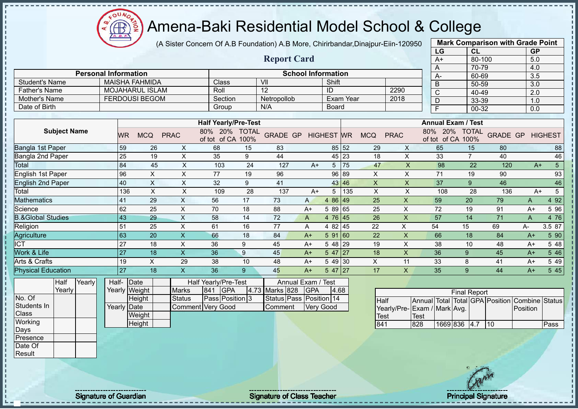$\mathbf{a}$ Æ

# Amena-Baki Residential Model School & College

(A Sister Concern Of A.B Foundation) A.B More, Chirirbandar,Dinajpur-Eiin-120950

**Report Card**

|                       | <b>Mark Comparison with Grade Point</b> |           |
|-----------------------|-----------------------------------------|-----------|
| LG                    | <b>CL</b>                               | <b>GP</b> |
| $A+$                  | 80-100                                  | 5.0       |
| A                     | 70-79                                   | 4.0       |
| A-                    | 60-69                                   | 3.5       |
| B                     | 50-59                                   | 3.0       |
| $\overline{\text{c}}$ | 40-49                                   | 2.0       |
| D                     | 33-39                                   | 1.0       |
| F                     | 00-32                                   | 0.0       |
|                       |                                         |           |

|                       | <b>Personal Information</b> |              | <b>School Information</b> |                  |      |  |
|-----------------------|-----------------------------|--------------|---------------------------|------------------|------|--|
| <b>Student's Name</b> | MAISHA FAHMIDA              | <b>Class</b> | VII                       | Shift            |      |  |
| <b>Father's Name</b>  | MOJAHARUL ISLAM             | Roll         | 12                        | ID               | 2290 |  |
| Mother's Name         | <b>FERDOUSI BEGOM</b>       | Section      | Netropollob               | <b>Exam Year</b> | 2018 |  |
| Date of Birth         |                             | Group        | N/A                       | Board            |      |  |

| <b>Subject Name</b>          |     |            |             | <b>Half Yearly/Pre-Test</b>   |                      |                 |              |                   |       |            |             | <b>Annual Exam / Test</b>     |                      |                 |      |                |
|------------------------------|-----|------------|-------------|-------------------------------|----------------------|-----------------|--------------|-------------------|-------|------------|-------------|-------------------------------|----------------------|-----------------|------|----------------|
|                              | WR  | <b>MCQ</b> | <b>PRAC</b> | 80%<br>20%<br>of CA<br>of tot | <b>TOTAL</b><br>100% | <b>GRADE GP</b> |              | <b>HIGHEST WR</b> |       | <b>MCQ</b> | <b>PRAC</b> | 20%<br>80%<br>of CA<br>of tot | <b>TOTAL</b><br>100% | <b>GRADE GP</b> |      | <b>HIGHEST</b> |
| Bangla 1st Paper             | 59  | 26         | X           | 68                            | 15                   | 83              |              |                   | 85 52 | 29         | X           | 65                            | 15                   | 80              |      | 88             |
| Bangla 2nd Paper             | 25  | 19         | X           | 35                            | 9                    | 44              |              |                   | 45 23 | 18         | X           | 33                            | 7                    | 40              |      | 46             |
| Total                        | 84  | 45         | X           | 103                           | 24                   | 127             | $A+$         | 5                 | 75    | 47         | X           | 98                            | 22                   | 120             | $A+$ | 5              |
| English 1st Paper            | 96  | X          | Χ           | 77                            | 19                   | 96              |              |                   | 96 89 | $\times$   | X           | 71                            | 19                   | 90              |      | 93             |
| <b>English 2nd Paper</b>     | 40  | X          | X           | 32                            | 9                    | 41              |              |                   | 43 46 | X          | X           | 37                            | 9                    | 46              |      | 46             |
| Total                        | 136 | X          | X           | 109                           | 28                   | 137             | A+           | 5                 | 135   | X          | X           | 108                           | 28                   | 136             | $A+$ |                |
| <b>Mathematics</b>           | 41  | 29         | X           | 56                            | 17                   | 73              | $\mathsf{A}$ | 4 86 49           |       | 25         | X           | 59                            | 20                   | 79              | A    | 4 9 2          |
| Science                      | 62  | 25         | X           | 70                            | 18                   | 88              | A+           | 5 89 65           |       | 25         | X           | 72                            | 19                   | 91              | $A+$ | 5 96           |
| <b>B.&amp;Global Studies</b> | 43  | 29         | X           | 58                            | 14                   | 72              | A            | 4 76 45           |       | 26         | X           | 57                            | 14                   | 71              | A    | 4 76           |
| Religion                     | 51  | 25         | X           | 61                            | 16                   | 77              | A            | 4 82 45           |       | 22         | X           | 54                            | 15                   | 69              | A-   | 3.5 87         |
| Agriculture                  | 63  | 20         | X.          | 66                            | 18                   | 84              | $A+$         | 591 60            |       | 22         | X           | 66                            | 18                   | 84              | $A+$ | 5 90           |
| ICT                          | 27  | 18         | X           | 36                            | 9                    | 45              | A+           | 5 48 29           |       | 19         | X           | 38                            | 10                   | 48              | $A+$ | 5 48           |
| Work & Life                  | 27  | 18         | X.          | 36                            | 9                    | 45              | $A+$         | $547$   27        |       | 18         | X           | 36                            | 9                    | 45              | $A+$ | 5 4 6          |
| Arts & Crafts                | 19  | $\times$   | 29          | 38                            | 10                   | 48              | $A+$         | 5 49 30           |       | X          | 11          | 33                            | 8                    | 41              | $A+$ | 5 4 9          |
| <b>Physical Education</b>    | 27  | 18         |             | 36                            | 9                    | 45              | $A+$         | $547$   27        |       | 17         | X           | 35                            | 9                    | 44              | $A+$ | 5 4 5          |

| Half   | Yearly | Half-       | <b>IDate</b>  |                   |               | Half Yearly/Pre-Test   |                    | Annual Exam / Test      |      |
|--------|--------|-------------|---------------|-------------------|---------------|------------------------|--------------------|-------------------------|------|
| Yearly |        |             | Yearly Weight | <b>Marks</b>      | $ 841\rangle$ | <b>IGPA</b>            | 4.73 Marks 828 GPA |                         | 4.68 |
|        |        |             | Height        | <b>Status</b>     |               | <b>Pass Position 3</b> |                    | Status Pass Position 14 |      |
|        |        | Yearly Date |               | Comment Very Good |               |                        | Comment            | <b>Verv Good</b>        |      |
|        |        |             | Weight        |                   |               |                        |                    |                         |      |
|        |        |             | Height        |                   |               |                        |                    |                         |      |

| <b>Final Report</b>          |             |              |  |  |     |                                                |      |  |  |  |  |  |  |  |
|------------------------------|-------------|--------------|--|--|-----|------------------------------------------------|------|--|--|--|--|--|--|--|
| <b>Half</b>                  |             |              |  |  |     | Annual Total Total GPA Position Combine Status |      |  |  |  |  |  |  |  |
| Yearly/Pre- Exam / Mark Avg. |             |              |  |  |     | Position                                       |      |  |  |  |  |  |  |  |
| Test                         | <b>Test</b> |              |  |  |     |                                                |      |  |  |  |  |  |  |  |
| 841                          | 828         | 1669 836 4.7 |  |  | 110 |                                                | Pass |  |  |  |  |  |  |  |

No. Of Students In **Class Working** Days Presence Date Of Result

J.

 $\blacksquare$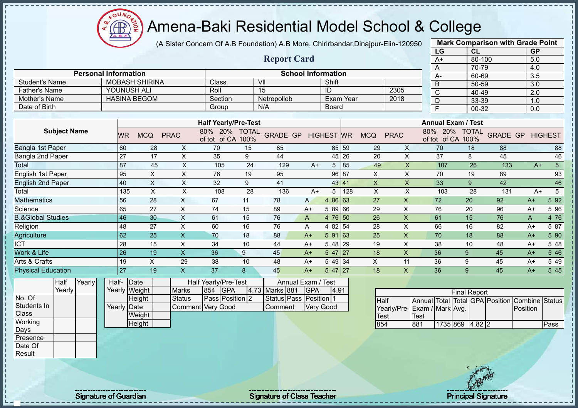

(A Sister Concern Of A.B Foundation) A.B More, Chirirbandar,Dinajpur-Eiin-120950

|                              |                     |        |                             |                       |                           |                                           |                                                           |                      |                                   |              |                         |             |                |                             |              | LG          | CL                                                             |                 | <b>GP</b>    |                         |
|------------------------------|---------------------|--------|-----------------------------|-----------------------|---------------------------|-------------------------------------------|-----------------------------------------------------------|----------------------|-----------------------------------|--------------|-------------------------|-------------|----------------|-----------------------------|--------------|-------------|----------------------------------------------------------------|-----------------|--------------|-------------------------|
|                              |                     |        |                             |                       |                           |                                           |                                                           |                      | <b>Report Card</b>                |              |                         |             |                |                             |              | $A+$        | 80-100                                                         |                 | 5.0          |                         |
|                              |                     |        |                             |                       |                           |                                           |                                                           |                      |                                   |              |                         |             |                |                             |              | A           | 70-79                                                          |                 | 4.0          |                         |
|                              |                     |        | <b>Personal Information</b> |                       |                           |                                           |                                                           |                      | <b>School Information</b>         |              |                         |             |                |                             |              | А-          | 60-69                                                          |                 | 3.5          |                         |
| <b>Student's Name</b>        |                     |        |                             | <b>MOBASH SHIRINA</b> |                           |                                           | Class                                                     |                      | VII                               |              | Shift                   |             |                |                             |              | B           | 50-59                                                          |                 | 3.0          |                         |
| <b>Father's Name</b>         |                     |        |                             | YOUNUSH ALI           |                           |                                           | Roll                                                      |                      | 15                                |              | ID                      |             |                | 2305                        |              | $\mathbf C$ | 40-49                                                          |                 | 2.0          |                         |
| <b>Mother's Name</b>         |                     |        |                             | <b>HASINA BEGOM</b>   |                           |                                           | Section                                                   |                      | Netropollob                       |              | <b>Exam Year</b>        |             |                | 2018                        |              | D           | 33-39                                                          |                 | 1.0          |                         |
| Date of Birth                |                     |        |                             |                       |                           |                                           | Group                                                     |                      | N/A                               |              | Board                   |             |                |                             |              | F           | 00-32                                                          |                 | 0.0          |                         |
|                              |                     |        |                             |                       |                           |                                           |                                                           |                      |                                   |              |                         |             |                |                             |              |             |                                                                |                 |              |                         |
|                              | <b>Subject Name</b> |        | <b>WR</b>                   | <b>MCQ</b>            |                           | <b>PRAC</b>                               | <b>Half Yearly/Pre-Test</b><br>80%<br>20%<br>of tot of CA | <b>TOTAL</b><br>100% | <b>GRADE GP</b>                   |              | <b>HIGHEST</b>          | <b>WR</b>   | <b>MCQ</b>     | <b>PRAC</b>                 | 80%          | 20%         | <b>Annual Exam / Test</b><br><b>TOTAL</b><br>of tot of CA 100% | <b>GRADE GP</b> |              | <b>HIGHEST</b>          |
| Bangla 1st Paper             |                     |        | 60                          |                       | 28                        | X                                         | 70                                                        | 15                   | 85                                |              |                         | 85 59       | 29             | X                           |              | 70          | 18                                                             | 88              |              | 88                      |
| Bangla 2nd Paper             |                     |        | 27                          |                       | 17                        | X                                         | 35                                                        | 9                    | 44                                |              |                         | 45 26       | 20             | X                           |              | 37          | 8                                                              | 45              |              | 46                      |
| Total                        |                     |        | 87                          |                       | 45                        | X                                         | 105                                                       | 24                   | 129                               | $A+$         | 5                       | 85          | 49             | $\pmb{\mathsf{X}}$          |              | 107         | 26                                                             | 133             |              | $5\overline{)}$<br>$A+$ |
| English 1st Paper            |                     |        | 95                          |                       | $\mathsf X$               | $\sf X$                                   | 76                                                        | 19                   | 95                                |              | 96                      | 87          | X              | X                           |              | 70          | 19                                                             | 89              |              | 93                      |
| English 2nd Paper            |                     |        | 40                          |                       | X                         | $\pmb{\times}$                            | 32                                                        | 9                    | 41                                |              |                         | 43 41       | $\pmb{\times}$ | $\pmb{\mathsf{X}}$          |              | 33          | 9                                                              | 42              |              | 46                      |
| Total                        |                     |        |                             | 135                   | $\boldsymbol{\mathsf{X}}$ | $\mathsf X$                               | 108                                                       | 28                   | 136                               | $A+$         | 5                       | 128         | X              | $\mathsf X$                 |              | 103         | 28                                                             | 131             |              | $5\phantom{.0}$<br>$A+$ |
| Mathematics                  |                     |        | 56                          |                       | 28                        | X                                         | 67                                                        | 11                   | 78                                | $\mathsf{A}$ | 86 63<br>$\overline{4}$ |             | 27             | $\boldsymbol{\mathsf{X}}$   |              | 72          | 20                                                             | 92              | $A+$         | 5 92                    |
| Science                      |                     |        | 65                          |                       | 27                        | $\mathsf X$                               | 74                                                        | 15                   | 89                                | $A+$         | 5 89 66                 |             | 29             | $\times$                    |              | 76          | 20                                                             | 96              | $A+$         | 5 9 6                   |
| <b>B.&amp;Global Studies</b> |                     |        | 46                          |                       | 30                        | $\mathsf X$                               | 61                                                        | 15                   | 76                                | A            | 4 76                    | 50          | 26             | $\boldsymbol{\mathsf{X}}$   |              | 61          | 15                                                             | 76              | $\mathsf{A}$ | 4 76                    |
| Religion                     |                     |        | 48                          |                       | 27                        | X                                         | 60                                                        | 16                   | 76                                | Α            | 4 82 54                 |             | 28             | $\mathsf{X}$                |              | 66          | 16                                                             | 82              | $A+$         | 5 87                    |
| Agriculture                  |                     |        | 62                          |                       | 25                        | $\overline{\mathsf{X}}$                   | 70                                                        | 18                   | 88                                | $A+$         | 5 91                    | $\sqrt{63}$ | 25             | $\overline{\mathsf{X}}$     |              | 70          | 18                                                             | 88              | $A+$         | 5 90                    |
| <b>CT</b>                    |                     |        | 28                          |                       | 15                        | X                                         | 34                                                        | 10                   | 44                                | $A+$         | 5 48                    | 29          | 19             | X                           |              | 38          | 10                                                             | 48              | $A+$         | 5 48                    |
| Work & Life                  |                     |        | 26                          |                       | 19                        | X                                         | 36                                                        | 9                    | 45                                | $A+$         | 5 47                    | 27          | 18             | $\overline{X}$              |              | 36          | 9                                                              | 45              | $A+$         | $5\overline{46}$        |
| Arts & Crafts                |                     |        | 19                          |                       | $\times$                  | 29                                        | 38                                                        | 10                   | 48                                | $A+$         | 5 49 34                 |             | X              | 11                          |              | 36          | 9                                                              | 45              | $A+$         | 5 4 9                   |
| <b>Physical Education</b>    |                     |        | $\overline{27}$             |                       | 19                        | $\mathsf{X}$                              | 37                                                        | 8                    | 45                                | $A+$         | 5 47                    | 27          | 18             | X                           |              | 36          | 9                                                              | 45              | $A+$         | 5 4 5                   |
|                              | Half                | Yearly | Half-                       | Date                  |                           |                                           | Half Yearly/Pre-Test                                      |                      | Annual Exam / Test                |              |                         |             |                |                             |              |             |                                                                |                 |              |                         |
|                              | Yearly              |        |                             | Yearly Weight         |                           | <b>Marks</b>                              | 854<br><b>GPA</b>                                         |                      | 4.73 Marks 881                    | <b>GPA</b>   | 4.91                    |             |                |                             |              |             | <b>Final Report</b>                                            |                 |              |                         |
| No. Of<br>Students In        |                     |        | Yearly                      | Height<br>Date        |                           | <b>Status</b><br><b>Comment Very Good</b> | Pass Position 2                                           |                      | Status Pass Position 1<br>Comment |              | Very Good               |             | <b>Half</b>    | Yearly/Pre-Exam / Mark Avg. | Annual Total |             | Total GPA Position                                             |                 | Position     | Combine Status          |
| Class                        |                     |        |                             | Weight                |                           |                                           |                                                           |                      |                                   |              |                         |             | <b>Test</b>    |                             | Test         |             |                                                                |                 |              |                         |
| Working                      |                     |        |                             | Height                |                           |                                           |                                                           |                      |                                   |              |                         |             | 854            |                             | 881          |             | 1735 869 4.82 2                                                |                 |              | Pass                    |

**Mark Comparison with Grade Point**

Days Presence Date Of **Result** 

Signature of Guardian Signature of Class Teacher Number of Class Teacher Principal Signature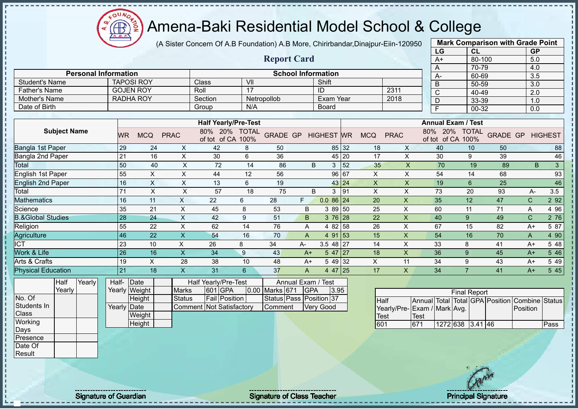

(A Sister Concern Of A.B Foundation) A.B More, Chirirbandar,Dinajpur-Eiin-120950

**Report Card**

|      | <b>Mark Comparison with Grade Point</b> |           |
|------|-----------------------------------------|-----------|
| LG   | CL                                      | <b>GP</b> |
| $A+$ | 80-100                                  | 5.0       |
| А    | 70-79                                   | 4.0       |
| А-   | 60-69                                   | 3.5       |
| B    | 50-59                                   | 3.0       |
| C    | 40-49                                   | 2.0       |
|      | 33-39                                   | 1.0       |
|      | 00-32                                   | 0.0       |
|      |                                         |           |

| <b>Personal Information</b>  |                   |                           |             |                                      |                      | <b>School Information</b> |                    |                |           |              |             | $A -$                     | 60-69                      |                 |   | 3.5          |                |
|------------------------------|-------------------|---------------------------|-------------|--------------------------------------|----------------------|---------------------------|--------------------|----------------|-----------|--------------|-------------|---------------------------|----------------------------|-----------------|---|--------------|----------------|
| <b>Student's Name</b>        | <b>TAPOSI ROY</b> |                           |             | <b>Class</b>                         | VII                  |                           |                    | Shift          |           |              |             | B                         | 50-59                      |                 |   | 3.0          |                |
| <b>Father's Name</b>         | <b>GOJEN ROY</b>  |                           |             | Roll                                 | $\overline{17}$      |                           |                    | ID             |           |              | 2311        | C                         | 40-49                      |                 |   | 2.0          |                |
| Mother's Name                | <b>RADHA ROY</b>  |                           |             | Section                              |                      | Netropollob               |                    | Exam Year      |           |              | 2018        | D                         | 33-39                      |                 |   | 1.0          |                |
| Date of Birth                |                   |                           |             | Group                                | N/A                  |                           |                    | Board          |           |              |             | E                         | 00-32                      |                 |   | 0.0          |                |
|                              |                   |                           |             |                                      |                      |                           |                    |                |           |              |             |                           |                            |                 |   |              |                |
|                              |                   |                           |             | <b>Half Yearly/Pre-Test</b>          |                      |                           |                    |                |           |              |             | <b>Annual Exam / Test</b> |                            |                 |   |              |                |
| <b>Subject Name</b>          | WR.               | <b>MCQ</b>                | <b>PRAC</b> | 80%<br><b>20%</b><br>of CA<br>of tot | <b>TOTAL</b><br>100% | <b>GRADE GP</b>           |                    | <b>HIGHEST</b> | <b>WR</b> | <b>MCQ</b>   | <b>PRAC</b> | 20%<br>80%<br>of tot      | <b>TOTAL</b><br>of CA 100% | <b>GRADE GP</b> |   |              | <b>HIGHEST</b> |
| Bangla 1st Paper             | 29                | 24                        | X           | 42                                   | 8                    | 50                        |                    | 85             | 32        | 18           | X           | 40                        | 10                         | 50              |   |              | 88             |
| Bangla 2nd Paper             | 21                | 16                        | X.          | 30                                   | 6                    | 36                        |                    | 45             | 20        | 17           | X           | 30                        | 9                          | 39              |   |              | 46             |
| Total                        | 50                | 40                        | X           | 72                                   | 14                   | 86                        | B                  | 3              | 52        | 35           | $\times$    | 70                        | 19                         | 89              |   | B.           | 3              |
| English 1st Paper            | 55                | X                         | X           | 44                                   | 12                   | 56                        |                    |                | 96 67     | X            | X           | 54                        | 14                         | 68              |   |              | 93             |
| English 2nd Paper            | 16                | $\boldsymbol{\mathsf{X}}$ | X           | 13                                   | 6                    | 19                        |                    |                | 43 24     | $\mathsf{X}$ | X           | 19                        | $6\phantom{.}$             | 25              |   |              | 46             |
| Total                        | 71                | X                         | X           | 57                                   | 18                   | 75                        | B                  | 3              | 91        | X            | X           | 73                        | 20                         | 93              |   | A-           | 3.5            |
| <b>Mathematics</b>           | 16                | 11                        | X           | 22                                   | 6                    | 28                        | F.                 | $0.086$ 24     |           | 20           | X           | 35                        | 12                         | 47              |   | $\mathsf{C}$ | 2 9 2          |
| Science                      | 35                | 21                        | X           | 45                                   | 8                    | 53                        | B                  | 3 89 50        |           | 25           | X           | 60                        | 11                         | 71              | Α |              | 4 9 6          |
| <b>B.&amp;Global Studies</b> | 28                | 24                        | X           | 42                                   | 9                    | 51                        | B.                 | $376$ 28       |           | 22           | X           | 40                        | 9                          | 49              |   | $\mathsf{C}$ | 2 76           |
| Religion                     | 55                | 22                        | X           | 62                                   | 14                   | 76                        | A                  | 4 8 2          | 58        | 26           | X           | 67                        | 15                         | 82              |   | A+           | 5 87           |
| Agriculture                  | 46                | 22                        | X.          | 54                                   | 16                   | 70                        | A                  | 4 91           | 53        | 15           | X           | 54                        | 16                         | 70              | A |              | 4 90           |
| <b>ICT</b>                   | 23                | 10                        | X           | 26                                   | 8                    | 34                        | A-                 | 3.5 48         | 27        | 14           | X           | 33                        | 8                          | 41              |   | $A+$         | 5 48           |
| Work & Life                  | 26                | 16                        | X           | 34                                   | 9                    | 43                        | $A+$               | 5 47           | 27        | 18           | X           | 36                        | 9                          | 45              |   | $A+$         | 5 4 6          |
| Arts & Crafts                | 19                | X                         | 28          | 38                                   | 10                   | 48                        | $A+$               | 5 4 9          | 32        | X            | 11          | 34                        | 9                          | 43              |   | $A+$         | 5 4 9          |
| <b>Physical Education</b>    | 21                | 18                        | X           | 31                                   | 6                    | 37                        | A                  | 4 4 7          | 25        | 17           | X           | 34                        | $\overline{7}$             | 41              |   | $A+$         | 5 45           |
| Yearly<br>Half               | Half-             | Date                      |             | Half Yearly/Pre-Test                 |                      |                           | Annual Exam / Test |                |           |              |             |                           |                            |                 |   |              |                |

|             | Yearly |  |
|-------------|--------|--|
| No. Of      |        |  |
| Students In |        |  |
| Class       |        |  |
| Working     |        |  |
| Days        |        |  |
| Presence    |        |  |
| Date Of     |        |  |
| Result      |        |  |

| Half-       | <b>IDate</b>  |                          | Half Yearly/Pre-Test |                    | Annual Exam / Test      |      |
|-------------|---------------|--------------------------|----------------------|--------------------|-------------------------|------|
|             | Yearly Weight | <b>Marks</b>             | 601 GPA              | 0.00 Marks 671 GPA |                         | 3.95 |
|             | Height        | Status                   | <b>Fail Position</b> |                    | Status Pass Position 37 |      |
| Yearly Date |               | Comment Not Satisfactory |                      | <b>Comment</b>     | Very Good               |      |
|             | Weight        |                          |                      |                    |                         |      |

|                             | <b>Final Report</b> |                  |  |  |  |                                                |      |  |  |  |  |  |  |
|-----------------------------|---------------------|------------------|--|--|--|------------------------------------------------|------|--|--|--|--|--|--|
| <b>Half</b>                 |                     |                  |  |  |  | Annual Total Total GPA Position Combine Status |      |  |  |  |  |  |  |
| Yearly/Pre-Exam / Mark Avg. |                     |                  |  |  |  | <b>Position</b>                                |      |  |  |  |  |  |  |
| Test                        | Test                |                  |  |  |  |                                                |      |  |  |  |  |  |  |
| 601                         | 671                 | 1272 638 3.41 46 |  |  |  |                                                | Pass |  |  |  |  |  |  |

Height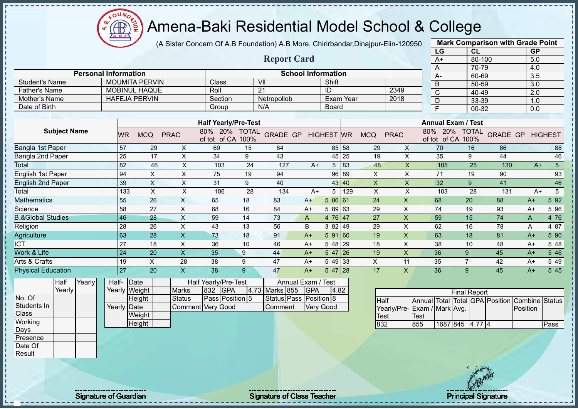OUN/  $\bigoplus$ 

# Amena-Baki Residential Model School & College

(A Sister Concern Of A.B Foundation) A.B More, Chirirbandar,Dinajpur-Eiin-120950

|                              |                     |        |                             |                 |                       |                           |                             |                      |                    |                           |                   |                  |                 |                         |      | LG                       | CL                        |                                 | <b>GP</b>      |                 |
|------------------------------|---------------------|--------|-----------------------------|-----------------|-----------------------|---------------------------|-----------------------------|----------------------|--------------------|---------------------------|-------------------|------------------|-----------------|-------------------------|------|--------------------------|---------------------------|---------------------------------|----------------|-----------------|
|                              |                     |        |                             |                 |                       |                           |                             |                      | <b>Report Card</b> |                           |                   |                  |                 |                         |      | $A+$                     | 80-100                    |                                 | 5.0            |                 |
|                              |                     |        |                             |                 |                       |                           |                             |                      |                    |                           |                   |                  |                 |                         |      | A                        | 70-79                     |                                 | 4.0            |                 |
|                              |                     |        | <b>Personal Information</b> |                 |                       |                           |                             |                      |                    | <b>School Information</b> |                   |                  |                 |                         |      | А-                       | 60-69                     |                                 | 3.5            |                 |
| <b>Student's Name</b>        |                     |        |                             |                 | <b>MOUMITA PERVIN</b> |                           | Class                       |                      | VII                |                           | Shift             |                  |                 |                         |      | B                        | 50-59                     |                                 | 3.0            |                 |
| <b>Father's Name</b>         |                     |        |                             |                 | <b>MOBINUL HAQUE</b>  |                           | Roll                        |                      | 21                 |                           | ID                |                  |                 | 2349                    |      | Ċ                        | 40-49                     |                                 | 2.0            |                 |
| Mother's Name                |                     |        |                             |                 | <b>HAFEJA PERVIN</b>  |                           | Section                     |                      | Netropollob        |                           |                   | <b>Exam Year</b> |                 | 2018                    |      | D                        | 33-39                     |                                 | 1.0            |                 |
| Date of Birth                |                     |        |                             |                 |                       |                           | Group                       |                      | N/A                |                           | Board             |                  |                 |                         |      | F                        | 00-32                     |                                 | 0.0            |                 |
|                              |                     |        |                             |                 |                       |                           | <b>Half Yearly/Pre-Test</b> |                      |                    |                           |                   |                  |                 |                         |      |                          | <b>Annual Exam / Test</b> |                                 |                |                 |
|                              | <b>Subject Name</b> |        |                             | <b>WR</b>       | <b>MCQ</b>            | <b>PRAC</b>               | 80%<br>20%<br>of tot of CA  | <b>TOTAL</b><br>100% | <b>GRADE GP</b>    |                           | <b>HIGHEST WR</b> |                  | <b>MCQ</b>      | <b>PRAC</b>             | 80%  | 20%<br>of tot of CA 100% | <b>TOTAL</b>              | <b>GRADE GP</b>                 |                | <b>HIGHEST</b>  |
| Bangla 1st Paper             |                     |        |                             | 57              | 29                    | X                         | 69                          | 15                   | 84                 |                           | 85                | 58               | 29              | X                       |      | 70                       | 16                        | 86                              |                | 88              |
| Bangla 2nd Paper             |                     |        |                             | 25              | 17                    | X                         | 34                          | 9                    | 43                 |                           | 45                | 25               | 19              | X                       |      | 35                       | 9                         | 44                              |                | 46              |
| Total                        |                     |        |                             | 82              | 46                    | X                         | 103                         | 24                   | 127                | $A+$                      | 5                 | 83               | 48              | $\mathsf{x}$            |      | 105                      | 25                        | 130                             | $A+$           | $5\overline{)}$ |
| English 1st Paper            |                     |        |                             | 94              | $\pmb{\times}$        | X                         | 75                          | 19                   | 94                 |                           | 96                | 89               | $\pmb{\times}$  | $\pmb{\times}$          |      | 71                       | 19                        | 90                              |                | 93              |
| <b>English 2nd Paper</b>     |                     |        |                             | 39              | $\mathsf X$           | X                         | 31                          | 9                    | 40                 |                           | 43                | 40               | $\mathsf{x}$    | $\mathsf{x}$            |      | 32                       | $9^{\circ}$               | 41                              |                | 46              |
| Total                        |                     |        |                             | 133             | $\pmb{\times}$        | X                         | 106                         | 28                   | 134                | $A+$                      | 5                 | 129              | X               | X                       |      | 103                      | 28                        | 131                             | $A+$           | $\sqrt{5}$      |
| Mathematics                  |                     |        |                             | $\overline{55}$ | 26                    | $\mathsf{X}$              | 65                          | 18                   | 83                 | $A+$                      | 5 86 61           |                  | $\overline{24}$ | $\overline{X}$          |      | 68                       | 20                        | 88                              | $A+$           | 5 9 2           |
| Science                      |                     |        |                             | 58              | 27                    | X                         | 68                          | 16                   | 84                 | $A+$                      | 5 89 63           |                  | 29              | X                       |      | 74                       | 19                        | 93                              | $A+$           | 5 9 6           |
| <b>B.&amp;Global Studies</b> |                     |        |                             | 46              | 28                    | $\boldsymbol{\mathsf{X}}$ | 59                          | 14                   | 73                 | A                         | 4 76              | 47               | 27              | $\overline{\mathsf{X}}$ |      | 59                       | 15                        | 74                              | A              | 4 76            |
| Religion                     |                     |        |                             | 28              | 26                    | X                         | 43                          | 13                   | 56                 | B                         | 3 82 49           |                  | 29              | X                       |      | 62                       | 16                        | 78                              | Α              | 4 87            |
| Agriculture                  |                     |        |                             | 63              | 28                    | $\boldsymbol{\mathsf{X}}$ | 73                          | 18                   | 91                 | $A+$                      | 5 91              | 160              | 19              | $\mathsf X$             |      | 63                       | 18                        | 81                              | $A+$           | 5 90            |
| <b>ICT</b>                   |                     |        |                             | 27              | 18                    | X                         | 36                          | 10                   | 46                 | $A+$                      | 5 48              | 29               | 18              | X                       |      | 38                       | 10                        | 48                              | $A+$           | 5 48            |
| Work & Life                  |                     |        |                             | 24              | 20                    | X                         | 35                          | 9                    | 44                 | $A+$                      | 5 47              | 26               | 19              | X                       |      | 36                       | 9                         | 45                              | $A+$           | 5 4 6           |
| Arts & Crafts                |                     |        |                             | 19              | $\times$              | 28                        | 38                          | 9                    | 47                 | $A+$                      | 5 4 9             | 33               | X               | 11                      |      | 35                       | $\overline{7}$            | 42                              | $A+$           | 5 4 9           |
| <b>Physical Education</b>    |                     |        |                             | $\overline{27}$ | 20                    | $\overline{\mathsf{x}}$   | 38                          | 9                    | 47                 | $A+$                      | 5 47              | 28               | 17              | X                       |      | 36                       | 9                         | 45                              | $A+$           | 5 4 5           |
|                              | Half                | Yearly | Half-                       |                 | Date                  |                           | Half Yearly/Pre-Test        |                      | Annual Exam / Test |                           |                   |                  |                 |                         |      |                          |                           |                                 |                |                 |
|                              | Yearly              |        |                             |                 | Yearly Weight         | <b>Marks</b>              | <b>GPA</b><br>832           |                      | 4.73 Marks 855     | <b>GPA</b>                | 4.82              |                  |                 |                         |      |                          | <b>Final Report</b>       |                                 |                |                 |
| No. Of                       |                     |        |                             |                 | Height                | <b>Status</b>             | Pass Position 5             |                      | Status Pass        | Position 8                |                   |                  | <b>Half</b>     |                         |      |                          |                           | Annual Total Total GPA Position | Combine Status |                 |
| Students In                  |                     |        | Yearly Date                 |                 |                       | Comment                   | <b>Very Good</b>            |                      | Comment            |                           | Very Good         |                  |                 | Yearly/Pre-             |      | Exam / Mark Avg.         |                           |                                 | Position       |                 |
| Class                        |                     |        |                             |                 | Weight                |                           |                             |                      |                    |                           |                   |                  | Test            |                         | Test |                          |                           |                                 |                |                 |
| Working                      |                     |        |                             |                 | Height                |                           |                             |                      |                    |                           |                   |                  | 832             |                         | 855  |                          | 1687 845 4.77 4           |                                 |                | Pass            |

1687 845 4.77 4 Pass

**Mark Comparison with Grade Point**

**Working** Days Presence Date Of Result

Signature of Guardian Signature of Class Teacher Principal Signature Principal Signature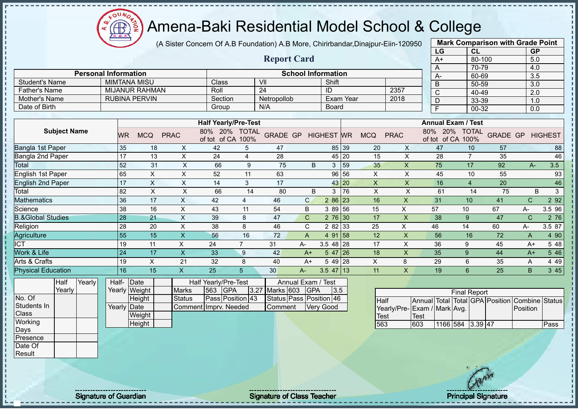$\Omega$ **CB** 

# Amena-Baki Residential Model School & College

(A Sister Concern Of A.B Foundation) A.B More, Chirirbandar,Dinajpur-Eiin-120950

|                              |             |                       |                           |                                    |                      |                           |                   |           |                           |                         |      | LG                              | <b>CL</b>           |                 | <b>GP</b>    |                |
|------------------------------|-------------|-----------------------|---------------------------|------------------------------------|----------------------|---------------------------|-------------------|-----------|---------------------------|-------------------------|------|---------------------------------|---------------------|-----------------|--------------|----------------|
|                              |             |                       |                           |                                    |                      | <b>Report Card</b>        |                   |           |                           |                         |      | $A+$                            | 80-100              |                 | 5.0          |                |
|                              |             |                       |                           |                                    |                      |                           |                   |           |                           |                         |      | A                               | 70-79               |                 | 4.0          |                |
| <b>Personal Information</b>  |             |                       |                           |                                    |                      | <b>School Information</b> |                   |           |                           |                         |      | A-                              | 60-69               |                 | 3.5          |                |
| <b>Student's Name</b>        |             | <b>MIMTANA MISU</b>   |                           | Class                              | VII                  |                           | Shift             |           |                           |                         |      | B                               | 50-59               |                 | 3.0          |                |
| <b>Father's Name</b>         |             | <b>MIJANUR RAHMAN</b> |                           | Roll                               | $\overline{24}$      |                           | ID                |           |                           | 2357                    |      | $\mathsf{C}$                    | 40-49               |                 | 2.0          |                |
| Mother's Name                |             | <b>RUBINA PERVIN</b>  |                           | Section                            | Netropollob          |                           |                   | Exam Year |                           | 2018                    |      | D                               | 33-39               |                 | 1.0          |                |
| Date of Birth                |             |                       |                           | Group                              | N/A                  |                           | <b>Board</b>      |           |                           |                         |      | F                               | 00-32               |                 | 0.0          |                |
|                              |             |                       |                           |                                    |                      |                           |                   |           |                           |                         |      |                                 |                     |                 |              |                |
|                              |             |                       |                           | <b>Half Yearly/Pre-Test</b>        |                      |                           |                   |           |                           |                         |      | <b>Annual Exam / Test</b>       |                     |                 |              |                |
| <b>Subject Name</b>          | <b>WR</b>   | <b>MCQ</b>            | <b>PRAC</b>               | 80% 20% TOTAL<br>of tot of CA 100% |                      | <b>GRADE GP</b>           | <b>HIGHEST WR</b> |           | <b>MCQ</b>                | <b>PRAC</b>             |      | 80% 20%<br>of tot of CA 100%    | <b>TOTAL</b>        | <b>GRADE GP</b> |              | <b>HIGHEST</b> |
| Bangla 1st Paper             | 35          | 18                    | X                         | 42                                 | 5<br>47              |                           |                   | 85 39     | 20                        | X                       |      | 47                              | 10                  | 57              |              | 88             |
| Bangla 2nd Paper             | 17          | 13                    | X                         | 24                                 | $\overline{4}$<br>28 |                           |                   | 45 20     | 15                        | X                       |      | 28                              | $\overline{7}$      | 35              |              | 46             |
| Total                        | 52          | 31                    | $\pmb{\times}$            | 66                                 | 9                    | 75<br>B                   | 3                 | 59        | 35                        | $\mathsf X$             |      | 75                              | 17                  | 92              | $A-$         | 3.5            |
| English 1st Paper            | 65          | $\sf X$               | $\pmb{\times}$            | 52                                 | 11<br>63             |                           |                   | 96 56     | $\boldsymbol{\mathsf{X}}$ | $\times$                |      | 45                              | 10                  | 55              |              | 93             |
| <b>English 2nd Paper</b>     | 17          | $\times$              | $\boldsymbol{\mathsf{X}}$ | 14                                 | 3<br>17              |                           |                   | 43 20     | $\boldsymbol{\mathsf{X}}$ | $\pmb{\times}$          |      | 16                              | $\overline{4}$      | 20              |              | 46             |
| Total                        | 82          | $\sf X$               | X                         | 66                                 | 14                   | B<br>80                   | 3                 | 76        | $\pmb{\times}$            | $\times$                |      | 61                              | 14                  | 75              | B            | $\mathbf{3}$   |
| <b>Mathematics</b>           | 36          | 17                    | $\mathsf{X}$              | 42<br>$\overline{4}$               | 46                   | $\mathsf{C}$              | 2 86 23           |           | 16                        | $\overline{\mathsf{X}}$ |      | 31                              | 10                  | 41              | $\mathsf{C}$ | 2 9 2          |
| Science                      | 38          | 16                    | $\boldsymbol{\mathsf{X}}$ | 43<br>11                           | 54                   | B                         | 3 89 56           |           | 15                        | X                       | 57   | 10                              |                     | 67              | А-           | 3.5 96         |
| <b>B.&amp;Global Studies</b> | 28          | 21                    | $\mathsf{X}$              | 39<br>8                            | 47                   | $\mathsf C$               | $276$ 30          |           | 17                        | $\pmb{\times}$          |      | 38                              | 9                   | 47              | $\mathsf{C}$ | 2 76           |
| Religion                     | 28          | 20                    | $\mathsf X$               | 38<br>8                            | 46                   | C                         | 2 8 2             | 33        | 25                        | X                       | 46   | 14                              |                     | 60              | А-           | 3.5 87         |
| Agriculture                  | 55          | 15                    | $\overline{\mathsf{X}}$   | 56                                 | 16<br>72             | $\overline{A}$            | 4 91 58           |           | 12                        | X                       |      | 56                              | 16                  | 72              | A            | 4 90           |
| $\overline{\text{ICT}}$      | 19          | 11                    | X                         | 24<br>$\overline{7}$               | 31                   | A-                        | $3.548$ 28        |           | 17                        | X                       |      | 36                              | 9                   | 45              | $A+$         | 5 48           |
| Work & Life                  | 24          | 17                    | $\mathsf{X}$              | 33<br>9                            | 42                   | $A+$                      | $547$   26        |           | 18                        | X                       |      | 35                              | 9                   | 44              | $A+$         | 5 4 6          |
| Arts & Crafts                | 19          | X                     | 21                        | 32<br>8                            | 40                   | $A+$                      | 5 49 28           |           | X                         | 8                       |      | 29                              | 6                   | 35              | Α            | 4 4 9          |
| <b>Physical Education</b>    | 16          | 15                    | $\boldsymbol{\mathsf{X}}$ | 25<br>5                            | 30                   | A-                        | $3.5$ 47 13       |           | 11                        | X                       |      | 19                              | 6                   | 25              | B            | 3 45           |
| <b>Half</b><br>Yearly        | Half-       | Date                  |                           | <b>Half Yearly/Pre-Test</b>        |                      | Annual Exam / Test        |                   |           |                           |                         |      |                                 |                     |                 |              |                |
| Yearly                       |             | Yearly Weight         | <b>Marks</b>              | 563<br><b>GPA</b>                  | 3.27 Marks 603       | <b>GPA</b>                | 3.5               |           |                           |                         |      |                                 | <b>Final Report</b> |                 |              |                |
| No. Of                       |             | Height                | <b>Status</b>             | Pass Position 43                   |                      | Status Pass Position 46   |                   |           | <b>Half</b>               |                         |      | Annual Total Total GPA Position |                     |                 | Combine      | <b>Status</b>  |
| Students In                  | Yearly Date |                       |                           | Comment Imprv. Needed              |                      | Comment                   | <b>Very Good</b>  |           |                           |                         |      | Yearly/Pre-Exam / Mark Avg.     |                     |                 | Position     |                |
| Class                        |             | Weight                |                           |                                    |                      |                           |                   |           | <b>Test</b>               |                         | Test |                                 |                     |                 |              |                |
| Working                      |             | Height                |                           |                                    |                      |                           |                   |           | 563                       |                         | 603  | 1166 584 3.39 47                |                     |                 |              | Pass           |
| Days                         |             |                       |                           |                                    |                      |                           |                   |           |                           |                         |      |                                 |                     |                 |              |                |
| Presence                     |             |                       |                           |                                    |                      |                           |                   |           |                           |                         |      |                                 |                     |                 |              |                |

**Mark Comparison with Grade Point**

Date Of Result

Signature of Guardian Signature Signature of Class Teacher National Signature Principal Signature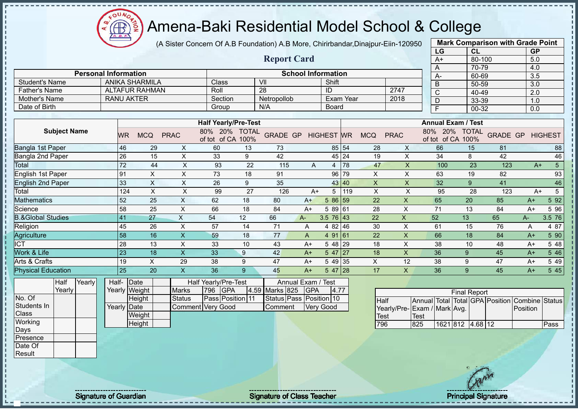

(A Sister Concern Of A.B Foundation) A.B More, Chirirbandar,Dinajpur-Eiin-120950

**Report Card**

|        | <b>Mark Comparison with Grade Point</b><br>LG |  |  |  |  |  |  |  |  |  |
|--------|-----------------------------------------------|--|--|--|--|--|--|--|--|--|
|        | <b>GP</b>                                     |  |  |  |  |  |  |  |  |  |
| 80-100 | 5.0                                           |  |  |  |  |  |  |  |  |  |
| 70-79  | 4.0                                           |  |  |  |  |  |  |  |  |  |
| 60-69  | 3.5                                           |  |  |  |  |  |  |  |  |  |
| 50-59  | 3.0                                           |  |  |  |  |  |  |  |  |  |
| 40-49  | 2.0                                           |  |  |  |  |  |  |  |  |  |
| 33-39  | 1.0                                           |  |  |  |  |  |  |  |  |  |
| 00-32  | 0.0                                           |  |  |  |  |  |  |  |  |  |
|        | CL                                            |  |  |  |  |  |  |  |  |  |

|                      | <b>Personal Information</b> |         | <b>School Information</b> |           |      | $A-$ |
|----------------------|-----------------------------|---------|---------------------------|-----------|------|------|
| Student's Name       | ANIKA SHARMILA              | Class   | VII                       | Shift     |      |      |
| <b>Father's Name</b> | <b>ALTAFUR RAHMAN</b>       | Roll    | 28                        |           | 2747 |      |
| Mother's Name        | RANU AKTER                  | Section | Netropollob               | Exam Year | 2018 |      |
| Date of Birth        |                             | Group   | N/A                       | Board     |      |      |

|                              |     |            |             | <b>Half Yearly/Pre-Test</b>   |                      |                 |      |                   |       |            |             | <b>Annual Exam / Test</b>     |                      |                 |      |                |
|------------------------------|-----|------------|-------------|-------------------------------|----------------------|-----------------|------|-------------------|-------|------------|-------------|-------------------------------|----------------------|-----------------|------|----------------|
| <b>Subject Name</b>          | WR  | <b>MCQ</b> | <b>PRAC</b> | 80%<br>20%<br>of CA<br>of tot | <b>TOTAL</b><br>100% | <b>GRADE GP</b> |      | <b>HIGHEST WR</b> |       | <b>MCQ</b> | <b>PRAC</b> | 20%<br>80%<br>of CA<br>of tot | <b>TOTAL</b><br>100% | <b>GRADE GP</b> |      | <b>HIGHEST</b> |
| Bangla 1st Paper             | 46  | 29         | X           | 60                            | 13                   | 73              |      |                   | 85 54 | 28         | X           | 66                            | 15                   | 81              |      | 88             |
| Bangla 2nd Paper             | 26  | 15         | X           | 33                            | 9                    | 42              |      |                   | 45 24 | 19         | X           | 34                            | 8                    | 42              |      | 46             |
| Total                        | 72  | 44         | X           | 93                            | 22                   | 115             | A    | 4                 | 78    | 47         | X           | 100                           | 23                   | 123             | $A+$ |                |
| English 1st Paper            | 91  | X          | X           | 73                            | 18                   | 91              |      | 96                | l 79  | X.         | X           | 63                            | 19                   | 82              |      | 93             |
| <b>English 2nd Paper</b>     | 33  | X          | X           | 26                            | 9                    | 35              |      |                   | 43 40 | X          | X           | 32                            | 9                    | 41              |      | 46             |
| Total                        | 124 | X          | X           | 99                            | 27                   | 126             |      | 5<br>$A+$         | 119   | X          | X           | 95                            | 28                   | 123             | $A+$ |                |
| <b>Mathematics</b>           | 52  | 25         | X           | 62                            | 18                   | 80              | $A+$ | 5 86 59           |       | 22         | X           | 65                            | 20                   | 85              | $A+$ | 5 9 2          |
| Science                      | 58  | 25         | X           | 66                            | 18                   | 84              | A+   | 5 89 61           |       | 28         | X           | 71                            | 13                   | 84              | $A+$ | 5 96           |
| <b>B.&amp;Global Studies</b> | 41  | 27         | X           | 54                            | 12                   | 66              | A-   | $3.5 \ 76 \ 43$   |       | 22         | X.          | 52                            | 13                   | 65              | A-   | 3.5 76         |
| Religion                     | 45  | 26         | X           | 57                            | 14                   | 71              | A    | 4 82 46           |       | 30         | X           | 61                            | 15                   | 76              | Α    | 4 87           |
| Agriculture                  | 58  | 16         | Χ           | 59                            | 18                   | 77              | A    | 491 61            |       | 22         | X           | 66                            | 18                   | 84              | $A+$ | 5 90           |
| <b>ICT</b>                   | 28  | 13         | X           | 33                            | 10                   | 43              | $A+$ | 5 48 29           |       | 18         | Χ           | 38                            | 10                   | 48              | $A+$ | 5 48           |
| Work & Life                  | 23  | 18         | X           | 33                            | 9                    | 42              | $A+$ | $547$   27        |       | 18         | X           | 36                            | 9                    | 45              | $A+$ | 5 4 6          |
| Arts & Crafts                | 19  | X          | 29          | 38                            | 9                    | 47              | A+   | 5 49 35           |       | X          | 12          | 38                            | 9                    | 47              | $A+$ | 5 4 9          |
| <b>Physical Education</b>    | 25  | 20         |             | 36                            | 9                    | 45              | $A+$ | $547$   28        |       | 17         | X           | 36                            | 9                    | 45              | $A+$ | 5 4 5          |

| Half   | Yearly | Half-       | <b>IDate</b>  |                   |         | <b>Half Yearly/Pre-Test</b> |                    | Annual Exam / Test      |      |
|--------|--------|-------------|---------------|-------------------|---------|-----------------------------|--------------------|-------------------------|------|
| Yearly |        |             | Yearly Weight | <b>Marks</b>      | 796 GPA |                             | 4.59 Marks 825 GPA |                         | 4.77 |
|        |        |             | <b>Height</b> | <b>Status</b>     |         | <b>Pass Position 11</b>     |                    | Status Pass Position 10 |      |
|        |        | Yearly Date |               | Comment Very Good |         |                             | <b>Comment</b>     | <b>Very Good</b>        |      |
|        |        |             | Weight        |                   |         |                             |                    |                         |      |
|        |        |             | Height        |                   |         |                             |                    |                         |      |

|                             | <b>Final Report</b><br>Annual Total Total GPA Position Combine Status |                  |  |  |  |          |      |  |  |  |  |  |  |  |
|-----------------------------|-----------------------------------------------------------------------|------------------|--|--|--|----------|------|--|--|--|--|--|--|--|
| <b>I</b> Half               |                                                                       |                  |  |  |  |          |      |  |  |  |  |  |  |  |
| Yearly/Pre-Exam / Mark Avg. |                                                                       |                  |  |  |  | Position |      |  |  |  |  |  |  |  |
| <b>Test</b>                 | Test                                                                  |                  |  |  |  |          |      |  |  |  |  |  |  |  |
| 796                         | 825                                                                   | 1621 812 4.68 12 |  |  |  |          | Pass |  |  |  |  |  |  |  |

No. Of Students In **Class Working** Days Presence Date Of Result

J.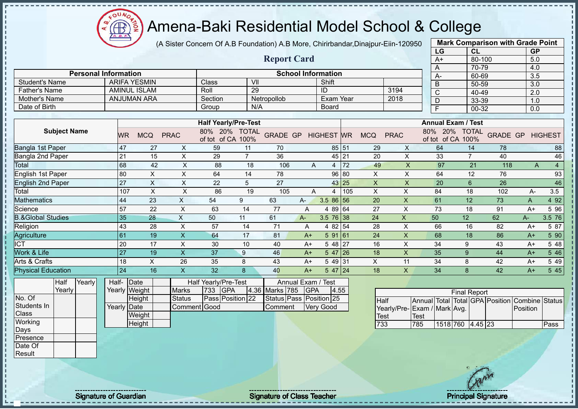

(A Sister Concern Of A.B Foundation) A.B More, Chirirbandar,Dinajpur-Eiin-120950 **Mark Comparison with Grade Point**

|                              |           |                           |                |                                           |                      |                    |                                  |                   |       |            |                         | LG                            | CL                   |                 | <b>GP</b> |                |
|------------------------------|-----------|---------------------------|----------------|-------------------------------------------|----------------------|--------------------|----------------------------------|-------------------|-------|------------|-------------------------|-------------------------------|----------------------|-----------------|-----------|----------------|
|                              |           |                           |                |                                           |                      | <b>Report Card</b> |                                  |                   |       |            |                         | $A+$                          | 80-100               |                 | 5.0       |                |
|                              |           |                           |                |                                           |                      |                    |                                  |                   |       |            |                         | A                             | 70-79                |                 | 4.0       |                |
| <b>Personal Information</b>  |           |                           |                |                                           |                      |                    | <b>School Information</b>        |                   |       |            |                         | A-                            | 60-69                |                 | 3.5       |                |
| <b>Student's Name</b>        |           | <b>ARIFA YESMIN</b>       |                | Class                                     | VII                  |                    |                                  | Shift             |       |            |                         | B                             | 50-59                |                 | 3.0       |                |
| <b>Father's Name</b>         |           | <b>AMINUL ISLAM</b>       |                | Roll                                      | 29                   |                    |                                  | ID                |       |            | 3194                    | C                             | 40-49                |                 | 2.0       |                |
| Mother's Name                |           | <b>ANJUMAN ARA</b>        |                | Section                                   |                      | Netropollob        |                                  | <b>Exam Year</b>  |       |            | 2018                    | D                             | 33-39                |                 | 1.0       |                |
| Date of Birth                |           |                           |                | Group                                     | N/A                  |                    |                                  | <b>Board</b>      |       |            |                         | F                             | 00-32                |                 | 0.0       |                |
|                              |           |                           |                |                                           |                      |                    |                                  |                   |       |            |                         |                               |                      |                 |           |                |
|                              |           |                           |                | <b>Half Yearly/Pre-Test</b>               |                      |                    |                                  |                   |       |            |                         | <b>Annual Exam / Test</b>     |                      |                 |           |                |
| <b>Subject Name</b>          | <b>WR</b> | <b>MCQ</b>                | <b>PRAC</b>    | 80% 20%<br>of tot of CA                   | <b>TOTAL</b><br>100% | <b>GRADE GP</b>    |                                  | <b>HIGHEST WR</b> |       | <b>MCQ</b> | <b>PRAC</b>             | 80%<br>20%<br>of CA<br>of tot | <b>TOTAL</b><br>100% | <b>GRADE GP</b> |           | <b>HIGHEST</b> |
| Bangla 1st Paper             | 47        | 27                        | X              | 59                                        | 11                   | 70                 |                                  |                   | 85 51 | 29         | X                       | 64                            | 14                   | 78              |           | 88             |
| Bangla 2nd Paper             | 21        | 15                        | X              | 29                                        | $\overline{7}$       | 36                 |                                  |                   | 45 21 | 20         | X                       | 33                            | $\overline{7}$       | 40              |           | 46             |
| Total                        | 68        |                           | 42<br>X        | 88                                        | 18                   | 106                | Α                                | 4                 | 72    | 49         | $\overline{\mathsf{X}}$ | 97                            | 21                   | 118             | A         | $\overline{4}$ |
| English 1st Paper            | 80        | X                         | X              | 64                                        | 14                   | 78                 |                                  |                   | 96 80 | X          | X                       | 64                            | 12                   | 76              |           | 93             |
| <b>English 2nd Paper</b>     | 27        | $\boldsymbol{\mathsf{X}}$ | $\pmb{\times}$ | 22                                        | 5                    | 27                 |                                  |                   | 43 25 | X          | $\sf X$                 | 20                            | $6\phantom{1}$       | 26              |           | 46             |
| Total                        |           | 107<br>X                  | X              | 86                                        | 19                   | 105                | A                                | 4                 | 105   | X          | X                       | 84                            | 18                   | 102             | A-        | 3.5            |
| <b>Mathematics</b>           | 44        | 23                        | X              | 54                                        | 9                    | 63                 | A-                               | 3.5 86 56         |       | 20         | X                       | 61                            | 12                   | 73              | A         | 4 9 2          |
| Science                      | 57        | 22                        | X              | 63                                        | 14                   | 77                 | Α                                | 4 89 64           |       | 27         | X                       | 73                            | 18                   | 91              | $A+$      | 5 96           |
| <b>B.&amp;Global Studies</b> | 35        | 28                        | X              | 50                                        | 11                   | 61                 | $A -$                            | $3.5 \ 76 \ 38$   |       | 24         | X.                      | 50                            | 12                   | 62              | $A -$     | 3.5 76         |
| Religion                     | 43        | 28                        | X              | 57                                        | 14                   | 71                 | A                                | 4 82 54           |       | 28         | X                       | 66                            | 16                   | 82              | $A+$      | 5 87           |
| Agriculture                  | 61        | 19                        | $\pmb{\times}$ | 64                                        | 17                   | 81                 | $A+$                             | 591 61            |       | 24         | X                       | 68                            | 18                   | 86              | $A+$      | 5 90           |
| <b>ICT</b>                   | 20        | 17                        | X              | 30                                        | 10                   | 40                 | A+                               | 5 48              | 27    | 16         | X                       | 34                            | 9                    | 43              | $A+$      | 5 48           |
| Work & Life                  | 27        | 19                        | X.             | 37                                        | 9                    | 46                 | $A+$                             | $547$  26         |       | 18         | X                       | 35                            | 9                    | 44              | $A+$      | 5 4 6          |
| Arts & Crafts                | 18        | $\pmb{\times}$            | 26             | 35                                        | 8                    | 43                 | A+                               | 5 49 31           |       | X          | 11                      | 34                            | 8                    | 42              | A+        | 5 4 9          |
| <b>Physical Education</b>    | 24        | 16                        | X.             | 32                                        | 8                    | 40                 | $A+$                             | $547$ 24          |       | 18         | X                       | 34                            | $\boldsymbol{8}$     | 42              | $A+$      | 5 4 5          |
| Yearly<br>Half<br>Yearly     | Half-     | Date<br>Yearly Weight     | <b>Marks</b>   | Half Yearly/Pre-Test<br>733<br><b>GPA</b> |                      | 4.36 Marks 785     | Annual Exam / Test<br><b>GPA</b> | 4.55              |       |            |                         |                               | <b>Final Report</b>  |                 |           |                |

No. Of Students In **Class Working** Days Presence Date Of

**Result** 

**Height** Yearly Date **Weight Height** Status | Pass Position 22 Status Pass Position 25 Comment Good Comment Very Good

|                             | <b>Final Report</b> |                  |  |  |  |                                                |      |  |  |  |  |  |  |  |
|-----------------------------|---------------------|------------------|--|--|--|------------------------------------------------|------|--|--|--|--|--|--|--|
| <b>IHalf</b>                |                     |                  |  |  |  | Annual Total Total GPA Position Combine Status |      |  |  |  |  |  |  |  |
| Yearly/Pre-Exam / Mark Avg. |                     |                  |  |  |  | Position                                       |      |  |  |  |  |  |  |  |
| Test                        | <b>ITest</b>        |                  |  |  |  |                                                |      |  |  |  |  |  |  |  |
| 733                         | 785                 | 1518 760 4.45 23 |  |  |  |                                                | Pass |  |  |  |  |  |  |  |

Signature of Guardian Signature Signature of Class Teacher New York Network Principal Signature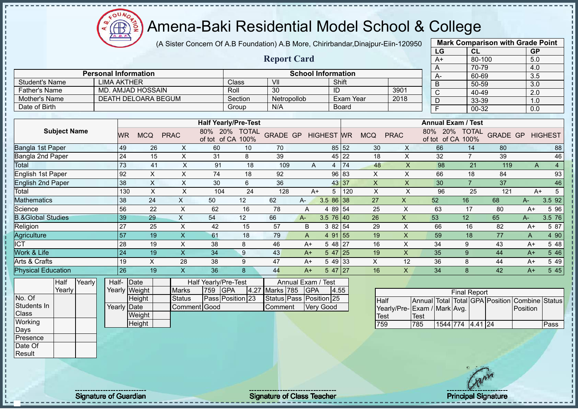(A Sister Concern Of A.B Foundation) A.B More, Chirirbandar,Dinajpur-Eiin-120950

|                              |        |        |                    |                 |                             |                           |                             |               |                         |                           |                   |              |                |                           | LG               |                           | <b>CL</b>           |                                                | <b>GP</b>        |                 |
|------------------------------|--------|--------|--------------------|-----------------|-----------------------------|---------------------------|-----------------------------|---------------|-------------------------|---------------------------|-------------------|--------------|----------------|---------------------------|------------------|---------------------------|---------------------|------------------------------------------------|------------------|-----------------|
|                              |        |        |                    |                 |                             |                           |                             |               | <b>Report Card</b>      |                           |                   |              |                |                           | $A+$             |                           | 80-100              |                                                | 5.0              |                 |
|                              |        |        |                    |                 |                             |                           |                             |               |                         |                           |                   |              |                |                           | A                |                           | 70-79               |                                                | 4.0              |                 |
|                              |        |        |                    |                 | <b>Personal Information</b> |                           |                             |               |                         | <b>School Information</b> |                   |              |                |                           | A-               |                           | 60-69               |                                                | $\overline{3.5}$ |                 |
| <b>Student's Name</b>        |        |        | <b>LIMA AKTHER</b> |                 |                             |                           |                             | <b>Class</b>  | VII                     |                           |                   | Shift        |                |                           | B                |                           | 50-59               |                                                | $\overline{3.0}$ |                 |
| <b>Father's Name</b>         |        |        |                    |                 | <b>MD. AMJAD HOSSAIN</b>    |                           |                             | Roll          | $\overline{30}$         |                           | ID                |              |                | 3901                      | $\overline{C}$   |                           | 40-49               |                                                | $\overline{2.0}$ |                 |
| Mother's Name                |        |        |                    |                 | DEATH DELOARA BEGUM         |                           |                             | Section       | Netropollob             |                           |                   | Exam Year    |                | 2018                      | D                |                           | 33-39               |                                                | 1.0              |                 |
| Date of Birth                |        |        |                    |                 |                             |                           |                             | Group         | N/A                     |                           |                   | <b>Board</b> |                |                           | $\overline{F}$   |                           | 00-32               |                                                | 0.0              |                 |
|                              |        |        |                    |                 |                             |                           | <b>Half Yearly/Pre-Test</b> |               |                         |                           |                   |              |                |                           |                  | <b>Annual Exam / Test</b> |                     |                                                |                  |                 |
| <b>Subject Name</b>          |        |        |                    |                 |                             |                           |                             | 80% 20% TOTAL |                         |                           |                   |              |                |                           |                  | 80% 20% TOTAL             |                     |                                                |                  |                 |
|                              |        |        |                    | <b>WR</b>       | <b>MCQ</b>                  | <b>PRAC</b>               | of tot of CA 100%           |               | <b>GRADE GP</b>         |                           | <b>HIGHEST</b> WR |              | <b>MCQ</b>     | <b>PRAC</b>               |                  | of tot of CA 100%         |                     | <b>GRADE GP</b>                                |                  | <b>HIGHEST</b>  |
| Bangla 1st Paper             |        |        |                    | 49              | 26                          | X                         | 60                          | 10            | 70                      |                           |                   | 85 52        | 30             | X                         | 66               |                           | 14                  | 80                                             |                  | 88              |
| Bangla 2nd Paper             |        |        |                    | 24              | 15                          | X                         | 31                          | 8             | 39                      |                           | 45                | 22           | 18             | $\mathsf X$               | 32               |                           | $\overline{7}$      | 39                                             |                  | 46              |
| Total                        |        |        |                    | 73              | 41                          | X                         | 91                          | 18            | 109                     | A                         | 4                 | 74           | 48             | $\boldsymbol{\mathsf{X}}$ | 98               |                           | 21                  | 119                                            | A                | $\overline{4}$  |
| English 1st Paper            |        |        |                    | 92              | Χ                           | X                         | 74                          | 18            | 92                      |                           | 96                | 83           | X.             | X                         | 66               |                           | 18                  | 84                                             |                  | 93              |
| <b>English 2nd Paper</b>     |        |        |                    | 38              | $\boldsymbol{\mathsf{X}}$   | $\pmb{\times}$            | 30                          | 6             | 36                      |                           |                   | 43 37        | $\pmb{\times}$ | X                         | 30               |                           | $\overline{7}$      | 37                                             |                  | 46              |
| Total                        |        |        |                    | 130             | $\mathsf{X}$                | X                         | 104                         | 24            | 128                     | $A+$                      | 5                 | 120          | $\mathsf X$    | $\times$                  | 96               |                           | 25                  | 121                                            | $A+$             | $5\phantom{.0}$ |
| <b>Mathematics</b>           |        |        |                    | 38              | 24                          | X                         | 50                          | 12            | 62                      | A-                        | 3.5 86 38         |              | 27             | $\mathsf{X}$              | 52               | 16                        |                     | 68                                             | A-               | 3.5 92          |
| Science                      |        |        |                    | 56              | $\overline{22}$             | $\boldsymbol{\mathsf{X}}$ | 62                          | 16            | $\overline{78}$         | $\overline{A}$            | 4 89 54           |              | 25             | $\times$                  | 63               |                           | 17                  | 80                                             | $A+$             | 5 96            |
| <b>B.&amp;Global Studies</b> |        |        |                    | 39              | 29                          | $\sf X$                   | 54                          | 12            | 66                      | $A -$                     | $3.5 \ 76 \ 40$   |              | 26             | $\pmb{\times}$            | 53               | 12                        |                     | 65                                             | A-               | 3.5 76          |
| Religion                     |        |        |                    | 27              | 25                          | $\times$                  | 42                          | 15            | 57                      | B                         | 3 8 2             | 54           | 29             | $\times$                  | 66               |                           | 16                  | 82                                             | $A+$             | 5 87            |
| Agriculture                  |        |        |                    | $\overline{57}$ | 19                          | $\boldsymbol{\mathsf{X}}$ | 61                          | 18            | 79                      | A                         | 4 91              | 55           | 19             | $\pmb{\times}$            | 59               |                           | 18                  | 77                                             | A                | 4 90            |
| <b>ICT</b>                   |        |        |                    | 28              | 19                          | $\pmb{\times}$            | 38                          | 8             | 46                      | $A+$                      | 5 48 27           |              | 16             | $\pmb{\times}$            | 34               |                           | 9                   | 43                                             | $A+$             | 5 48            |
| Work & Life                  |        |        |                    | 24              | 19                          | $\mathsf X$               | 34                          | 9             | 43                      | $A+$                      | $547$  25         |              | 19             | $\mathsf{x}$              | 35               | 9                         |                     | 44                                             | A+               | 5 4 6           |
| Arts & Crafts                |        |        |                    | 19              | $\boldsymbol{\mathsf{X}}$   | 28                        | 38                          | 9             | 47                      | $A+$                      | 5 49              | 33           | $\times$       | 12                        | 36               | 8                         |                     | 44                                             | A+               | 5 4 9           |
| <b>Physical Education</b>    |        |        |                    | 26              | 19                          | $\boldsymbol{\mathsf{X}}$ | 36                          | 8             | 44                      | $A+$                      | 5 47              | 27           | 16             | $\mathsf{X}$              | 34               | 8                         |                     | 42                                             | $A+$             | 5 4 5           |
| Half                         |        | Yearly | Half-              |                 | Date                        |                           | Half Yearly/Pre-Test        |               |                         | Annual Exam / Test        |                   |              |                |                           |                  |                           |                     |                                                |                  |                 |
|                              | Yearly |        |                    |                 | Yearly Weight               | <b>Marks</b>              | 759<br><b>GPA</b>           | 4.27          | Marks 785               | GPA                       |                   | 4.55         |                |                           |                  |                           | <b>Final Report</b> |                                                |                  |                 |
| No. Of                       |        |        |                    |                 | Height                      | <b>Status</b>             | Pass Position 23            |               | Status Pass Position 25 |                           |                   |              | <b>Half</b>    |                           |                  |                           |                     | Annual Total Total GPA Position Combine Status |                  |                 |
| Students In                  |        |        |                    | Yearly Date     |                             |                           | Comment Good                |               | Comment                 |                           | <b>Very Good</b>  |              |                | Yearly/Pre-               | Exam / Mark Avg. |                           |                     |                                                | Position         |                 |
| Class                        |        |        |                    |                 | Weight                      |                           |                             |               |                         |                           |                   |              | <b>Test</b>    |                           | <b>Test</b>      |                           |                     |                                                |                  |                 |
| Working                      |        |        |                    |                 | Height                      |                           |                             |               |                         |                           |                   |              | 759            |                           | 785              | 1544 774 4.41 24          |                     |                                                |                  | Pass            |
| Days                         |        |        |                    |                 |                             |                           |                             |               |                         |                           |                   |              |                |                           |                  |                           |                     |                                                |                  |                 |
| Presence                     |        |        |                    |                 |                             |                           |                             |               |                         |                           |                   |              |                |                           |                  |                           |                     |                                                |                  |                 |
| Date Of                      |        |        |                    |                 |                             |                           |                             |               |                         |                           |                   |              |                |                           |                  |                           |                     |                                                |                  |                 |
| Result                       |        |        |                    |                 |                             |                           |                             |               |                         |                           |                   |              |                |                           |                  |                           |                     |                                                |                  |                 |

**Mark Comparison with Grade Point**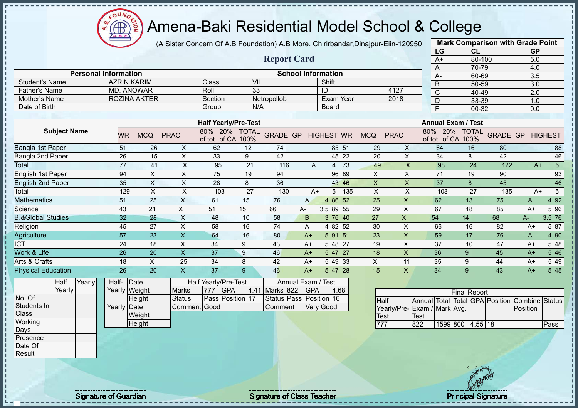

(A Sister Concern Of A.B Foundation) A.B More, Chirirbandar,Dinajpur-Eiin-120950

**Report Card**

|      | <b>Mark Comparison with Grade Point</b> |           |
|------|-----------------------------------------|-----------|
| LG   | CL                                      | <b>GP</b> |
| $A+$ | 80-100                                  | 5.0       |
| A    | 70-79                                   | 4.0       |
| А-   | 60-69                                   | 3.5       |
| B    | 50-59                                   | 3.0       |
| C    | 40-49                                   | 2.0       |
| D    | 33-39                                   | 1.0       |
| F    | 00-32                                   | 0.0       |
|      |                                         |           |

| <b>Student's Name</b>        | <b>AZRIN KARIM</b> |                           |             | Class                                | VII                  |                 |                    | Shift             |       |            |              |                           |                            |                 |                  |                 |
|------------------------------|--------------------|---------------------------|-------------|--------------------------------------|----------------------|-----------------|--------------------|-------------------|-------|------------|--------------|---------------------------|----------------------------|-----------------|------------------|-----------------|
| <b>Father's Name</b>         | <b>MD. ANOWAR</b>  |                           |             | Roll                                 | 33                   |                 |                    | ID                |       |            | 4127         | B                         | 50-59                      |                 | $\overline{3.0}$ |                 |
|                              |                    |                           |             |                                      |                      |                 |                    |                   |       |            |              | C                         | 40-49                      |                 | 2.0              |                 |
| Mother's Name                |                    | <b>ROZINA AKTER</b>       |             | Section                              |                      | Netropollob     |                    | Exam Year         |       |            | 2018         | D                         | 33-39                      |                 | 1.0              |                 |
| Date of Birth                |                    |                           |             | Group                                | N/A                  |                 |                    | Board             |       |            |              | F                         | 00-32                      |                 | 0.0              |                 |
|                              |                    |                           |             |                                      |                      |                 |                    |                   |       |            |              |                           |                            |                 |                  |                 |
|                              |                    |                           |             | <b>Half Yearly/Pre-Test</b>          |                      |                 |                    |                   |       |            |              | <b>Annual Exam / Test</b> |                            |                 |                  |                 |
| <b>Subject Name</b>          | <b>WR</b>          | <b>MCQ</b>                | <b>PRAC</b> | 80%<br><b>20%</b><br>of CA<br>of tot | <b>TOTAL</b><br>100% | <b>GRADE GP</b> |                    | <b>HIGHEST WR</b> |       | <b>MCQ</b> | <b>PRAC</b>  | 20%<br>80%<br>of tot      | <b>TOTAL</b><br>of CA 100% | <b>GRADE GP</b> |                  | <b>HIGHEST</b>  |
| Bangla 1st Paper             | 51                 | 26                        | X           | 62                                   | 12                   | 74              |                    |                   | 85 51 | 29         | X            | 64                        | 16                         | 80              |                  | 88              |
| Bangla 2nd Paper             | 26                 | 15                        | X           | 33                                   | 9                    | 42              |                    |                   | 45 22 | 20         | X            | 34                        | 8                          | 42              |                  | 46              |
| Total                        | 77                 | 41                        | X           | 95                                   | 21                   | 116             | A                  | 4                 | 73    | 49         | $\times$     | 98                        | 24                         | 122             | $A+$             | $5\overline{)}$ |
| English 1st Paper            | 94                 | X                         | X           | 75                                   | 19                   | 94              |                    |                   | 96 89 | X          | X            | 71                        | 19                         | 90              |                  | 93              |
| <b>English 2nd Paper</b>     | 35                 | $\boldsymbol{\mathsf{X}}$ | X           | 28                                   | 8                    | 36              |                    |                   | 43 46 | X          | X            | 37                        | 8                          | 45              |                  | 46              |
| Total                        | 129                | X                         | X           | 103                                  | 27                   | 130             | $A+$               | 5                 | 135   | X          | X            | 108                       | 27                         | 135             | $A+$             | 5               |
| <b>Mathematics</b>           | 51                 | 25                        | X           | 61                                   | 15                   | 76              | $\mathsf{A}$       | 4 86 52           |       | 25         | X            | 62                        | 13                         | 75              | A                | 4 9 2           |
| Science                      | 43                 | 21                        | X           | 51                                   | 15                   | 66              | A-                 | 3.5 89 55         |       | 29         | X            | 67                        | 18                         | 85              | $A+$             | 5 96            |
| <b>B.&amp;Global Studies</b> | 32                 | 28                        | X           | 48                                   | 10                   | 58              | B                  | 376 40            |       | 27         | X.           | 54                        | 14                         | 68              | A-               | 3.5 76          |
| Religion                     | 45                 | 27                        | X           | 58                                   | 16                   | 74              | A                  | 4 82 52           |       | 30         | X            | 66                        | 16                         | 82              | $A+$             | 5 87            |
| Agriculture                  | 57                 | 23                        | X           | 64                                   | 16                   | 80              | $A+$               | 591 51            |       | 23         | X            | 59                        | 17                         | 76              | A                | 4 90            |
| <b>CT</b>                    | 24                 | 18                        | X           | 34                                   | 9                    | 43              | $A+$               | 5 48 27           |       | 19         | X            | 37                        | 10                         | 47              | $A+$             | 5 48            |
| <b>Nork &amp; Life</b>       | 26                 | 20                        | X           | 37                                   | $\boldsymbol{9}$     | 46              | $A+$               | $547$   27        |       | 18         | $\mathsf{X}$ | 36                        | 9                          | 45              | $A+$             | 5 4 6           |
| Arts & Crafts                | 18                 | X                         | 25          | 34                                   | 8                    | 42              | $A+$               | 5 49 33           |       | X          | 11           | 35                        | 9                          | 44              | $A+$             | 5 4 9           |
| <b>Physical Education</b>    | 26                 | 20                        | X           | 37                                   | 9                    | 46              | $A+$               | $547$ 28          |       | 15         | X            | 34                        | $9\,$                      | 43              | $A+$             | 5 4 5           |
| <b>Half</b><br>Yearly        | Half-              | Date                      |             | Half Yearly/Pre-Test                 |                      |                 | Annual Exam / Test |                   |       |            |              |                           |                            |                 |                  |                 |

|             | Yearly |  |
|-------------|--------|--|
| No. Of      |        |  |
| Students In |        |  |
| Class       |        |  |
| Working     |        |  |
| Days        |        |  |
| Presence    |        |  |
| Date Of     |        |  |
| Result      |        |  |

j. J.  $\mathbf{I}$  $\mathbf{I}$  $\mathbf{I}$ 

| Half- Date  |               |               |                  | Half Yearly/Pre-Test |                    | Annual Exam / Test      |      |
|-------------|---------------|---------------|------------------|----------------------|--------------------|-------------------------|------|
|             | Yearly Weight | <b>Marks</b>  | <b>1777 IGPA</b> |                      | 4.41 Marks 822 GPA |                         | 4.68 |
|             | Height        | <b>Status</b> |                  | Pass Position 17     |                    | Status Pass Position 16 |      |
| Yearly Date |               | Comment Good  |                  |                      | <b>Comment</b>     | <b>Very Good</b>        |      |
|             | Weight        |               |                  |                      |                    |                         |      |
|             | Height        |               |                  |                      |                    |                         |      |

**Personal Information School Information** 

|                             |      |                  | <b>Final Report</b> |  |                                                |      |
|-----------------------------|------|------------------|---------------------|--|------------------------------------------------|------|
| <b>I</b> Half               |      |                  |                     |  | Annual Total Total GPA Position Combine Status |      |
| Yearly/Pre-Exam / Mark Avg. |      |                  |                     |  | Position                                       |      |
| Test                        | Test |                  |                     |  |                                                |      |
|                             | 822  | 1599 800 4.55 18 |                     |  |                                                | Pass |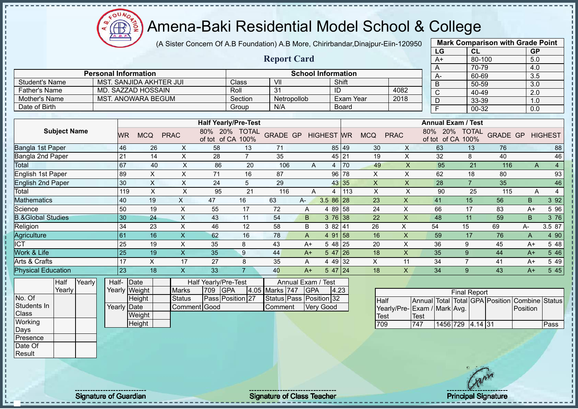ΩU **CB** 

# Amena-Baki Residential Model School & College

(A Sister Concern Of A.B Foundation) A.B More, Chirirbandar,Dinajpur-Eiin-120950

|                              |             |        |       |     |                             |                           |                      |                             |                         |                |                           |                  |                           |                           | LG                                             |                     | CL             |                 | <b>GP</b> |                |
|------------------------------|-------------|--------|-------|-----|-----------------------------|---------------------------|----------------------|-----------------------------|-------------------------|----------------|---------------------------|------------------|---------------------------|---------------------------|------------------------------------------------|---------------------|----------------|-----------------|-----------|----------------|
|                              |             |        |       |     |                             |                           |                      |                             | <b>Report Card</b>      |                |                           |                  |                           |                           | $A+$                                           |                     | 80-100         |                 | 5.0       |                |
|                              |             |        |       |     |                             |                           |                      |                             |                         |                |                           |                  |                           |                           | Α                                              |                     | 70-79          |                 | 4.0       |                |
|                              |             |        |       |     | <b>Personal Information</b> |                           |                      |                             |                         |                | <b>School Information</b> |                  |                           |                           | A-                                             |                     | 60-69          |                 | 3.5       |                |
| <b>Student's Name</b>        |             |        |       |     | MST. SANJIDA AKHTER JUI     |                           |                      | Class                       | VII                     |                |                           | Shift            |                           |                           | B                                              |                     | 50-59          |                 | 3.0       |                |
| <b>Father's Name</b>         |             |        |       |     | MD. SAZZAD HOSSAIN          |                           |                      | Roll                        | 31                      |                | ID                        |                  |                           | 4082                      | $\mathsf{C}$                                   |                     | 40-49          |                 | 2.0       |                |
| Mother's Name                |             |        |       |     | <b>MST. ANOWARA BEGUM</b>   |                           |                      | Section                     | Netropollob             |                |                           | <b>Exam Year</b> |                           | 2018                      | D                                              |                     | 33-39          |                 | 1.0       |                |
| Date of Birth                |             |        |       |     |                             |                           |                      | Group                       | N/A                     |                |                           | <b>Board</b>     |                           |                           | F                                              |                     | 00-32          |                 | 0.0       |                |
|                              |             |        |       |     |                             |                           |                      | <b>Half Yearly/Pre-Test</b> |                         |                |                           |                  |                           |                           | <b>Annual Exam / Test</b>                      |                     |                |                 |           |                |
| <b>Subject Name</b>          |             |        |       |     |                             |                           |                      | 80% 20% TOTAL               |                         |                |                           |                  |                           |                           | 80% 20% TOTAL                                  |                     |                |                 |           |                |
|                              |             |        |       | WR  | <b>MCQ</b>                  | <b>PRAC</b>               |                      | of tot of CA 100%           | <b>GRADE GP</b>         |                | <b>HIGHEST</b> WR         |                  | <b>MCQ</b>                | <b>PRAC</b>               | of tot of CA 100%                              |                     |                | <b>GRADE GP</b> |           | <b>HIGHEST</b> |
| Bangla 1st Paper             |             |        |       | 46  | 26                          | X                         | 58                   | 13                          | 71                      |                |                           | 85 49            | 30                        | X                         | 63                                             |                     | 13             | 76              |           | 88             |
| Bangla 2nd Paper             |             |        |       | 21  | 14                          | X                         | 28                   | $\overline{7}$              | 35                      |                |                           | 45 21            | 19                        | $\boldsymbol{\mathsf{X}}$ | 32                                             |                     | 8              | 40              |           | 46             |
| Total                        |             |        |       | 67  | 40                          | $\mathsf X$               | 86                   | 20                          | 106                     | A              | 4                         | 70               | 49                        | $\boldsymbol{\mathsf{X}}$ | 95                                             |                     | 21             | 116             | A         | $\overline{4}$ |
| <b>English 1st Paper</b>     |             |        |       | 89  | X                           | X                         | 71                   | 16                          | 87                      |                |                           | 96 78            | X                         | X                         | 62                                             |                     | 18             | 80              |           | 93             |
| <b>English 2nd Paper</b>     |             |        |       | 30  | $\boldsymbol{\mathsf{X}}$   | $\boldsymbol{\mathsf{X}}$ | 24                   | 5                           | 29                      |                |                           | 43 35            | $\mathsf X$               | $\mathsf{X}$              | 28                                             |                     | $\overline{7}$ | 35              |           | 46             |
| Total                        |             |        |       | 119 | $\times$                    | $\pmb{\times}$            | 95                   | 21                          | 116                     | A              | 4                         | 113              | X                         | $\boldsymbol{\mathsf{X}}$ | 90                                             |                     | 25             | 115             | A         | $\overline{4}$ |
| <b>Mathematics</b>           |             |        |       | 40  | 19                          | $\boldsymbol{\mathsf{X}}$ | 47                   | 16                          | 63                      | A-             | 3.5 86 28                 |                  | 23                        | $\pmb{\times}$            | 41                                             | 15                  |                | 56              | B.        | 3 9 2          |
| Science                      |             |        |       | 50  | 19                          | $\pmb{\times}$            | 55                   | 17                          | 72                      | Α              | 4 89 58                   |                  | 24                        | X                         | 66                                             | 17                  |                | 83              | $A+$      | 5 9 6          |
| <b>B.&amp;Global Studies</b> |             |        |       | 30  | 24                          | $\times$                  | 43                   | 11                          | 54                      | B              | $376$ 38                  |                  | 22                        | $\mathsf X$               | 48                                             | 11                  |                | 59              | B         | 3 76           |
| Religion                     |             |        |       | 34  | 23                          | $\boldsymbol{\mathsf{X}}$ | 46                   | 12                          | 58                      | B              | 382 41                    |                  | 26                        | $\pmb{\times}$            | 54                                             | 15                  |                | 69              | A-        | 3.5 87         |
| Agriculture                  |             |        |       | 61  | 16                          | $\boldsymbol{\mathsf{X}}$ | 62                   | 16                          | 78                      | $\overline{A}$ | 4 91 58                   |                  | 16                        | $\mathsf{X}$              | 59                                             | 17                  |                | 76              | A         | 4 90           |
| <b>ICT</b>                   |             |        |       | 25  | 19                          | $\times$                  | 35                   | 8                           | 43                      | $A+$           | 5 48 25                   |                  | 20                        | X                         | 36                                             | 9                   |                | 45              | $A+$      | 5 48           |
| Work & Life                  |             |        |       | 25  | 19                          | $\overline{\mathsf{x}}$   | 35                   | 9                           | 44                      | $A+$           | $547$ 26                  |                  | 18                        | $\boldsymbol{\mathsf{X}}$ | 35                                             | 9                   |                | 44              | $A+$      | 5 4 6          |
| Arts & Crafts                |             |        |       | 17  | X                           | 17                        | 27                   | 8                           | 35                      | A              | 4 49 32                   |                  | $\boldsymbol{\mathsf{X}}$ | 11                        | 34                                             | $\overline{7}$      |                | 41              | $A+$      | 5 4 9          |
| <b>Physical Education</b>    |             |        |       | 23  | 18                          | $\overline{\mathsf{x}}$   | 33                   | $\overline{7}$              | 40                      | $A+$           | 547 24                    |                  | 18                        | $\mathsf{X}$              | 34                                             | 9                   |                | 43              | $A+$      | 5 4 5          |
|                              | <b>Half</b> | Yearly | Half- |     | Date                        |                           | Half Yearly/Pre-Test |                             | Annual Exam /           |                | <b>Test</b>               |                  |                           |                           |                                                |                     |                |                 |           |                |
|                              | Yearly      |        |       |     | Yearly Weight               | <b>Marks</b>              | 709                  | <b>GPA</b><br>4.05          | Marks 747               | <b>GPA</b>     |                           | 4.23             |                           |                           |                                                | <b>Final Report</b> |                |                 |           |                |
| No. Of                       |             |        |       |     | Height                      | <b>Status</b>             |                      | Pass Position 27            | Status Pass Position 32 |                |                           |                  | Half                      |                           | Annual Total Total GPA Position Combine Status |                     |                |                 |           |                |
| Students In                  |             |        |       |     | Yearly Date                 | <b>Comment Good</b>       |                      |                             | Comment                 |                | <b>Very Good</b>          |                  |                           |                           | Yearly/Pre-Exam / Mark Avg.                    |                     |                |                 | Position  |                |
| Class                        |             |        |       |     | Weight                      |                           |                      |                             |                         |                |                           |                  | <b>Test</b>               |                           | <b>Test</b>                                    |                     |                |                 |           |                |
| Working                      |             |        |       |     | Height                      |                           |                      |                             |                         |                |                           |                  | 709                       |                           | 747                                            | 1456 729            | $4.14$ 31      |                 |           | Pass           |
| Days                         |             |        |       |     |                             |                           |                      |                             |                         |                |                           |                  |                           |                           |                                                |                     |                |                 |           |                |
| Presence<br>Date Of          |             |        |       |     |                             |                           |                      |                             |                         |                |                           |                  |                           |                           |                                                |                     |                |                 |           |                |
| Result                       |             |        |       |     |                             |                           |                      |                             |                         |                |                           |                  |                           |                           |                                                |                     |                |                 |           |                |
|                              |             |        |       |     |                             |                           |                      |                             |                         |                |                           |                  |                           |                           |                                                |                     |                |                 |           |                |

**Mark Comparison with Grade Point**

Signature of Guardian Signature of Class Teacher Principal Signature of Class Teacher Principal Signature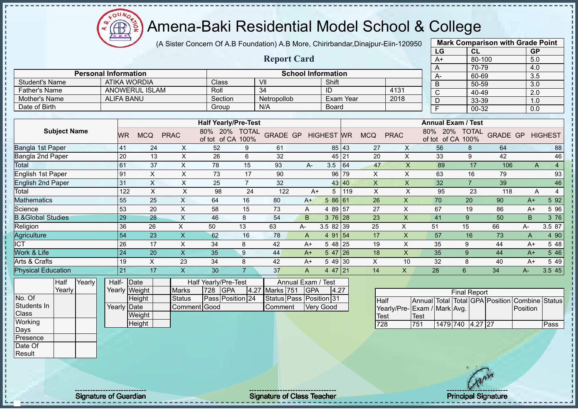oυ Æ

# Amena-Baki Residential Model School & College

(A Sister Concern Of A.B Foundation) A.B More, Chirirbandar,Dinajpur-Eiin-120950

**Report Card**

|                       | <b>Mark Comparison with Grade Point</b> |           |
|-----------------------|-----------------------------------------|-----------|
| LG                    | CL                                      | <b>GP</b> |
| $A+$                  | 80-100                                  | 5.0       |
| A                     | 70-79                                   | 4.0       |
| A-                    | 60-69                                   | 3.5       |
| B                     | 50-59                                   | 3.0       |
| $\overline{\text{c}}$ | 40-49                                   | 2.0       |
| D                     | 33-39                                   | 1.0       |
| F                     | $00-32$                                 | 0.0       |
|                       |                                         |           |

| Mother's Name                | <b>ALIFA BANU</b> |            | Section     |                                 | Netropollob    |                 |      | Exam Year         |       | 2018       | D           | 33-39                           |                | 1.0             |      |                |
|------------------------------|-------------------|------------|-------------|---------------------------------|----------------|-----------------|------|-------------------|-------|------------|-------------|---------------------------------|----------------|-----------------|------|----------------|
| Date of Birth                |                   |            |             | Group                           |                | N/A             |      | Board             |       |            |             | F                               | 00-32          |                 | 0.0  |                |
|                              |                   |            |             |                                 |                |                 |      |                   |       |            |             |                                 |                |                 |      |                |
|                              |                   |            |             | <b>Half Yearly/Pre-Test</b>     |                |                 |      |                   |       |            |             | <b>Annual Exam / Test</b>       |                |                 |      |                |
| <b>Subject Name</b>          | WR                | <b>MCQ</b> | <b>PRAC</b> | 20%<br>80%<br>of tot of CA 100% | <b>TOTAL</b>   | <b>GRADE GP</b> |      | <b>HIGHEST WR</b> |       | <b>MCQ</b> | <b>PRAC</b> | 20%<br>80%<br>of tot of CA 100% | <b>TOTAL</b>   | <b>GRADE GP</b> |      | <b>HIGHEST</b> |
| Bangla 1st Paper             | 41                | 24         | X.          | 52                              | 9              | 61              |      |                   | 85 43 | 27         | X           | 56                              | 8              | 64              |      | 88             |
| Bangla 2nd Paper             | 20                | 13         | X.          | 26                              | 6              | 32              |      |                   | 45 21 | 20         | X           | 33                              | 9              | 42              |      | 46             |
| <b>Total</b>                 | 61                | 37         | X.          | 78                              | 15             | 93              | $A-$ | 3.5               | 64    | 47         | X           | 89                              | 17             | 106             | A    | 4              |
| English 1st Paper            | 91                | X          | X           | 73                              | 17             | 90              |      |                   | 96 79 | X          | X           | 63                              | 16             | 79              |      | 93             |
| <b>English 2nd Paper</b>     | 31                | X          | X.          | 25                              | $\overline{7}$ | 32              |      |                   | 43 40 | X          | X           | 32                              | $\overline{7}$ | 39              |      | 46             |
| Total                        | 122               | X          | X           | 98                              | 24             | 122             | $A+$ | 5                 | 119   | X          | X           | 95                              | 23             | 118             | A    | 4              |
| <b>Aathematics</b>           | 55                | 25         | X           | 64                              | 16             | 80              | $A+$ | 5 86 61           |       | 26         | X           | 70                              | 20             | 90              | $A+$ | 5 9 2          |
| Science                      | 53                | 20         | X           | 58                              | 15             | 73              | A    | 4 89 57           |       | 27         | X           | 67                              | 19             | 86              | $A+$ | 5 96           |
| <b>B.&amp;Global Studies</b> | 29                | 28         | X           | 46                              | 8              | 54              | B.   | $376$ 28          |       | 23         | X           | 41                              | 9              | 50              | B.   | 3 76           |
| Religion                     | 36                | 26         | X           | 50                              | 13             | 63              | А-   | 3.5 82 39         |       | 25         | X           | 51                              | 15             | 66              | A-   | 3.5 87         |
| Agriculture                  | 54                | 23         | X           | 62                              | 16             | 78              | A    | 4 91 54           |       | 17         | X           | 57                              | 16             | 73              | A    | 4 90           |
| $\overline{CT}$              | 26                | 17         | X           | 34                              | 8              | 42              | $A+$ | 5 48 25           |       | 19         | X           | 35                              | 9              | 44              | $A+$ | 5 48           |
| Work & Life                  | 24                | 20         | X           | 35                              | 9              | 44              | $A+$ | $547$ 26          |       | 18         | X           | 35                              | 9              | 44              | $A+$ | 5 4 6          |
| Arts & Crafts                | 19                | X          | 23          | 34                              | 8              | 42              | $A+$ | 5 49 30           |       | X          | 10          | 32                              | 8              | 40              | $A+$ | 5 4 9          |
| <b>Physical Education</b>    | 21                | 17         | X           | 30                              |                | 37              | A    | $447$ 21          |       | 14         | X           | 28                              | 6              | 34              | A-   | 3.5 45         |

| Half   | Yearly | Half- Date  |               |               |     | <b>Half Yearly/Pre-Test</b> |                | Annual Exam / Test      |       |
|--------|--------|-------------|---------------|---------------|-----|-----------------------------|----------------|-------------------------|-------|
| Yearly |        |             | Yearly Weight | <b>Marks</b>  | 728 | <b>IGPA</b>                 | 4.27 Marks 751 | <b>IGPA</b>             | 14.27 |
|        |        |             | <b>Height</b> | <b>Status</b> |     | Pass Position 24            |                | Status Pass Position 31 |       |
|        |        | Yearly Date |               | Comment Good  |     |                             | <b>Comment</b> | <b>Verv Good</b>        |       |
|        |        |             | Weight        |               |     |                             |                |                         |       |
|        |        |             | Height        |               |     |                             |                |                         |       |

**Personal Information School Information** 

Father's Name ANOWERUL ISLAM Roll 34 ID 4131

Student's Name | ATIKA WORDIA | Class | VII | Shift | Shift | Shift | Shift | Shift | Shift | Shift | Shift | Shift | Shift | Shift | Shift | Shift | Shift | Shift | Shift | Shift | Shift | Shift | Shift | Shift | Shift |

|                             |      |                  | <b>Final Report</b> |  |                                                |      |
|-----------------------------|------|------------------|---------------------|--|------------------------------------------------|------|
| <b>Half</b>                 |      |                  |                     |  | Annual Total Total GPA Position Combine Status |      |
| Yearly/Pre-Exam / Mark Avg. |      |                  |                     |  | Position                                       |      |
| <b>Test</b>                 | Test |                  |                     |  |                                                |      |
| 728                         | 751  | 1479 740 4.27 27 |                     |  |                                                | Pass |

No. Of Students In **Class Working** Days Presence Date Of **Result** 

л - II  $\blacksquare$ 

Signature of Guardian Signature of Class Teacher Number of Class Teacher Principal Signature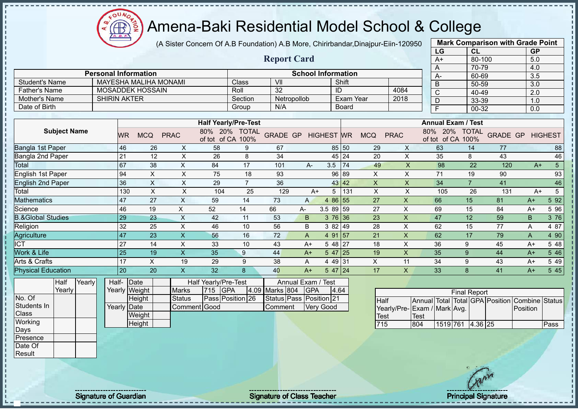(A Sister Concern Of A.B Foundation) A.B More, Chirirbandar,Dinajpur-Eiin-120950

|                              |                     |                                  |                           |                                           |                             |                         |                           |                     |              |             |                           | LG                              | <b>CL</b>           |                 | <b>GP</b>             |                 |
|------------------------------|---------------------|----------------------------------|---------------------------|-------------------------------------------|-----------------------------|-------------------------|---------------------------|---------------------|--------------|-------------|---------------------------|---------------------------------|---------------------|-----------------|-----------------------|-----------------|
|                              |                     |                                  |                           |                                           |                             | <b>Report Card</b>      |                           |                     |              |             |                           | $A+$                            | $80 - 100$          |                 | 5.0                   |                 |
|                              |                     |                                  |                           |                                           |                             |                         |                           |                     |              |             |                           | A                               | 70-79               |                 | 4.0                   |                 |
|                              |                     | <b>Personal Information</b>      |                           |                                           |                             |                         | <b>School Information</b> |                     |              |             |                           | $A -$                           | 60-69               |                 | 3.5                   |                 |
| <b>Student's Name</b>        |                     | <b>MAYESHA MALIHA MONAMI</b>     |                           |                                           | Class                       | VII                     |                           |                     | Shift        |             |                           | B                               | 50-59               |                 | 3.0                   |                 |
| <b>Father's Name</b>         |                     | <b>MOSADDEK HOSSAIN</b>          |                           |                                           | Roll                        | 32                      |                           | ID                  |              |             | 4084                      | C                               | 40-49               |                 | 2.0                   |                 |
| Mother's Name                | <b>SHIRIN AKTER</b> |                                  |                           |                                           | Section                     | Netropollob             |                           |                     | Exam Year    |             | 2018                      | $\overline{D}$                  | 33-39               |                 | 1.0                   |                 |
| Date of Birth                |                     |                                  |                           |                                           | Group                       | N/A                     |                           |                     | <b>Board</b> |             |                           | F                               | 00-32               |                 | 0.0                   |                 |
|                              |                     |                                  |                           |                                           | <b>Half Yearly/Pre-Test</b> |                         |                           |                     |              |             |                           | <b>Annual Exam / Test</b>       |                     |                 |                       |                 |
| <b>Subject Name</b>          |                     | <b>MCQ</b><br>WR.                | <b>PRAC</b>               | of tot of CA 100%                         | 80% 20% TOTAL               | GRADE GP HIGHEST WR     |                           |                     |              | <b>MCQ</b>  | <b>PRAC</b>               | 80% 20%<br>of tot of CA 100%    | <b>TOTAL</b>        | <b>GRADE GP</b> |                       | <b>HIGHEST</b>  |
| Bangla 1st Paper             | 46                  | 26                               | $\boldsymbol{\mathsf{X}}$ | 58                                        | 9                           | 67                      |                           |                     | 85 50        | 29          | X                         | 63                              | 14                  | 77              |                       | 88              |
| Bangla 2nd Paper             | 21                  | 12                               | $\pmb{\times}$            | 26                                        | 8                           | 34                      |                           |                     | 45 24        | 20          | $\pmb{\times}$            | 35                              | 8                   | 43              |                       | 46              |
| <b>Total</b>                 | 67                  | 38                               | $\mathsf X$               | 84                                        | 17                          | 101                     | A-                        | 3.5                 | 74           | 49          | $\mathsf{x}$              | 98                              | 22                  | 120             | $A+$                  | $5\overline{)}$ |
| English 1st Paper            | 94                  | $\pmb{\times}$                   | $\times$                  | 75                                        | 18                          | 93                      |                           |                     | 96 89        | X           | X                         | 71                              | 19                  | 90              |                       | 93              |
| <b>English 2nd Paper</b>     |                     | 36<br>$\boldsymbol{\mathsf{X}}$  | $\times$                  | 29                                        | $\overline{7}$              | 36                      |                           |                     | 43 42        | X           | $\pmb{\times}$            | 34                              | $\overline{7}$      | 41              |                       | 46              |
| Total                        |                     | $\boldsymbol{\mathsf{X}}$<br>130 | $\mathsf{X}$              | 104                                       | 25                          | 129                     | $A+$                      | 5                   | 131          | X           | $\times$                  | 105                             | 26                  | 131             | $A+$                  | 5               |
| <b>Mathematics</b>           | 47                  | 27                               | $\mathsf X$               | 59                                        | 14                          | 73                      | $\mathsf{A}$              | 4 86 55             |              | 27          | $\boldsymbol{\mathsf{X}}$ | 66                              | 15                  | 81              | $A+$                  | 5 9 2           |
| Science                      | 46                  | 19                               | X                         | 52                                        | 14                          | 66                      | А-                        | 3.5 89 59           |              | 27          | X                         | 69                              | 15                  | 84              | $A+$                  | 5 96            |
| <b>B.&amp;Global Studies</b> | 29                  | 23                               | $\boldsymbol{\mathsf{X}}$ | 42                                        | 11                          | 53                      | B                         | 3 76 36             |              | 23          | $\overline{\mathsf{X}}$   | 47                              | 12                  | 59              | $\mathsf B$           | 3 76            |
| Religion                     | 32                  | 25                               | $\sf X$                   | 46                                        | 10                          | 56                      | B                         | 3 82 49             |              | 28          | X                         | 62                              | 15                  | 77              | A                     | 4 87            |
| Agriculture                  | 47                  | 23                               | X                         | 56                                        | 16                          | 72                      | A                         | 4 91 57             |              | 21          | $\pmb{\times}$            | 62                              | 17                  | 79              | A                     | 4 90            |
| $\overline{ICT}$             | 27                  | 14                               | $\pmb{\times}$            | 33                                        | 10                          | 43                      | $A+$                      | $548$   27          |              | 18          | X                         | 36                              | 9                   | 45              | $A+$                  | 5 48            |
| Work & Life                  | 25                  | 19                               | $\mathsf X$               | 35                                        | 9                           | 44                      | $A+$                      | $547$ 25            |              | 19          | $\boldsymbol{\mathsf{X}}$ | 35                              | $\boldsymbol{9}$    | 44              | $A+$                  | 5 4 6           |
| Arts & Crafts                | 17                  | $\overline{\mathsf{x}}$          | 19                        | 29                                        | 9                           | 38                      | A                         | $449 \overline{31}$ |              | $\sf X$     | 11                        | 34                              | $\boldsymbol{9}$    | 43              | $A+$                  | 5 4 9           |
| <b>Physical Education</b>    | 20                  | 20                               | $\mathsf X$               | 32                                        | 8                           | 40                      | $A+$                      | $547$ 24            |              | 17          | $\mathsf{X}$              | 33                              | 8                   | 41              | $A+$                  | 5 4 5           |
| Yearly<br>Half<br>Yearly     |                     | Half- Date<br>Yearly Weight      | <b>Marks</b>              | <b>Half Yearly/Pre-Test</b><br>715<br>GPA | 4.09                        | Marks 804               | Annual Exam / Test<br>GPA | 4.64                |              |             |                           |                                 | <b>Final Report</b> |                 |                       |                 |
| No. Of                       |                     | <b>Height</b>                    | <b>Status</b>             |                                           | Pass Position 26            | Status Pass Position 21 |                           |                     |              | <b>Half</b> |                           | Annual Total Total GPA Position |                     |                 | <b>Combine Status</b> |                 |
| Students In                  |                     | Yearly Date                      |                           | Comment Good                              |                             | Comment                 |                           | <b>Very Good</b>    |              |             |                           | Yearly/Pre-Exam / Mark Avg.     |                     |                 | Position              |                 |
| Class                        |                     | Weight                           |                           |                                           |                             |                         |                           |                     |              | <b>Test</b> |                           | <b>Test</b>                     |                     |                 |                       |                 |
| Working                      |                     | Height                           |                           |                                           |                             |                         |                           |                     |              | 715         | 804                       | 1519 761                        | 4.36 25             |                 |                       | Pass            |
| Days                         |                     |                                  |                           |                                           |                             |                         |                           |                     |              |             |                           |                                 |                     |                 |                       |                 |
| Presence                     |                     |                                  |                           |                                           |                             |                         |                           |                     |              |             |                           |                                 |                     |                 |                       |                 |
| Date Of                      |                     |                                  |                           |                                           |                             |                         |                           |                     |              |             |                           |                                 |                     |                 |                       |                 |

**Mark Comparison with Grade Point**

oυ

Result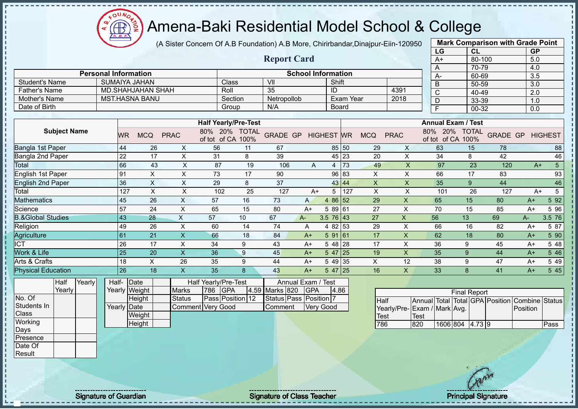**CB** 

# Amena-Baki Residential Model School & College

(A Sister Concern Of A.B Foundation) A.B More, Chirirbandar,Dinajpur-Eiin-120950

|                              |        |       |                             |                                      |                    |                                    |                 |                           |                   |                  |                           |                | LG                              |                                    | CL                  |                    | <b>GP</b>                  |                 |
|------------------------------|--------|-------|-----------------------------|--------------------------------------|--------------------|------------------------------------|-----------------|---------------------------|-------------------|------------------|---------------------------|----------------|---------------------------------|------------------------------------|---------------------|--------------------|----------------------------|-----------------|
|                              |        |       |                             |                                      |                    |                                    |                 | <b>Report Card</b>        |                   |                  |                           |                | $A+$                            |                                    | 80-100              |                    | 5.0                        |                 |
|                              |        |       |                             |                                      |                    |                                    |                 |                           |                   |                  |                           |                | A                               |                                    | 70-79               |                    | 4.0                        |                 |
|                              |        |       | <b>Personal Information</b> |                                      |                    |                                    |                 | <b>School Information</b> |                   |                  |                           |                | A-                              |                                    | 60-69               |                    | 3.5                        |                 |
| <b>Student's Name</b>        |        |       | <b>SUMAIYA JAHAN</b>        |                                      |                    | Class                              | V <sub>II</sub> |                           | Shift             |                  |                           |                | B                               |                                    | 50-59               |                    | 3.0                        |                 |
| <b>Father's Name</b>         |        |       | <b>MD.SHAHJAHAN SHAH</b>    |                                      |                    | Roll                               | 35              |                           | ID                |                  |                           | 4391           | $\mathsf C$                     |                                    | 40-49               |                    | 2.0                        |                 |
| Mother's Name                |        |       | <b>MST.HASNA BANU</b>       |                                      |                    | Section                            | Netropollob     |                           |                   | <b>Exam Year</b> |                           | 2018           | D                               |                                    | 33-39               |                    | 1.0                        |                 |
| Date of Birth                |        |       |                             |                                      |                    | Group                              | N/A             |                           |                   | Board            |                           |                | F                               |                                    | $00 - 32$           |                    | 0.0                        |                 |
|                              |        |       |                             |                                      |                    | <b>Half Yearly/Pre-Test</b>        |                 |                           |                   |                  |                           |                |                                 | <b>Annual Exam / Test</b>          |                     |                    |                            |                 |
|                              |        |       |                             |                                      |                    |                                    |                 |                           |                   |                  |                           |                |                                 |                                    |                     |                    |                            |                 |
| <b>Subject Name</b>          |        |       | <b>MCQ</b><br><b>WR</b>     | <b>PRAC</b>                          |                    | 80% 20% TOTAL<br>of tot of CA 100% | <b>GRADE GP</b> |                           | <b>HIGHEST</b> WR |                  | <b>MCQ</b>                | <b>PRAC</b>    |                                 | 80% 20% TOTAL<br>of tot of CA 100% |                     | <b>GRADE GP</b>    |                            | <b>HIGHEST</b>  |
| Bangla 1st Paper             |        |       | 44                          | 26<br>X                              | 56                 | 11                                 | 67              |                           |                   | 85 50            | 29                        | X              | 63                              |                                    | 15                  | 78                 |                            | 88              |
| Bangla 2nd Paper             |        |       | 22                          | 17<br>$\boldsymbol{\mathsf{X}}$      | 31                 | $\,8\,$                            | 39              |                           |                   | 45 23            | 20                        | $\pmb{\times}$ | 34                              |                                    | 8                   | 42                 |                            | 46              |
| Total                        |        |       | 66                          | 43                                   | X                  | 87<br>19                           | 106             | A                         | 4                 | 73               | 49                        | X              | 97                              |                                    | 23                  | 120                | $A+$                       | 5 <sup>5</sup>  |
| English 1st Paper            |        | 91    |                             | $\sf X$<br>$\boldsymbol{\mathsf{X}}$ | 73                 | 17                                 | 90              |                           |                   | 96 83            | X                         | $\pmb{\times}$ | 66                              |                                    | 17                  | 83                 |                            | 93              |
| <b>English 2nd Paper</b>     |        |       | 36                          | $\sf X$<br>$\boldsymbol{\mathsf{X}}$ | 29                 | 8                                  | 37              |                           |                   | 43 44            | $\boldsymbol{\mathsf{X}}$ | $\mathsf X$    | 35                              |                                    | 9                   | 44                 |                            | 46              |
| Total                        |        |       | 127                         | $\boldsymbol{\mathsf{X}}$            | $\pmb{\mathsf{X}}$ | 25<br>102                          | 127             | $A+$                      | 5 <sup>5</sup>    | 127              | $\times$                  | X              | 101                             |                                    | 26                  | 127                | $A+$                       | $5\phantom{.0}$ |
| <b>Mathematics</b>           |        |       | 45                          | $\boldsymbol{\mathsf{X}}$<br>26      | 57                 | 16                                 | 73              | A                         | 4 86 52           |                  | 29                        | $\mathsf{X}$   | 65                              |                                    | 15                  | 80                 | $A+$                       | 5 9 2           |
| Science                      |        |       | 57                          | $\sf X$<br>24                        | 65                 | 15                                 | 80              | $A+$                      | 58961             |                  | 27                        | $\times$       | 70                              |                                    | 15                  | 85                 | $A+$                       | 5 96            |
| <b>B.&amp;Global Studies</b> |        |       | 43                          | $\boldsymbol{\mathsf{X}}$<br>28      | 57                 | 10                                 | 67              | $A -$                     | $3.5 \ 76 \ 43$   |                  | 27                        | $\pmb{\times}$ | 56                              | 13                                 |                     | 69                 | A-                         | 3.5 76          |
| Religion                     |        |       | 49                          | $\sf X$<br>26                        | 60                 | 14                                 | 74              | A                         | 4 82 53           |                  | 29                        | $\times$       | 66                              |                                    | 16                  | 82                 | $A+$                       | 5 87            |
| Agriculture                  |        |       | 61                          | $\boldsymbol{\mathsf{X}}$<br>21      | 66                 | 18                                 | 84              | $A+$                      | 591 61            |                  | 17                        | X              | 62                              |                                    | 18                  | 80                 | $A+$                       | 5 90            |
| <b>ICT</b>                   |        |       | 26                          | $\mathsf{X}$<br>17                   | 34                 | 9                                  | 43              | $A+$                      | $548$ 28          |                  | 17                        | X              | 36                              | 9                                  |                     | 45                 | $A+$                       | 5 48            |
| Work & Life                  |        |       | 25                          | $\overline{\mathsf{X}}$<br>20        | 36                 | 9                                  | 45              | $A+$                      | $547$ 25          |                  | 19                        | $\mathsf{x}$   | 35                              | 9                                  |                     | 44                 | $A+$                       | 5 4 6           |
| Arts & Crafts                |        |       | 18                          | $\pmb{\times}$<br>26                 | 35                 | 9                                  | 44              | $A+$                      | 5 49 35           |                  | $\times$                  | 12             | 38                              | 9                                  |                     | 47                 | $A+$                       | 5 4 9           |
| <b>Physical Education</b>    |        |       | 26                          | X<br>18                              | 35                 | 8                                  | 43              | $A+$                      | $547$ 25          |                  | 16                        | X              | 33                              | 8                                  |                     | 41                 | $A+$                       | 5 4 5           |
| Half                         | Yearly | Half- | Date                        |                                      |                    | Half Yearly/Pre-Test               |                 | Annual Exam /             | <b>Test</b>       |                  |                           |                |                                 |                                    |                     |                    |                            |                 |
| Yearly                       |        |       | Yearly Weight               | <b>Marks</b>                         | 786                | <b>GPA</b>                         | 4.59 Marks 820  | <b>GPA</b>                |                   | 4.86             |                           |                |                                 |                                    |                     |                    |                            |                 |
| No. Of                       |        |       | Height                      | <b>Status</b>                        |                    | Pass Position 12                   |                 | Status Pass Position 7    |                   |                  |                           |                |                                 |                                    | <b>Final Report</b> |                    |                            |                 |
| Students In                  |        |       | Yearly Date                 |                                      | Comment Very Good  |                                    | Comment         |                           | Very Good         |                  | <b>Half</b>               |                | Annual Total                    |                                    |                     | Total GPA Position | Combine Status<br>Position |                 |
| Class                        |        |       | Weight                      |                                      |                    |                                    |                 |                           |                   |                  | <b>Test</b>               | Yearly/Pre-    | Exam / Mark Avg.<br><b>Test</b> |                                    |                     |                    |                            |                 |
| Working                      |        |       | Height                      |                                      |                    |                                    |                 |                           |                   |                  | 786                       |                | 820                             | 1606 804 4.73 9                    |                     |                    |                            | Pass            |
| Days                         |        |       |                             |                                      |                    |                                    |                 |                           |                   |                  |                           |                |                                 |                                    |                     |                    |                            |                 |
| Presence                     |        |       |                             |                                      |                    |                                    |                 |                           |                   |                  |                           |                |                                 |                                    |                     |                    |                            |                 |
| Date Of                      |        |       |                             |                                      |                    |                                    |                 |                           |                   |                  |                           |                |                                 |                                    |                     |                    |                            |                 |
| Result                       |        |       |                             |                                      |                    |                                    |                 |                           |                   |                  |                           |                |                                 |                                    |                     |                    |                            |                 |

**Mark Comparison with Grade Point**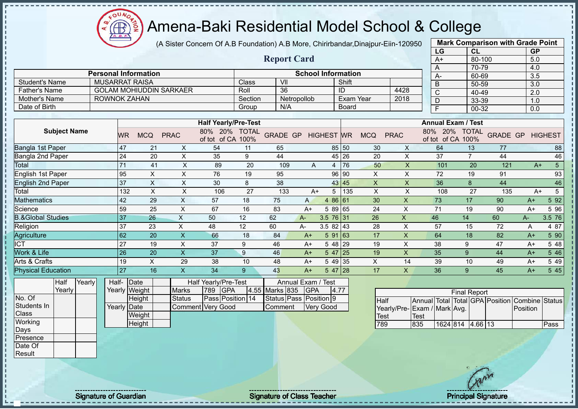(A Sister Concern Of A.B Foundation) A.B More, Chirirbandar,Dinajpur-Eiin-120950

|                              |                             |                |            |                                |                                                                                  |              | <b>Report Card</b> |              |                           |              |            |             | $A+$                      | 80-100         |              | 5.0  |                |
|------------------------------|-----------------------------|----------------|------------|--------------------------------|----------------------------------------------------------------------------------|--------------|--------------------|--------------|---------------------------|--------------|------------|-------------|---------------------------|----------------|--------------|------|----------------|
|                              | <b>Personal Information</b> |                |            |                                |                                                                                  |              |                    |              | <b>School Information</b> |              |            |             | A                         | 70-79          |              | 4.0  |                |
| <b>Student's Name</b>        | <b>MUSARRAT RAISA</b>       |                |            |                                |                                                                                  | Class        | VII                |              |                           | Shift        |            |             | А-                        | 60-69          |              | 3.5  |                |
| <b>Father's Name</b>         |                             |                |            | <b>GOLAM MOHIUDDIN SARKAER</b> |                                                                                  | Roll         | 36                 |              |                           |              |            | 4428        | B                         | 50-59          |              | 3.0  |                |
|                              |                             |                |            |                                |                                                                                  |              |                    |              |                           | ID           |            |             | C                         | 40-49          |              | 2.0  |                |
| <b>Mother's Name</b>         | <b>ROWNOK ZAHAN</b>         |                |            |                                |                                                                                  | Section      |                    | Netropollob  |                           | Exam Year    |            | 2018        | D                         | 33-39          |              | 1.0  |                |
| Date of Birth                |                             |                |            |                                |                                                                                  | Group        | N/A                |              |                           | <b>Board</b> |            |             | F                         | $00 - 32$      |              | 0.0  |                |
|                              |                             |                |            |                                |                                                                                  |              |                    |              |                           |              |            |             |                           |                |              |      |                |
|                              |                             |                |            |                                | <b>Half Yearly/Pre-Test</b>                                                      |              |                    |              |                           |              |            |             | <b>Annual Exam / Test</b> |                |              |      |                |
| <b>Subject Name</b>          |                             | <b>WR</b>      | <b>MCQ</b> | <b>PRAC</b>                    | 80%<br><b>20%</b>                                                                | <b>TOTAL</b> | <b>GRADE GP</b>    |              | <b>HIGHEST WR</b>         |              | <b>MCQ</b> | <b>PRAC</b> | 80%<br>20%                | <b>TOTAL</b>   | <b>GRADE</b> | GP   | <b>HIGHEST</b> |
|                              |                             |                |            |                                | of tot of CA                                                                     | 100%         |                    |              |                           |              |            |             | of tot<br>of CA           | 100%           |              |      |                |
| Bangla 1st Paper             |                             | 47             | 21         | X                              | 54                                                                               | 11           | 65                 |              |                           | 85 50        | 30         | X           | 64                        | 13             | 77           |      | 88             |
| Bangla 2nd Paper             |                             | 24             | 20         | X                              | 35                                                                               | 9            | 44                 |              | 45                        | 26           | 20         | X           | 37                        | $\overline{7}$ | 44           |      | 46             |
| Total                        |                             | 71             | 41         | X                              | 89                                                                               | 20           | 109                | $\mathsf{A}$ | 4                         | 76           | 50         | X           | 101                       | 20             | 121          | $A+$ | 5              |
| English 1st Paper            |                             | 95             | X          | X                              | 76                                                                               | 19           | 95                 |              | 96                        | 90           | X          | X           | 72                        | 19             | 91           |      | 93             |
| English 2nd Paper            |                             | 37             | X          | X                              | 30                                                                               | 8            | 38                 |              |                           | 43 45        | X          | X           | 36                        | 8              | 44           |      | 46             |
| Total                        |                             | 132            | X          | Χ                              | 106                                                                              | 27           | 133                | $A+$         | 5                         | 135          | X          | X           | 108                       | 27             | 135          | $A+$ | 5              |
| <b>Aathematics</b>           |                             | 42             | 29         | X                              | 57                                                                               | 18           | 75                 | A            | 4 86 61                   |              | 30         | Χ           | 73                        | 17             | 90           | $A+$ | 5 9 2          |
| Science                      |                             | 59             | 25         | X                              | 67                                                                               | 16           | 83                 | $A+$         | 5 89 65                   |              | 24         | X           | 71                        | 19             | 90           | $A+$ | 5 96           |
| <b>B.&amp;Global Studies</b> |                             | 37             | 26         | X                              | 50                                                                               | 12           | 62                 | $A -$        | $3.5 \ 76 \ 31$           |              | 26         | X           | 46                        | 14             | 60           | $A-$ | 3.5 76         |
| Religion                     |                             | 37             | 23         | X                              | 48                                                                               | 12           | 60                 | A-           | $3.582$ 43                |              | 28         | X           | 57                        | 15             | 72           | Α    | 4 87           |
| Agriculture                  |                             | 62             | 20         | $\boldsymbol{\mathsf{X}}$      | 66                                                                               | 18           | 84                 | $A+$         | 591 63                    |              | 17         | X           | 64                        | 18             | 82           | $A+$ | 5 90           |
| <b>ICT</b>                   |                             | 27             | 19         | X                              | 37                                                                               | 9            | 46                 | $A+$         | 5 48                      | 29           | 19         | X           | 38                        | 9              | 47           | $A+$ | 5 48           |
| Work & Life                  |                             | 26             | 20         | X.                             | 37                                                                               | 9            | 46                 | $A+$         | 5 47                      | 25           | 19         | X           | 35                        | 9              | 44           | $A+$ | 5 4 6          |
| Arts & Crafts                |                             | 19             | X          | 29                             | 38                                                                               | 10           | 48                 | A+           | 5 49                      | 35           | X          | 14          | 39                        | 10             | 49           | $A+$ | 5 4 9          |
| <b>Physical Education</b>    |                             | 27             | 16         | X                              | 34                                                                               | 9            | 43                 | $A+$         | $547$ 28                  |              | 17         | X           | 36                        | 9              | 45           | $A+$ | 5 4 5          |
| $\frac{1}{2}$                |                             | $\overline{a}$ |            |                                | $\mathbf{r}$ and $\mathbf{r}$ and $\mathbf{r}$ and $\mathbf{r}$ and $\mathbf{r}$ |              |                    | $\sim$       | $\sim$                    |              |            |             |                           |                |              |      |                |

**Half Yearly Yearly** No. Of Students In **Class Working** Days Presence Date Of Result

- II

л  $\mathbf{I}$ Î

Half-Yearly Weight **Date Height** Yearly Date **Weight** Half Yearly/Pre-Test<br>s |789 IGPA Marks 789 GPA 4.55 Status **Pass Position** 14 Comment Very Good Annual Exam / Test<br>ks 835 IGPA I4 Marks 835 GPA 4.77 Status Pass Position 9 Comment Very Good

|                              |      |                  | <b>Final Report</b> |  |                                                |      |
|------------------------------|------|------------------|---------------------|--|------------------------------------------------|------|
| <b>I</b> Half                |      |                  |                     |  | Annual Total Total GPA Position Combine Status |      |
| Yearly/Pre- Exam / Mark Avg. |      |                  |                     |  | Position                                       |      |
| <b>Test</b>                  | Test |                  |                     |  |                                                |      |
| 789                          | 835  | 1624 814 4.66 13 |                     |  |                                                | Pass |

**Mark Comparison with Grade Point LG CL GP**

**Height** 

 $QUN$ Æ

Signature of Guardian Signature Signature of Class Teacher New York Network Principal Signature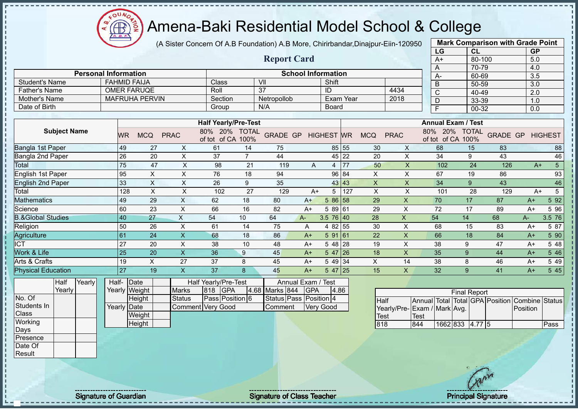

(A Sister Concern Of A.B Foundation) A.B More, Chirirbandar,Dinajpur-Eiin-120950

|                              |                             |                           |                |                          |                             |                        |                           |                  |           |              |                             |     | LG   | <b>CL</b>                         |                                                |          | <b>GP</b>        |                |
|------------------------------|-----------------------------|---------------------------|----------------|--------------------------|-----------------------------|------------------------|---------------------------|------------------|-----------|--------------|-----------------------------|-----|------|-----------------------------------|------------------------------------------------|----------|------------------|----------------|
|                              |                             |                           |                |                          |                             | <b>Report Card</b>     |                           |                  |           |              |                             |     | $A+$ | 80-100                            |                                                |          | 5.0              |                |
|                              |                             |                           |                |                          |                             |                        |                           |                  |           |              |                             |     | A    | 70-79                             |                                                |          | 4.0              |                |
|                              | <b>Personal Information</b> |                           |                |                          |                             |                        | <b>School Information</b> |                  |           |              |                             |     | А-   | 60-69                             |                                                |          | $\overline{3.5}$ |                |
| <b>Student's Name</b>        |                             | <b>FAHMID FAIJA</b>       |                | Class                    |                             | VII                    |                           | Shift            |           |              |                             |     | B    | 50-59                             |                                                |          | 3.0              |                |
| <b>Father's Name</b>         |                             | <b>OMER FARUQE</b>        |                | Roll                     |                             | 37                     |                           | ID               |           |              | 4434                        |     | C    | 40-49                             |                                                |          | 2.0              |                |
| <b>Mother's Name</b>         |                             | <b>MAFRUHA PERVIN</b>     |                | Section                  |                             | Netropollob            |                           |                  | Exam Year |              | 2018                        |     | D    | 33-39                             |                                                |          | 1.0              |                |
| Date of Birth                |                             |                           |                | Group                    |                             | N/A                    |                           | <b>Board</b>     |           |              |                             |     | E    | 00-32                             |                                                |          | 0.0              |                |
|                              |                             |                           |                |                          |                             |                        |                           |                  |           |              |                             |     |      |                                   |                                                |          |                  |                |
|                              |                             |                           |                |                          | <b>Half Yearly/Pre-Test</b> |                        |                           |                  |           |              |                             |     |      | <b>Annual Exam / Test</b>         |                                                |          |                  |                |
| <b>Subject Name</b>          | <b>WR</b>                   | <b>MCQ</b>                | <b>PRAC</b>    | of tot of CA 100%        | 80% 20% TOTAL               | <b>GRADE GP</b>        |                           | <b>HIGHEST</b>   | <b>WR</b> | <b>MCQ</b>   | <b>PRAC</b>                 | 80% | 20%  | <b>TOTAL</b><br>of tot of CA 100% | <b>GRADE GP</b>                                |          |                  | <b>HIGHEST</b> |
| Bangla 1st Paper             | 49                          | 27                        | X              | 61                       | 14                          | 75                     |                           |                  | 85 55     | 30           | X                           |     | 68   | 15                                | 83                                             |          |                  | 88             |
| Bangla 2nd Paper             | 26                          | 20                        | X              | 37                       | $\overline{7}$              | 44                     |                           |                  | 45 22     | 20           | $\times$                    |     | 34   | 9                                 | 43                                             |          |                  | 46             |
| Total                        | 75                          | 47                        | X              | 98                       | 21                          | 119                    | A                         | 4                | 77        | 50           | $\times$                    |     | 102  | 24                                | 126                                            |          | $A+$             | 5              |
| English 1st Paper            | 95                          | X                         | $\mathsf{X}$   | 76                       | 18                          | 94                     |                           |                  | 96 84     | $\mathsf{X}$ | $\sf X$                     |     | 67   | 19                                | 86                                             |          |                  | 93             |
| <b>English 2nd Paper</b>     | 33                          | $\boldsymbol{\mathsf{X}}$ | X              | 26                       | 9                           | 35                     |                           |                  | 43 43     | X            | $\overline{\mathsf{X}}$     |     | 34   | 9 <sup>°</sup>                    | 43                                             |          |                  | 46             |
| Total                        | 128                         | $\times$                  | X              | 102                      | 27                          | 129                    | $A+$                      | 5                | 127       | $\mathsf{x}$ | $\sf X$                     |     | 101  | 28                                | 129                                            |          | $A+$             | 5              |
| Mathematics                  | 49                          | 29                        | X.             | 62                       | 18                          | 80                     | $A+$                      | 5 86 58          |           | 29           | X                           |     | 70   | 17                                | 87                                             | $A+$     |                  | 5 92           |
| Science                      | 60                          | 23                        | X              | 66                       | 16                          | 82                     | $A+$                      | 5 89 61          |           | 29           | X                           |     | 72   | 17                                | 89                                             | $A+$     |                  | 5 9 6          |
| <b>B.&amp;Global Studies</b> | 40                          | 27                        | X              | 54                       | 10                          | 64                     | $A -$                     | $3.5$ 76 40      |           | 28           | $\mathsf{X}$                | 54  |      | 14                                | 68                                             | $A -$    |                  | 3.5 76         |
| Religion                     | 50                          | 26                        | X              | 61                       | 14                          | 75                     | A                         | 82<br>4          | 55        | 30           | X                           |     | 68   | 15                                | 83                                             | $A+$     |                  | 5 87           |
| Agriculture                  | 61                          | 24                        | X              | 68                       | 18                          | 86                     | $A+$                      | 59161            |           | 22           | $\mathsf{x}$                |     | 66   | 18                                | 84                                             | $A+$     |                  | 5 90           |
| <b>ICT</b>                   | 27                          | 20                        | $\pmb{\times}$ | 38                       | 10                          | 48                     | A+                        | 5 48 28          |           | 19           | $\sf X$                     |     | 38   | 9                                 | 47                                             | $A+$     |                  | 5 48           |
| Work & Life                  | 25                          | 20                        | $\mathsf{X}$   | 36                       | 9                           | 45                     | $A+$                      | 5 47             | 26        | 18           | $\times$                    |     | 35   | 9                                 | 44                                             | $A+$     |                  | 5 4 6          |
| Arts & Crafts                | 19                          | $\pmb{\mathsf{X}}$        | 27             | 37                       | 8                           | 45                     | $A+$                      | 5 49 34          |           | X            | 14                          |     | 38   | 8                                 | 46                                             | $A+$     |                  | 5 4 9          |
| <b>Physical Education</b>    | 27                          | 19                        | X.             | 37                       | 8                           | 45                     | $A+$                      | $547$  25        |           | 15           | X                           |     | 32   | 9                                 | 41                                             | $A+$     |                  | 5 4 5          |
| Yearly<br>Half               | Half-                       | Date                      |                | Half Yearly/Pre-Test     |                             |                        | Annual Exam / Test        |                  |           |              |                             |     |      |                                   |                                                |          |                  |                |
| Yearly                       |                             | Yearly Weight             | <b>Marks</b>   | 818<br><b>GPA</b>        |                             | 4.68 Marks 844         | GPA                       | 4.86             |           |              |                             |     |      | <b>Final Report</b>               |                                                |          |                  |                |
| No. Of                       |                             | Height                    | <b>Status</b>  | Pass Position 6          |                             | Status Pass Position 4 |                           |                  |           | Half         |                             |     |      |                                   | Annual Total Total GPA Position Combine Status |          |                  |                |
| Students In                  | Yearly Date                 |                           |                | <b>Comment Very Good</b> |                             | Comment                |                           | <b>Very Good</b> |           |              | Yearly/Pre-IFxam / Mark Avg |     |      |                                   |                                                | Position |                  |                |

 $N<sub>0</sub>$ Students In Class **Working** Days Presence

Date Of Result

 $\frac{1}{4}$ 

л  $\mathbf{I}$ 

 $\mathbf{I}$  $\mathbf{I}$  $\mathbf{I}$  Yearly Date **Weight Height** Comment Very Good

|                              |      |                 | <b>Final Report</b> |  |                                                |      |
|------------------------------|------|-----------------|---------------------|--|------------------------------------------------|------|
| <b>Half</b>                  |      |                 |                     |  | Annual Total Total GPA Position Combine Status |      |
| Yearly/Pre- Exam / Mark Avg. |      |                 |                     |  | <b>IPosition</b>                               |      |
| <b>Test</b>                  | Test |                 |                     |  |                                                |      |
| 818                          | 844  | 1662 833 4.77 5 |                     |  |                                                | Pass |

**Mark Comparison with Grade Point**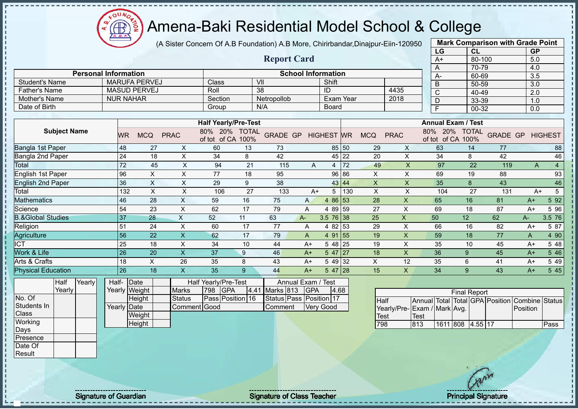$O<sub>O</sub>$ Æ

# Amena-Baki Residential Model School & College

(A Sister Concern Of A.B Foundation) A.B More, Chirirbandar,Dinajpur-Eiin-120950

|      |                                                                                                                                                                               |                                                                                                  |                                  |                                                                                   |                                             |                                                                                        |                                                |                                                         |                                                                                                                                                                                 |                         | LG                                                                      | CL           |                               |                                                                                                                                  |          |                                                                                                                                               |
|------|-------------------------------------------------------------------------------------------------------------------------------------------------------------------------------|--------------------------------------------------------------------------------------------------|----------------------------------|-----------------------------------------------------------------------------------|---------------------------------------------|----------------------------------------------------------------------------------------|------------------------------------------------|---------------------------------------------------------|---------------------------------------------------------------------------------------------------------------------------------------------------------------------------------|-------------------------|-------------------------------------------------------------------------|--------------|-------------------------------|----------------------------------------------------------------------------------------------------------------------------------|----------|-----------------------------------------------------------------------------------------------------------------------------------------------|
|      |                                                                                                                                                                               |                                                                                                  |                                  |                                                                                   |                                             |                                                                                        |                                                |                                                         |                                                                                                                                                                                 |                         | $A+$                                                                    |              |                               |                                                                                                                                  |          |                                                                                                                                               |
|      |                                                                                                                                                                               |                                                                                                  |                                  |                                                                                   |                                             |                                                                                        |                                                |                                                         |                                                                                                                                                                                 |                         | A                                                                       |              |                               |                                                                                                                                  |          |                                                                                                                                               |
|      |                                                                                                                                                                               |                                                                                                  |                                  |                                                                                   |                                             |                                                                                        |                                                |                                                         |                                                                                                                                                                                 |                         | A-                                                                      |              |                               |                                                                                                                                  |          |                                                                                                                                               |
|      |                                                                                                                                                                               |                                                                                                  |                                  |                                                                                   |                                             |                                                                                        |                                                |                                                         |                                                                                                                                                                                 |                         | B                                                                       |              |                               |                                                                                                                                  |          |                                                                                                                                               |
|      |                                                                                                                                                                               |                                                                                                  |                                  |                                                                                   |                                             |                                                                                        |                                                |                                                         |                                                                                                                                                                                 |                         | C                                                                       |              |                               |                                                                                                                                  |          |                                                                                                                                               |
|      |                                                                                                                                                                               |                                                                                                  |                                  |                                                                                   |                                             |                                                                                        |                                                |                                                         |                                                                                                                                                                                 |                         | D                                                                       |              |                               |                                                                                                                                  |          |                                                                                                                                               |
|      |                                                                                                                                                                               |                                                                                                  |                                  |                                                                                   |                                             |                                                                                        |                                                |                                                         |                                                                                                                                                                                 |                         | E                                                                       |              |                               |                                                                                                                                  |          |                                                                                                                                               |
|      |                                                                                                                                                                               |                                                                                                  |                                  |                                                                                   |                                             |                                                                                        |                                                |                                                         |                                                                                                                                                                                 |                         |                                                                         |              |                               |                                                                                                                                  |          |                                                                                                                                               |
|      |                                                                                                                                                                               |                                                                                                  |                                  |                                                                                   |                                             |                                                                                        |                                                |                                                         |                                                                                                                                                                                 |                         |                                                                         |              |                               |                                                                                                                                  |          |                                                                                                                                               |
|      |                                                                                                                                                                               |                                                                                                  | 80%<br>20%                       | <b>TOTAL</b><br>100%                                                              |                                             |                                                                                        |                                                |                                                         | <b>MCQ</b>                                                                                                                                                                      |                         | 80%<br>20%                                                              | <b>TOTAL</b> |                               |                                                                                                                                  |          |                                                                                                                                               |
|      | 27                                                                                                                                                                            | X                                                                                                | 60                               | 13                                                                                | 73                                          |                                                                                        |                                                |                                                         | 29                                                                                                                                                                              | X                       | 63                                                                      | 14           | 77                            |                                                                                                                                  |          | 88                                                                                                                                            |
|      | 18                                                                                                                                                                            | X                                                                                                | 34                               | 8                                                                                 | 42                                          |                                                                                        |                                                |                                                         | 20                                                                                                                                                                              | X                       | 34                                                                      | 8            | 42                            |                                                                                                                                  |          | 46                                                                                                                                            |
|      | 45                                                                                                                                                                            | X                                                                                                | 94                               | 21                                                                                | 115                                         | A                                                                                      | $\overline{4}$                                 | 72                                                      | 49                                                                                                                                                                              | $\overline{\mathsf{X}}$ | 97                                                                      | 22           | 119                           |                                                                                                                                  | A        | $\overline{4}$                                                                                                                                |
|      | Χ                                                                                                                                                                             | X                                                                                                | 77                               | 18                                                                                | 95                                          |                                                                                        | 96                                             | 86                                                      | $\sf X$                                                                                                                                                                         | X                       | 69                                                                      | 19           | 88                            |                                                                                                                                  |          | 93                                                                                                                                            |
|      | $\mathsf{X}$                                                                                                                                                                  | X                                                                                                | 29                               | 9                                                                                 | 38                                          |                                                                                        |                                                |                                                         | X                                                                                                                                                                               | X                       | 35                                                                      | 8            | 43                            |                                                                                                                                  |          | 46                                                                                                                                            |
|      | $\times$                                                                                                                                                                      | X                                                                                                | 106                              | 27                                                                                | 133                                         |                                                                                        | 5                                              | 130                                                     | X                                                                                                                                                                               | X                       | 104                                                                     | 27           | 131                           |                                                                                                                                  | $A+$     | $5\phantom{.0}$                                                                                                                               |
|      | 28                                                                                                                                                                            | X                                                                                                | 59                               | 16                                                                                | 75                                          | A                                                                                      | 4 8 6                                          | 53                                                      | 28                                                                                                                                                                              | X                       | 65                                                                      | 16           | 81                            |                                                                                                                                  |          | 5 92                                                                                                                                          |
|      | 23                                                                                                                                                                            | $\mathsf X$                                                                                      | 62                               | 17                                                                                | 79                                          | A                                                                                      | 4 8 9                                          | 59                                                      | 27                                                                                                                                                                              | X                       | 69                                                                      | 18           | 87                            |                                                                                                                                  |          | 5 96                                                                                                                                          |
|      | 28                                                                                                                                                                            | $\pmb{\times}$                                                                                   |                                  | 11                                                                                |                                             |                                                                                        |                                                |                                                         | 25                                                                                                                                                                              | X                       |                                                                         |              |                               | A-                                                                                                                               |          | 3.5 76                                                                                                                                        |
|      |                                                                                                                                                                               |                                                                                                  | 60                               | 17                                                                                | 77                                          | A                                                                                      |                                                |                                                         | 29                                                                                                                                                                              | X                       |                                                                         |              |                               |                                                                                                                                  |          | 5 87                                                                                                                                          |
|      | 22                                                                                                                                                                            | $\mathsf X$                                                                                      | 62                               | 17                                                                                | 79                                          | A                                                                                      |                                                |                                                         | 19                                                                                                                                                                              | $\pmb{\mathsf{X}}$      | 59                                                                      | 18           | 77                            | A                                                                                                                                |          | 4 90                                                                                                                                          |
|      | 18                                                                                                                                                                            | X                                                                                                | 34                               | 10                                                                                | 44                                          | $A+$                                                                                   |                                                |                                                         | 19                                                                                                                                                                              | X                       | 35                                                                      | 10           | 45                            |                                                                                                                                  |          | 5 48                                                                                                                                          |
|      | 20                                                                                                                                                                            | $\times$                                                                                         | 37                               | 9                                                                                 | 46                                          | $A+$                                                                                   |                                                |                                                         | 18                                                                                                                                                                              | X                       | 36                                                                      | 9            | 45                            |                                                                                                                                  |          | 5 4 6                                                                                                                                         |
|      | X                                                                                                                                                                             | 26                                                                                               | 35                               | 8                                                                                 | 43                                          | $A+$                                                                                   | 5 4 9                                          | 32                                                      | X                                                                                                                                                                               | 12                      | 35                                                                      | 6            | 41                            |                                                                                                                                  |          | 5 4 9                                                                                                                                         |
|      | 18                                                                                                                                                                            | X                                                                                                | 35                               | 9                                                                                 | 44                                          | $A+$                                                                                   |                                                |                                                         | 15                                                                                                                                                                              | X                       | 34                                                                      | 9            | 43                            |                                                                                                                                  |          | 5 4 5                                                                                                                                         |
| Date |                                                                                                                                                                               |                                                                                                  |                                  |                                                                                   |                                             |                                                                                        |                                                |                                                         |                                                                                                                                                                                 |                         |                                                                         |              |                               |                                                                                                                                  |          |                                                                                                                                               |
|      |                                                                                                                                                                               |                                                                                                  |                                  |                                                                                   |                                             |                                                                                        |                                                |                                                         |                                                                                                                                                                                 |                         |                                                                         |              |                               |                                                                                                                                  |          |                                                                                                                                               |
|      | <b>Personal Information</b><br><b>NUR NAHAR</b><br><b>WR</b><br>48<br>24<br>72<br>96<br>36<br>132<br>46<br>54<br>$\overline{37}$<br>51<br>56<br>25<br>26<br>18<br>26<br>Half- | <b>MARUFA PERVEJ</b><br><b>MASUD PERVEJ</b><br><b>MCQ</b><br>24<br>Yearly Weight<br>$L_{\alpha}$ | <b>PRAC</b><br>X<br><b>Marks</b> | Class<br>Roll<br>Section<br>Group<br>52<br>798<br><b>GPA</b><br>$P_{\text{tath}}$ | of tot of CA<br><b>Half Yearly/Pre-Test</b> | VII<br>38<br>Netropollob<br>N/A<br><b>Half Yearly/Pre-Test</b><br>63<br>4.41 Marks 813 | <b>Report Card</b><br><b>GRADE GP</b><br>$A -$ | Shift<br>ID<br>$A+$<br>Annual Exam / Test<br><b>GPA</b> | <b>School Information</b><br>Board<br><b>HIGHEST WR</b><br>85 50<br>45<br>22<br>43 44<br>$3.5 \ 76 \ 38$<br>53<br>4 8 2<br>4 91 55<br>5 48 25<br>$547$   27<br>$547$ 28<br>4.68 | Exam Year               | 4435<br>2018<br><b>PRAC</b><br>Dese Desition 46 Ctotus Dess Desition 17 | 50<br>66     | of tot of CA 100%<br>12<br>16 | 80-100<br>70-79<br>60-69<br>$50 - 59$<br>40-49<br>33-39<br>00-32<br><b>Annual Exam / Test</b><br>62<br>82<br><b>Final Report</b> | GRADE GP | <b>GP</b><br>5.0<br>4.0<br>3.5<br>$\overline{3.0}$<br>2.0<br>1.0<br>0.0<br><b>HIGHEST</b><br>$A+$<br>A+<br>$A+$<br>$A+$<br>$A+$<br>A+<br>$A+$ |

No. Of Students In Class **Working** Days Presence Date Of

**Result** 

- II  $\mathbf{I}$  $\mathbf{I}$  $\blacksquare$  $\blacksquare$  $\blacksquare$  $\mathbf{I}$  $\mathbf{I}$ п  $\mathbf{I}$ 

- II

Height Yearly Date **Weight Height** Status | Pass Position | 16 Comment Good **Status Pass Position 17** Comment Very Good

|                             |      |                  | <b>Final Report</b> |  |                                                |      |
|-----------------------------|------|------------------|---------------------|--|------------------------------------------------|------|
| <b>I</b> Half               |      |                  |                     |  | Annual Total Total GPA Position Combine Status |      |
| Yearly/Pre-Exam / Mark Avg. |      |                  |                     |  | Position                                       |      |
| <b>Test</b>                 | Test |                  |                     |  |                                                |      |
| 798                         | 813  | 1611 808 4.55 17 |                     |  |                                                | Pass |

**Mark Comparison with Grade Point**

Signature of Guardian Signature of Class Teacher Number of Class Teacher Principal Signature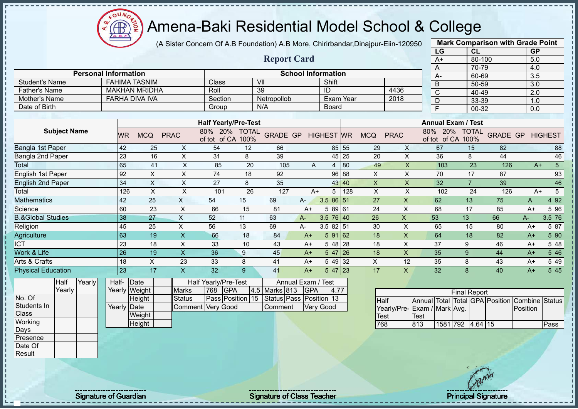$\Omega$ Æ

# Amena-Baki Residential Model School & College

(A Sister Concern Of A.B Foundation) A.B More, Chirirbandar,Dinajpur-Eiin-120950

|                              |                     |                             |                 |                       |             |                           |                     |                                                            |               |                           |                  |                  |                |                           |                  | LG             | CL                                                             |                                 | <b>GP</b>        |                |
|------------------------------|---------------------|-----------------------------|-----------------|-----------------------|-------------|---------------------------|---------------------|------------------------------------------------------------|---------------|---------------------------|------------------|------------------|----------------|---------------------------|------------------|----------------|----------------------------------------------------------------|---------------------------------|------------------|----------------|
|                              |                     |                             |                 |                       |             |                           |                     |                                                            |               | <b>Report Card</b>        |                  |                  |                |                           |                  | $A+$           |                                                                | 80-100                          | 5.0              |                |
|                              |                     |                             |                 |                       |             |                           |                     |                                                            |               |                           |                  |                  |                |                           |                  | Α              | 70-79                                                          |                                 | 4.0              |                |
|                              |                     | <b>Personal Information</b> |                 |                       |             |                           |                     |                                                            |               | <b>School Information</b> |                  |                  |                |                           |                  | A۰             | 60-69                                                          |                                 | $\overline{3.5}$ |                |
| <b>Student's Name</b>        |                     |                             |                 | <b>FAHIMA TASNIM</b>  |             |                           | Class               |                                                            | VII           |                           | Shift            |                  |                |                           |                  | B              | 50-59                                                          |                                 | 3.0              |                |
| <b>Father's Name</b>         |                     |                             |                 | <b>MAKHAN MRIDHA</b>  |             |                           | Roll                |                                                            | 39            |                           | ID               |                  |                | 4436                      |                  | $\overline{C}$ | 40-49                                                          |                                 | $\overline{2.0}$ |                |
| Mother's Name                |                     |                             |                 | <b>FARHA DIVA IVA</b> |             |                           | Section             |                                                            | Netropollob   |                           |                  | <b>Exam Year</b> |                | 2018                      |                  | D              | 33-39                                                          |                                 | 1.0              |                |
| Date of Birth                |                     |                             |                 |                       |             |                           | Group               |                                                            | N/A           |                           | Board            |                  |                |                           |                  | F              | 00-32                                                          |                                 | 0.0              |                |
|                              |                     |                             |                 |                       |             |                           |                     |                                                            |               |                           |                  |                  |                |                           |                  |                |                                                                |                                 |                  |                |
|                              | <b>Subject Name</b> |                             | WR              | <b>MCQ</b>            | <b>PRAC</b> |                           | 80%<br>of tot of CA | <b>Half Yearly/Pre-Test</b><br>20%<br><b>TOTAL</b><br>100% |               | GRADE GP HIGHEST WR       |                  |                  | <b>MCQ</b>     | <b>PRAC</b>               | 80%              | 20%            | <b>Annual Exam / Test</b><br><b>TOTAL</b><br>of tot of CA 100% | <b>GRADE GP</b>                 |                  | <b>HIGHEST</b> |
| Bangla 1st Paper             |                     |                             | 42              | 25                    |             | X                         | 54                  | 12                                                         | 66            |                           |                  | 85 55            | 29             | X                         |                  | 67             | 15                                                             | 82                              |                  | 88             |
| Bangla 2nd Paper             |                     |                             | $\overline{23}$ | 16                    |             | $\pmb{\times}$            | 31                  | 8                                                          | 39            |                           | 45               | 25               | 20             | X                         |                  | 36             | 8                                                              | 44                              |                  | 46             |
| Total                        |                     |                             | 65              | 41                    |             | $\times$                  | 85                  | 20                                                         | 105           | A                         | $\overline{4}$   | 80               | 49             | $\overline{\mathsf{X}}$   |                  | 103            | 23                                                             | 126                             | $A+$             | 5              |
| English 1st Paper            |                     |                             | 92              | $\pmb{\times}$        |             | X                         | 74                  | 18                                                         | 92            |                           | 96               | 88               | $\pmb{\times}$ | $\pmb{\times}$            |                  | 70             | 17                                                             | 87                              |                  | 93             |
| <b>English 2nd Paper</b>     |                     |                             | $\overline{34}$ | $\mathsf X$           |             | $\times$                  | 27                  | 8                                                          | 35            |                           | 43               | 40               | $\mathsf{X}$   | $\mathsf{x}$              |                  | 32             | $\overline{7}$                                                 | 39                              |                  | 46             |
| Total                        |                     |                             | 126             | $\mathsf X$           |             | X                         | 101                 | 26                                                         | 127           |                           | 5<br>$A+$        | 128              | X              | X                         |                  | 102            | 24                                                             | 126                             |                  | 5<br>$A+$      |
| Mathematics                  |                     |                             | 42              | 25                    |             | $\boldsymbol{\mathsf{X}}$ | 54                  | 15                                                         | 69            | A-                        | 3.5 86 51        |                  | 27             | X                         |                  | 62             | 13                                                             | 75                              | A                | 4 9 2          |
| Science                      |                     |                             | 60              | 23                    |             | X                         | 66                  | 15                                                         | 81            | $A+$                      |                  | 5 89 61          | 24             | X                         |                  | 68             | 17                                                             | 85                              | $A+$             | 5 9 6          |
| <b>B.&amp;Global Studies</b> |                     |                             | 38              | 27                    |             | $\mathsf X$               | 52                  | 11                                                         | 63            | $A -$                     | $3.5 \ 76 \ 40$  |                  | 26             | $\boldsymbol{\mathsf{X}}$ |                  | 53             | 13                                                             | 66                              | A-               | 3.5 76         |
| Religion                     |                     |                             | 45              | 25                    |             | X                         | 56                  | 13                                                         | 69            | $A-$                      | $3.582$ 51       |                  | 30             | X                         |                  | 65             | 15                                                             | 80                              | $A+$             | 5 87           |
| Agriculture                  |                     |                             | 63              | 19                    |             | $\boldsymbol{\mathsf{X}}$ | 66                  | 18                                                         | 84            | $A+$                      | 5 91             | 62               | 18             | $\pmb{\times}$            |                  | 64             | 18                                                             | 82                              | $A+$             | 5 90           |
| <b>ICT</b>                   |                     |                             | 23              | 18                    |             | X                         | 33                  | 10                                                         | 43            | $A+$                      |                  | 5 48 28          | 18             | X                         |                  | 37             | 9                                                              | 46                              | $A+$             | 5 48           |
| Work & Life                  |                     |                             | 26              | 19                    |             | $\boldsymbol{\mathsf{X}}$ | 36                  | 9                                                          | 45            | $A+$                      | 5 47             | 26               | 18             | $\pmb{\times}$            |                  | 35             | 9                                                              | 44                              | $A+$             | 5 4 6          |
| Arts & Crafts                |                     |                             | 18              | $\mathsf X$           |             | 23                        | 33                  | 8                                                          | 41            | $A+$                      | 5 4 9            | 32               | X              | 12                        |                  | 35             | 8                                                              | 43                              | $A+$             | 5 4 9          |
| <b>Physical Education</b>    |                     |                             | 23              | 17                    |             | $\boldsymbol{\mathsf{X}}$ | 32                  | 9 <sup>°</sup>                                             | 41            | $A+$                      |                  | $547$ 23         | 17             | X                         |                  | 32             | 8                                                              | 40                              | $A+$             | 5 4 5          |
|                              | Half                | Yearly                      | Half-           | Date                  |             |                           |                     | Half Yearly/Pre-Test                                       |               | Annual Exam / Test        |                  |                  |                |                           |                  |                |                                                                |                                 |                  |                |
|                              | Yearly              |                             |                 | Yearly Weight         |             | <b>Marks</b>              | 768                 | GPA                                                        | 4.5 Marks 813 | <b>GPA</b>                |                  | 4.77             |                |                           |                  |                | <b>Final Report</b>                                            |                                 |                  |                |
| No. Of                       |                     |                             |                 | Height                |             | <b>Status</b>             |                     | Pass Position 15                                           |               | Status Pass Position 13   |                  |                  |                | Half                      |                  |                |                                                                | Annual Total Total GPA Position | Combine Status   |                |
| Students In                  |                     |                             |                 | Yearly Date           |             | Comment                   | <b>Very Good</b>    |                                                            | Comment       |                           | <b>Very Good</b> |                  |                | Yearly/Pre-               | Exam / Mark Avg. |                |                                                                |                                 | Position         |                |
| Class                        |                     |                             |                 | Weight                |             |                           |                     |                                                            |               |                           |                  |                  |                | <b>Test</b>               | Test             |                |                                                                |                                 |                  |                |
| Working                      |                     |                             |                 | <b>Height</b>         |             |                           |                     |                                                            |               |                           |                  |                  |                | <b>768</b>                | $\overline{R}$   |                | $1581$ 702 $A$ 64 15                                           |                                 |                  | <b>Dace</b>    |

**813 1581 792 4.64 15** Pass

**Mark Comparison with Grade Point**

**Height** 

Days Presence Date Of Result

Signature of Guardian Signature of Class Teacher Principal Signature of Class Teacher Principal Signature of Class Teacher Principal Signature of Class Teacher Principal Signature of Class Teacher Principal Signature of Cl

 $\frac{1281}{768}$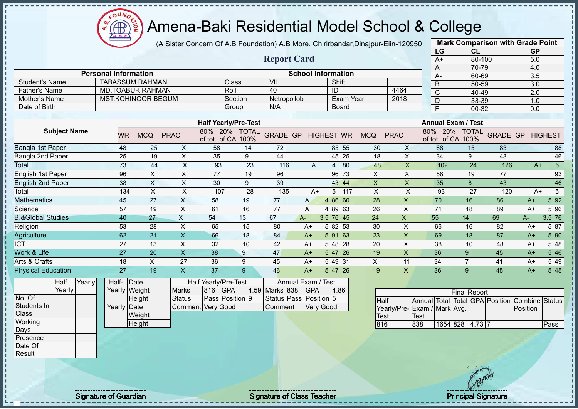Æ ó

# Amena-Baki Residential Model School & College

(A Sister Concern Of A.B Foundation) A.B More, Chirirbandar,Dinajpur-Eiin-120950

|                              |        |        |                 |                             |                           |                          |                                    |                        |                           |                   |              |                           |                           | LG                                             |                                    | CL                  |                 | <b>GP</b>        |                 |
|------------------------------|--------|--------|-----------------|-----------------------------|---------------------------|--------------------------|------------------------------------|------------------------|---------------------------|-------------------|--------------|---------------------------|---------------------------|------------------------------------------------|------------------------------------|---------------------|-----------------|------------------|-----------------|
|                              |        |        |                 |                             |                           |                          |                                    | <b>Report Card</b>     |                           |                   |              |                           |                           | $A+$                                           |                                    | 80-100              |                 | 5.0              |                 |
|                              |        |        |                 |                             |                           |                          |                                    |                        |                           |                   |              |                           |                           | A                                              |                                    | 70-79               |                 | 4.0              |                 |
|                              |        |        |                 | <b>Personal Information</b> |                           |                          |                                    |                        | <b>School Information</b> |                   |              |                           |                           | $A-$                                           |                                    | 60-69               |                 | $\overline{3.5}$ |                 |
| <b>Student's Name</b>        |        |        |                 | <b>TABASSUM RAHMAN</b>      |                           |                          | Class                              | VII                    |                           |                   | Shift        |                           |                           | B                                              |                                    | $50 - 59$           |                 | $\overline{3.0}$ |                 |
| <b>Father's Name</b>         |        |        |                 | <b>MD.TOABUR RAHMAN</b>     |                           |                          | Roll                               | 40                     |                           | ID                |              |                           | 4464                      | $\mathsf{C}$                                   |                                    | 40-49               |                 | $\overline{2.0}$ |                 |
| Mother's Name                |        |        |                 | <b>MST.KOHINOOR BEGUM</b>   |                           |                          | Section                            | Netropollob            |                           |                   | Exam Year    |                           | 2018                      | $\mathsf D$                                    |                                    | 33-39               |                 | 1.0              |                 |
| Date of Birth                |        |        |                 |                             |                           |                          | Group                              | N/A                    |                           |                   | <b>Board</b> |                           |                           | $\overline{F}$                                 |                                    | 00-32               |                 | 0.0              |                 |
|                              |        |        |                 |                             |                           |                          |                                    |                        |                           |                   |              |                           |                           |                                                |                                    |                     |                 |                  |                 |
|                              |        |        |                 |                             |                           |                          | <b>Half Yearly/Pre-Test</b>        |                        |                           |                   |              |                           |                           | <b>Annual Exam / Test</b>                      |                                    |                     |                 |                  |                 |
| <b>Subject Name</b>          |        |        | WR              | <b>MCQ</b>                  | <b>PRAC</b>               |                          | 80% 20% TOTAL<br>of tot of CA 100% | <b>GRADE GP</b>        |                           | <b>HIGHEST</b> WR |              | <b>MCQ</b>                | <b>PRAC</b>               |                                                | 80% 20% TOTAL<br>of tot of CA 100% |                     | <b>GRADE GP</b> |                  | <b>HIGHEST</b>  |
| <b>Bangla 1st Paper</b>      |        |        | 48              | 25                          | X                         | 58                       | 14                                 | 72                     |                           |                   | 85 55        | 30                        | X                         | 68                                             |                                    | 15                  | 83              |                  | 88              |
| Bangla 2nd Paper             |        |        | 25              | 19                          | $\boldsymbol{\mathsf{X}}$ | 35                       | 9                                  | 44                     |                           |                   | 45 25        | 18                        | $\pmb{\times}$            | 34                                             |                                    | 9                   | 43              |                  | 46              |
| Total                        |        |        | 73              | 44                          | $\pmb{\times}$            | 93                       | 23                                 | 116                    | A                         | 4                 | 80           | 48                        | X                         | 102                                            |                                    | 24                  | 126             | $A+$             | $5\phantom{.0}$ |
| English 1st Paper            |        |        | 96              | X                           | X                         | 77                       | 19                                 | 96                     |                           |                   | 96 73        | X                         | X                         | 58                                             |                                    | 19                  | 77              |                  | 93              |
| <b>English 2nd Paper</b>     |        |        | 38              | $\pmb{\times}$              | $\pmb{\times}$            | 30                       | 9                                  | 39                     |                           |                   | 43 44        | $\boldsymbol{\mathsf{X}}$ | $\pmb{\times}$            | 35                                             |                                    | 8                   | 43              |                  | 46              |
| Total                        |        |        | 134             | $\boldsymbol{\mathsf{X}}$   | $\times$                  | 107                      | 28                                 | 135                    | $A+$                      | 5                 | 117          | $\mathsf X$               | $\boldsymbol{\mathsf{X}}$ | 93                                             |                                    | 27                  | 120             | $A+$             | $5\overline{)}$ |
| <b>Mathematics</b>           |        |        | 45              | 27                          | X                         | 58                       | 19                                 | 77                     | A                         |                   | 4 86 60      | 28                        | $\mathsf{X}$              | 70                                             |                                    | 16                  | 86              | $A+$             | 5 9 2           |
| Science                      |        |        | $\overline{57}$ | 19                          | $\boldsymbol{\mathsf{X}}$ | 61                       | $\overline{16}$                    | $\overline{77}$        | A                         |                   | 4 89 63      | 26                        | $\mathsf{x}$              | 71                                             |                                    | 18                  | 89              | $A+$             | 5 9 6           |
| <b>B.&amp;Global Studies</b> |        |        | 40              | 27                          | $\boldsymbol{\mathsf{X}}$ | 54                       | 13                                 | 67                     | $A -$                     | $3.5 \ 76 \ 45$   |              | 24                        | $\pmb{\times}$            | 55                                             |                                    | 14                  | 69              | $A-$             | 3.5 76          |
| Religion                     |        |        | 53              | 28                          | $\times$                  | 65                       | 15                                 | 80                     | $A+$                      |                   | 5 82 53      | 30                        | $\times$                  | 66                                             |                                    | 16                  | 82              | $A+$             | 5 87            |
| Agriculture                  |        |        | 62              | 21                          | $\boldsymbol{\mathsf{X}}$ | 66                       | 18                                 | 84                     | $A+$                      | 591 63            |              | 23                        | $\pmb{\times}$            | 69                                             |                                    | 18                  | 87              | $A+$             | 5 90            |
| <b>ICT</b>                   |        |        | 27              | 13                          | $\times$                  | 32                       | 10                                 | 42                     | $A+$                      |                   | 5 48 28      | 20                        | $\mathsf{X}$              | 38                                             |                                    | 10                  | 48              | $A+$             | 5 48            |
| Work & Life                  |        |        | 27              | 20                          | $\boldsymbol{\mathsf{X}}$ | 38                       | 9                                  | 47                     | $A+$                      |                   | $547$  26    | 19                        | $\times$                  | 36                                             |                                    | 9                   | 45              | $A+$             | 5 4 6           |
| Arts & Crafts                |        |        | 18              | $\pmb{\times}$              | 27                        | 36                       | 9                                  | 45                     | $A+$                      | 5 49 31           |              | $\boldsymbol{\mathsf{X}}$ | 11                        | 34                                             |                                    | $\overline{7}$      | 41              | $A+$             | 5 4 9           |
| <b>Physical Education</b>    |        |        | 27              | 19                          | $\boldsymbol{\mathsf{X}}$ | 37                       | 9                                  | 46                     | $A+$                      | $547$  26         |              | 19                        | X                         | 36                                             |                                    | 9                   | 45              | $A+$             | 5 4 5           |
|                              | Half   | Yearly |                 | Half- Date                  |                           | Half Yearly/Pre-Test     |                                    |                        | Annual Exam / Test        |                   |              |                           |                           |                                                |                                    |                     |                 |                  |                 |
|                              | Yearly |        |                 | Yearly Weight               | Marks                     | 816                      | <b>GPA</b>                         | 4.59 Marks 838         | <b>GPA</b>                |                   | 4.86         |                           |                           |                                                |                                    | <b>Final Report</b> |                 |                  |                 |
| No. Of                       |        |        |                 | Height                      | <b>Status</b>             |                          | Pass Position 9                    | Status Pass Position 5 |                           |                   |              | Half                      |                           | Annual Total Total GPA Position Combine Status |                                    |                     |                 |                  |                 |
| Students In                  |        |        |                 | Yearly Date                 |                           | <b>Comment Very Good</b> |                                    | Comment                |                           | <b>Very Good</b>  |              |                           |                           | Yearly/Pre-Exam / Mark Avg.                    |                                    |                     |                 | Position         |                 |
| Class                        |        |        |                 | Weight                      |                           |                          |                                    |                        |                           |                   |              | <b>Test</b>               |                           | <b>Test</b>                                    |                                    |                     |                 |                  |                 |
| Working                      |        |        |                 | Height                      |                           |                          |                                    |                        |                           |                   |              | 816                       |                           | 838                                            | 1654 828                           | $4.73$ 7            |                 |                  | Pass            |
| Days                         |        |        |                 |                             |                           |                          |                                    |                        |                           |                   |              |                           |                           |                                                |                                    |                     |                 |                  |                 |
| Presence                     |        |        |                 |                             |                           |                          |                                    |                        |                           |                   |              |                           |                           |                                                |                                    |                     |                 |                  |                 |
| Date Of                      |        |        |                 |                             |                           |                          |                                    |                        |                           |                   |              |                           |                           |                                                |                                    |                     |                 |                  |                 |
| Result                       |        |        |                 |                             |                           |                          |                                    |                        |                           |                   |              |                           |                           |                                                |                                    |                     |                 |                  |                 |

**Mark Comparison with Grade Point**

Signature of Guardian Signature of Class Teacher Principal Signature Principal Signature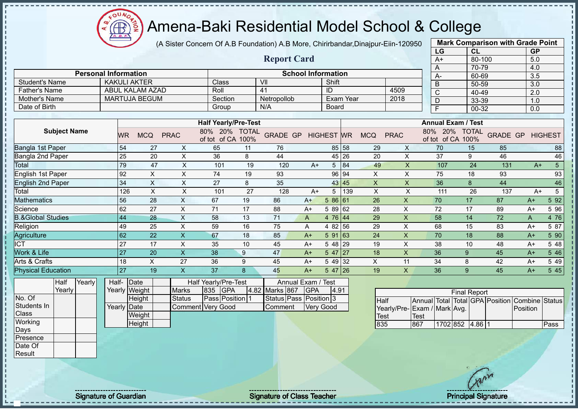$\Omega$ Æ

# Amena-Baki Residential Model School & College

(A Sister Concern Of A.B Foundation) A.B More, Chirirbandar,Dinajpur-Eiin-120950

**Report Card**

|                 | <b>Mark Comparison with Grade Point</b> |           |
|-----------------|-----------------------------------------|-----------|
| LG              | CL                                      | <b>GP</b> |
| $A+$            | 80-100                                  | 5.0       |
| A               | 70-79                                   | 4.0       |
| A-              | 60-69                                   | 3.5       |
| B               | 50-59                                   | 3.0       |
| $\bar{\bar{c}}$ | 40-49                                   | 2.0       |
| D               | 33-39                                   | 1.0       |
| F               | 00-32                                   | 0.0       |
|                 |                                         |           |

|                | <b>Personal Information</b> |              | <b>School Information</b> |            |      |  |
|----------------|-----------------------------|--------------|---------------------------|------------|------|--|
| Student's Name | KAKULI AKTER                | <b>Class</b> | VII                       | Shift      |      |  |
| Father's Name  | ABUL KALAM AZAD             | Roll         | $\overline{4}$            | ID         | 4509 |  |
| Mother's Name  | <b>MARTUJA BEGUM</b>        | Section      | <b>Netropollob</b>        | ⊪Exam Year | 2018 |  |
| Date of Birth  |                             | Group        | N/A                       | Board      |      |  |

|                              |     |            |             | <b>Half Yearly/Pre-Test</b>   |                      |                 |      |                   |       |            |             | <b>Annual Exam / Test</b>     |                      |          |      |                |
|------------------------------|-----|------------|-------------|-------------------------------|----------------------|-----------------|------|-------------------|-------|------------|-------------|-------------------------------|----------------------|----------|------|----------------|
| <b>Subject Name</b>          | WR  | <b>MCQ</b> | <b>PRAC</b> | 20%<br>80%<br>of CA<br>of tot | <b>TOTAL</b><br>100% | <b>GRADE GP</b> |      | <b>HIGHEST</b> WR |       | <b>MCQ</b> | <b>PRAC</b> | 20%<br>80%<br>of CA<br>of tot | <b>TOTAL</b><br>100% | GRADE GP |      | <b>HIGHEST</b> |
| Bangla 1st Paper             | 54  | 27         | X           | 65                            | 11                   | 76              |      |                   | 85 58 | 29         | X           | 70                            | 15                   | 85       |      | 88             |
| Bangla 2nd Paper             | 25  | 20         | x           | 36                            | 8                    | 44              |      |                   | 45 26 | 20         | X           | 37                            | 9                    | 46       |      | 46             |
| Total                        | 79  | 47         | X           | 101                           | 19                   | 120             | $A+$ | 5                 | 84    | 49         | Χ           | 107                           | 24                   | 131      | $A+$ | 5              |
| English 1st Paper            | 92  | X          | Χ           | 74                            | 19                   | 93              |      |                   | 96 94 | $\times$   | X           | 75                            | 18                   | 93       |      | 93             |
| <b>English 2nd Paper</b>     | 34  | X          | Χ           | 27                            | 8                    | 35              |      |                   | 43 45 | X          | X           | 36                            | 8                    | 44       |      | 46             |
| Total                        | 126 | X          | X           | 101                           | 27                   | 128             | $A+$ | 5                 | 139   | X          | X           | 111                           | 26                   | 137      | $A+$ | 5              |
| <b>Mathematics</b>           | 56  | 28         | X           | 67                            | 19                   | 86              | $A+$ | 5 86 61           |       | 26         | X           | 70                            | 17                   | 87       | $A+$ | 5 9 2          |
| Science                      | 62  | 27         | X           | 71                            | 17                   | 88              | $A+$ | 58962             |       | 28         | X           | 72                            | 17                   | 89       | A+   | 5 96           |
| <b>B.&amp;Global Studies</b> | 44  | 28         | X           | 58                            | 13                   | 71              | A    | 4 76 44           |       | 29         | X           | 58                            | 14                   | 72       | A    | 4 76           |
| Religion                     | 49  | 25         | X           | 59                            | 16                   | 75              | A    | 4 82 56           |       | 29         | X           | 68                            | 15                   | 83       | $A+$ | 5 87           |
| Agriculture                  | 62  | 22         | X.          | 67                            | 18                   | 85              | $A+$ | 59163             |       | 24         | X           | 70                            | 18                   | 88       | $A+$ | 5 90           |
| <b>ICT</b>                   | 27  | 17         | X           | 35                            | 10                   | 45              | A+   | 5 48 29           |       | 19         | X           | 38                            | 10                   | 48       | $A+$ | 5 48           |
| Work & Life                  | 27  | 20         | X.          | 38                            | 9                    | 47              | $A+$ | $547$   27        |       | 18         | X           | 36                            | 9                    | 45       | $A+$ | 5 4 6          |
| Arts & Crafts                | 18  | X          | 27          | 36                            | 9                    | 45              | $A+$ | 5 49 32           |       | X          | 11          | 34                            | 8                    | 42       | A+   | 5 4 9          |
| <b>Physical Education</b>    | 27  | 19         |             | 37                            | 8                    | 45              | $A+$ | $547$ 26          |       | 19         | X           | 36                            | 9                    | 45       | $A+$ | 5 4 5          |

| Half   | Yearly | Half- Date  |               |                   |                | Half Yearly/Pre-Test   |                | Annual Exam / Test     |       |
|--------|--------|-------------|---------------|-------------------|----------------|------------------------|----------------|------------------------|-------|
| Yearly |        |             | Yearly Weight | <b>Marks</b>      | <b>835 GPA</b> |                        | 4.82 Marks 867 | <b>IGPA</b>            | 14.91 |
|        |        |             | Height        | <b>Status</b>     |                | <b>Pass Position 1</b> |                | Status Pass Position 3 |       |
|        |        | Yearly Date |               | Comment Very Good |                |                        | <b>Comment</b> | <b>Verv Good</b>       |       |
|        |        |             | Weight        |                   |                |                        |                |                        |       |
|        |        |             | Height        |                   |                |                        |                |                        |       |

|                              |      |                 | <b>Final Report</b> |  |                                                |      |
|------------------------------|------|-----------------|---------------------|--|------------------------------------------------|------|
| Half                         |      |                 |                     |  | Annual Total Total GPA Position Combine Status |      |
| Yearly/Pre- Exam / Mark Avg. |      |                 |                     |  | Position                                       |      |
| <b>Test</b>                  | Test |                 |                     |  |                                                |      |
| 835                          | 867  | 1702 852 4.86 1 |                     |  |                                                | Pass |

No. Of Students In **Class Working** Days Presence Date Of Result

J. - II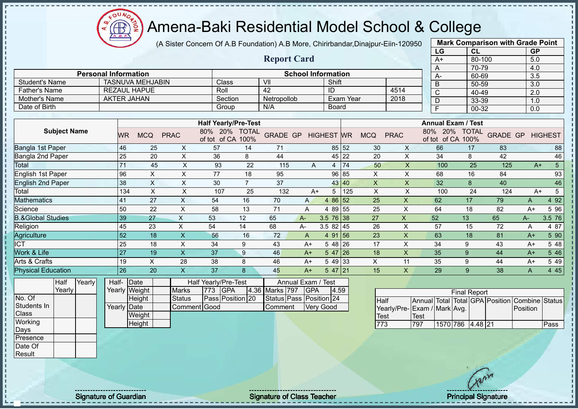

(A Sister Concern Of A.B Foundation) A.B More, Chirirbandar,Dinajpur-Eiin-120950 **Mark Comparison with Grade Point**

|                              |                             |           |                           |                           |                             |                | <b>Report Card</b> |      |                           |           |                           |                           | LG<br>A+ |                           | CL<br>80-100         |                 | GP<br>5.0 |                |
|------------------------------|-----------------------------|-----------|---------------------------|---------------------------|-----------------------------|----------------|--------------------|------|---------------------------|-----------|---------------------------|---------------------------|----------|---------------------------|----------------------|-----------------|-----------|----------------|
|                              | <b>Personal Information</b> |           |                           |                           |                             |                |                    |      | <b>School Information</b> |           |                           |                           | A        |                           | 70-79                |                 | 4.0       |                |
|                              |                             |           |                           |                           |                             |                |                    |      |                           |           |                           |                           | А-       |                           | 60-69                |                 | 3.5       |                |
| <b>Student's Name</b>        |                             |           | <b>TASNUVA MEHJABIN</b>   |                           | <b>Class</b>                |                | VII                |      | Shift                     |           |                           |                           | B        |                           | 50-59                |                 | 3.0       |                |
| <b>Father's Name</b>         |                             |           | <b>REZAUL HAPUE</b>       |                           | Roll                        |                | 42                 |      | ID                        |           |                           | 4514                      | C        |                           | 40-49                |                 | 2.0       |                |
| Mother's Name                |                             |           | <b>AKTER JAHAN</b>        |                           | Section                     |                | Netropollob        |      |                           | Exam Year |                           | 2018                      | D        |                           | 33-39                |                 | 1.0       |                |
| Date of Birth                |                             |           |                           |                           | Group                       |                | N/A                |      | Board                     |           |                           |                           | E        |                           | 00-32                |                 | 0.0       |                |
|                              |                             |           |                           |                           |                             |                |                    |      |                           |           |                           |                           |          |                           |                      |                 |           |                |
|                              |                             |           |                           |                           | <b>Half Yearly/Pre-Test</b> |                |                    |      |                           |           |                           |                           |          | <b>Annual Exam / Test</b> |                      |                 |           |                |
| <b>Subject Name</b>          |                             | <b>WR</b> | <b>MCQ</b>                | <b>PRAC</b>               | 80%<br>of tot of CA 100%    | 20% TOTAL      | <b>GRADE GP</b>    |      | <b>HIGHEST WR</b>         |           | <b>MCQ</b>                | <b>PRAC</b>               | 80%      | 20%<br>of tot of CA       | <b>TOTAL</b><br>100% | <b>GRADE GP</b> |           | <b>HIGHEST</b> |
| Bangla 1st Paper             |                             | 46        | 25                        | X                         | 57                          | 14             | 71                 |      |                           | 85 52     | 30                        | $\times$                  | 66       |                           | 17                   | 83              |           | 88             |
| Bangla 2nd Paper             |                             | 25        | 20                        | X                         | 36                          | 8              | 44                 |      |                           | 45 22     | 20                        | X                         | 34       |                           | 8                    | 42              |           | 46             |
| Total                        |                             | 71        | 45                        | X                         | 93                          | 22             | 115                | A    |                           | 74        | 50                        | $\boldsymbol{\mathsf{X}}$ |          | 100                       | 25                   | 125             | $A+$      | 5 <sub>5</sub> |
| English 1st Paper            |                             | 96        | X                         | X                         | 77                          | 18             | 95                 |      | 96                        | 85        | X                         | X                         | 68       |                           | 16                   | 84              |           | 93             |
| <b>English 2nd Paper</b>     |                             | 38        | $\boldsymbol{\mathsf{X}}$ | X                         | 30                          | $\overline{7}$ | 37                 |      |                           | 43 40     | $\boldsymbol{\mathsf{X}}$ | X                         | 32       |                           | 8                    | 40              |           | 46             |
| Total                        |                             | 134       | $\boldsymbol{\mathsf{X}}$ | X                         | 107                         | 25             | 132                | $A+$ |                           | 125       | $\pmb{\times}$            | X                         |          | 100                       | 24                   | 124             | $A+$      | 5              |
| <b>Mathematics</b>           |                             | 41        | 27                        | $\boldsymbol{\mathsf{X}}$ | 54                          | 16             | 70                 | A    | 4 8 6                     | 52        | 25                        | $\overline{\mathsf{X}}$   | 62       |                           | 17                   | 79              | A         | 4 9 2          |
| Science                      |                             | 50        | 22                        | X                         | 58                          | 13             | 71                 | A    | 4 8 9                     | 55        | 25                        | X                         | 64       |                           | 18                   | 82              | $A+$      | 5 96           |
| <b>B.&amp;Global Studies</b> |                             | 39        | 27                        | X                         | 53                          | 12             | 65                 | $A-$ | $3.5 \ 76 \ 38$           |           | 27                        | X                         | 52       |                           | 13                   | 65              | A-        | 3.5 76         |
| Religion                     |                             | 45        | 23                        | X                         | 54                          | 14             | 68                 | А-   | $3.582$ 45                |           | 26                        | X                         | 57       |                           | 15                   | 72              | A         | 4 87           |
| Agriculture                  |                             | 52        | 18                        | $\pmb{\times}$            | 56                          | 16             | 72                 | A    | 4 91                      | 156       | 23                        | $\boldsymbol{\mathsf{X}}$ | 63       |                           | 18                   | 81              | $A+$      | 5 90           |
| <b>ICT</b>                   |                             | 25        | 18                        | $\pmb{\times}$            | 34                          | 9              | 43                 | $A+$ | 5 48 26                   |           | 17                        | X                         | 34       |                           | 9                    | 43              | $A+$      | 5 48           |
| Work & Life                  |                             | 27        | 19                        | $\sf X$                   | 37                          | 9              | 46                 | $A+$ | 5 47                      | 26        | 18                        | $\boldsymbol{\mathsf{X}}$ | 35       |                           | 9                    | 44              | $A+$      | 5 4 6          |
| Arts & Crafts                |                             | 19        | X                         | 28                        | 38                          | 8              | 46                 | $A+$ | 5 49 33                   |           | X                         | 11                        | 35       |                           | 9                    | 44              | $A+$      | 5 49           |

**Half** Yearly **Yearly** No. Of Students In Half-Physical Education 26 20 X 37 8 45 A+ 5 47 21 15 X 29 9 38 A 4 45

Class **Working** Days Presence Date Of **Result** 

Yearly Weight **Date Height** Yearly Date **Weight Height** Half Yearly/Pre-Test Marks 773 GPA 4.36 Status **Pass Position** 20 Comment Good Annual Exam / Test Marks 797 GPA 4.59 Status Pass Position 24 Comment Very Good

| <b>Final Report</b>         |      |                  |  |  |  |                                                |      |  |  |  |  |  |  |  |
|-----------------------------|------|------------------|--|--|--|------------------------------------------------|------|--|--|--|--|--|--|--|
| <b>Half</b>                 |      |                  |  |  |  | Annual Total Total GPA Position Combine Status |      |  |  |  |  |  |  |  |
| Yearly/Pre-Exam / Mark Avg. |      |                  |  |  |  | Position                                       |      |  |  |  |  |  |  |  |
| Test                        | Test |                  |  |  |  |                                                |      |  |  |  |  |  |  |  |
| <b>1773</b>                 | 797  | 1570 786 4.48 21 |  |  |  |                                                | Pass |  |  |  |  |  |  |  |

Signature of Guardian Signature of Class Teacher New York Class Teacher Principal Signature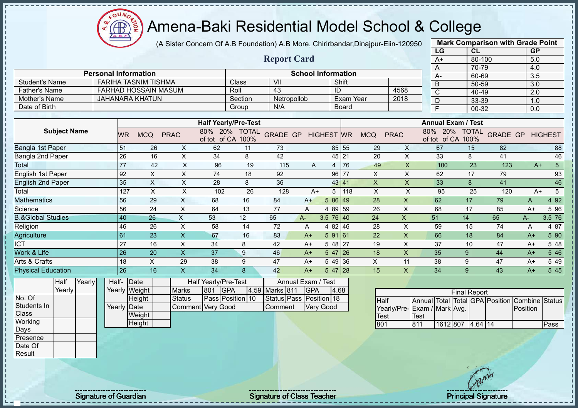(A Sister Concern Of A.B Foundation) A.B More, Chirirbandar,Dinajpur-Eiin-120950

|                              |        |                             |     |                                                     |                           |                                           |                             |                                 |                           |                   |                  |                           |                           | LG                              |                                    | <b>CL</b>           |                 | <b>GP</b>      |                 |
|------------------------------|--------|-----------------------------|-----|-----------------------------------------------------|---------------------------|-------------------------------------------|-----------------------------|---------------------------------|---------------------------|-------------------|------------------|---------------------------|---------------------------|---------------------------------|------------------------------------|---------------------|-----------------|----------------|-----------------|
|                              |        |                             |     |                                                     |                           |                                           |                             | <b>Report Card</b>              |                           |                   |                  |                           |                           | $A+$                            |                                    | 80-100              |                 | 5.0            |                 |
|                              |        |                             |     |                                                     |                           |                                           |                             |                                 |                           |                   |                  |                           |                           | A                               |                                    | 70-79               |                 | 4.0            |                 |
|                              |        | <b>Personal Information</b> |     |                                                     |                           |                                           |                             |                                 | <b>School Information</b> |                   |                  |                           |                           | A-                              |                                    | 60-69               |                 | 3.5            |                 |
| <b>Student's Name</b>        |        |                             |     | <b>FARIHA TASNIM TISHMA</b><br>FARHAD HOSSAIN MASUM |                           |                                           | Class                       | VII<br>43                       |                           |                   | Shift            |                           |                           | B                               |                                    | 50-59               |                 | 3.0            |                 |
| <b>Father's Name</b>         |        |                             |     |                                                     |                           |                                           | Roll                        |                                 |                           |                   | ID               |                           | 4568                      | C                               |                                    | 40-49               |                 | 2.0            |                 |
| Mother's Name                |        |                             |     | <b>JAHANARA KHATUN</b>                              |                           |                                           | Section                     | Netropollob                     |                           |                   | <b>Exam Year</b> |                           | 2018                      | D                               |                                    | 33-39               |                 | 1.0            |                 |
| Date of Birth                |        |                             |     |                                                     |                           |                                           | Group                       | N/A                             |                           |                   | <b>Board</b>     |                           |                           | F                               |                                    | 00-32               |                 | 0.0            |                 |
|                              |        |                             |     |                                                     |                           |                                           | <b>Half Yearly/Pre-Test</b> |                                 |                           |                   |                  |                           |                           |                                 | <b>Annual Exam / Test</b>          |                     |                 |                |                 |
| <b>Subject Name</b>          |        |                             | WR  | <b>MCQ</b>                                          | <b>PRAC</b>               | of tot of CA 100%                         | 80% 20% TOTAL               | <b>GRADE GP</b>                 |                           | <b>HIGHEST WR</b> |                  | <b>MCQ</b>                | <b>PRAC</b>               |                                 | 80% 20% TOTAL<br>of tot of CA 100% |                     | <b>GRADE GP</b> |                | <b>HIGHEST</b>  |
| Bangla 1st Paper             |        |                             | 51  | 26                                                  | X                         | 62                                        | 11                          | 73                              |                           |                   | 85 55            | 29                        | X                         | 67                              |                                    | 15                  | 82              |                | 88              |
| Bangla 2nd Paper             |        |                             | 26  | 16                                                  | $\times$                  | 34                                        | 8                           | 42                              |                           |                   | 45 21            | 20                        | $\boldsymbol{\mathsf{X}}$ | 33                              |                                    | 8                   | 41              |                | 46              |
| Total                        |        |                             | 77  | 42                                                  | $\pmb{\times}$            | 96                                        | 19                          | 115                             | A                         | 4                 | 76               | 49                        | $\mathsf X$               |                                 | 100                                | 23                  | 123             | $A+$           | $5\overline{)}$ |
| <b>English 1st Paper</b>     |        |                             | 92  | X                                                   | X                         | 74                                        | 18                          | 92                              |                           |                   | 96 77            | X                         | X                         | 62                              |                                    | 17                  | 79              |                | 93              |
| <b>English 2nd Paper</b>     |        |                             | 35  | $\boldsymbol{\mathsf{X}}$                           | $\boldsymbol{\mathsf{X}}$ | 28                                        | 8                           | 36                              |                           |                   | 43 41            | $\boldsymbol{\mathsf{X}}$ | $\boldsymbol{\mathsf{X}}$ | 33                              |                                    | 8                   | 41              |                | 46              |
| Total                        |        |                             | 127 | $\times$                                            | X                         | 102                                       | 26                          | 128                             | $A+$                      | 5                 | 118              | X                         | X                         | 95                              |                                    | 25                  | 120             | $A+$           | 5               |
| <b>Mathematics</b>           |        |                             | 56  | 29                                                  | $\mathsf X$               | 68                                        | 16                          | 84                              | $A+$                      | 5 86 49           |                  | 28                        | $\mathsf{X}$              | 62                              |                                    | 17                  | 79              | A              | 4 9 2           |
| Science                      |        |                             | 56  | 24                                                  | X                         | 64                                        | 13                          | 77                              | A                         | 4 89 59           |                  | 26                        | X                         | 68                              |                                    | 17                  | 85              | $A+$           | 5 9 6           |
| <b>B.&amp;Global Studies</b> |        |                             | 40  | 26                                                  | $\boldsymbol{\mathsf{X}}$ | 53                                        | 12                          | 65                              | $A -$                     | $3.5 \ 76 \ 40$   |                  | 24                        | $\boldsymbol{\mathsf{X}}$ | 51                              | 14                                 |                     | 65              | $A -$          | 3.5 76          |
| Religion                     |        |                             | 46  | 26                                                  | $\boldsymbol{\mathsf{X}}$ | 58                                        | 14                          | 72                              | A                         | 4 82 46           |                  | 28                        | $\times$                  | 59                              |                                    | 15                  | 74              | A              | 4 87            |
| Agriculture                  |        |                             | 61  | 23                                                  | $\mathsf X$               | 67                                        | 16                          | 83                              | $A+$                      | 59161             |                  | 22                        | X                         | 66                              |                                    | 18                  | 84              | $A+$           | 5 90            |
| $\overline{ICT}$             |        |                             | 27  | 16                                                  | X                         | 34                                        | 8                           | 42                              | $A+$                      | $548$ 27          |                  | 19                        | X                         | 37                              |                                    | 10                  | 47              | $A+$           | 5 48            |
| Work & Life                  |        |                             | 26  | 20                                                  | $\overline{\mathsf{X}}$   | 37                                        | 9                           | 46                              | $A+$                      | $547$ 26          |                  | 18                        | $\boldsymbol{\mathsf{X}}$ | 35                              |                                    | 9                   | 44              | $A+$           | 5 4 6           |
| Arts & Crafts                |        |                             | 18  | $\pmb{\times}$                                      | 29                        | 38                                        | 9                           | 47                              | $A+$                      |                   | 5 49 36          | $\boldsymbol{\mathsf{X}}$ | 11                        | 38                              |                                    | 9                   | 47              | $A+$           | 5 4 9           |
| <b>Physical Education</b>    |        |                             | 26  | 16                                                  | $\overline{\mathsf{X}}$   | 34                                        | 8                           | 42                              | $A+$                      | $547$ 28          |                  | 15                        | $\mathsf{X}$              | 34                              |                                    | 9                   | 43              | $A+$           | 545             |
| Half<br>Yearly               | Yearly | Half-                       |     | Date<br>Yearly Weight                               | <b>Marks</b>              | Half Yearly/Pre-Test<br><b>GPA</b><br>801 | 4.59                        | Annual Exam / Test<br>Marks 811 | <b>GPA</b>                |                   | 4.68             |                           |                           |                                 |                                    | <b>Final Report</b> |                 |                |                 |
| No. Of                       |        |                             |     | Height                                              | <b>Status</b>             |                                           | Pass Position 10            | Status Pass Position 18         |                           |                   |                  | Half                      |                           | Annual Total Total GPA Position |                                    |                     |                 | Combine Status |                 |
| Students In                  |        | Yearly Date                 |     |                                                     |                           | <b>Comment Very Good</b>                  |                             | Comment                         |                           | <b>Very Good</b>  |                  |                           | Yearly/Pre-               | Exam / Mark Avg.                |                                    |                     |                 | Position       |                 |
| Class                        |        |                             |     | Weight                                              |                           |                                           |                             |                                 |                           |                   |                  | Test                      |                           | <b>Test</b>                     |                                    |                     |                 |                |                 |
| Working                      |        |                             |     | Height                                              |                           |                                           |                             |                                 |                           |                   |                  | 801                       |                           | 811                             | 1612 807                           | 4.64 14             |                 |                | Pass            |
| Days                         |        |                             |     |                                                     |                           |                                           |                             |                                 |                           |                   |                  |                           |                           |                                 |                                    |                     |                 |                |                 |
| Presence                     |        |                             |     |                                                     |                           |                                           |                             |                                 |                           |                   |                  |                           |                           |                                 |                                    |                     |                 |                |                 |
| Date Of                      |        |                             |     |                                                     |                           |                                           |                             |                                 |                           |                   |                  |                           |                           |                                 |                                    |                     |                 |                |                 |
| Result                       |        |                             |     |                                                     |                           |                                           |                             |                                 |                           |                   |                  |                           |                           |                                 |                                    |                     |                 |                |                 |

**Mark Comparison with Grade Point**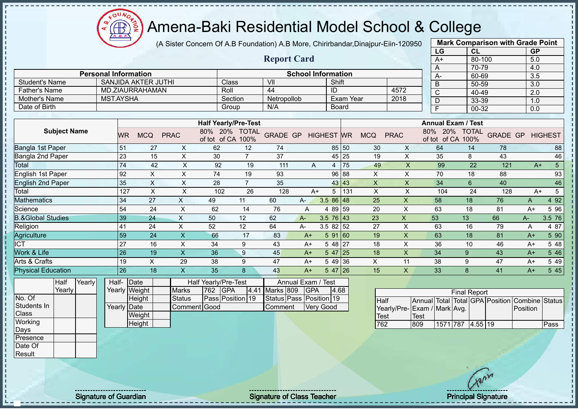Æ

# Amena-Baki Residential Model School & College

(A Sister Concern Of A.B Foundation) A.B More, Chirirbandar,Dinajpur-Eiin-120950

|                              |                             |                 |                            |                           |                      |                             |                         |                           |                   |                  |                           |                |              | LG                           | CL                  |                    | <b>GP</b>        |                |
|------------------------------|-----------------------------|-----------------|----------------------------|---------------------------|----------------------|-----------------------------|-------------------------|---------------------------|-------------------|------------------|---------------------------|----------------|--------------|------------------------------|---------------------|--------------------|------------------|----------------|
|                              |                             |                 |                            |                           |                      |                             | <b>Report Card</b>      |                           |                   |                  |                           |                |              | $A+$                         | 80-100              |                    | 5.0              |                |
|                              |                             |                 |                            |                           |                      |                             |                         |                           |                   |                  |                           |                |              | A                            | 70-79               |                    | 4.0              |                |
|                              | <b>Personal Information</b> |                 |                            |                           |                      |                             |                         | <b>School Information</b> |                   |                  |                           |                |              | $A -$                        | 60-69               |                    | $\overline{3.5}$ |                |
| <b>Student's Name</b>        |                             |                 | <b>SANJIDA AKTER JUTHI</b> |                           | Class                |                             | VII                     |                           | Shift             |                  |                           |                |              | B                            | 50-59               |                    | 3.0              |                |
| <b>Father's Name</b>         |                             |                 | MD.ZIAURRAHAMAN            |                           | Roll                 |                             | 44                      |                           | ID                |                  |                           | 4572           |              | $\mathsf C$                  | 40-49               |                    | 2.0              |                |
| Mother's Name                | <b>MST.AYSHA</b>            |                 |                            |                           |                      | Section                     | Netropollob             |                           |                   | <b>Exam Year</b> |                           | 2018           |              | D                            | 33-39               |                    | 1.0              |                |
| Date of Birth                |                             |                 |                            |                           | Group                |                             | N/A                     |                           |                   | <b>Board</b>     |                           |                |              | $\overline{\mathsf{F}}$      | 00-32               |                    | 0.0              |                |
|                              |                             |                 |                            |                           |                      | <b>Half Yearly/Pre-Test</b> |                         |                           |                   |                  |                           |                |              | <b>Annual Exam / Test</b>    |                     |                    |                  |                |
| <b>Subject Name</b>          |                             |                 |                            |                           | 80% 20% TOTAL        |                             |                         |                           |                   |                  |                           |                |              | 80% 20% TOTAL                |                     |                    |                  |                |
|                              |                             | <b>WR</b>       | <b>MCQ</b>                 | <b>PRAC</b>               | of tot of CA 100%    |                             | <b>GRADE GP</b>         |                           | <b>HIGHEST WR</b> |                  | <b>MCQ</b>                | <b>PRAC</b>    |              | of tot of CA 100%            |                     | <b>GRADE GP</b>    |                  | <b>HIGHEST</b> |
| Bangla 1st Paper             |                             | 51              | 27                         | X                         | 62                   | 12                          | 74                      |                           |                   | 85 50            | 30                        | X              |              | 64                           | 14                  | 78                 |                  | 88             |
| Bangla 2nd Paper             |                             | 23              | 15                         | X                         | 30                   | $\overline{7}$              | 37                      |                           |                   | 45 25            | 19                        | X              |              | 35                           | 8                   | 43                 |                  | 46             |
| Total                        |                             | 74              | 42                         | $\boldsymbol{\mathsf{X}}$ | 92                   | 19                          | 111                     | A                         | 4                 | 75               | 49                        | X              |              | 99                           | 22                  | 121                | $A+$             | $\overline{5}$ |
| English 1st Paper            |                             | 92              | $\sf X$                    | $\pmb{\times}$            | 74                   | 19                          | 93                      |                           | 96                | 88               | $\boldsymbol{\mathsf{X}}$ | $\pmb{\times}$ |              | 70                           | 18                  | 88                 |                  | 93             |
| <b>English 2nd Paper</b>     |                             | 35              | $\sf X$                    | $\times$                  | 28                   | $\overline{7}$              | 35                      |                           |                   | 43 43            | $\boldsymbol{\mathsf{X}}$ | $\mathsf X$    |              | 34                           | $6\phantom{1}6$     | 40                 |                  | 46             |
| Total                        |                             | 127             | $\mathsf X$                | $\mathsf X$               | 102                  | 26                          | 128                     | $A+$                      | 5                 | 131              | $\times$                  | X              |              | 104                          | 24                  | 128                | $A+$             | 5              |
| <b>Mathematics</b>           |                             | 34              | 27                         | X                         | 49                   | 11                          | 60                      | A-                        | 3.5 86 48         |                  | 25                        | X              |              | 58                           | 18                  | 76                 | A                | 4 9 2          |
| Science                      |                             | 54              | 24                         | $\mathsf X$               | 62                   | 14                          | 76                      | A                         | 4 89 59           |                  | 20                        | $\times$       |              | 63                           | 18                  | 81                 | $A+$             | 5 96           |
| <b>B.&amp;Global Studies</b> |                             | 39              | 24                         | X                         | 50                   | 12                          | 62                      | A-                        | $3.5 \ 76 \ 43$   |                  | 23                        | $\mathsf{X}$   | 53           |                              | 13                  | 66                 | A-               | 3.5 76         |
| Religion                     |                             | 41              | 24                         | X                         | 52                   | 12                          | 64                      | А-                        | $3.582$ 52        |                  | 27                        | X              |              | 63                           | 16                  | 79                 | Α                | 4 87           |
| Agriculture                  |                             | 59              | 24                         | $\overline{\mathsf{X}}$   | 66                   | 17                          | 83                      | $A+$                      | 591 60            |                  | 19                        | X              |              | 63                           | 18                  | 81                 | $A+$             | 5 90           |
| $\overline{ICT}$             |                             | 27              | 16                         | $\mathsf X$               | 34                   | 9                           | 43                      | $A+$                      | $548$ 27          |                  | 18                        | X              |              | 36                           | 10                  | 46                 | $A+$             | 5 48           |
| Work & Life                  |                             | $\overline{26}$ | $\overline{19}$            | $\overline{\mathsf{x}}$   | 36                   | 9                           | 45                      | $A+$                      | $547$ 25          |                  | 18                        | X              |              | 34                           | 9                   | 43                 | $A+$             | 5 4 6          |
| Arts & Crafts                |                             | 19              | X                          | 29                        | 38                   | 9                           | 47                      | $A+$                      | 5 49 36           |                  | X                         | 11             |              | 38                           | 9                   | 47                 | $A+$             | 5 4 9          |
| <b>Physical Education</b>    |                             | 26              | 18                         | $\overline{\mathsf{X}}$   | 35                   | 8                           | 43                      | $A+$                      | $547$ 26          |                  | 15                        | X              |              | 33                           | 8                   | 41                 | $A+$             | 5 4 5          |
| Yearly<br>Half               | Half-                       | Date            |                            |                           | Half Yearly/Pre-Test |                             |                         | Annual Exam / Test        |                   |                  |                           |                |              |                              |                     |                    |                  |                |
| Yearly                       |                             | Yearly Weight   |                            | <b>Marks</b>              | 762<br>GPA           | 4.41                        | Marks 809               | <b>GPA</b>                | 4.68              |                  |                           |                |              |                              | <b>Final Report</b> |                    |                  |                |
| No. Of                       |                             |                 | Height                     | <b>Status</b>             | Pass Position 19     |                             | Status Pass Position 19 |                           |                   |                  | <b>Half</b>               |                | Annual Total |                              |                     | Total GPA Position | <b>Combine</b>   | <b>Status</b>  |
| Students In                  |                             | Yearly Date     |                            | Comment Good              |                      |                             | Comment                 |                           | <b>Very Good</b>  |                  |                           |                |              | Yearly/Pre- Exam / Mark Avg. |                     |                    | Position         |                |
| Class                        |                             |                 | Weight                     |                           |                      |                             |                         |                           |                   |                  | <b>Test</b>               |                | <b>Test</b>  |                              |                     |                    |                  |                |
| Working                      |                             |                 | Height                     |                           |                      |                             |                         |                           |                   |                  | 762                       |                | 809          | 1571 787 4.55 19             |                     |                    |                  | Pass           |
| Days                         |                             |                 |                            |                           |                      |                             |                         |                           |                   |                  |                           |                |              |                              |                     |                    |                  |                |
| Presence                     |                             |                 |                            |                           |                      |                             |                         |                           |                   |                  |                           |                |              |                              |                     |                    |                  |                |

**Mark Comparison with Grade Point**

Date Of Result

- II

 $\blacksquare$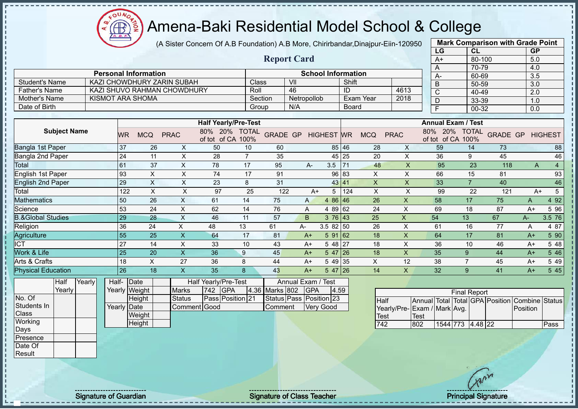$\mathbf{a}$ Æ

# Amena-Baki Residential Model School & College

(A Sister Concern Of A.B Foundation) A.B More, Chirirbandar,Dinajpur-Eiin-120950

**Report Card**

|      | <b>Mark Comparison with Grade Point</b> |                  |
|------|-----------------------------------------|------------------|
| LG   | CL                                      | <b>GP</b>        |
| $A+$ | 80-100                                  | 5.0              |
| A    | 70-79                                   | 4.0              |
| A-   | 60-69                                   | 3.5              |
| B    | 50-59                                   | $3.\overline{0}$ |
| C    | 40-49                                   | 2.0              |
| D    | 33-39                                   | 1.0              |
| F    | 00-32                                   | 0.0              |

|                      | <b>Personal Information</b> |         | <b>School Information</b> |              |      |
|----------------------|-----------------------------|---------|---------------------------|--------------|------|
| Student's Name       | KAZI CHOWDHURY ZARIN SUBAH  | Class   | VII                       | Shift        |      |
| <b>Father's Name</b> | KAZI SHUVO RAHMAN CHOWDHURY | Roll    | 46                        |              | 4613 |
| Mother's Name        | KISMOT ARA SHOMA            | Section | <b>Netropollob</b>        | Exam Year    | 2018 |
| Date of Birth        |                             | Group   | N/A                       | <b>Board</b> |      |

|                              |           |            |             | <b>Half Yearly/Pre-Test</b>   |                      |                 |              |                   |       |            |             | <b>Annual Exam / Test</b>     |                      |                 |      |                |
|------------------------------|-----------|------------|-------------|-------------------------------|----------------------|-----------------|--------------|-------------------|-------|------------|-------------|-------------------------------|----------------------|-----------------|------|----------------|
| <b>Subject Name</b>          | <b>WR</b> | <b>MCQ</b> | <b>PRAC</b> | 80%<br>20%<br>of CA<br>of tot | <b>TOTAL</b><br>100% | <b>GRADE GP</b> |              | <b>HIGHEST WR</b> |       | <b>MCQ</b> | <b>PRAC</b> | 80%<br>20%<br>of CA<br>of tot | <b>TOTAL</b><br>100% | <b>GRADE GP</b> |      | <b>HIGHEST</b> |
| <b>Bangla 1st Paper</b>      | 37        | 26         | X.          | 50                            | 10                   | 60              |              |                   | 85 46 | 28         | X           | 59                            | 14                   | 73              |      | 88             |
| Bangla 2nd Paper             | 24        | 11         | X.          | 28                            |                      | 35              |              |                   | 45 25 | 20         | X           | 36                            | 9                    | 45              |      | 46             |
| Total                        | 61        | 37         | X.          | 78                            | 17                   | 95              | A-           | 3.5               | 71    | 48         | X           | 95                            | 23                   | 118             | A    |                |
| English 1st Paper            | 93        | X          | X           | 74                            | 17                   | 91              |              |                   | 96 83 | X          | Χ           | 66                            | 15                   | 81              |      | 93             |
| <b>English 2nd Paper</b>     | 29        | X          | X           | 23                            | 8                    | 31              |              |                   | 43 41 | X          | Χ           | 33                            | $\overline{7}$       | 40              |      | 46             |
| Total                        | 122       | X          | X           | 97                            | 25                   | 122             | $A+$         | 5                 | 124   | X          | X           | 99                            | 22                   | 121             | $A+$ | 5              |
| <b>Mathematics</b>           | 50        | 26         | X.          | 61                            | 14                   | 75              | $\mathsf{A}$ | 4 86 46           |       | 26         | X           | 58                            | 17                   | 75              | A    | 4 9 2          |
| Science                      | 53        | 24         | X           | 62                            | 14                   | 76              | A            | 4 89 62           |       | 24         | X           | 69                            | 18                   | 87              | $A+$ | 5 9 6          |
| <b>B.&amp;Global Studies</b> | 29        | 28         | X           | 46                            | 11                   | 57              | B.           | 376 43            |       | 25         | X.          | 54                            | 13                   | 67              | $A-$ | 3.5 76         |
| Religion                     | 36        | 24         | X           | 48                            | 13                   | 61              | A-           | 3.58250           |       | 26         | X.          | 61                            | 16                   | 77              | A    | 4 87           |
| Agriculture                  | 55        | 25         | X.          | 64                            | 17                   | 81              | $A+$         | 591 62            |       | 18         | X.          | 64                            | 17                   | 81              | $A+$ | 5 90           |
| <b>ICT</b>                   | 27        | 14         | X           | 33                            | 10                   | 43              | $A+$         | 5 48 27           |       | 18         | X           | 36                            | 10                   | 46              | $A+$ | 5 48           |
| Work & Life                  | 25        | 20         | X.          | 36                            | 9                    | 45              | $A+$         | $547$ 26          |       | 18         | X.          | 35                            | 9                    | 44              | $A+$ | 5 4 6          |
| Arts & Crafts                | 18        | X          | 27          | 36                            | 8                    | 44              | $A+$         | 5 49 35           |       | X          | 12          | 38                            |                      | 45              | $A+$ | 5 4 9          |
| <b>Physical Education</b>    | 26        | 18         | X.          | 35                            | 8                    | 43              | $A+$         | $547$   26        |       | 14         | X.          | 32                            | 9                    | 41              | $A+$ | 5 4 5          |
|                              |           |            |             |                               |                      |                 |              |                   |       |            |             |                               |                      |                 |      |                |

| Half   | Yearly | Half- Date  |               |               |          | <b>Half Yearly/Pre-Test</b> |                    | Annual Exam / Test      |       |
|--------|--------|-------------|---------------|---------------|----------|-----------------------------|--------------------|-------------------------|-------|
| Yearly |        |             | Yearly Weight | <b>Marks</b>  | 742 IGPA |                             | 4.36 Marks 802 GPA |                         | 14.59 |
|        |        |             | <b>Height</b> | <b>Status</b> |          | <b>Pass Position 21</b>     |                    | Status Pass Position 23 |       |
|        |        | Yearly Date |               | Comment Good  |          |                             | Comment            | <b>Verv Good</b>        |       |
|        |        |             | Weight        |               |          |                             |                    |                         |       |
|        |        |             | Height        |               |          |                             |                    |                         |       |

|                             |      |                  | <b>Final Report</b> |  |                                                |      |
|-----------------------------|------|------------------|---------------------|--|------------------------------------------------|------|
| Half                        |      |                  |                     |  | Annual Total Total GPA Position Combine Status |      |
| Yearly/Pre-Exam / Mark Avg. |      |                  |                     |  | Position                                       |      |
| <b>Test</b>                 | Test |                  |                     |  |                                                |      |
| 742                         | 802  | 1544 773 4.48 22 |                     |  |                                                | Pass |

No. Of Students In **Class Working** Days Presence Date Of Result

J. T.  $\mathbf{I}$  $\mathbf{I}$ j.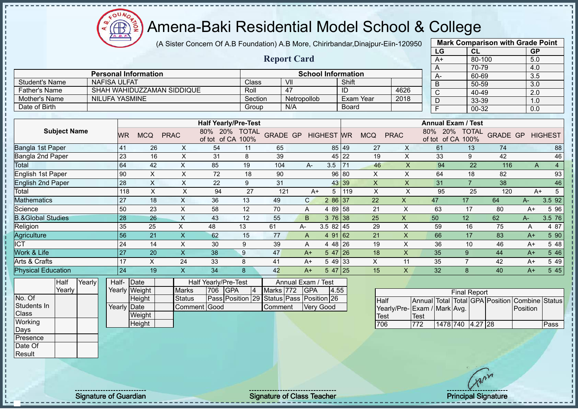(A Sister Concern Of A.B Foundation) A.B More, Chirirbandar,Dinajpur-Eiin-120950

|                              |                             |                                                                                                                                                                                                                                                                                                                                                                                      |            |                            |                             |                      | <b>Report Card</b>      |              |                           |              |            |             |                                      |                      |                 |                  |                |
|------------------------------|-----------------------------|--------------------------------------------------------------------------------------------------------------------------------------------------------------------------------------------------------------------------------------------------------------------------------------------------------------------------------------------------------------------------------------|------------|----------------------------|-----------------------------|----------------------|-------------------------|--------------|---------------------------|--------------|------------|-------------|--------------------------------------|----------------------|-----------------|------------------|----------------|
|                              |                             |                                                                                                                                                                                                                                                                                                                                                                                      |            |                            |                             |                      |                         |              |                           | $A+$         | 80-100     |             | 5.0                                  |                      |                 |                  |                |
|                              |                             |                                                                                                                                                                                                                                                                                                                                                                                      |            |                            |                             |                      |                         |              |                           |              |            |             | A                                    | 70-79                |                 | 4.0              |                |
|                              | <b>Personal Information</b> |                                                                                                                                                                                                                                                                                                                                                                                      |            |                            |                             |                      |                         |              | <b>School Information</b> |              |            |             | А-                                   | 60-69                |                 | 3.5              |                |
| <b>Student's Name</b>        | <b>NAFISA ULFAT</b>         |                                                                                                                                                                                                                                                                                                                                                                                      |            |                            |                             | Class                | $\overline{\mathsf{V}}$ |              |                           | Shift        |            |             | B                                    | $50 - 59$            |                 | $\overline{3.0}$ |                |
| <b>Father's Name</b>         |                             |                                                                                                                                                                                                                                                                                                                                                                                      |            | SHAH WAHIDUZZAMAN SIDDIQUE |                             | Roll                 | 47                      |              |                           | ID           |            | 4626        | C                                    | 40-49                |                 | 2.0              |                |
| <b>Mother's Name</b>         | <b>NILUFA YASMINE</b>       |                                                                                                                                                                                                                                                                                                                                                                                      |            |                            |                             | Section              |                         | Netropollob  |                           |              | Exam Year  | 2018        | D                                    | 33-39                |                 | 1.0              |                |
| Date of Birth                |                             |                                                                                                                                                                                                                                                                                                                                                                                      |            |                            |                             | Group                | N/A                     |              |                           | <b>Board</b> |            |             | E                                    | $00 - 32$            |                 | 0.0              |                |
|                              |                             |                                                                                                                                                                                                                                                                                                                                                                                      |            |                            |                             |                      |                         |              |                           |              |            |             |                                      |                      |                 |                  |                |
|                              |                             |                                                                                                                                                                                                                                                                                                                                                                                      |            |                            | <b>Half Yearly/Pre-Test</b> |                      |                         |              |                           |              |            |             | <b>Annual Exam / Test</b>            |                      |                 |                  |                |
| <b>Subject Name</b>          |                             | <b>WR</b>                                                                                                                                                                                                                                                                                                                                                                            | <b>MCQ</b> | <b>PRAC</b>                | 80% 20%<br>of tot of CA     | <b>TOTAL</b><br>100% | <b>GRADE GP</b>         |              | <b>HIGHEST WR</b>         |              | <b>MCQ</b> | <b>PRAC</b> | 80%<br><b>20%</b><br>of tot<br>of CA | <b>TOTAL</b><br>100% | <b>GRADE GP</b> |                  | <b>HIGHEST</b> |
| Bangla 1st Paper             |                             | 41                                                                                                                                                                                                                                                                                                                                                                                   | 26         | X                          | 54                          | 11                   | 65                      |              |                           | 85 49        | 27         | X           | 61                                   | 13                   | 74              |                  | 88             |
| Bangla 2nd Paper             |                             | 23                                                                                                                                                                                                                                                                                                                                                                                   | 16         | X                          | 31                          | 8                    | 39                      |              |                           | 45 22        | 19         | X           | 33                                   | 9                    | 42              |                  | 46             |
| Total                        |                             | 64                                                                                                                                                                                                                                                                                                                                                                                   | 42         | X                          | 85                          | 19                   | 104                     | A-           | 3.5                       | 71           | 46         | $\times$    | 94                                   | 22                   | 116             | A                | 4              |
| English 1st Paper            |                             | 90                                                                                                                                                                                                                                                                                                                                                                                   | X          | X                          | 72                          | 18                   | 90                      |              | 96                        | 80           | X          | X           | 64                                   | 18                   | 82              |                  | 93             |
| <b>English 2nd Paper</b>     |                             | 28                                                                                                                                                                                                                                                                                                                                                                                   | X          | X                          | 22                          | 9                    | 31                      |              | 43                        | 39           | X          | $\times$    | 31                                   | $\overline{7}$       | 38              |                  | 46             |
| Total                        |                             | 118                                                                                                                                                                                                                                                                                                                                                                                  | X          | X                          | 94                          | 27                   | 121                     | $A+$         | 5                         | 119          | X          | X           | 95                                   | 25                   | 120             | $A+$             | 5              |
| <b>Aathematics</b>           |                             | 27                                                                                                                                                                                                                                                                                                                                                                                   | 18         | X                          | 36                          | 13                   | 49                      | $\mathsf{C}$ | 2 86 37                   |              | 22         | X           | 47                                   | 17                   | 64              | $A-$             | 3.5 92         |
| Science                      |                             | 50                                                                                                                                                                                                                                                                                                                                                                                   | 23         | X                          | 58                          | 12                   | 70                      | A            | 4 89 58                   |              | 21         | X           | 63                                   | 17                   | 80              | $A+$             | 5 96           |
| <b>B.&amp;Global Studies</b> |                             | 28                                                                                                                                                                                                                                                                                                                                                                                   | 26         | X.                         | 43                          | 12                   | 55                      | B.           | $376$ 38                  |              | 25         | X           | 50                                   | 12                   | 62              | $A-$             | 3.5 76         |
| Religion                     |                             | 35                                                                                                                                                                                                                                                                                                                                                                                   | 25         | X                          | 48                          | 13                   | 61                      | $A -$        | $3.582$ 45                |              | 29         | X           | 59                                   | 16                   | 75              | A                | 4 87           |
| Agriculture                  |                             | 56                                                                                                                                                                                                                                                                                                                                                                                   | 21         | $\boldsymbol{\mathsf{X}}$  | 62                          | 15                   | 77                      | A            | 491 62                    |              | 21         | X           | 66                                   | 17                   | 83              | $A+$             | 5 90           |
| $\overline{ICT}$             |                             | 24                                                                                                                                                                                                                                                                                                                                                                                   | 14         | $\pmb{\times}$             | 30                          | 9                    | 39                      | Α            | 4 48 26                   |              | 19         | X           | 36                                   | 10                   | 46              | $A+$             | 5 48           |
| Work & Life                  |                             | 27                                                                                                                                                                                                                                                                                                                                                                                   | 20         | $\boldsymbol{\mathsf{X}}$  | 38                          | 9                    | 47                      | $A+$         | 5 47                      | 26           | 18         | X           | 35                                   | 9                    | 44              | $A+$             | 5 4 6          |
| Arts & Crafts                |                             | 17                                                                                                                                                                                                                                                                                                                                                                                   | X          | 24                         | 33                          | 8                    | 41                      | A+           | 5 49                      | 33           | X          | 11          | 35                                   | $\overline{7}$       | 42              | $A+$             | 5 4 9          |
| <b>Physical Education</b>    |                             | 24                                                                                                                                                                                                                                                                                                                                                                                   | 19         | X.                         | 34                          | 8                    | 42                      | $A+$         | 5 47                      | 25           | 15         | X           | 32                                   | 8                    | 40              | $A+$             | 5 4 5          |
| $\overline{\phantom{a}}$     |                             | $\overline{1}$ $\overline{1}$ $\overline{1}$ $\overline{1}$ $\overline{1}$ $\overline{1}$ $\overline{1}$ $\overline{1}$ $\overline{1}$ $\overline{1}$ $\overline{1}$ $\overline{1}$ $\overline{1}$ $\overline{1}$ $\overline{1}$ $\overline{1}$ $\overline{1}$ $\overline{1}$ $\overline{1}$ $\overline{1}$ $\overline{1}$ $\overline{1}$ $\overline{1}$ $\overline{1}$ $\overline{$ |            |                            |                             |                      |                         |              |                           |              |            |             |                                      |                      |                 |                  |                |

|             | Half<br>Yearly | Yearly |  |
|-------------|----------------|--------|--|
| No. Of      |                |        |  |
| Students In |                |        |  |
| Class       |                |        |  |
| Working     |                |        |  |
| Days        |                |        |  |
| Presence    |                |        |  |
| Date Of     |                |        |  |
| Result      |                |        |  |

| Half- Date  |               |               |                | Half Yearly/Pre-Test                     |               | Annual Exam / Test |       |
|-------------|---------------|---------------|----------------|------------------------------------------|---------------|--------------------|-------|
|             | Yearly Weight | <b>Marks</b>  | <b>706 GPA</b> |                                          | Marks 772 GPA |                    | 14.55 |
|             | Height        | <b>Status</b> |                | Pass Position 29 Status Pass Position 26 |               |                    |       |
| Yearly Date |               | Comment Good  |                |                                          | Comment       | Very Good          |       |
|             | Weight        |               |                |                                          |               |                    |       |

| <b>Final Report</b>          |      |                  |  |  |  |                                                |      |  |  |  |  |
|------------------------------|------|------------------|--|--|--|------------------------------------------------|------|--|--|--|--|
| <b>IHalf</b>                 |      |                  |  |  |  | Annual Total Total GPA Position Combine Status |      |  |  |  |  |
| Yearly/Pre- Exam / Mark Avg. |      |                  |  |  |  | <b>IPosition</b>                               |      |  |  |  |  |
| <b>Test</b>                  | Test |                  |  |  |  |                                                |      |  |  |  |  |
| 706                          | 772  | 1478 740 4.27 28 |  |  |  |                                                | Pass |  |  |  |  |

**Mark Comparison with Grade Point LG CL GP**

Signature of Guardian Signature of Class Teacher Principal Signature of Guardian Signature of Class Teacher Principal Signature Principal Signature

**Height**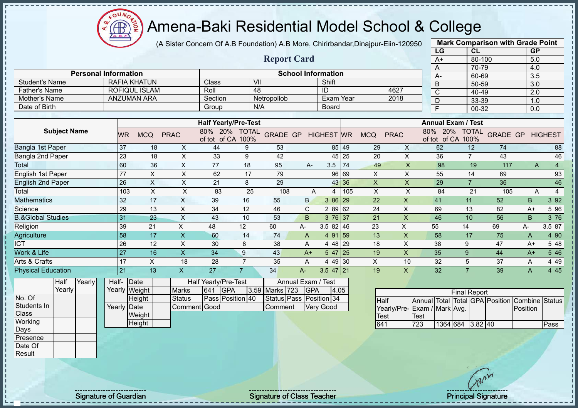

(A Sister Concern Of A.B Foundation) A.B More, Chirirbandar,Dinajpur-Eiin-120950 **Mark Comparison with Grade Point**

**Report Card**

| יוו⊐-ווווכµוווכµ          |                                    | $m$ an $\sim$ onnoan son with orae i omt |     |
|---------------------------|------------------------------------|------------------------------------------|-----|
|                           | LG                                 | <b>CL</b>                                | GP  |
|                           | $A+$                               | 80-100                                   | 5.0 |
|                           | A                                  | 70-79                                    | 4.0 |
|                           | A-                                 | 60-69                                    | 3.5 |
|                           | B                                  | 50-59                                    | 3.0 |
| 4627                      | C                                  | 40-49                                    | 2.0 |
| 2018                      | D                                  | 33-39                                    | 1.0 |
|                           | F                                  | 00-32                                    | 0.0 |
|                           |                                    |                                          |     |
|                           | <b>Annual Exam / Test</b>          |                                          |     |
| <b>PRAC</b><br><b>MCQ</b> | 80% 20% TOTAL<br>of tot of CA 100% | <b>GRADE GP HIGHEST</b>                  |     |
| $\checkmark$<br>$\Omega$  | $\sim$                             | 71<br>$\overline{10}$                    | 00  |

|                       | <b>Personal Information</b> |                    | <b>School Information</b> |              |      | $A-$ |
|-----------------------|-----------------------------|--------------------|---------------------------|--------------|------|------|
| <b>Student's Name</b> | RAFIA KHATUN                | Class <sup>®</sup> | VII                       | Shift        |      | B    |
| <b>Father's Name</b>  | ROFIQUL ISLAM               | Roll               | 48                        | ID           | 4627 |      |
| Mother's Name         | <b>ANZUMAN ARA</b>          | Section            | Netropollob               | Exam Year    | 2018 |      |
| Date of Birth         |                             | Group              | N/A                       | <b>Board</b> |      |      |

|                           |           |            |             | <b>Half Yearly/Pre-Test</b> |                      |                 |      |                   |       |            |             | <b>Annual Exam / Test</b> |                            |                 |      |                |
|---------------------------|-----------|------------|-------------|-----------------------------|----------------------|-----------------|------|-------------------|-------|------------|-------------|---------------------------|----------------------------|-----------------|------|----------------|
| <b>Subject Name</b>       | <b>WR</b> | <b>MCQ</b> | <b>PRAC</b> | 20%<br>80%<br>of tot of CA  | <b>TOTAL</b><br>100% | <b>GRADE GP</b> |      | <b>HIGHEST</b> WR |       | <b>MCQ</b> | <b>PRAC</b> | 80%<br>20%<br>of tot      | <b>TOTAL</b><br>of CA 100% | <b>GRADE GP</b> |      | <b>HIGHEST</b> |
| Bangla 1st Paper          | $37$      | 18         | X.          | 44                          | 9                    | 53              |      | 85 49             |       | 29         | X           | 62                        | 12                         | 74              |      | 88             |
| Bangla 2nd Paper          | 23        | 18         | X           | 33                          | 9                    | 42              |      | 45 25             |       | 20         | X           | 36                        |                            | 43              |      | 46             |
| Total                     | 60        | 36         | X           | 77                          | 18                   | 95              | A-   | 3.5               | 74    | 49         | X           | 98                        | 19                         | 117             | A    | $\overline{4}$ |
| English 1st Paper         | 77        | X          | X           | 62                          | 17                   | 79              |      | 96 69             |       | X.         | X           | 55                        | 14                         | 69              |      | 93             |
| <b>English 2nd Paper</b>  | 26        | Χ          | X           | 21                          | 8                    | 29              |      |                   | 43 36 | X.         | X           | 29                        |                            | 36              |      | 46             |
| Total                     | 103       | X          | X           | 83                          | 25                   | 108             | Α    | 4                 | 105   | X          | Χ           | 84                        | 21                         | 105             | A    |                |
| <b>Mathematics</b>        | 32        | 17         | X           | 39                          | 16                   | 55              | B.   | 3 86 29           |       | 22         | X           | 41                        | 11                         | 52              | B.   | 3 9 2          |
| Science                   | 29        | 13         | X           | 34                          | 12                   | 46              | C    | 2 89 62           |       | 24         | X           | 69                        | 13                         | 82              | $A+$ | 5 96           |
| 8.&Global Studies         | 31        | 23         | X           | 43                          | 10                   | 53              | B.   | $376$ 37          |       | 21         | X           | 46                        | 10                         | 56              | B    | 3 76           |
| Religion                  | 39        | 21         | X           | 48                          | 12                   | 60              | A-   | $3.582$ 46        |       | 23         | X.          | 55                        | 14                         | 69              | А-   | 3.5 87         |
| Agriculture               | 58        | 17         | X           | 60                          | 14                   | 74              | A    | 4 91 59           |       | 13         | X           | 58                        | 17                         | 75              | A    | 4 90           |
| ICT                       | 26        | 12         | X           | 30                          | 8                    | 38              | A    | 4 48 29           |       | 18         | х           | 38                        | 9                          | 47              | A+   | 5 48           |
| <b>Nork &amp; Life</b>    | 27        | 16         | X           | 34                          | 9                    | 43              | $A+$ | $547$   25        |       | 19         | X           | 35                        | 9                          | 44              | $A+$ | 5 4 6          |
| Arts & Crafts             | 17        | Χ          | 18          | 28                          |                      | 35              | A    | 4 49 30           |       | X          | 10          | 32                        | 5                          | 37              | Α    | 4 4 9          |
| <b>Physical Education</b> | 21        | 13         | X           | 27                          |                      | 34              | A-   | $3.5$ 47 21       |       | 19         | X           | 32                        |                            | 39              | A    | 4 4 5          |

|             | Half     | Yearlvl | Half- Date  |               |               |     | <b>Half Yearly/Pre-Test</b> |                 | Annual Exam / Test      |      |
|-------------|----------|---------|-------------|---------------|---------------|-----|-----------------------------|-----------------|-------------------------|------|
|             | Yearlv l |         |             | Yearly Weight | <b>Marks</b>  | 641 | IGPA                        | 3.59 Marks 723  | <b>IGPA</b>             | 4.05 |
| No. Of      |          |         |             | Height        | <b>Status</b> |     | <b>Pass Position 40</b>     |                 | Status Pass Position 34 |      |
| Students In |          |         | Yearly Date |               | Comment Good  |     |                             | <b>IComment</b> | <b>Verv Good</b>        |      |
| Class       |          |         |             | Weight        |               |     |                             |                 |                         |      |
| Working     |          |         |             | Height        |               |     |                             |                 |                         |      |

| <b>Final Report</b>         |       |                  |  |  |  |                                                |      |  |  |  |  |  |
|-----------------------------|-------|------------------|--|--|--|------------------------------------------------|------|--|--|--|--|--|
| <b>Half</b>                 |       |                  |  |  |  | Annual Total Total GPA Position Combine Status |      |  |  |  |  |  |
| Yearly/Pre-Exam / Mark Avg. |       |                  |  |  |  | Position                                       |      |  |  |  |  |  |
| <b>Test</b>                 | lTest |                  |  |  |  |                                                |      |  |  |  |  |  |
| 641                         | 723   | 1364 684 3.82 40 |  |  |  |                                                | Pass |  |  |  |  |  |

**Class Working** Days Presence Date Of **Result** 

Signature of Guardian Signature Signature of Class Teacher Number of Class Teacher Principal Signature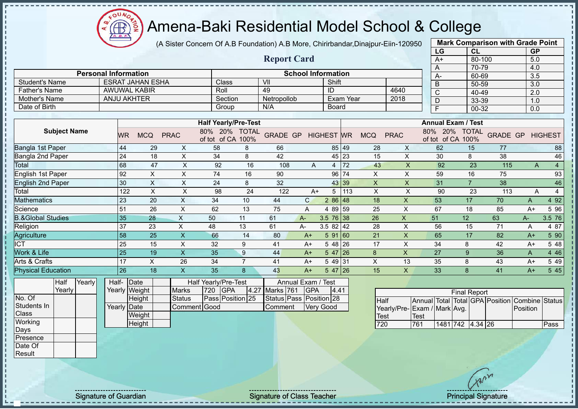$\Omega$  $\bigoplus$ 

# Amena-Baki Residential Model School & College

|                                             |                                            |                                   |    | (A Sister Concern Of A.B Foundation) A.B More, Chirirbandar, Dinajpur-Eiin-120950 |                                            |                             |                         |                           |                 |                  |            |                         |                           |                | <b>Mark Comparison with Grade Point</b> |             |                |
|---------------------------------------------|--------------------------------------------|-----------------------------------|----|-----------------------------------------------------------------------------------|--------------------------------------------|-----------------------------|-------------------------|---------------------------|-----------------|------------------|------------|-------------------------|---------------------------|----------------|-----------------------------------------|-------------|----------------|
|                                             |                                            |                                   |    |                                                                                   |                                            |                             |                         |                           |                 |                  |            |                         | LG                        | <b>CL</b>      |                                         | <b>GP</b>   |                |
|                                             |                                            |                                   |    |                                                                                   |                                            |                             | <b>Report Card</b>      |                           |                 |                  |            |                         | $A+$                      | 80-100         |                                         | 5.0         |                |
|                                             |                                            |                                   |    |                                                                                   |                                            |                             |                         |                           |                 |                  |            |                         | А                         | 70-79          |                                         | 4.0         |                |
|                                             | <b>Personal Information</b>                |                                   |    |                                                                                   |                                            |                             |                         | <b>School Information</b> |                 |                  |            |                         | $A-$                      | 60-69          |                                         | 3.5         |                |
| <b>Student's Name</b>                       |                                            | <b>ESRAT JAHAN ESHA</b>           |    |                                                                                   | Class                                      |                             | $\overline{\mathsf{V}}$ |                           | Shift           |                  |            |                         | B                         | 50-59          |                                         | 3.0         |                |
| <b>Father's Name</b>                        |                                            | <b>AWUWAL KABIR</b>               |    |                                                                                   | Roll                                       |                             | 49                      |                           | ID              |                  |            | 4640                    | C                         | 40-49          |                                         | 2.0         |                |
| Mother's Name                               |                                            | <b>ANJU AKHTER</b>                |    |                                                                                   | Section                                    |                             | Netropollob             |                           |                 | <b>Exam Year</b> |            | 2018                    | D                         | 33-39          |                                         | 1.0         |                |
| Date of Birth                               |                                            |                                   |    |                                                                                   | Group                                      |                             | N/A                     |                           | Board           |                  |            |                         | F                         | 00-32          |                                         | 0.0         |                |
|                                             |                                            |                                   |    |                                                                                   |                                            | <b>Half Yearly/Pre-Test</b> |                         |                           |                 |                  |            |                         | <b>Annual Exam / Test</b> |                |                                         |             |                |
| <b>Subject Name</b>                         |                                            |                                   |    |                                                                                   |                                            | 80% 20% TOTAL               |                         |                           |                 |                  |            |                         | 20%<br>80%                | <b>TOTAL</b>   |                                         |             |                |
|                                             | <b>WR</b>                                  | <b>MCQ</b>                        |    | <b>PRAC</b>                                                                       | of tot of CA 100%                          |                             | <b>GRADE GP</b>         |                           | <b>HIGHEST</b>  | <b>WR</b>        | <b>MCQ</b> | <b>PRAC</b>             | of tot of CA 100%         |                | <b>GRADE GP</b>                         |             | <b>HIGHEST</b> |
| Bangla 1st Paper                            | 44                                         |                                   | 29 | X                                                                                 | 58                                         | 8                           | 66                      |                           | 85 49           |                  | 28         | $\times$                | 62                        | 15             | 77                                      |             | 88             |
| Bangla 2nd Paper                            | 24                                         |                                   | 18 | X                                                                                 | 34                                         | 8                           | 42                      |                           | 45 23           |                  | 15         | X                       | 30                        | 8              | 38                                      |             | 46             |
| Total                                       | 68                                         |                                   | 47 | X                                                                                 | 92                                         | 16                          | 108                     | A                         | 4               | 72               | 43         | $\overline{\mathsf{X}}$ | 92                        | 23             | 115                                     | A           | $\overline{4}$ |
| English 1st Paper                           | 92                                         |                                   | X  | X                                                                                 | 74                                         | 16                          | 90                      |                           | 96              | 174              | X          | X                       | 59                        | 16             | 75                                      |             | 93             |
| <b>English 2nd Paper</b>                    | 30                                         |                                   | X  | $\times$                                                                          | 24                                         | 8                           | 32                      |                           | 43 39           |                  | X          | X                       | 31                        | $\overline{7}$ | 38                                      |             | 46             |
| Total                                       |                                            | 122                               | X  | X                                                                                 | 98                                         | 24                          | 122                     | $A+$                      | 5               | 113              | $\times$   | X                       | 90                        | 23             | 113                                     | A           | 4              |
| <b>Mathematics</b>                          | 23                                         |                                   | 20 | X                                                                                 | 34                                         | 10                          | 44                      | $\mathsf{C}$              | $286$ 48        |                  | 18         | X                       | 53                        | 17             | 70                                      | A           | 4 9 2          |
| Science                                     | 51                                         |                                   | 26 | $\pmb{\times}$                                                                    | 62                                         | 13                          | 75                      | A                         | 4 89 59         |                  | 25         | X                       | 67                        | 18             | 85                                      | $A+$        | 5 9 6          |
| <b>B.&amp;Global Studies</b>                | 35                                         |                                   | 28 | X                                                                                 | 50                                         | 11                          | 61                      | $A -$                     | $3.5 \ 76 \ 38$ |                  | 26         | X                       | 51                        | 12             | 63                                      | $A -$       | 3.5 76         |
| Religion                                    | 37                                         |                                   | 23 | X                                                                                 | 48                                         | 13                          | 61                      | A-                        | $3.582$ 42      |                  | 28         | X                       | 56                        | 15             | 71                                      | Α           | 4 87           |
| Agriculture                                 | 58                                         |                                   | 25 | $\mathsf{x}$                                                                      | 66                                         | 14                          | 80                      | $A+$                      | 591 60          |                  | 21         | X                       | 65                        | 17             | 82                                      | $A+$        | 5 90           |
| <b>ICT</b>                                  | 25                                         |                                   | 15 | X                                                                                 | 32                                         | 9                           | 41                      | A+                        | 5 48 26         |                  | 17         | X                       | 34                        | 8              | 42                                      | $A+$        | 5 48           |
| Work & Life                                 | 25                                         |                                   | 19 | $\mathsf{X}$                                                                      | 35                                         | $\boldsymbol{9}$            | 44                      | $A+$                      | $547$   26      |                  | $\bf 8$    | $\mathsf{x}$            | 27                        | 9              | 36                                      | $\mathsf A$ | 4 4 6          |
| Arts & Crafts                               | 17                                         |                                   | X  | 26                                                                                | 34                                         | $\overline{7}$              | 41                      | $A+$                      | 5 49 31         |                  | X          | 13                      | 35                        | 8              | 43                                      | $A+$        | 5 4 9          |
| <b>Physical Education</b>                   | 26                                         |                                   | 18 | X                                                                                 | 35                                         | 8                           | 43                      | $A+$                      | 5 47 26         |                  | 15         | $\mathsf X$             | 33                        | 8              | 41                                      | $A+$        | 5 4 5          |
| Half<br>Yearly<br>$\sqrt{2}$ and $\sqrt{2}$ | Half-<br>$\overline{V}$ and $\overline{V}$ | $\vert$ Date<br>$\sqrt{111 + 11}$ |    | $\overline{M}$                                                                    | Half Yearly/Pre-Test<br>$500 \overline{})$ |                             | $10711$ $70100$         | Annual Exam / Test        | $\overline{A}$  |                  |            |                         |                           |                |                                         |             |                |

Yearly No. Of Students In **Class Working** Days Presence

Date Of Result

Yearly Weight **Height** Yearly Date **Weight Height** Marks | 720 | GPA | 4.27 | Marks | 761 | GPA | 4.41 Status **Pass Position** 25 Comment Good Status Pass Position 28 Comment Very Good

| <b>Final Report</b>         |      |                  |  |  |  |                                                |      |  |  |  |  |
|-----------------------------|------|------------------|--|--|--|------------------------------------------------|------|--|--|--|--|
| Half                        |      |                  |  |  |  | Annual Total Total GPA Position Combine Status |      |  |  |  |  |
| Yearly/Pre-Exam / Mark Avg. |      |                  |  |  |  | <b>IPosition</b>                               |      |  |  |  |  |
| <b>Test</b>                 | Test |                  |  |  |  |                                                |      |  |  |  |  |
| 720                         | 761  | 1481 742 4.34 26 |  |  |  |                                                | Pass |  |  |  |  |

Signature of Guardian Signature of Class Teacher Principal Signature of Class Teacher Principal Signature